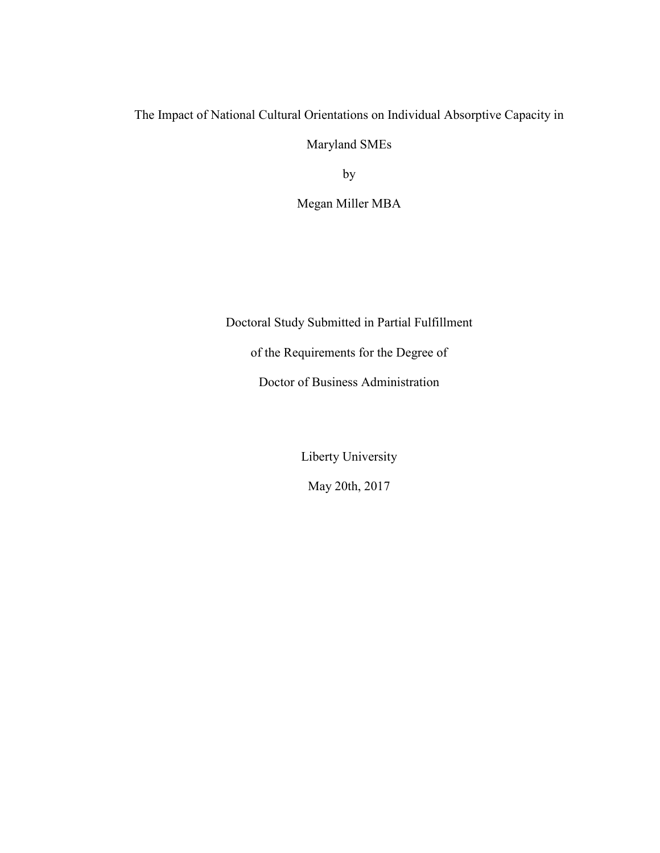The Impact of National Cultural Orientations on Individual Absorptive Capacity in

Maryland SMEs

by

Megan Miller MBA

Doctoral Study Submitted in Partial Fulfillment

of the Requirements for the Degree of

Doctor of Business Administration

Liberty University

May 20th, 2017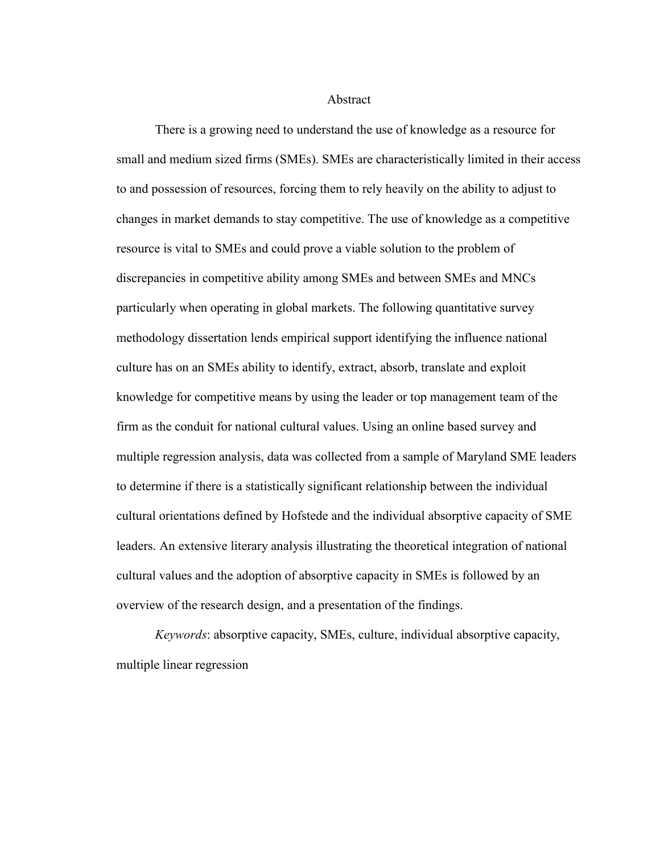Abstract

There is a growing need to understand the use of knowledge as a resource for small and medium sized firms (SMEs). SMEs are characteristically limited in their access to and possession of resources, forcing them to rely heavily on the ability to adjust to changes in market demands to stay competitive. The use of knowledge as a competitive resource is vital to SMEs and could prove a viable solution to the problem of discrepancies in competitive ability among SMEs and between SMEs and MNCs particularly when operating in global markets. The following quantitative survey methodology dissertation lends empirical support identifying the influence national culture has on an SMEs ability to identify, extract, absorb, translate and exploit knowledge for competitive means by using the leader or top management team of the firm as the conduit for national cultural values. Using an online based survey and multiple regression analysis, data was collected from a sample of Maryland SME leaders to determine if there is a statistically significant relationship between the individual cultural orientations defined by Hofstede and the individual absorptive capacity of SME leaders. An extensive literary analysis illustrating the theoretical integration of national cultural values and the adoption of absorptive capacity in SMEs is followed by an overview of the research design, and a presentation of the findings.

*Keywords*: absorptive capacity, SMEs, culture, individual absorptive capacity, multiple linear regression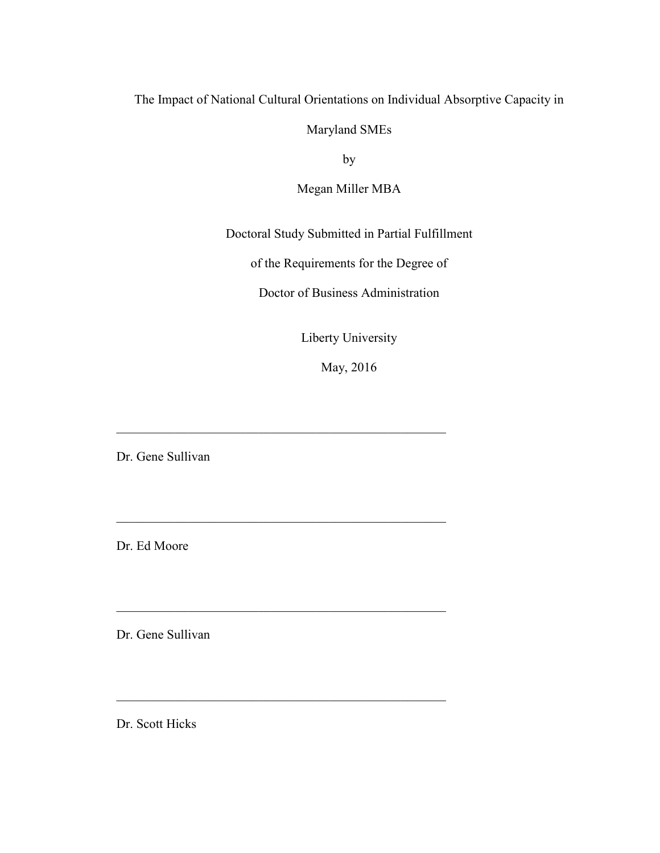# The Impact of National Cultural Orientations on Individual Absorptive Capacity in

Maryland SMEs

by

Megan Miller MBA

Doctoral Study Submitted in Partial Fulfillment

of the Requirements for the Degree of

Doctor of Business Administration

Liberty University

May, 2016

\_\_\_\_\_\_\_\_\_\_\_\_\_\_\_\_\_\_\_\_\_\_\_\_\_\_\_\_\_\_\_\_\_\_\_\_\_\_\_\_\_\_\_\_\_\_\_\_\_\_\_

\_\_\_\_\_\_\_\_\_\_\_\_\_\_\_\_\_\_\_\_\_\_\_\_\_\_\_\_\_\_\_\_\_\_\_\_\_\_\_\_\_\_\_\_\_\_\_\_\_\_\_

\_\_\_\_\_\_\_\_\_\_\_\_\_\_\_\_\_\_\_\_\_\_\_\_\_\_\_\_\_\_\_\_\_\_\_\_\_\_\_\_\_\_\_\_\_\_\_\_\_\_\_

\_\_\_\_\_\_\_\_\_\_\_\_\_\_\_\_\_\_\_\_\_\_\_\_\_\_\_\_\_\_\_\_\_\_\_\_\_\_\_\_\_\_\_\_\_\_\_\_\_\_\_

Dr. Gene Sullivan

Dr. Ed Moore

Dr. Gene Sullivan

Dr. Scott Hicks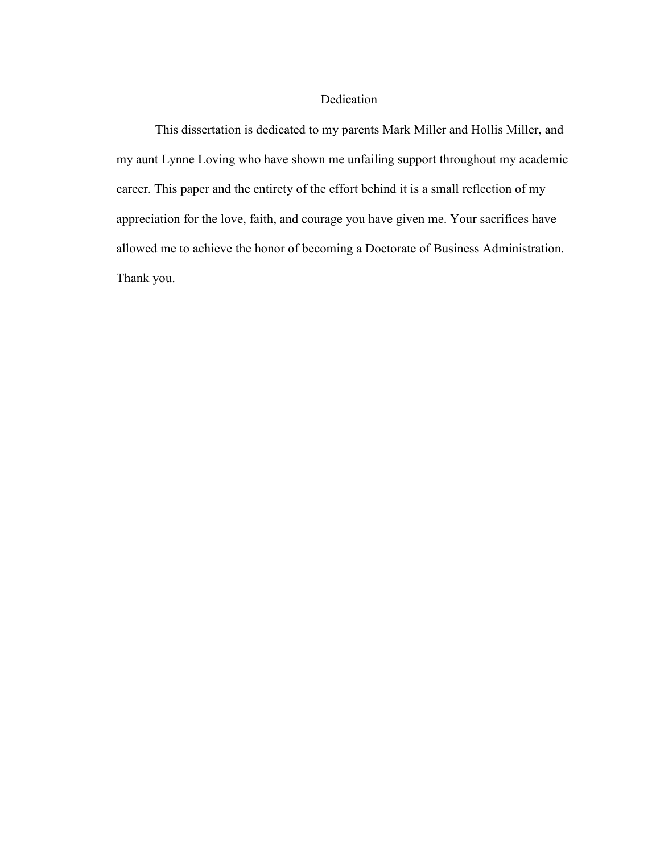## Dedication

This dissertation is dedicated to my parents Mark Miller and Hollis Miller, and my aunt Lynne Loving who have shown me unfailing support throughout my academic career. This paper and the entirety of the effort behind it is a small reflection of my appreciation for the love, faith, and courage you have given me. Your sacrifices have allowed me to achieve the honor of becoming a Doctorate of Business Administration. Thank you.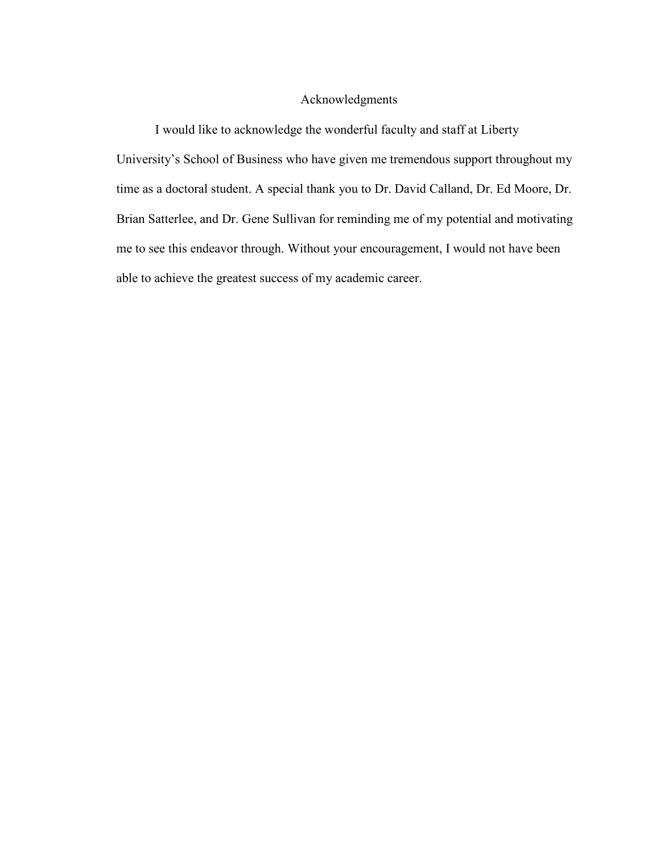#### Acknowledgments

I would like to acknowledge the wonderful faculty and staff at Liberty University's School of Business who have given me tremendous support throughout my time as a doctoral student. A special thank you to Dr. David Calland, Dr. Ed Moore, Dr. Brian Satterlee, and Dr. Gene Sullivan for reminding me of my potential and motivating me to see this endeavor through. Without your encouragement, I would not have been able to achieve the greatest success of my academic career.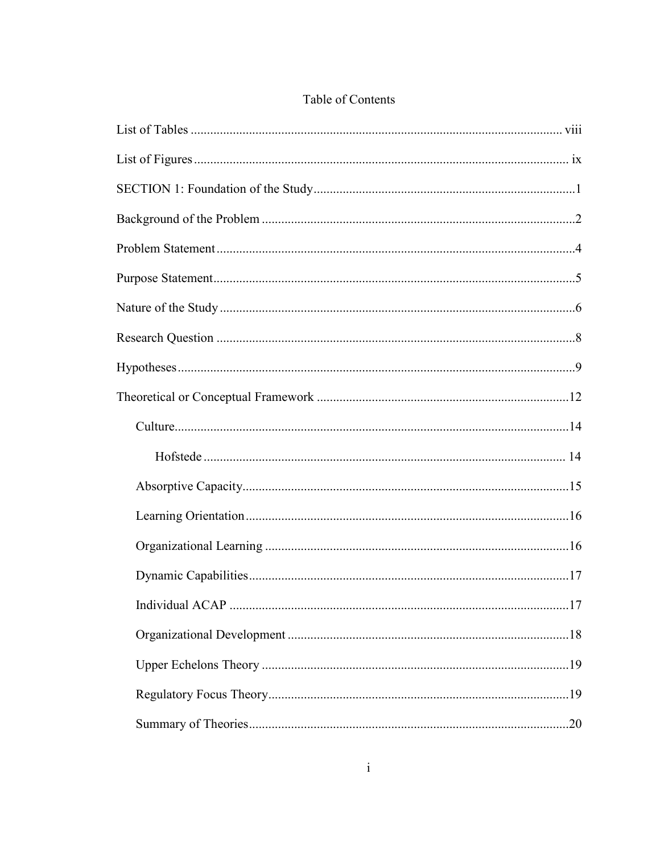## Table of Contents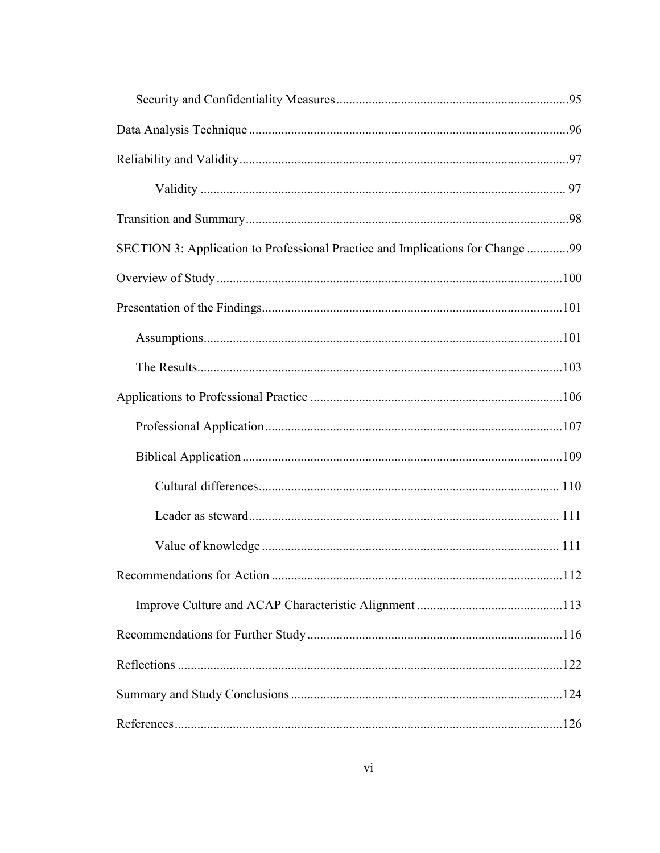| SECTION 3: Application to Professional Practice and Implications for Change 99 |  |
|--------------------------------------------------------------------------------|--|
|                                                                                |  |
|                                                                                |  |
|                                                                                |  |
|                                                                                |  |
|                                                                                |  |
|                                                                                |  |
|                                                                                |  |
|                                                                                |  |
|                                                                                |  |
|                                                                                |  |
|                                                                                |  |
|                                                                                |  |
|                                                                                |  |
|                                                                                |  |
|                                                                                |  |
|                                                                                |  |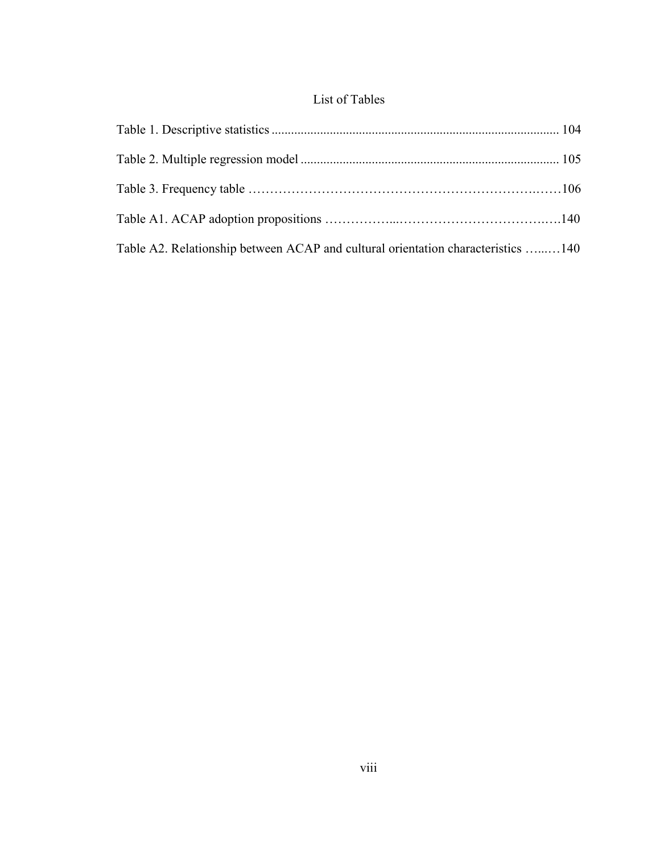# List of Tables

| Table A2. Relationship between ACAP and cultural orientation characteristics 140 |  |
|----------------------------------------------------------------------------------|--|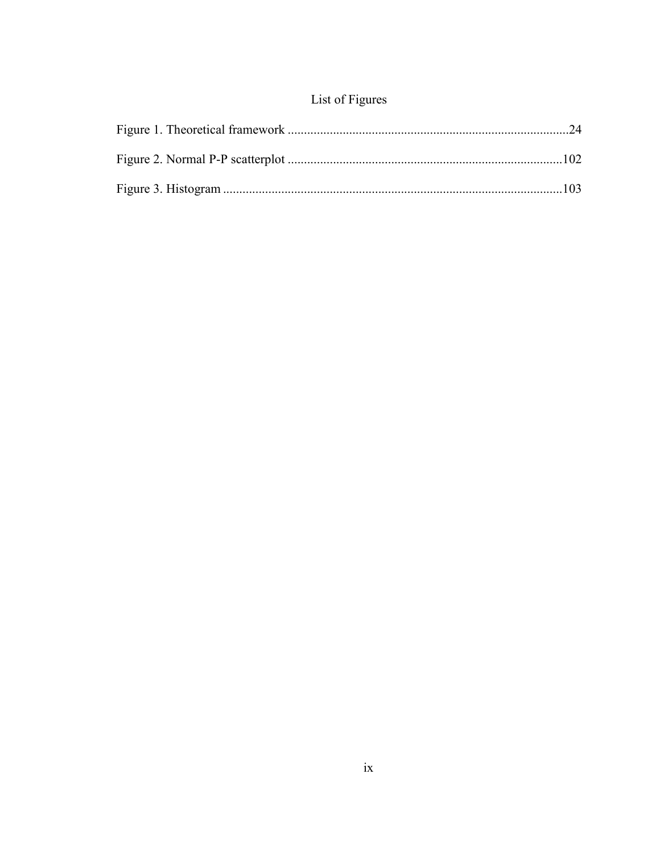# List of Figures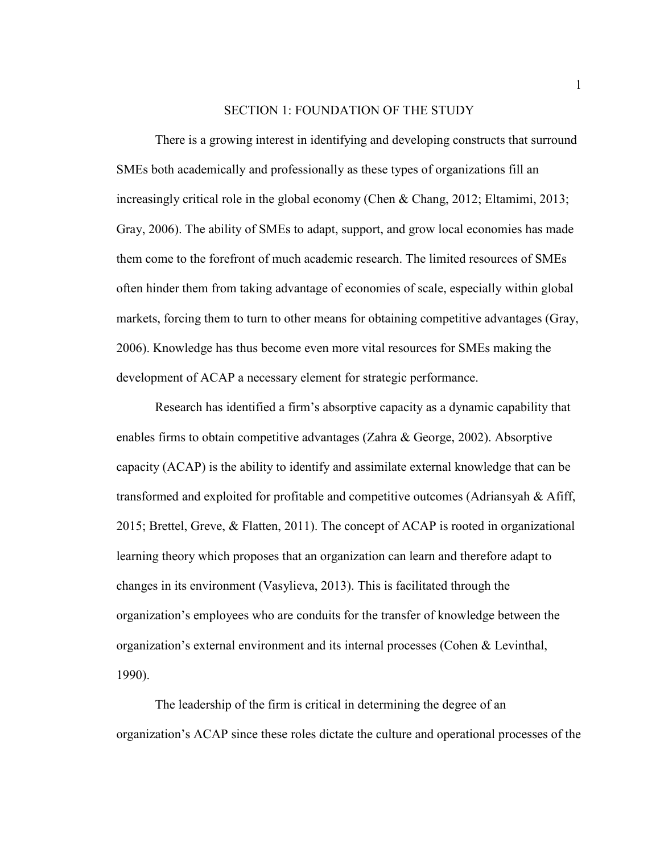#### SECTION 1: FOUNDATION OF THE STUDY

There is a growing interest in identifying and developing constructs that surround SMEs both academically and professionally as these types of organizations fill an increasingly critical role in the global economy (Chen & Chang, 2012; Eltamimi, 2013; Gray, 2006). The ability of SMEs to adapt, support, and grow local economies has made them come to the forefront of much academic research. The limited resources of SMEs often hinder them from taking advantage of economies of scale, especially within global markets, forcing them to turn to other means for obtaining competitive advantages (Gray, 2006). Knowledge has thus become even more vital resources for SMEs making the development of ACAP a necessary element for strategic performance.

Research has identified a firm's absorptive capacity as a dynamic capability that enables firms to obtain competitive advantages (Zahra & George, 2002). Absorptive capacity (ACAP) is the ability to identify and assimilate external knowledge that can be transformed and exploited for profitable and competitive outcomes (Adriansyah & Afiff, 2015; Brettel, Greve, & Flatten, 2011). The concept of ACAP is rooted in organizational learning theory which proposes that an organization can learn and therefore adapt to changes in its environment (Vasylieva, 2013). This is facilitated through the organization's employees who are conduits for the transfer of knowledge between the organization's external environment and its internal processes (Cohen & Levinthal, 1990).

The leadership of the firm is critical in determining the degree of an organization's ACAP since these roles dictate the culture and operational processes of the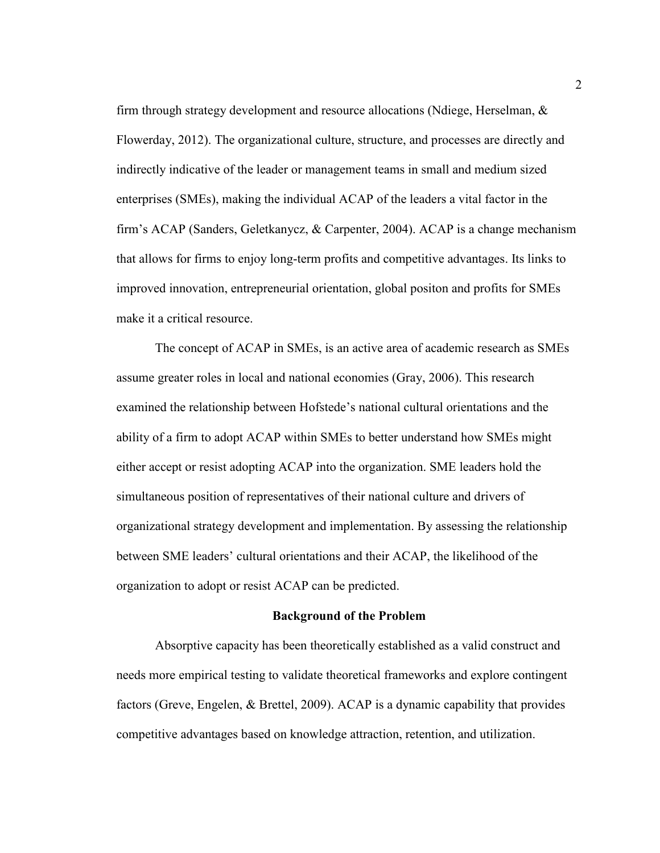firm through strategy development and resource allocations (Ndiege, Herselman, & Flowerday, 2012). The organizational culture, structure, and processes are directly and indirectly indicative of the leader or management teams in small and medium sized enterprises (SMEs), making the individual ACAP of the leaders a vital factor in the firm's ACAP (Sanders, Geletkanycz, & Carpenter, 2004). ACAP is a change mechanism that allows for firms to enjoy long-term profits and competitive advantages. Its links to improved innovation, entrepreneurial orientation, global positon and profits for SMEs make it a critical resource.

The concept of ACAP in SMEs, is an active area of academic research as SMEs assume greater roles in local and national economies (Gray, 2006). This research examined the relationship between Hofstede's national cultural orientations and the ability of a firm to adopt ACAP within SMEs to better understand how SMEs might either accept or resist adopting ACAP into the organization. SME leaders hold the simultaneous position of representatives of their national culture and drivers of organizational strategy development and implementation. By assessing the relationship between SME leaders' cultural orientations and their ACAP, the likelihood of the organization to adopt or resist ACAP can be predicted.

## **Background of the Problem**

Absorptive capacity has been theoretically established as a valid construct and needs more empirical testing to validate theoretical frameworks and explore contingent factors (Greve, Engelen, & Brettel, 2009). ACAP is a dynamic capability that provides competitive advantages based on knowledge attraction, retention, and utilization.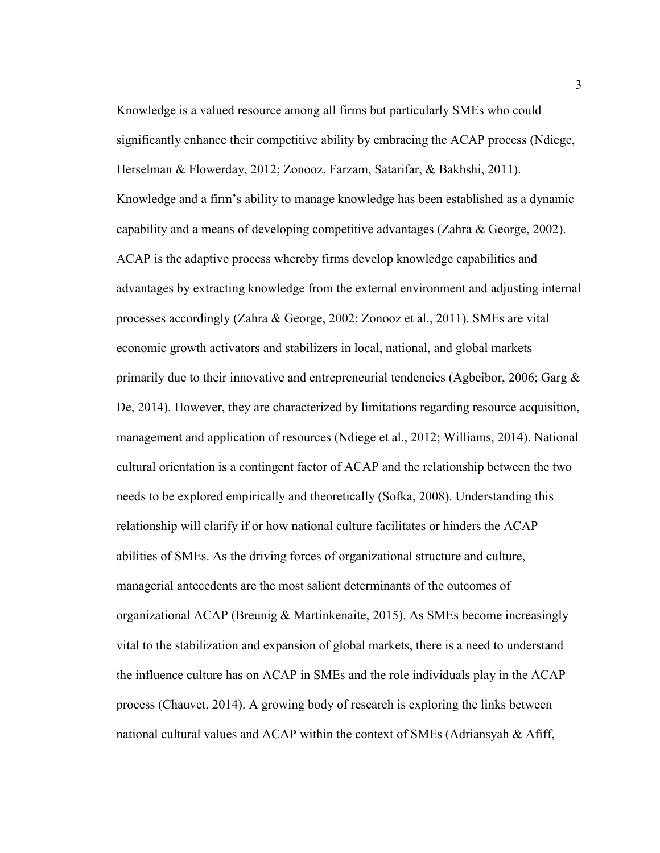Knowledge is a valued resource among all firms but particularly SMEs who could significantly enhance their competitive ability by embracing the ACAP process (Ndiege, Herselman & Flowerday, 2012; Zonooz, Farzam, Satarifar, & Bakhshi, 2011). Knowledge and a firm's ability to manage knowledge has been established as a dynamic capability and a means of developing competitive advantages (Zahra & George, 2002). ACAP is the adaptive process whereby firms develop knowledge capabilities and advantages by extracting knowledge from the external environment and adjusting internal processes accordingly (Zahra & George, 2002; Zonooz et al., 2011). SMEs are vital economic growth activators and stabilizers in local, national, and global markets primarily due to their innovative and entrepreneurial tendencies (Agbeibor, 2006; Garg & De, 2014). However, they are characterized by limitations regarding resource acquisition, management and application of resources (Ndiege et al., 2012; Williams, 2014). National cultural orientation is a contingent factor of ACAP and the relationship between the two needs to be explored empirically and theoretically (Sofka, 2008). Understanding this relationship will clarify if or how national culture facilitates or hinders the ACAP abilities of SMEs. As the driving forces of organizational structure and culture, managerial antecedents are the most salient determinants of the outcomes of organizational ACAP (Breunig & Martinkenaite, 2015). As SMEs become increasingly vital to the stabilization and expansion of global markets, there is a need to understand the influence culture has on ACAP in SMEs and the role individuals play in the ACAP process (Chauvet, 2014). A growing body of research is exploring the links between national cultural values and ACAP within the context of SMEs (Adriansyah & Afiff,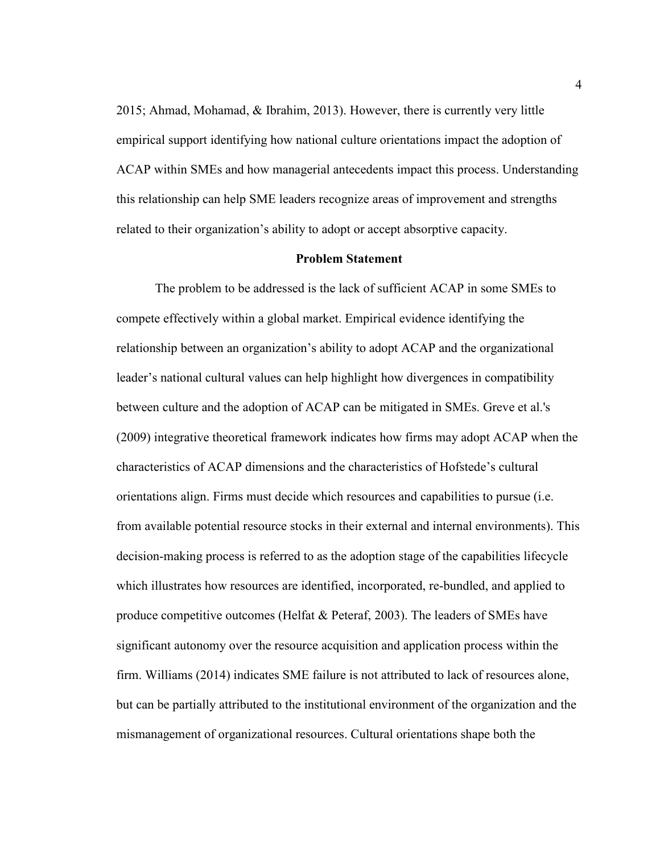2015; Ahmad, Mohamad, & Ibrahim, 2013). However, there is currently very little empirical support identifying how national culture orientations impact the adoption of ACAP within SMEs and how managerial antecedents impact this process. Understanding this relationship can help SME leaders recognize areas of improvement and strengths related to their organization's ability to adopt or accept absorptive capacity.

#### **Problem Statement**

The problem to be addressed is the lack of sufficient ACAP in some SMEs to compete effectively within a global market. Empirical evidence identifying the relationship between an organization's ability to adopt ACAP and the organizational leader's national cultural values can help highlight how divergences in compatibility between culture and the adoption of ACAP can be mitigated in SMEs. Greve et al.'s (2009) integrative theoretical framework indicates how firms may adopt ACAP when the characteristics of ACAP dimensions and the characteristics of Hofstede's cultural orientations align. Firms must decide which resources and capabilities to pursue (i.e. from available potential resource stocks in their external and internal environments). This decision-making process is referred to as the adoption stage of the capabilities lifecycle which illustrates how resources are identified, incorporated, re-bundled, and applied to produce competitive outcomes (Helfat & Peteraf, 2003). The leaders of SMEs have significant autonomy over the resource acquisition and application process within the firm. Williams (2014) indicates SME failure is not attributed to lack of resources alone, but can be partially attributed to the institutional environment of the organization and the mismanagement of organizational resources. Cultural orientations shape both the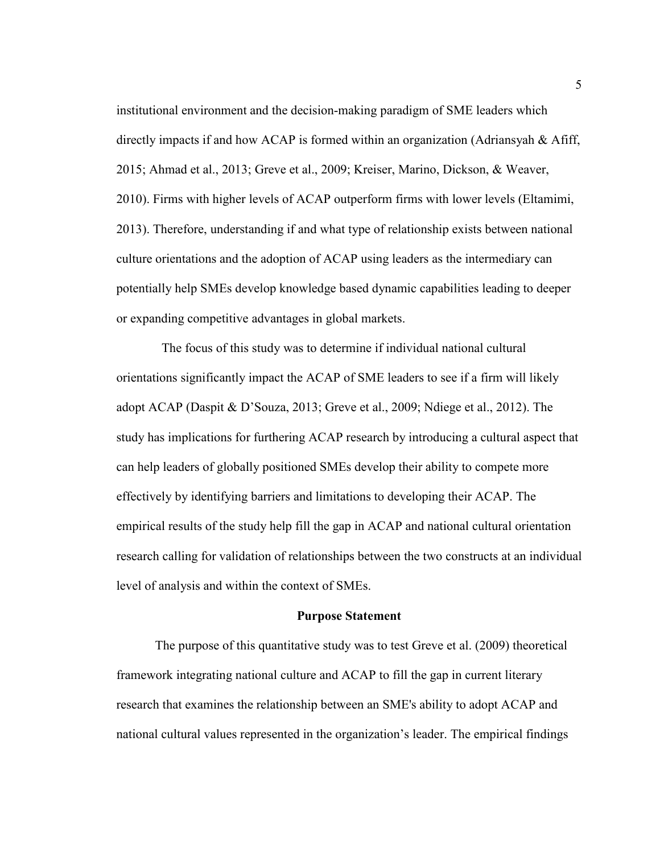institutional environment and the decision-making paradigm of SME leaders which directly impacts if and how ACAP is formed within an organization (Adriansyah & Afiff, 2015; Ahmad et al., 2013; Greve et al., 2009; Kreiser, Marino, Dickson, & Weaver, 2010). Firms with higher levels of ACAP outperform firms with lower levels (Eltamimi, 2013). Therefore, understanding if and what type of relationship exists between national culture orientations and the adoption of ACAP using leaders as the intermediary can potentially help SMEs develop knowledge based dynamic capabilities leading to deeper or expanding competitive advantages in global markets.

 The focus of this study was to determine if individual national cultural orientations significantly impact the ACAP of SME leaders to see if a firm will likely adopt ACAP (Daspit & D'Souza, 2013; Greve et al., 2009; Ndiege et al., 2012). The study has implications for furthering ACAP research by introducing a cultural aspect that can help leaders of globally positioned SMEs develop their ability to compete more effectively by identifying barriers and limitations to developing their ACAP. The empirical results of the study help fill the gap in ACAP and national cultural orientation research calling for validation of relationships between the two constructs at an individual level of analysis and within the context of SMEs.

#### **Purpose Statement**

The purpose of this quantitative study was to test Greve et al. (2009) theoretical framework integrating national culture and ACAP to fill the gap in current literary research that examines the relationship between an SME's ability to adopt ACAP and national cultural values represented in the organization's leader. The empirical findings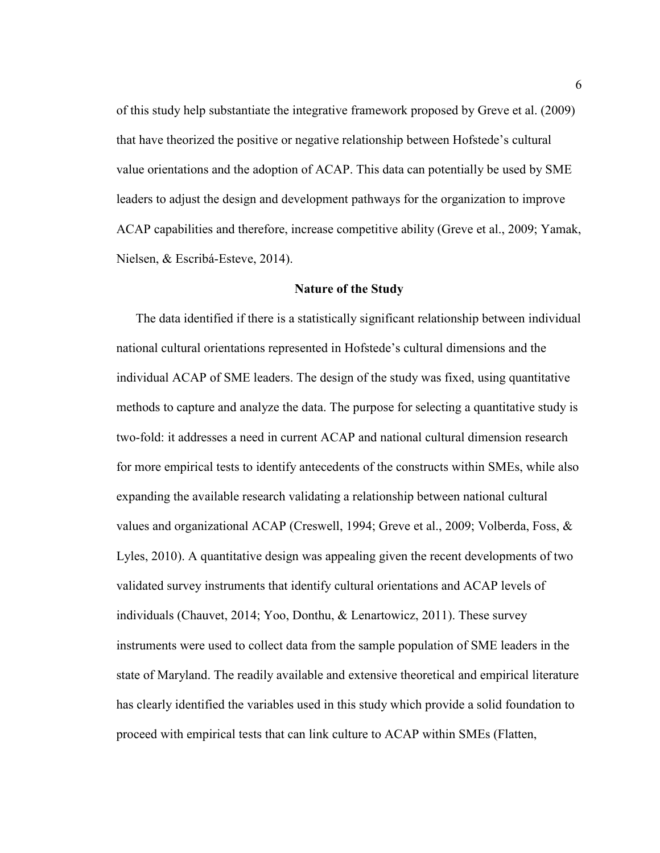of this study help substantiate the integrative framework proposed by Greve et al. (2009) that have theorized the positive or negative relationship between Hofstede's cultural value orientations and the adoption of ACAP. This data can potentially be used by SME leaders to adjust the design and development pathways for the organization to improve ACAP capabilities and therefore, increase competitive ability (Greve et al., 2009; Yamak, Nielsen, & Escribá-Esteve, 2014).

#### **Nature of the Study**

The data identified if there is a statistically significant relationship between individual national cultural orientations represented in Hofstede's cultural dimensions and the individual ACAP of SME leaders. The design of the study was fixed, using quantitative methods to capture and analyze the data. The purpose for selecting a quantitative study is two-fold: it addresses a need in current ACAP and national cultural dimension research for more empirical tests to identify antecedents of the constructs within SMEs, while also expanding the available research validating a relationship between national cultural values and organizational ACAP (Creswell, 1994; Greve et al., 2009; Volberda, Foss, & Lyles, 2010). A quantitative design was appealing given the recent developments of two validated survey instruments that identify cultural orientations and ACAP levels of individuals (Chauvet, 2014; Yoo, Donthu, & Lenartowicz, 2011). These survey instruments were used to collect data from the sample population of SME leaders in the state of Maryland. The readily available and extensive theoretical and empirical literature has clearly identified the variables used in this study which provide a solid foundation to proceed with empirical tests that can link culture to ACAP within SMEs (Flatten,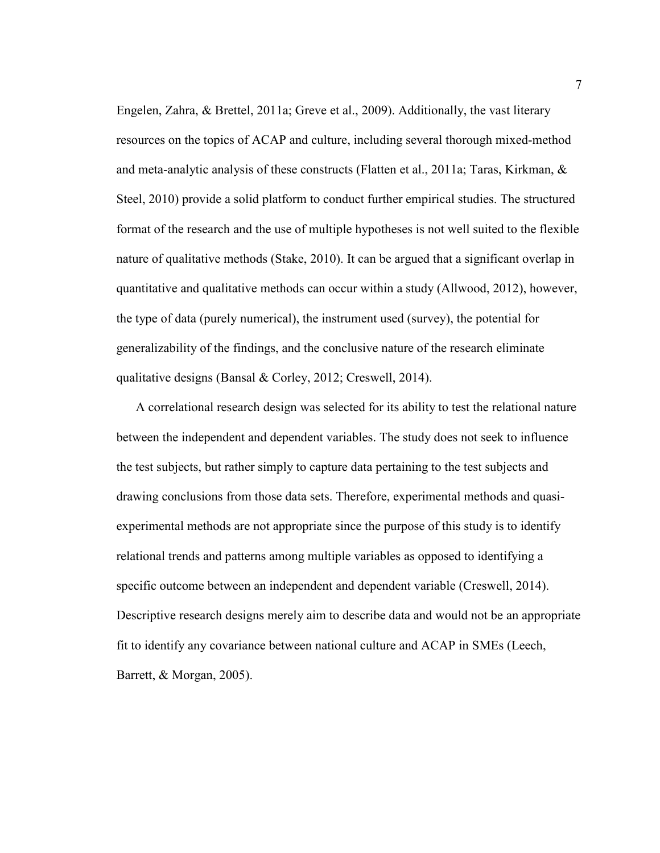Engelen, Zahra, & Brettel, 2011a; Greve et al., 2009). Additionally, the vast literary resources on the topics of ACAP and culture, including several thorough mixed-method and meta-analytic analysis of these constructs (Flatten et al., 2011a; Taras, Kirkman, & Steel, 2010) provide a solid platform to conduct further empirical studies. The structured format of the research and the use of multiple hypotheses is not well suited to the flexible nature of qualitative methods (Stake, 2010). It can be argued that a significant overlap in quantitative and qualitative methods can occur within a study (Allwood, 2012), however, the type of data (purely numerical), the instrument used (survey), the potential for generalizability of the findings, and the conclusive nature of the research eliminate qualitative designs (Bansal & Corley, 2012; Creswell, 2014).

A correlational research design was selected for its ability to test the relational nature between the independent and dependent variables. The study does not seek to influence the test subjects, but rather simply to capture data pertaining to the test subjects and drawing conclusions from those data sets. Therefore, experimental methods and quasiexperimental methods are not appropriate since the purpose of this study is to identify relational trends and patterns among multiple variables as opposed to identifying a specific outcome between an independent and dependent variable (Creswell, 2014). Descriptive research designs merely aim to describe data and would not be an appropriate fit to identify any covariance between national culture and ACAP in SMEs (Leech, Barrett, & Morgan, 2005).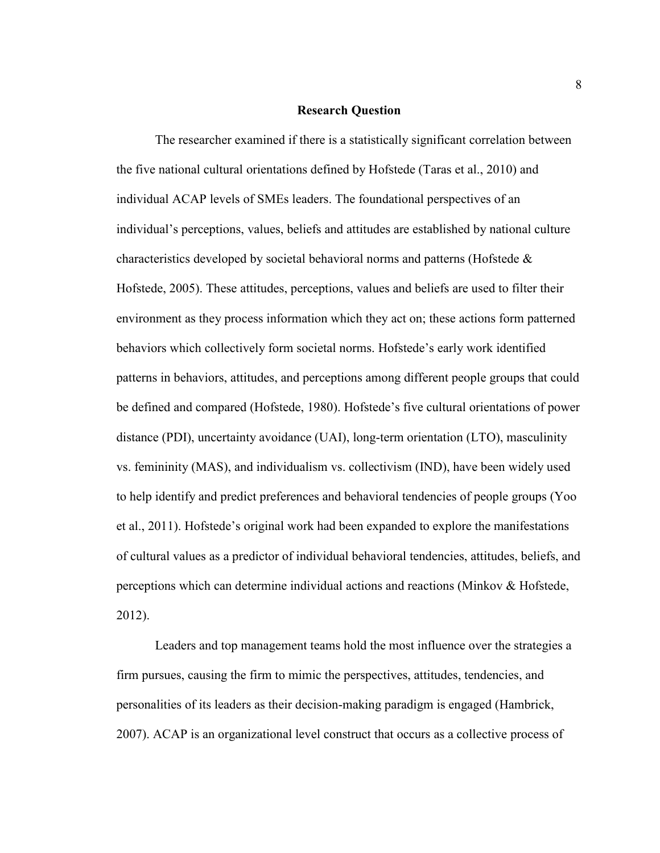#### **Research Question**

The researcher examined if there is a statistically significant correlation between the five national cultural orientations defined by Hofstede (Taras et al., 2010) and individual ACAP levels of SMEs leaders. The foundational perspectives of an individual's perceptions, values, beliefs and attitudes are established by national culture characteristics developed by societal behavioral norms and patterns (Hofstede & Hofstede, 2005). These attitudes, perceptions, values and beliefs are used to filter their environment as they process information which they act on; these actions form patterned behaviors which collectively form societal norms. Hofstede's early work identified patterns in behaviors, attitudes, and perceptions among different people groups that could be defined and compared (Hofstede, 1980). Hofstede's five cultural orientations of power distance (PDI), uncertainty avoidance (UAI), long-term orientation (LTO), masculinity vs. femininity (MAS), and individualism vs. collectivism (IND), have been widely used to help identify and predict preferences and behavioral tendencies of people groups (Yoo et al., 2011). Hofstede's original work had been expanded to explore the manifestations of cultural values as a predictor of individual behavioral tendencies, attitudes, beliefs, and perceptions which can determine individual actions and reactions (Minkov & Hofstede, 2012).

Leaders and top management teams hold the most influence over the strategies a firm pursues, causing the firm to mimic the perspectives, attitudes, tendencies, and personalities of its leaders as their decision-making paradigm is engaged (Hambrick, 2007). ACAP is an organizational level construct that occurs as a collective process of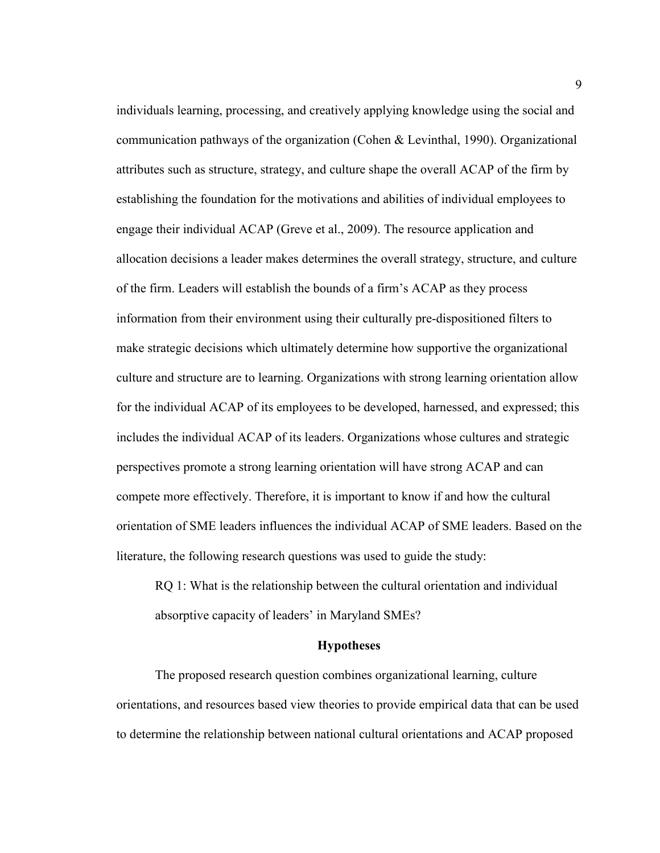individuals learning, processing, and creatively applying knowledge using the social and communication pathways of the organization (Cohen & Levinthal, 1990). Organizational attributes such as structure, strategy, and culture shape the overall ACAP of the firm by establishing the foundation for the motivations and abilities of individual employees to engage their individual ACAP (Greve et al., 2009). The resource application and allocation decisions a leader makes determines the overall strategy, structure, and culture of the firm. Leaders will establish the bounds of a firm's ACAP as they process information from their environment using their culturally pre-dispositioned filters to make strategic decisions which ultimately determine how supportive the organizational culture and structure are to learning. Organizations with strong learning orientation allow for the individual ACAP of its employees to be developed, harnessed, and expressed; this includes the individual ACAP of its leaders. Organizations whose cultures and strategic perspectives promote a strong learning orientation will have strong ACAP and can compete more effectively. Therefore, it is important to know if and how the cultural orientation of SME leaders influences the individual ACAP of SME leaders. Based on the literature, the following research questions was used to guide the study:

RQ 1: What is the relationship between the cultural orientation and individual absorptive capacity of leaders' in Maryland SMEs?

#### **Hypotheses**

The proposed research question combines organizational learning, culture orientations, and resources based view theories to provide empirical data that can be used to determine the relationship between national cultural orientations and ACAP proposed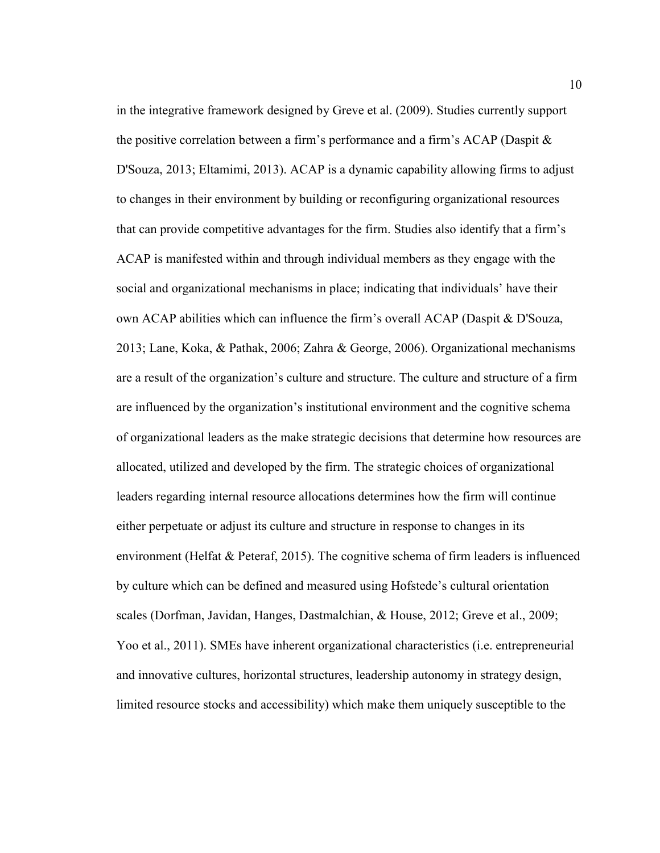in the integrative framework designed by Greve et al. (2009). Studies currently support the positive correlation between a firm's performance and a firm's ACAP (Daspit & D'Souza, 2013; Eltamimi, 2013). ACAP is a dynamic capability allowing firms to adjust to changes in their environment by building or reconfiguring organizational resources that can provide competitive advantages for the firm. Studies also identify that a firm's ACAP is manifested within and through individual members as they engage with the social and organizational mechanisms in place; indicating that individuals' have their own ACAP abilities which can influence the firm's overall ACAP (Daspit & D'Souza, 2013; Lane, Koka, & Pathak, 2006; Zahra & George, 2006). Organizational mechanisms are a result of the organization's culture and structure. The culture and structure of a firm are influenced by the organization's institutional environment and the cognitive schema of organizational leaders as the make strategic decisions that determine how resources are allocated, utilized and developed by the firm. The strategic choices of organizational leaders regarding internal resource allocations determines how the firm will continue either perpetuate or adjust its culture and structure in response to changes in its environment (Helfat  $&$  Peteraf, 2015). The cognitive schema of firm leaders is influenced by culture which can be defined and measured using Hofstede's cultural orientation scales (Dorfman, Javidan, Hanges, Dastmalchian, & House, 2012; Greve et al., 2009; Yoo et al., 2011). SMEs have inherent organizational characteristics (i.e. entrepreneurial and innovative cultures, horizontal structures, leadership autonomy in strategy design, limited resource stocks and accessibility) which make them uniquely susceptible to the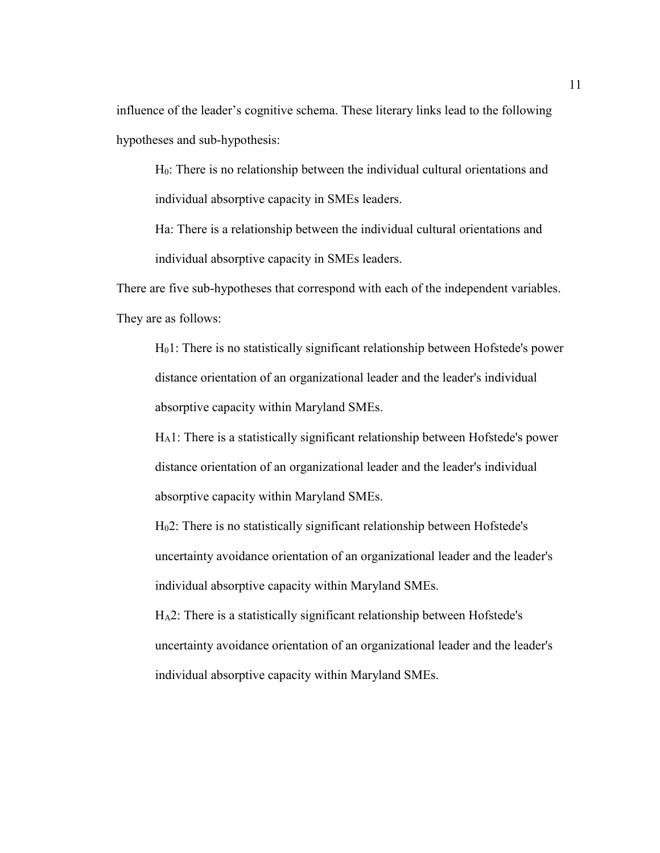influence of the leader's cognitive schema. These literary links lead to the following hypotheses and sub-hypothesis:

H0: There is no relationship between the individual cultural orientations and individual absorptive capacity in SMEs leaders.

Ha: There is a relationship between the individual cultural orientations and individual absorptive capacity in SMEs leaders.

There are five sub-hypotheses that correspond with each of the independent variables. They are as follows:

H01: There is no statistically significant relationship between Hofstede's power distance orientation of an organizational leader and the leader's individual absorptive capacity within Maryland SMEs.

HA1: There is a statistically significant relationship between Hofstede's power distance orientation of an organizational leader and the leader's individual absorptive capacity within Maryland SMEs.

H02: There is no statistically significant relationship between Hofstede's uncertainty avoidance orientation of an organizational leader and the leader's individual absorptive capacity within Maryland SMEs.

HA2: There is a statistically significant relationship between Hofstede's uncertainty avoidance orientation of an organizational leader and the leader's individual absorptive capacity within Maryland SMEs.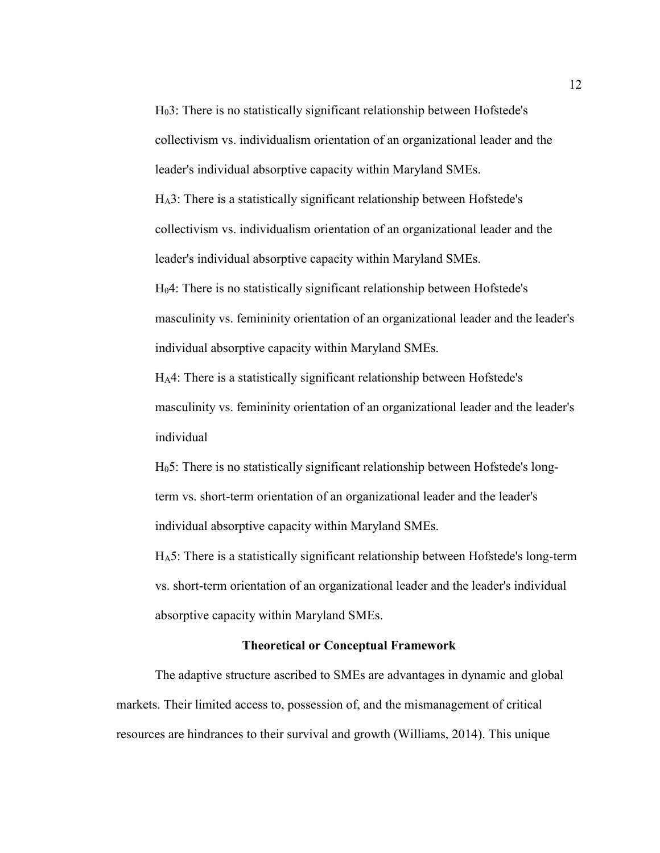H03: There is no statistically significant relationship between Hofstede's collectivism vs. individualism orientation of an organizational leader and the leader's individual absorptive capacity within Maryland SMEs.

HA3: There is a statistically significant relationship between Hofstede's collectivism vs. individualism orientation of an organizational leader and the leader's individual absorptive capacity within Maryland SMEs.

H04: There is no statistically significant relationship between Hofstede's masculinity vs. femininity orientation of an organizational leader and the leader's individual absorptive capacity within Maryland SMEs.

HA4: There is a statistically significant relationship between Hofstede's masculinity vs. femininity orientation of an organizational leader and the leader's individual

H05: There is no statistically significant relationship between Hofstede's longterm vs. short-term orientation of an organizational leader and the leader's individual absorptive capacity within Maryland SMEs.

HA5: There is a statistically significant relationship between Hofstede's long-term vs. short-term orientation of an organizational leader and the leader's individual absorptive capacity within Maryland SMEs.

#### **Theoretical or Conceptual Framework**

The adaptive structure ascribed to SMEs are advantages in dynamic and global markets. Their limited access to, possession of, and the mismanagement of critical resources are hindrances to their survival and growth (Williams, 2014). This unique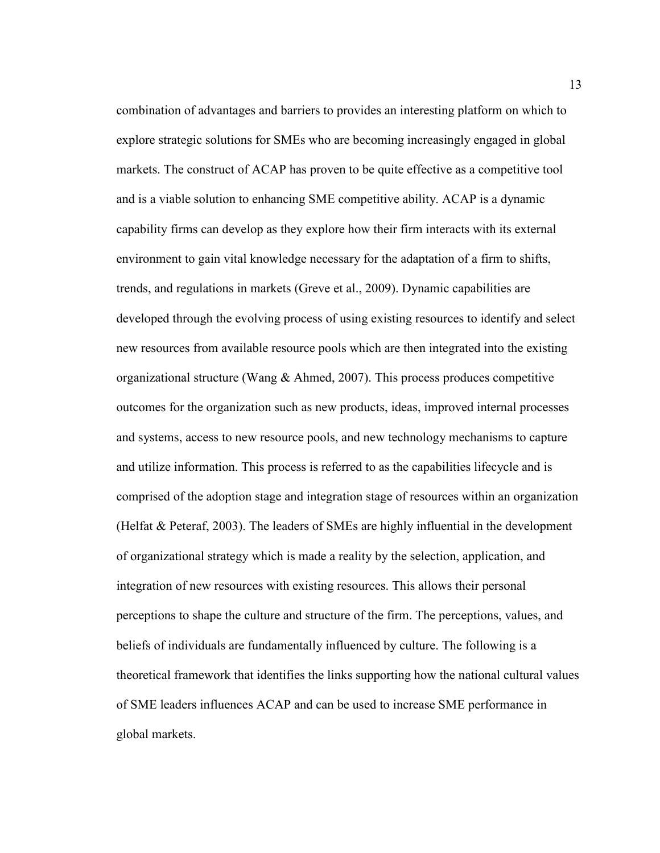combination of advantages and barriers to provides an interesting platform on which to explore strategic solutions for SMEs who are becoming increasingly engaged in global markets. The construct of ACAP has proven to be quite effective as a competitive tool and is a viable solution to enhancing SME competitive ability. ACAP is a dynamic capability firms can develop as they explore how their firm interacts with its external environment to gain vital knowledge necessary for the adaptation of a firm to shifts, trends, and regulations in markets (Greve et al., 2009). Dynamic capabilities are developed through the evolving process of using existing resources to identify and select new resources from available resource pools which are then integrated into the existing organizational structure (Wang  $\&$  Ahmed, 2007). This process produces competitive outcomes for the organization such as new products, ideas, improved internal processes and systems, access to new resource pools, and new technology mechanisms to capture and utilize information. This process is referred to as the capabilities lifecycle and is comprised of the adoption stage and integration stage of resources within an organization (Helfat & Peteraf, 2003). The leaders of SMEs are highly influential in the development of organizational strategy which is made a reality by the selection, application, and integration of new resources with existing resources. This allows their personal perceptions to shape the culture and structure of the firm. The perceptions, values, and beliefs of individuals are fundamentally influenced by culture. The following is a theoretical framework that identifies the links supporting how the national cultural values of SME leaders influences ACAP and can be used to increase SME performance in global markets.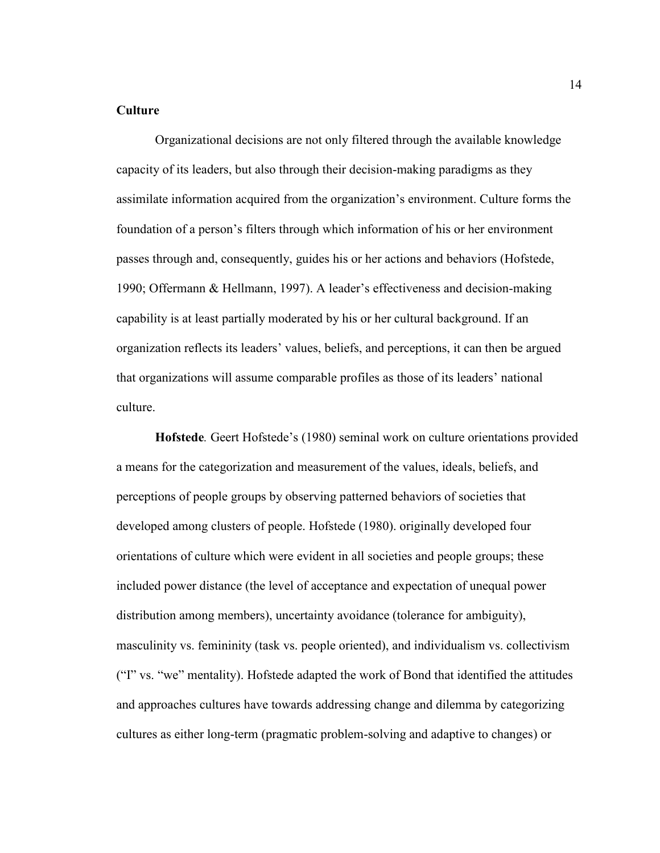#### **Culture**

Organizational decisions are not only filtered through the available knowledge capacity of its leaders, but also through their decision-making paradigms as they assimilate information acquired from the organization's environment. Culture forms the foundation of a person's filters through which information of his or her environment passes through and, consequently, guides his or her actions and behaviors (Hofstede, 1990; Offermann & Hellmann, 1997). A leader's effectiveness and decision-making capability is at least partially moderated by his or her cultural background. If an organization reflects its leaders' values, beliefs, and perceptions, it can then be argued that organizations will assume comparable profiles as those of its leaders' national culture.

**Hofstede***.* Geert Hofstede's (1980) seminal work on culture orientations provided a means for the categorization and measurement of the values, ideals, beliefs, and perceptions of people groups by observing patterned behaviors of societies that developed among clusters of people. Hofstede (1980). originally developed four orientations of culture which were evident in all societies and people groups; these included power distance (the level of acceptance and expectation of unequal power distribution among members), uncertainty avoidance (tolerance for ambiguity), masculinity vs. femininity (task vs. people oriented), and individualism vs. collectivism ("I" vs. "we" mentality). Hofstede adapted the work of Bond that identified the attitudes and approaches cultures have towards addressing change and dilemma by categorizing cultures as either long-term (pragmatic problem-solving and adaptive to changes) or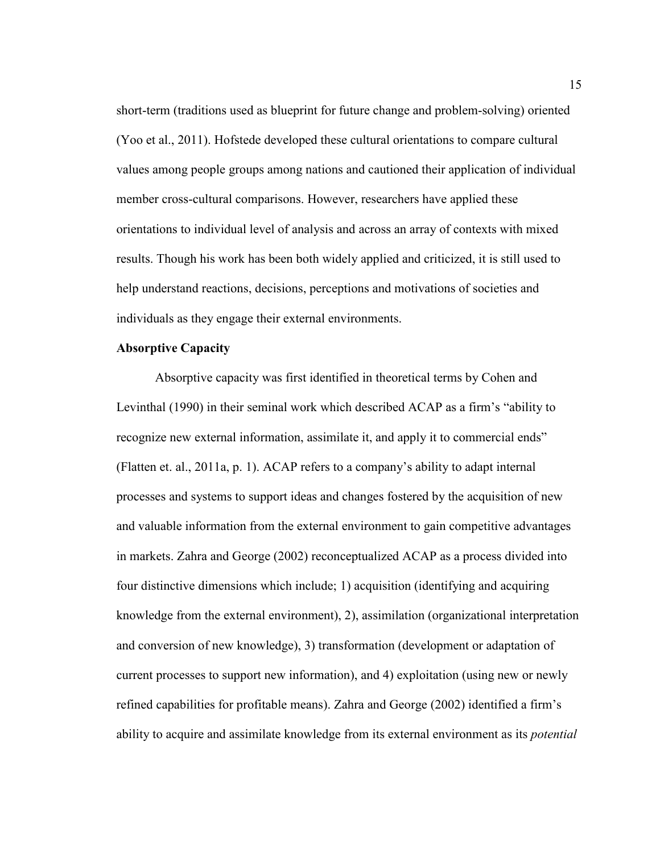short-term (traditions used as blueprint for future change and problem-solving) oriented (Yoo et al., 2011). Hofstede developed these cultural orientations to compare cultural values among people groups among nations and cautioned their application of individual member cross-cultural comparisons. However, researchers have applied these orientations to individual level of analysis and across an array of contexts with mixed results. Though his work has been both widely applied and criticized, it is still used to help understand reactions, decisions, perceptions and motivations of societies and individuals as they engage their external environments.

#### **Absorptive Capacity**

Absorptive capacity was first identified in theoretical terms by Cohen and Levinthal (1990) in their seminal work which described ACAP as a firm's "ability to recognize new external information, assimilate it, and apply it to commercial ends" (Flatten et. al., 2011a, p. 1). ACAP refers to a company's ability to adapt internal processes and systems to support ideas and changes fostered by the acquisition of new and valuable information from the external environment to gain competitive advantages in markets. Zahra and George (2002) reconceptualized ACAP as a process divided into four distinctive dimensions which include; 1) acquisition (identifying and acquiring knowledge from the external environment), 2), assimilation (organizational interpretation and conversion of new knowledge), 3) transformation (development or adaptation of current processes to support new information), and 4) exploitation (using new or newly refined capabilities for profitable means). Zahra and George (2002) identified a firm's ability to acquire and assimilate knowledge from its external environment as its *potential*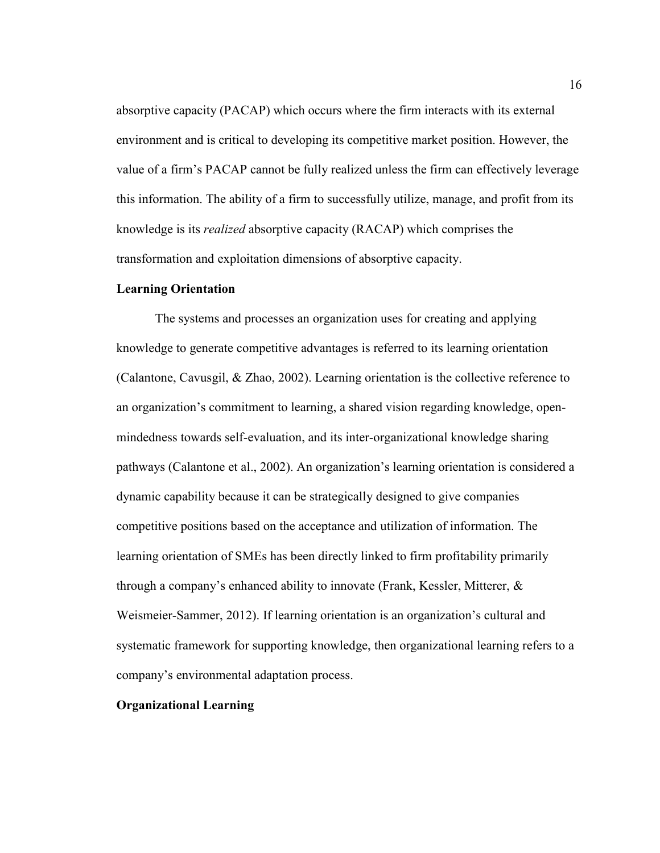absorptive capacity (PACAP) which occurs where the firm interacts with its external environment and is critical to developing its competitive market position. However, the value of a firm's PACAP cannot be fully realized unless the firm can effectively leverage this information. The ability of a firm to successfully utilize, manage, and profit from its knowledge is its *realized* absorptive capacity (RACAP) which comprises the transformation and exploitation dimensions of absorptive capacity.

#### **Learning Orientation**

The systems and processes an organization uses for creating and applying knowledge to generate competitive advantages is referred to its learning orientation (Calantone, Cavusgil, & Zhao, 2002). Learning orientation is the collective reference to an organization's commitment to learning, a shared vision regarding knowledge, openmindedness towards self-evaluation, and its inter-organizational knowledge sharing pathways (Calantone et al., 2002). An organization's learning orientation is considered a dynamic capability because it can be strategically designed to give companies competitive positions based on the acceptance and utilization of information. The learning orientation of SMEs has been directly linked to firm profitability primarily through a company's enhanced ability to innovate (Frank, Kessler, Mitterer, & Weismeier-Sammer, 2012). If learning orientation is an organization's cultural and systematic framework for supporting knowledge, then organizational learning refers to a company's environmental adaptation process.

### **Organizational Learning**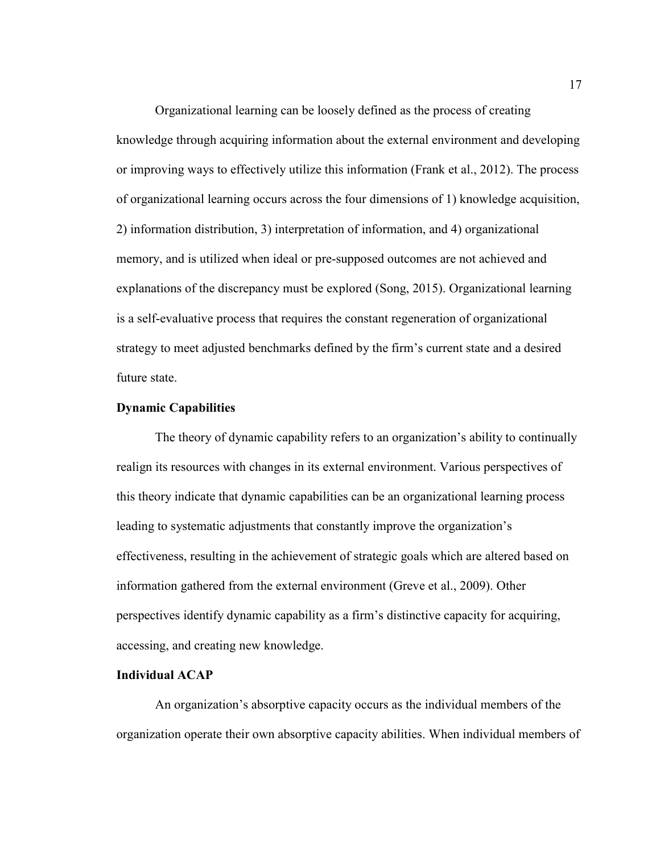Organizational learning can be loosely defined as the process of creating knowledge through acquiring information about the external environment and developing or improving ways to effectively utilize this information (Frank et al., 2012). The process of organizational learning occurs across the four dimensions of 1) knowledge acquisition, 2) information distribution, 3) interpretation of information, and 4) organizational memory, and is utilized when ideal or pre-supposed outcomes are not achieved and explanations of the discrepancy must be explored (Song, 2015). Organizational learning is a self-evaluative process that requires the constant regeneration of organizational strategy to meet adjusted benchmarks defined by the firm's current state and a desired future state.

### **Dynamic Capabilities**

The theory of dynamic capability refers to an organization's ability to continually realign its resources with changes in its external environment. Various perspectives of this theory indicate that dynamic capabilities can be an organizational learning process leading to systematic adjustments that constantly improve the organization's effectiveness, resulting in the achievement of strategic goals which are altered based on information gathered from the external environment (Greve et al., 2009). Other perspectives identify dynamic capability as a firm's distinctive capacity for acquiring, accessing, and creating new knowledge.

## **Individual ACAP**

An organization's absorptive capacity occurs as the individual members of the organization operate their own absorptive capacity abilities. When individual members of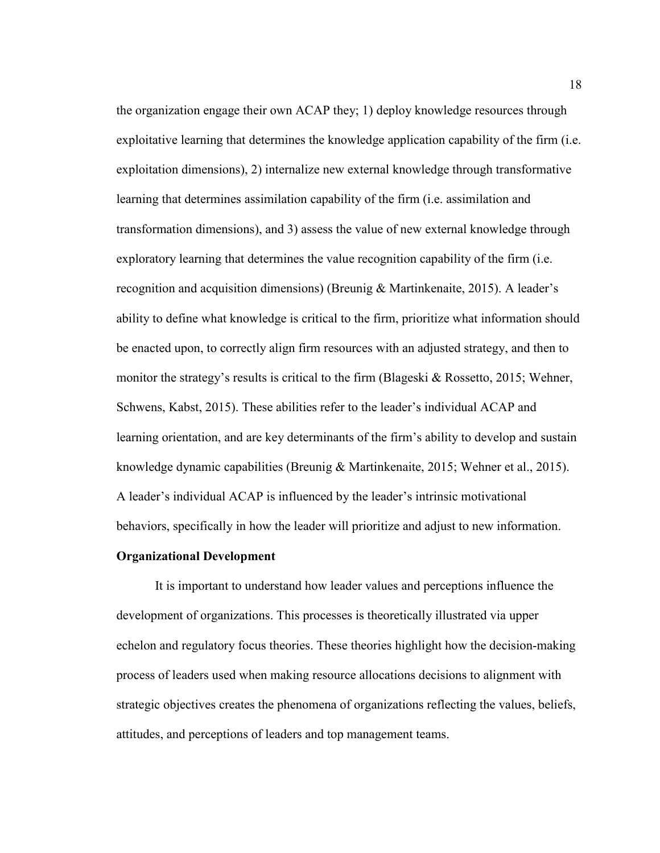the organization engage their own ACAP they; 1) deploy knowledge resources through exploitative learning that determines the knowledge application capability of the firm (i.e. exploitation dimensions), 2) internalize new external knowledge through transformative learning that determines assimilation capability of the firm (i.e. assimilation and transformation dimensions), and 3) assess the value of new external knowledge through exploratory learning that determines the value recognition capability of the firm (i.e. recognition and acquisition dimensions) (Breunig & Martinkenaite, 2015). A leader's ability to define what knowledge is critical to the firm, prioritize what information should be enacted upon, to correctly align firm resources with an adjusted strategy, and then to monitor the strategy's results is critical to the firm (Blageski  $\&$  Rossetto, 2015; Wehner, Schwens, Kabst, 2015). These abilities refer to the leader's individual ACAP and learning orientation, and are key determinants of the firm's ability to develop and sustain knowledge dynamic capabilities (Breunig & Martinkenaite, 2015; Wehner et al., 2015). A leader's individual ACAP is influenced by the leader's intrinsic motivational behaviors, specifically in how the leader will prioritize and adjust to new information.

### **Organizational Development**

 It is important to understand how leader values and perceptions influence the development of organizations. This processes is theoretically illustrated via upper echelon and regulatory focus theories. These theories highlight how the decision-making process of leaders used when making resource allocations decisions to alignment with strategic objectives creates the phenomena of organizations reflecting the values, beliefs, attitudes, and perceptions of leaders and top management teams.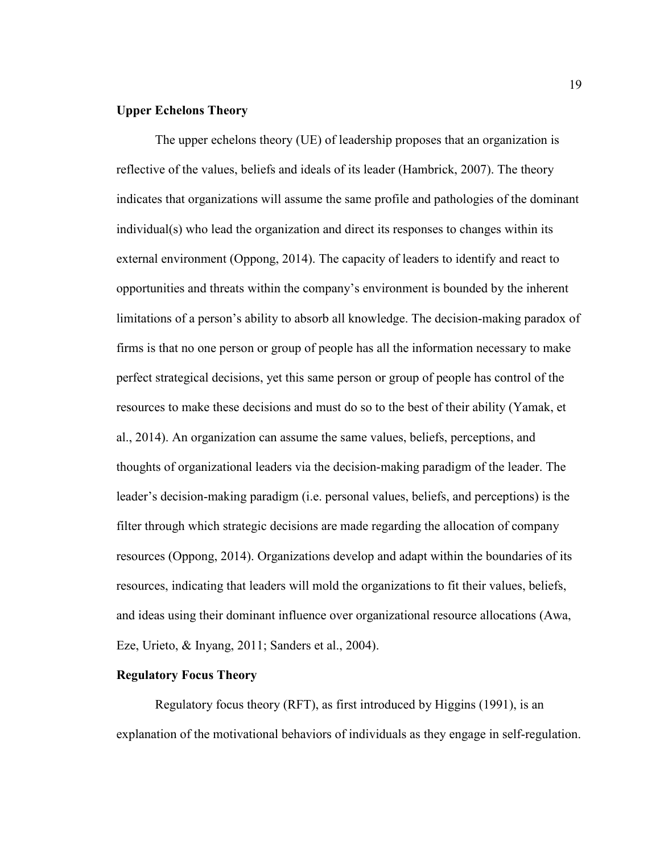#### **Upper Echelons Theory**

The upper echelons theory (UE) of leadership proposes that an organization is reflective of the values, beliefs and ideals of its leader (Hambrick, 2007). The theory indicates that organizations will assume the same profile and pathologies of the dominant individual(s) who lead the organization and direct its responses to changes within its external environment (Oppong, 2014). The capacity of leaders to identify and react to opportunities and threats within the company's environment is bounded by the inherent limitations of a person's ability to absorb all knowledge. The decision-making paradox of firms is that no one person or group of people has all the information necessary to make perfect strategical decisions, yet this same person or group of people has control of the resources to make these decisions and must do so to the best of their ability (Yamak, et al., 2014). An organization can assume the same values, beliefs, perceptions, and thoughts of organizational leaders via the decision-making paradigm of the leader. The leader's decision-making paradigm (i.e. personal values, beliefs, and perceptions) is the filter through which strategic decisions are made regarding the allocation of company resources (Oppong, 2014). Organizations develop and adapt within the boundaries of its resources, indicating that leaders will mold the organizations to fit their values, beliefs, and ideas using their dominant influence over organizational resource allocations (Awa, Eze, Urieto, & Inyang, 2011; Sanders et al., 2004).

## **Regulatory Focus Theory**

Regulatory focus theory (RFT), as first introduced by Higgins (1991), is an explanation of the motivational behaviors of individuals as they engage in self-regulation.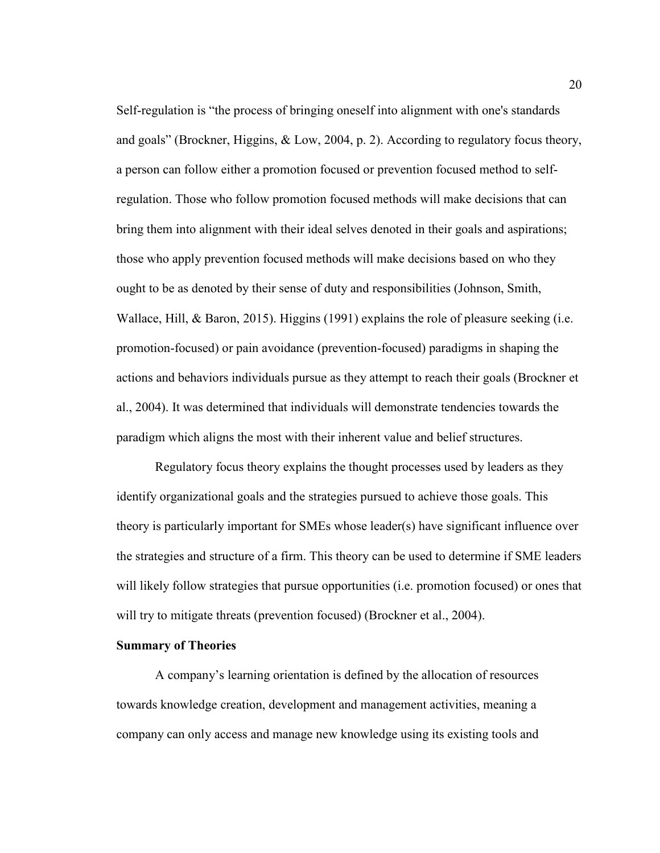Self-regulation is "the process of bringing oneself into alignment with one's standards and goals" (Brockner, Higgins,  $\&$  Low, 2004, p. 2). According to regulatory focus theory, a person can follow either a promotion focused or prevention focused method to selfregulation. Those who follow promotion focused methods will make decisions that can bring them into alignment with their ideal selves denoted in their goals and aspirations; those who apply prevention focused methods will make decisions based on who they ought to be as denoted by their sense of duty and responsibilities (Johnson, Smith, Wallace, Hill, & Baron, 2015). Higgins (1991) explains the role of pleasure seeking (i.e. promotion-focused) or pain avoidance (prevention-focused) paradigms in shaping the actions and behaviors individuals pursue as they attempt to reach their goals (Brockner et al., 2004). It was determined that individuals will demonstrate tendencies towards the paradigm which aligns the most with their inherent value and belief structures.

Regulatory focus theory explains the thought processes used by leaders as they identify organizational goals and the strategies pursued to achieve those goals. This theory is particularly important for SMEs whose leader(s) have significant influence over the strategies and structure of a firm. This theory can be used to determine if SME leaders will likely follow strategies that pursue opportunities (i.e. promotion focused) or ones that will try to mitigate threats (prevention focused) (Brockner et al., 2004).

#### **Summary of Theories**

A company's learning orientation is defined by the allocation of resources towards knowledge creation, development and management activities, meaning a company can only access and manage new knowledge using its existing tools and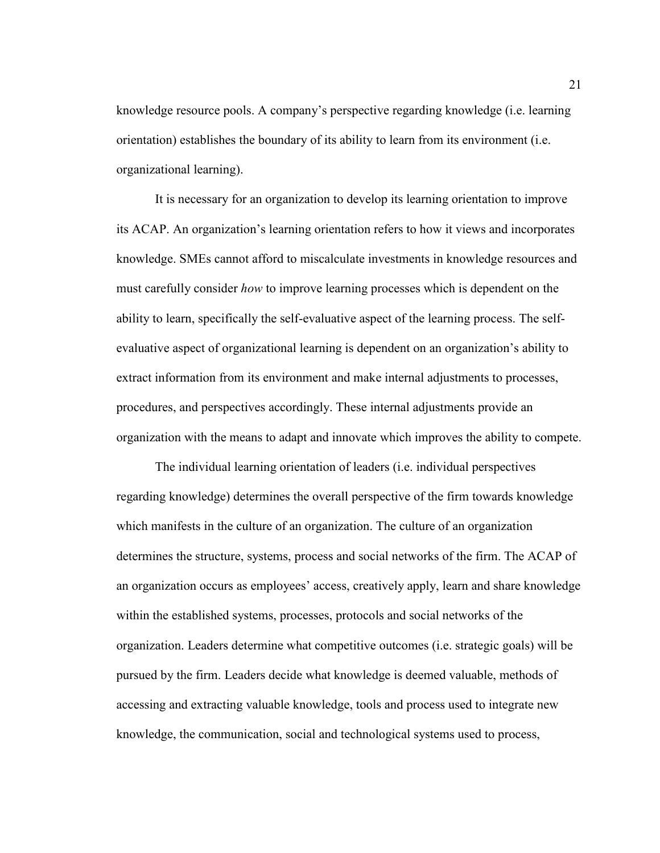knowledge resource pools. A company's perspective regarding knowledge (i.e. learning orientation) establishes the boundary of its ability to learn from its environment (i.e. organizational learning).

It is necessary for an organization to develop its learning orientation to improve its ACAP. An organization's learning orientation refers to how it views and incorporates knowledge. SMEs cannot afford to miscalculate investments in knowledge resources and must carefully consider *how* to improve learning processes which is dependent on the ability to learn, specifically the self-evaluative aspect of the learning process. The selfevaluative aspect of organizational learning is dependent on an organization's ability to extract information from its environment and make internal adjustments to processes, procedures, and perspectives accordingly. These internal adjustments provide an organization with the means to adapt and innovate which improves the ability to compete.

The individual learning orientation of leaders (i.e. individual perspectives regarding knowledge) determines the overall perspective of the firm towards knowledge which manifests in the culture of an organization. The culture of an organization determines the structure, systems, process and social networks of the firm. The ACAP of an organization occurs as employees' access, creatively apply, learn and share knowledge within the established systems, processes, protocols and social networks of the organization. Leaders determine what competitive outcomes (i.e. strategic goals) will be pursued by the firm. Leaders decide what knowledge is deemed valuable, methods of accessing and extracting valuable knowledge, tools and process used to integrate new knowledge, the communication, social and technological systems used to process,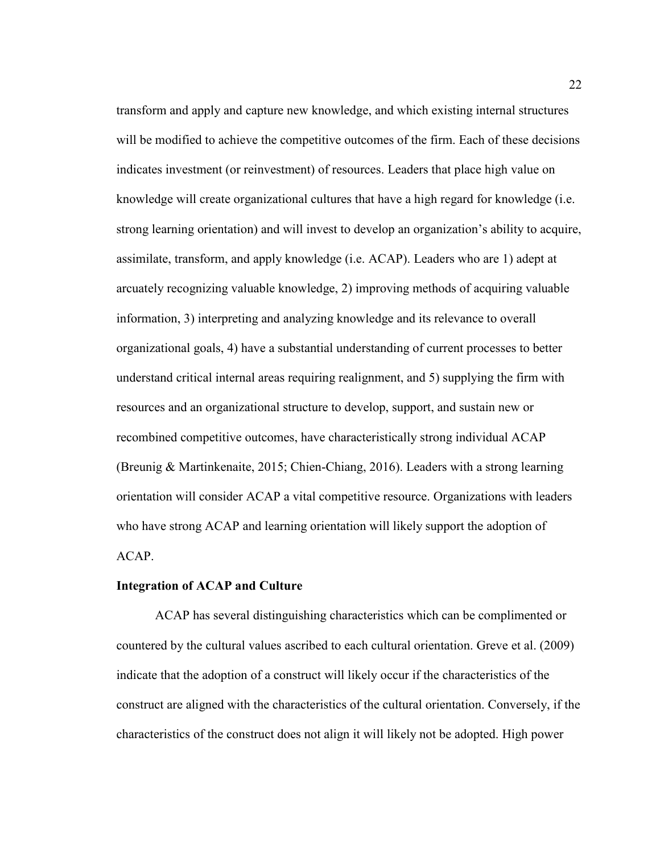transform and apply and capture new knowledge, and which existing internal structures will be modified to achieve the competitive outcomes of the firm. Each of these decisions indicates investment (or reinvestment) of resources. Leaders that place high value on knowledge will create organizational cultures that have a high regard for knowledge (i.e. strong learning orientation) and will invest to develop an organization's ability to acquire, assimilate, transform, and apply knowledge (i.e. ACAP). Leaders who are 1) adept at arcuately recognizing valuable knowledge, 2) improving methods of acquiring valuable information, 3) interpreting and analyzing knowledge and its relevance to overall organizational goals, 4) have a substantial understanding of current processes to better understand critical internal areas requiring realignment, and 5) supplying the firm with resources and an organizational structure to develop, support, and sustain new or recombined competitive outcomes, have characteristically strong individual ACAP (Breunig & Martinkenaite, 2015; Chien-Chiang, 2016). Leaders with a strong learning orientation will consider ACAP a vital competitive resource. Organizations with leaders who have strong ACAP and learning orientation will likely support the adoption of ACAP.

#### **Integration of ACAP and Culture**

ACAP has several distinguishing characteristics which can be complimented or countered by the cultural values ascribed to each cultural orientation. Greve et al. (2009) indicate that the adoption of a construct will likely occur if the characteristics of the construct are aligned with the characteristics of the cultural orientation. Conversely, if the characteristics of the construct does not align it will likely not be adopted. High power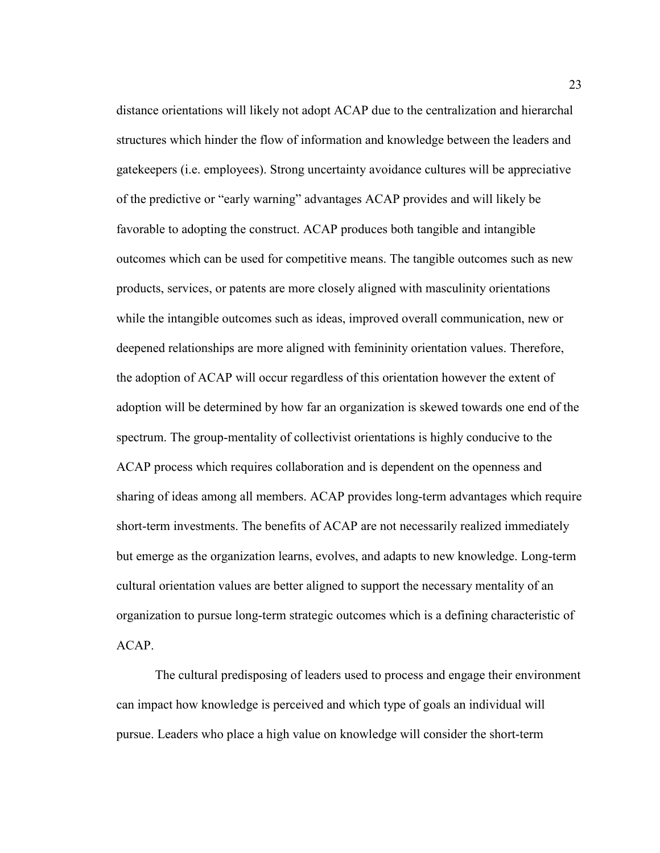distance orientations will likely not adopt ACAP due to the centralization and hierarchal structures which hinder the flow of information and knowledge between the leaders and gatekeepers (i.e. employees). Strong uncertainty avoidance cultures will be appreciative of the predictive or "early warning" advantages ACAP provides and will likely be favorable to adopting the construct. ACAP produces both tangible and intangible outcomes which can be used for competitive means. The tangible outcomes such as new products, services, or patents are more closely aligned with masculinity orientations while the intangible outcomes such as ideas, improved overall communication, new or deepened relationships are more aligned with femininity orientation values. Therefore, the adoption of ACAP will occur regardless of this orientation however the extent of adoption will be determined by how far an organization is skewed towards one end of the spectrum. The group-mentality of collectivist orientations is highly conducive to the ACAP process which requires collaboration and is dependent on the openness and sharing of ideas among all members. ACAP provides long-term advantages which require short-term investments. The benefits of ACAP are not necessarily realized immediately but emerge as the organization learns, evolves, and adapts to new knowledge. Long-term cultural orientation values are better aligned to support the necessary mentality of an organization to pursue long-term strategic outcomes which is a defining characteristic of ACAP.

The cultural predisposing of leaders used to process and engage their environment can impact how knowledge is perceived and which type of goals an individual will pursue. Leaders who place a high value on knowledge will consider the short-term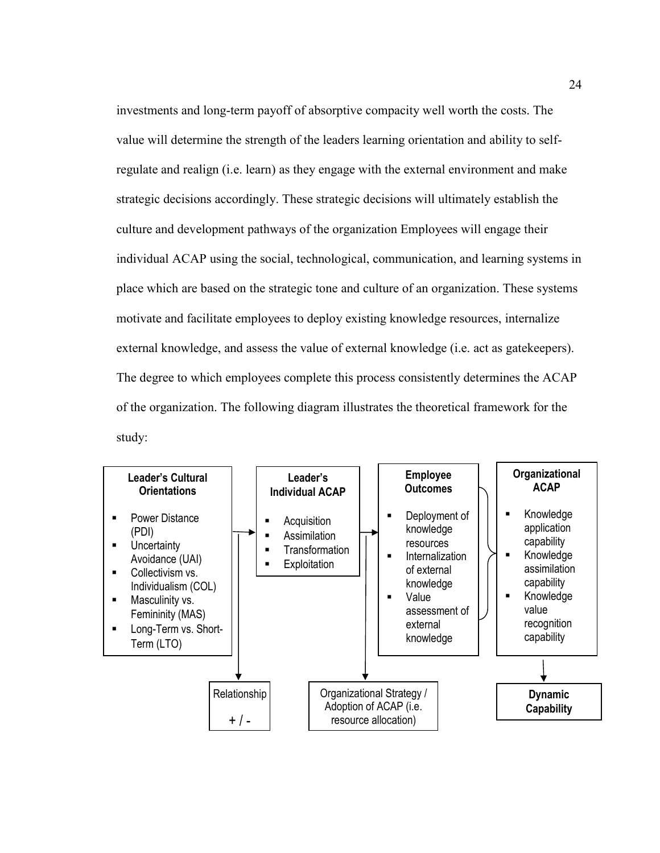investments and long-term payoff of absorptive compacity well worth the costs. The value will determine the strength of the leaders learning orientation and ability to selfregulate and realign (i.e. learn) as they engage with the external environment and make strategic decisions accordingly. These strategic decisions will ultimately establish the culture and development pathways of the organization Employees will engage their individual ACAP using the social, technological, communication, and learning systems in place which are based on the strategic tone and culture of an organization. These systems motivate and facilitate employees to deploy existing knowledge resources, internalize external knowledge, and assess the value of external knowledge (i.e. act as gatekeepers). The degree to which employees complete this process consistently determines the ACAP of the organization. The following diagram illustrates the theoretical framework for the study:

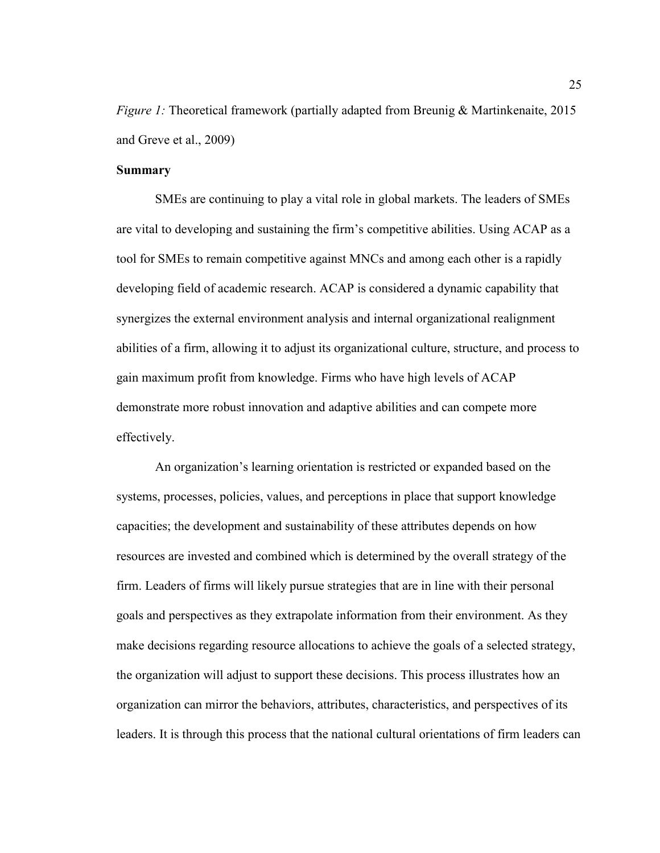*Figure 1:* Theoretical framework (partially adapted from Breunig & Martinkenaite, 2015 and Greve et al., 2009)

#### **Summary**

 SMEs are continuing to play a vital role in global markets. The leaders of SMEs are vital to developing and sustaining the firm's competitive abilities. Using ACAP as a tool for SMEs to remain competitive against MNCs and among each other is a rapidly developing field of academic research. ACAP is considered a dynamic capability that synergizes the external environment analysis and internal organizational realignment abilities of a firm, allowing it to adjust its organizational culture, structure, and process to gain maximum profit from knowledge. Firms who have high levels of ACAP demonstrate more robust innovation and adaptive abilities and can compete more effectively.

 An organization's learning orientation is restricted or expanded based on the systems, processes, policies, values, and perceptions in place that support knowledge capacities; the development and sustainability of these attributes depends on how resources are invested and combined which is determined by the overall strategy of the firm. Leaders of firms will likely pursue strategies that are in line with their personal goals and perspectives as they extrapolate information from their environment. As they make decisions regarding resource allocations to achieve the goals of a selected strategy, the organization will adjust to support these decisions. This process illustrates how an organization can mirror the behaviors, attributes, characteristics, and perspectives of its leaders. It is through this process that the national cultural orientations of firm leaders can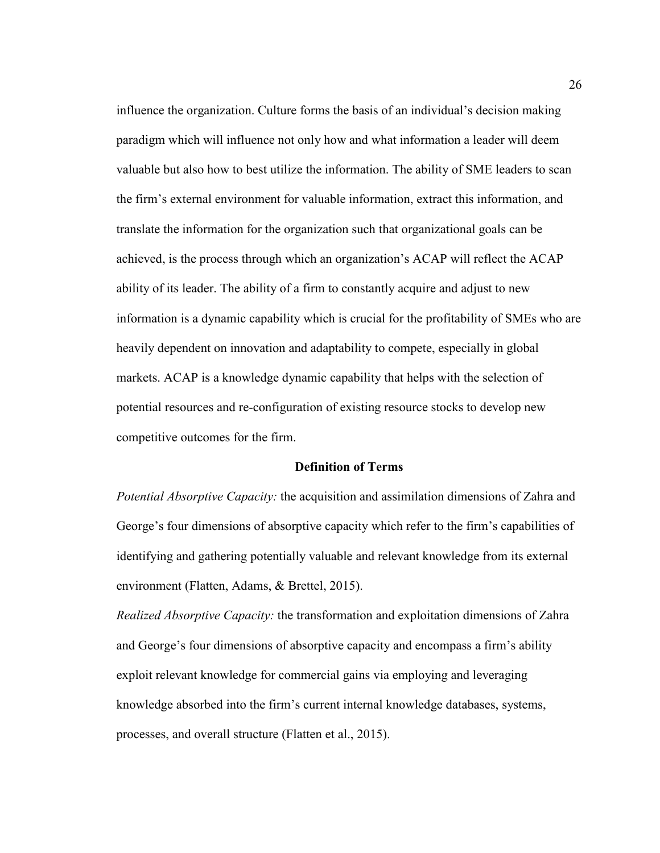influence the organization. Culture forms the basis of an individual's decision making paradigm which will influence not only how and what information a leader will deem valuable but also how to best utilize the information. The ability of SME leaders to scan the firm's external environment for valuable information, extract this information, and translate the information for the organization such that organizational goals can be achieved, is the process through which an organization's ACAP will reflect the ACAP ability of its leader. The ability of a firm to constantly acquire and adjust to new information is a dynamic capability which is crucial for the profitability of SMEs who are heavily dependent on innovation and adaptability to compete, especially in global markets. ACAP is a knowledge dynamic capability that helps with the selection of potential resources and re-configuration of existing resource stocks to develop new competitive outcomes for the firm.

#### **Definition of Terms**

*Potential Absorptive Capacity:* the acquisition and assimilation dimensions of Zahra and George's four dimensions of absorptive capacity which refer to the firm's capabilities of identifying and gathering potentially valuable and relevant knowledge from its external environment (Flatten, Adams, & Brettel, 2015).

*Realized Absorptive Capacity:* the transformation and exploitation dimensions of Zahra and George's four dimensions of absorptive capacity and encompass a firm's ability exploit relevant knowledge for commercial gains via employing and leveraging knowledge absorbed into the firm's current internal knowledge databases, systems, processes, and overall structure (Flatten et al., 2015).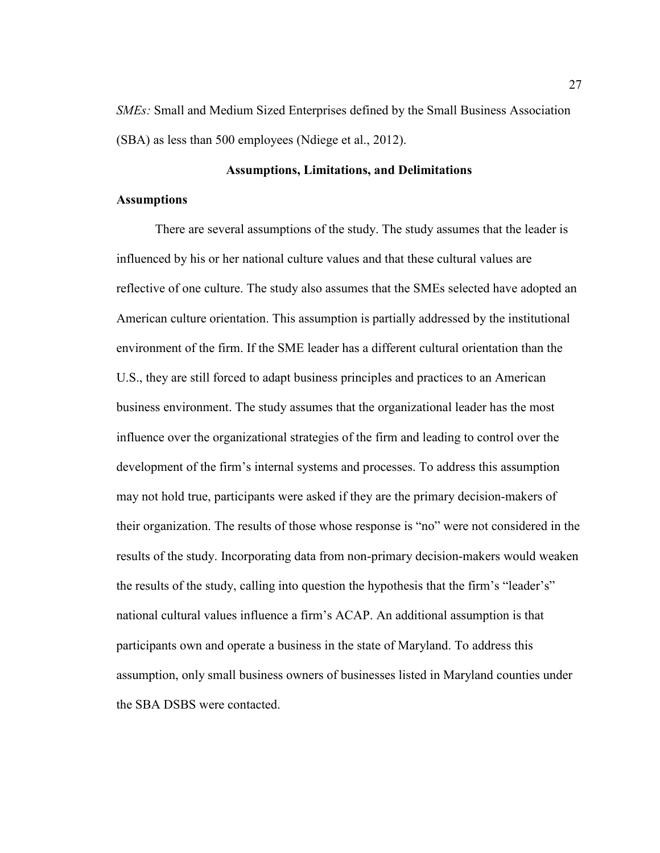*SMEs:* Small and Medium Sized Enterprises defined by the Small Business Association (SBA) as less than 500 employees (Ndiege et al., 2012).

#### **Assumptions, Limitations, and Delimitations**

# **Assumptions**

There are several assumptions of the study. The study assumes that the leader is influenced by his or her national culture values and that these cultural values are reflective of one culture. The study also assumes that the SMEs selected have adopted an American culture orientation. This assumption is partially addressed by the institutional environment of the firm. If the SME leader has a different cultural orientation than the U.S., they are still forced to adapt business principles and practices to an American business environment. The study assumes that the organizational leader has the most influence over the organizational strategies of the firm and leading to control over the development of the firm's internal systems and processes. To address this assumption may not hold true, participants were asked if they are the primary decision-makers of their organization. The results of those whose response is "no" were not considered in the results of the study. Incorporating data from non-primary decision-makers would weaken the results of the study, calling into question the hypothesis that the firm's "leader's" national cultural values influence a firm's ACAP. An additional assumption is that participants own and operate a business in the state of Maryland. To address this assumption, only small business owners of businesses listed in Maryland counties under the SBA DSBS were contacted.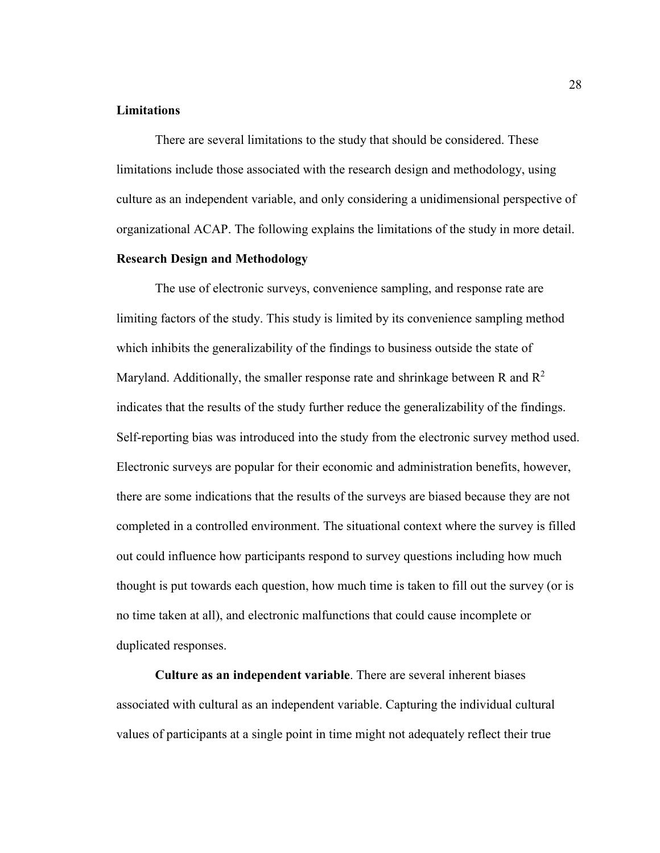#### **Limitations**

There are several limitations to the study that should be considered. These limitations include those associated with the research design and methodology, using culture as an independent variable, and only considering a unidimensional perspective of organizational ACAP. The following explains the limitations of the study in more detail.

# **Research Design and Methodology**

The use of electronic surveys, convenience sampling, and response rate are limiting factors of the study. This study is limited by its convenience sampling method which inhibits the generalizability of the findings to business outside the state of Maryland. Additionally, the smaller response rate and shrinkage between R and  $R^2$ indicates that the results of the study further reduce the generalizability of the findings. Self-reporting bias was introduced into the study from the electronic survey method used. Electronic surveys are popular for their economic and administration benefits, however, there are some indications that the results of the surveys are biased because they are not completed in a controlled environment. The situational context where the survey is filled out could influence how participants respond to survey questions including how much thought is put towards each question, how much time is taken to fill out the survey (or is no time taken at all), and electronic malfunctions that could cause incomplete or duplicated responses.

**Culture as an independent variable**. There are several inherent biases associated with cultural as an independent variable. Capturing the individual cultural values of participants at a single point in time might not adequately reflect their true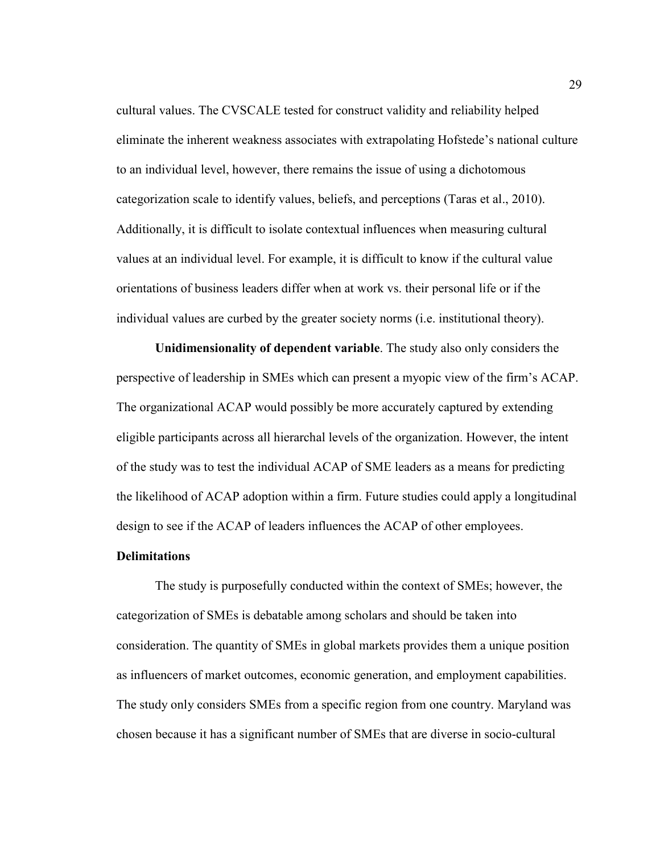cultural values. The CVSCALE tested for construct validity and reliability helped eliminate the inherent weakness associates with extrapolating Hofstede's national culture to an individual level, however, there remains the issue of using a dichotomous categorization scale to identify values, beliefs, and perceptions (Taras et al., 2010). Additionally, it is difficult to isolate contextual influences when measuring cultural values at an individual level. For example, it is difficult to know if the cultural value orientations of business leaders differ when at work vs. their personal life or if the individual values are curbed by the greater society norms (i.e. institutional theory).

**Unidimensionality of dependent variable**. The study also only considers the perspective of leadership in SMEs which can present a myopic view of the firm's ACAP. The organizational ACAP would possibly be more accurately captured by extending eligible participants across all hierarchal levels of the organization. However, the intent of the study was to test the individual ACAP of SME leaders as a means for predicting the likelihood of ACAP adoption within a firm. Future studies could apply a longitudinal design to see if the ACAP of leaders influences the ACAP of other employees.

# **Delimitations**

The study is purposefully conducted within the context of SMEs; however, the categorization of SMEs is debatable among scholars and should be taken into consideration. The quantity of SMEs in global markets provides them a unique position as influencers of market outcomes, economic generation, and employment capabilities. The study only considers SMEs from a specific region from one country. Maryland was chosen because it has a significant number of SMEs that are diverse in socio-cultural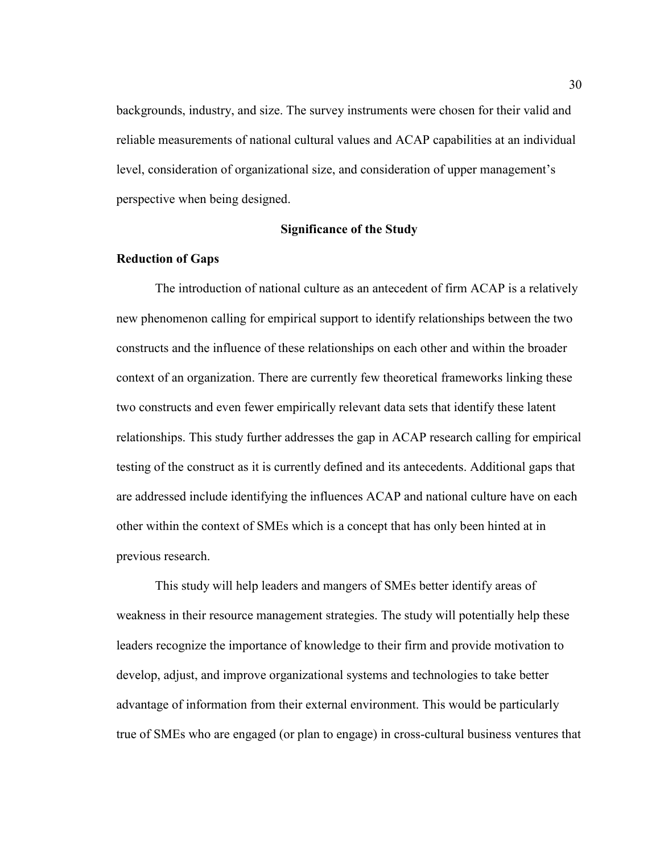backgrounds, industry, and size. The survey instruments were chosen for their valid and reliable measurements of national cultural values and ACAP capabilities at an individual level, consideration of organizational size, and consideration of upper management's perspective when being designed.

#### **Significance of the Study**

# **Reduction of Gaps**

The introduction of national culture as an antecedent of firm ACAP is a relatively new phenomenon calling for empirical support to identify relationships between the two constructs and the influence of these relationships on each other and within the broader context of an organization. There are currently few theoretical frameworks linking these two constructs and even fewer empirically relevant data sets that identify these latent relationships. This study further addresses the gap in ACAP research calling for empirical testing of the construct as it is currently defined and its antecedents. Additional gaps that are addressed include identifying the influences ACAP and national culture have on each other within the context of SMEs which is a concept that has only been hinted at in previous research.

This study will help leaders and mangers of SMEs better identify areas of weakness in their resource management strategies. The study will potentially help these leaders recognize the importance of knowledge to their firm and provide motivation to develop, adjust, and improve organizational systems and technologies to take better advantage of information from their external environment. This would be particularly true of SMEs who are engaged (or plan to engage) in cross-cultural business ventures that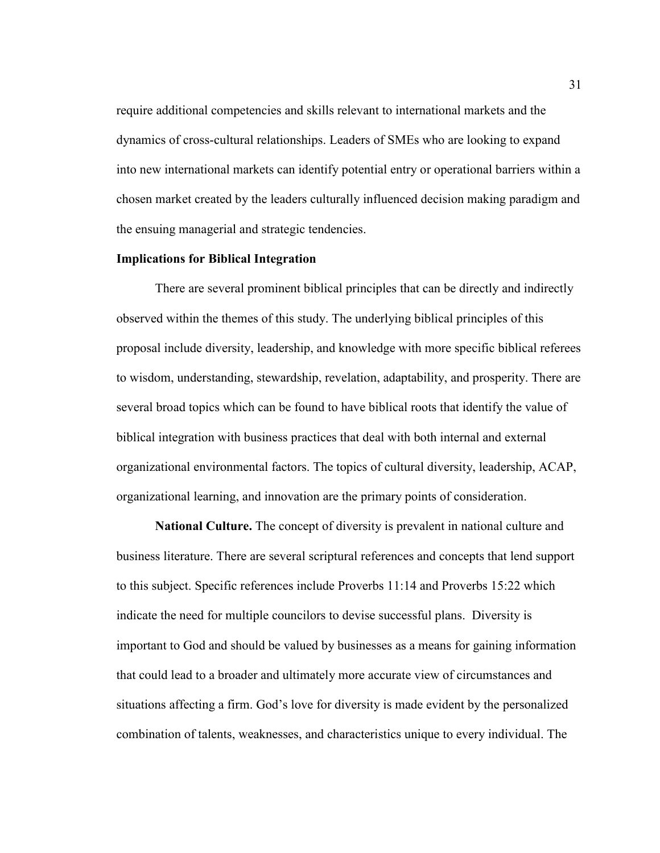require additional competencies and skills relevant to international markets and the dynamics of cross-cultural relationships. Leaders of SMEs who are looking to expand into new international markets can identify potential entry or operational barriers within a chosen market created by the leaders culturally influenced decision making paradigm and the ensuing managerial and strategic tendencies.

# **Implications for Biblical Integration**

There are several prominent biblical principles that can be directly and indirectly observed within the themes of this study. The underlying biblical principles of this proposal include diversity, leadership, and knowledge with more specific biblical referees to wisdom, understanding, stewardship, revelation, adaptability, and prosperity. There are several broad topics which can be found to have biblical roots that identify the value of biblical integration with business practices that deal with both internal and external organizational environmental factors. The topics of cultural diversity, leadership, ACAP, organizational learning, and innovation are the primary points of consideration.

**National Culture.** The concept of diversity is prevalent in national culture and business literature. There are several scriptural references and concepts that lend support to this subject. Specific references include Proverbs 11:14 and Proverbs 15:22 which indicate the need for multiple councilors to devise successful plans. Diversity is important to God and should be valued by businesses as a means for gaining information that could lead to a broader and ultimately more accurate view of circumstances and situations affecting a firm. God's love for diversity is made evident by the personalized combination of talents, weaknesses, and characteristics unique to every individual. The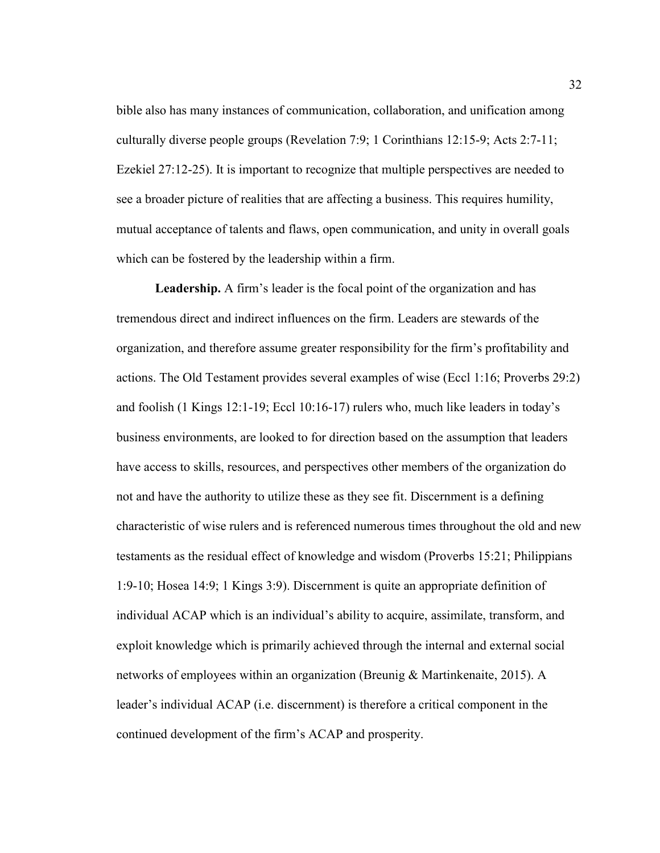bible also has many instances of communication, collaboration, and unification among culturally diverse people groups (Revelation 7:9; 1 Corinthians 12:15-9; Acts 2:7-11; Ezekiel 27:12-25). It is important to recognize that multiple perspectives are needed to see a broader picture of realities that are affecting a business. This requires humility, mutual acceptance of talents and flaws, open communication, and unity in overall goals which can be fostered by the leadership within a firm.

**Leadership.** A firm's leader is the focal point of the organization and has tremendous direct and indirect influences on the firm. Leaders are stewards of the organization, and therefore assume greater responsibility for the firm's profitability and actions. The Old Testament provides several examples of wise (Eccl 1:16; Proverbs 29:2) and foolish (1 Kings 12:1-19; Eccl 10:16-17) rulers who, much like leaders in today's business environments, are looked to for direction based on the assumption that leaders have access to skills, resources, and perspectives other members of the organization do not and have the authority to utilize these as they see fit. Discernment is a defining characteristic of wise rulers and is referenced numerous times throughout the old and new testaments as the residual effect of knowledge and wisdom (Proverbs 15:21; Philippians 1:9-10; Hosea 14:9; 1 Kings 3:9). Discernment is quite an appropriate definition of individual ACAP which is an individual's ability to acquire, assimilate, transform, and exploit knowledge which is primarily achieved through the internal and external social networks of employees within an organization (Breunig & Martinkenaite, 2015). A leader's individual ACAP (i.e. discernment) is therefore a critical component in the continued development of the firm's ACAP and prosperity.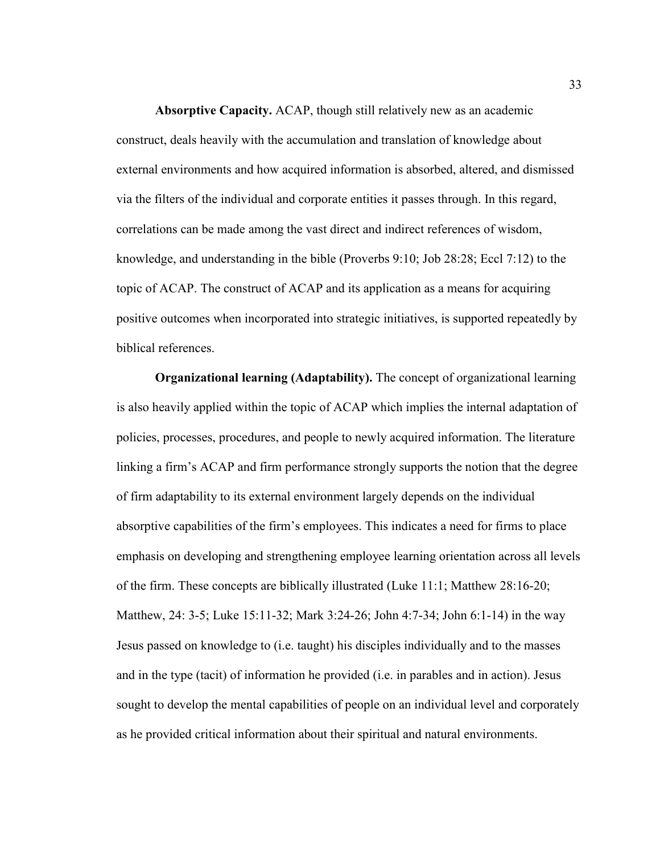**Absorptive Capacity.** ACAP, though still relatively new as an academic construct, deals heavily with the accumulation and translation of knowledge about external environments and how acquired information is absorbed, altered, and dismissed via the filters of the individual and corporate entities it passes through. In this regard, correlations can be made among the vast direct and indirect references of wisdom, knowledge, and understanding in the bible (Proverbs 9:10; Job 28:28; Eccl 7:12) to the topic of ACAP. The construct of ACAP and its application as a means for acquiring positive outcomes when incorporated into strategic initiatives, is supported repeatedly by biblical references.

**Organizational learning (Adaptability).** The concept of organizational learning is also heavily applied within the topic of ACAP which implies the internal adaptation of policies, processes, procedures, and people to newly acquired information. The literature linking a firm's ACAP and firm performance strongly supports the notion that the degree of firm adaptability to its external environment largely depends on the individual absorptive capabilities of the firm's employees. This indicates a need for firms to place emphasis on developing and strengthening employee learning orientation across all levels of the firm. These concepts are biblically illustrated (Luke 11:1; Matthew 28:16-20; Matthew, 24: 3-5; Luke 15:11-32; Mark 3:24-26; John 4:7-34; John 6:1-14) in the way Jesus passed on knowledge to (i.e. taught) his disciples individually and to the masses and in the type (tacit) of information he provided (i.e. in parables and in action). Jesus sought to develop the mental capabilities of people on an individual level and corporately as he provided critical information about their spiritual and natural environments.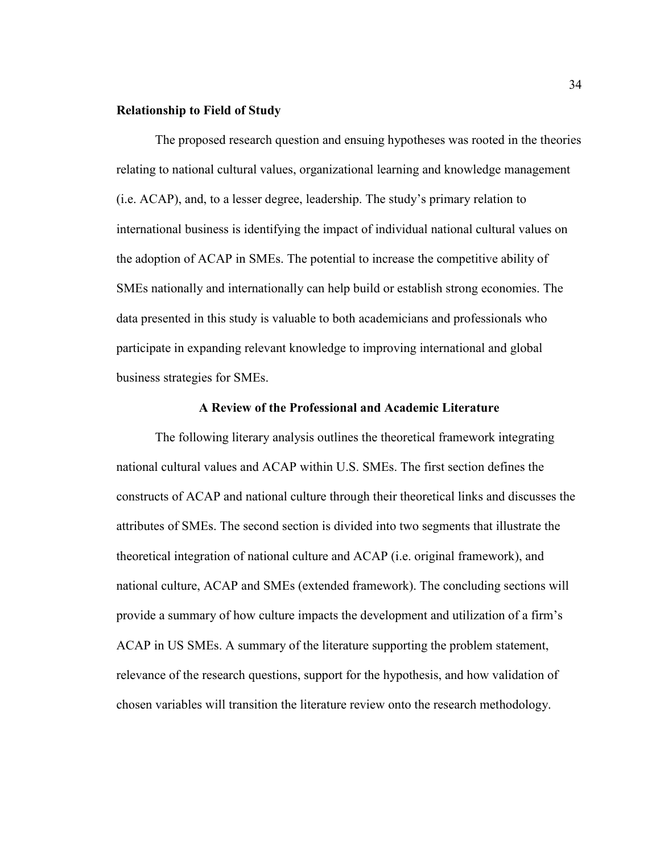# **Relationship to Field of Study**

The proposed research question and ensuing hypotheses was rooted in the theories relating to national cultural values, organizational learning and knowledge management (i.e. ACAP), and, to a lesser degree, leadership. The study's primary relation to international business is identifying the impact of individual national cultural values on the adoption of ACAP in SMEs. The potential to increase the competitive ability of SMEs nationally and internationally can help build or establish strong economies. The data presented in this study is valuable to both academicians and professionals who participate in expanding relevant knowledge to improving international and global business strategies for SMEs.

# **A Review of the Professional and Academic Literature**

The following literary analysis outlines the theoretical framework integrating national cultural values and ACAP within U.S. SMEs. The first section defines the constructs of ACAP and national culture through their theoretical links and discusses the attributes of SMEs. The second section is divided into two segments that illustrate the theoretical integration of national culture and ACAP (i.e. original framework), and national culture, ACAP and SMEs (extended framework). The concluding sections will provide a summary of how culture impacts the development and utilization of a firm's ACAP in US SMEs. A summary of the literature supporting the problem statement, relevance of the research questions, support for the hypothesis, and how validation of chosen variables will transition the literature review onto the research methodology.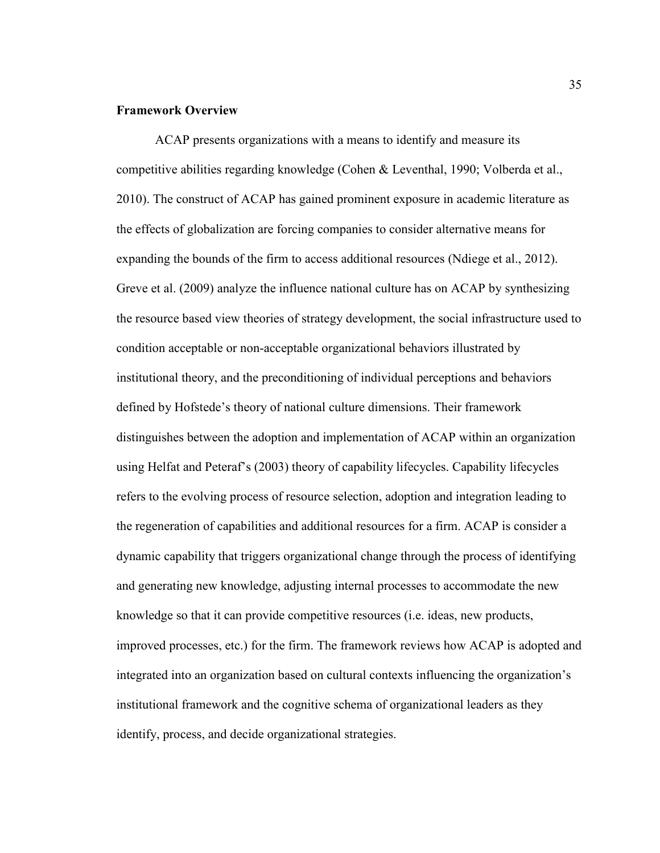#### **Framework Overview**

ACAP presents organizations with a means to identify and measure its competitive abilities regarding knowledge (Cohen & Leventhal, 1990; Volberda et al., 2010). The construct of ACAP has gained prominent exposure in academic literature as the effects of globalization are forcing companies to consider alternative means for expanding the bounds of the firm to access additional resources (Ndiege et al., 2012). Greve et al. (2009) analyze the influence national culture has on ACAP by synthesizing the resource based view theories of strategy development, the social infrastructure used to condition acceptable or non-acceptable organizational behaviors illustrated by institutional theory, and the preconditioning of individual perceptions and behaviors defined by Hofstede's theory of national culture dimensions. Their framework distinguishes between the adoption and implementation of ACAP within an organization using Helfat and Peteraf's (2003) theory of capability lifecycles. Capability lifecycles refers to the evolving process of resource selection, adoption and integration leading to the regeneration of capabilities and additional resources for a firm. ACAP is consider a dynamic capability that triggers organizational change through the process of identifying and generating new knowledge, adjusting internal processes to accommodate the new knowledge so that it can provide competitive resources (i.e. ideas, new products, improved processes, etc.) for the firm. The framework reviews how ACAP is adopted and integrated into an organization based on cultural contexts influencing the organization's institutional framework and the cognitive schema of organizational leaders as they identify, process, and decide organizational strategies.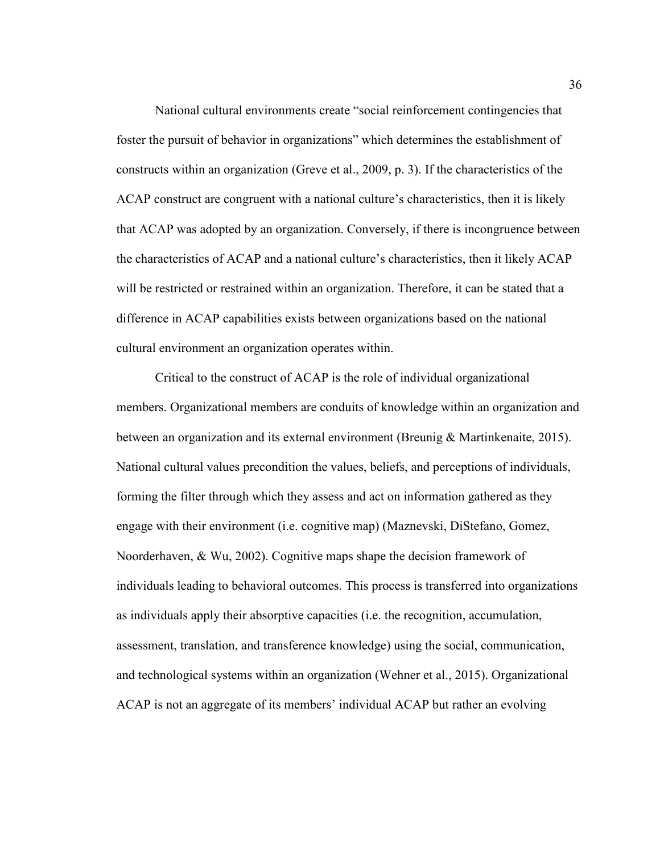National cultural environments create "social reinforcement contingencies that foster the pursuit of behavior in organizations" which determines the establishment of constructs within an organization (Greve et al., 2009, p. 3). If the characteristics of the ACAP construct are congruent with a national culture's characteristics, then it is likely that ACAP was adopted by an organization. Conversely, if there is incongruence between the characteristics of ACAP and a national culture's characteristics, then it likely ACAP will be restricted or restrained within an organization. Therefore, it can be stated that a difference in ACAP capabilities exists between organizations based on the national cultural environment an organization operates within.

Critical to the construct of ACAP is the role of individual organizational members. Organizational members are conduits of knowledge within an organization and between an organization and its external environment (Breunig & Martinkenaite, 2015). National cultural values precondition the values, beliefs, and perceptions of individuals, forming the filter through which they assess and act on information gathered as they engage with their environment (i.e. cognitive map) (Maznevski, DiStefano, Gomez, Noorderhaven, & Wu, 2002). Cognitive maps shape the decision framework of individuals leading to behavioral outcomes. This process is transferred into organizations as individuals apply their absorptive capacities (i.e. the recognition, accumulation, assessment, translation, and transference knowledge) using the social, communication, and technological systems within an organization (Wehner et al., 2015). Organizational ACAP is not an aggregate of its members' individual ACAP but rather an evolving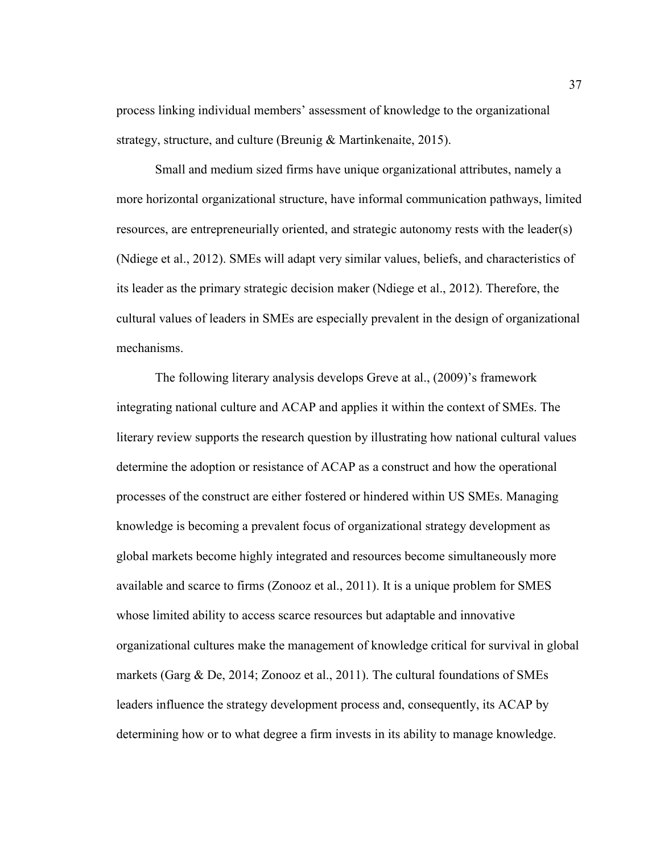process linking individual members' assessment of knowledge to the organizational strategy, structure, and culture (Breunig & Martinkenaite, 2015).

Small and medium sized firms have unique organizational attributes, namely a more horizontal organizational structure, have informal communication pathways, limited resources, are entrepreneurially oriented, and strategic autonomy rests with the leader(s) (Ndiege et al., 2012). SMEs will adapt very similar values, beliefs, and characteristics of its leader as the primary strategic decision maker (Ndiege et al., 2012). Therefore, the cultural values of leaders in SMEs are especially prevalent in the design of organizational mechanisms.

The following literary analysis develops Greve at al., (2009)'s framework integrating national culture and ACAP and applies it within the context of SMEs. The literary review supports the research question by illustrating how national cultural values determine the adoption or resistance of ACAP as a construct and how the operational processes of the construct are either fostered or hindered within US SMEs. Managing knowledge is becoming a prevalent focus of organizational strategy development as global markets become highly integrated and resources become simultaneously more available and scarce to firms (Zonooz et al., 2011). It is a unique problem for SMES whose limited ability to access scarce resources but adaptable and innovative organizational cultures make the management of knowledge critical for survival in global markets (Garg & De, 2014; Zonooz et al., 2011). The cultural foundations of SMEs leaders influence the strategy development process and, consequently, its ACAP by determining how or to what degree a firm invests in its ability to manage knowledge.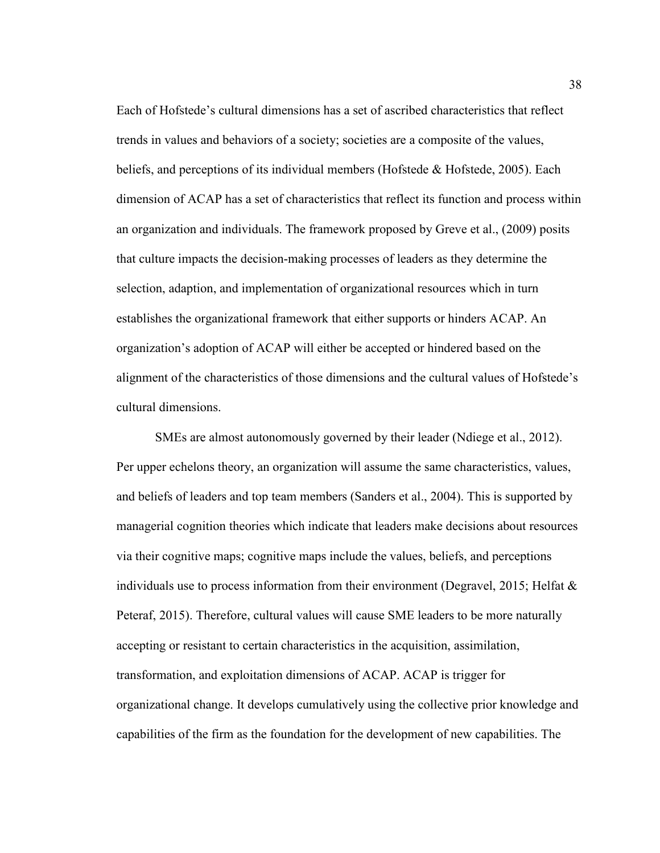Each of Hofstede's cultural dimensions has a set of ascribed characteristics that reflect trends in values and behaviors of a society; societies are a composite of the values, beliefs, and perceptions of its individual members (Hofstede & Hofstede, 2005). Each dimension of ACAP has a set of characteristics that reflect its function and process within an organization and individuals. The framework proposed by Greve et al., (2009) posits that culture impacts the decision-making processes of leaders as they determine the selection, adaption, and implementation of organizational resources which in turn establishes the organizational framework that either supports or hinders ACAP. An organization's adoption of ACAP will either be accepted or hindered based on the alignment of the characteristics of those dimensions and the cultural values of Hofstede's cultural dimensions.

SMEs are almost autonomously governed by their leader (Ndiege et al., 2012). Per upper echelons theory, an organization will assume the same characteristics, values, and beliefs of leaders and top team members (Sanders et al., 2004). This is supported by managerial cognition theories which indicate that leaders make decisions about resources via their cognitive maps; cognitive maps include the values, beliefs, and perceptions individuals use to process information from their environment (Degravel, 2015; Helfat & Peteraf, 2015). Therefore, cultural values will cause SME leaders to be more naturally accepting or resistant to certain characteristics in the acquisition, assimilation, transformation, and exploitation dimensions of ACAP. ACAP is trigger for organizational change. It develops cumulatively using the collective prior knowledge and capabilities of the firm as the foundation for the development of new capabilities. The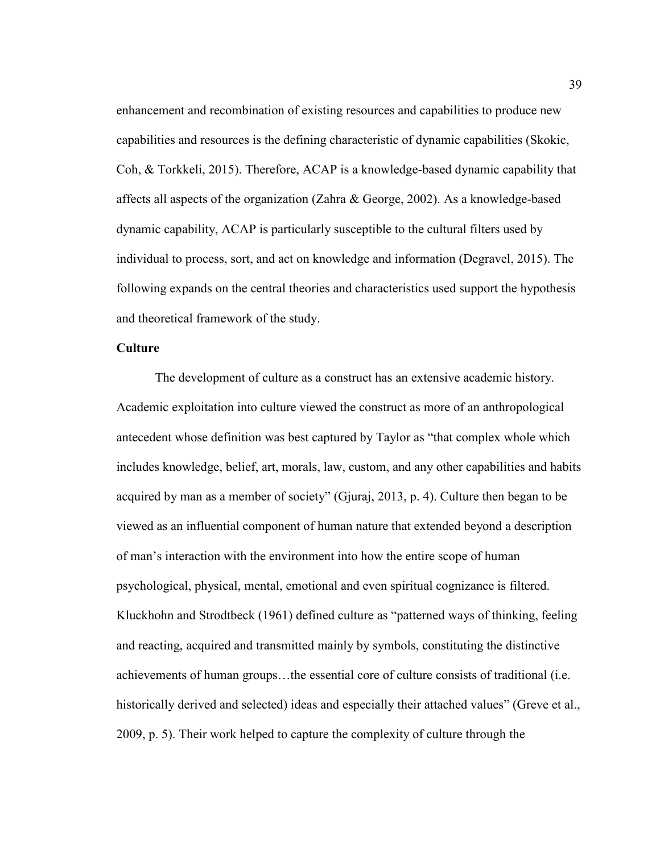enhancement and recombination of existing resources and capabilities to produce new capabilities and resources is the defining characteristic of dynamic capabilities (Skokic, Coh, & Torkkeli, 2015). Therefore, ACAP is a knowledge-based dynamic capability that affects all aspects of the organization (Zahra & George, 2002). As a knowledge-based dynamic capability, ACAP is particularly susceptible to the cultural filters used by individual to process, sort, and act on knowledge and information (Degravel, 2015). The following expands on the central theories and characteristics used support the hypothesis and theoretical framework of the study.

#### **Culture**

The development of culture as a construct has an extensive academic history. Academic exploitation into culture viewed the construct as more of an anthropological antecedent whose definition was best captured by Taylor as "that complex whole which includes knowledge, belief, art, morals, law, custom, and any other capabilities and habits acquired by man as a member of society" (Gjuraj, 2013, p. 4). Culture then began to be viewed as an influential component of human nature that extended beyond a description of man's interaction with the environment into how the entire scope of human psychological, physical, mental, emotional and even spiritual cognizance is filtered. Kluckhohn and Strodtbeck (1961) defined culture as "patterned ways of thinking, feeling and reacting, acquired and transmitted mainly by symbols, constituting the distinctive achievements of human groups…the essential core of culture consists of traditional (i.e. historically derived and selected) ideas and especially their attached values" (Greve et al., 2009, p. 5). Their work helped to capture the complexity of culture through the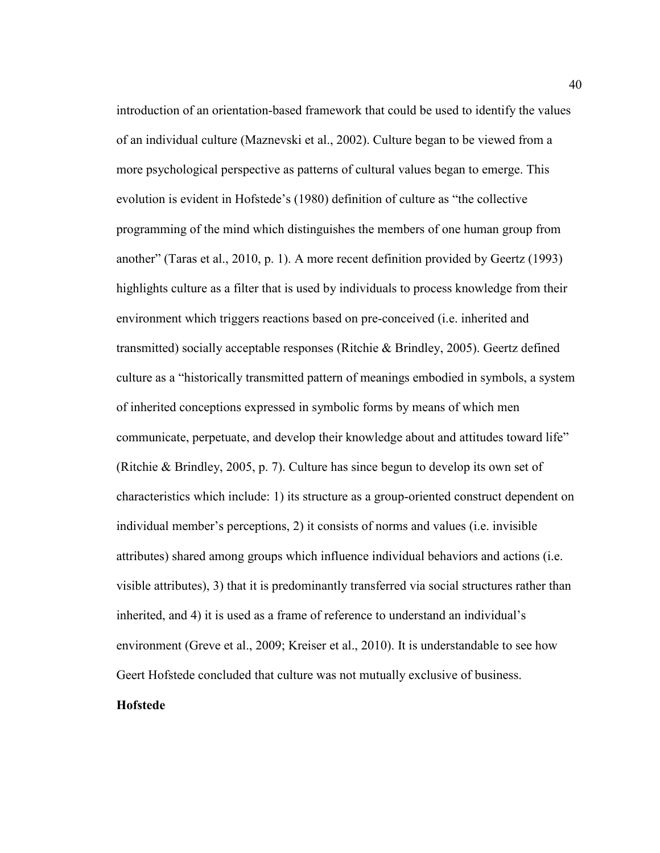introduction of an orientation-based framework that could be used to identify the values of an individual culture (Maznevski et al., 2002). Culture began to be viewed from a more psychological perspective as patterns of cultural values began to emerge. This evolution is evident in Hofstede's (1980) definition of culture as "the collective programming of the mind which distinguishes the members of one human group from another" (Taras et al., 2010, p. 1). A more recent definition provided by Geertz (1993) highlights culture as a filter that is used by individuals to process knowledge from their environment which triggers reactions based on pre-conceived (i.e. inherited and transmitted) socially acceptable responses (Ritchie & Brindley, 2005). Geertz defined culture as a "historically transmitted pattern of meanings embodied in symbols, a system of inherited conceptions expressed in symbolic forms by means of which men communicate, perpetuate, and develop their knowledge about and attitudes toward life" (Ritchie & Brindley, 2005, p. 7). Culture has since begun to develop its own set of characteristics which include: 1) its structure as a group-oriented construct dependent on individual member's perceptions, 2) it consists of norms and values (i.e. invisible attributes) shared among groups which influence individual behaviors and actions (i.e. visible attributes), 3) that it is predominantly transferred via social structures rather than inherited, and 4) it is used as a frame of reference to understand an individual's environment (Greve et al., 2009; Kreiser et al., 2010). It is understandable to see how Geert Hofstede concluded that culture was not mutually exclusive of business.

# **Hofstede**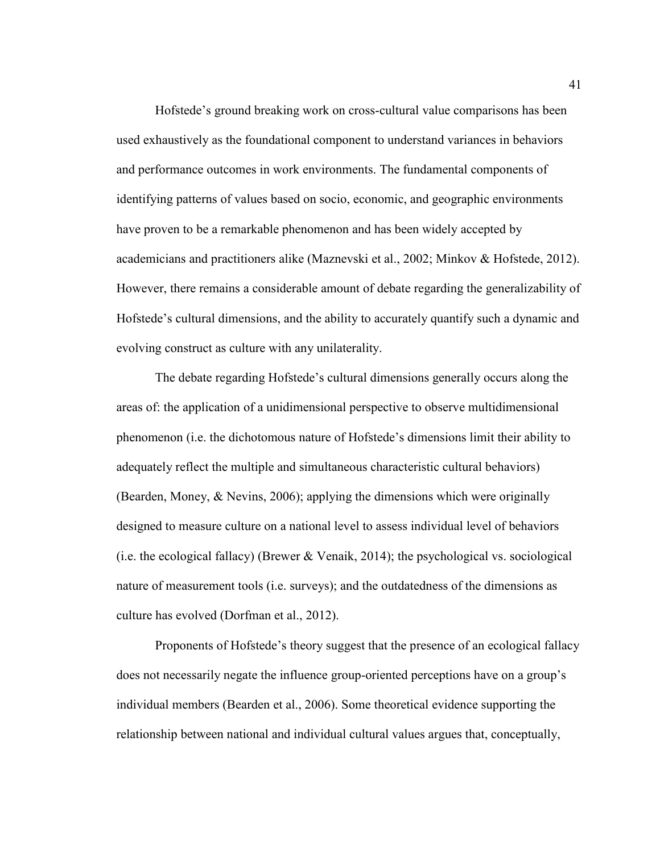Hofstede's ground breaking work on cross-cultural value comparisons has been used exhaustively as the foundational component to understand variances in behaviors and performance outcomes in work environments. The fundamental components of identifying patterns of values based on socio, economic, and geographic environments have proven to be a remarkable phenomenon and has been widely accepted by academicians and practitioners alike (Maznevski et al., 2002; Minkov & Hofstede, 2012). However, there remains a considerable amount of debate regarding the generalizability of Hofstede's cultural dimensions, and the ability to accurately quantify such a dynamic and evolving construct as culture with any unilaterality.

The debate regarding Hofstede's cultural dimensions generally occurs along the areas of: the application of a unidimensional perspective to observe multidimensional phenomenon (i.e. the dichotomous nature of Hofstede's dimensions limit their ability to adequately reflect the multiple and simultaneous characteristic cultural behaviors) (Bearden, Money, & Nevins, 2006); applying the dimensions which were originally designed to measure culture on a national level to assess individual level of behaviors (i.e. the ecological fallacy) (Brewer & Venaik, 2014); the psychological vs. sociological nature of measurement tools (i.e. surveys); and the outdatedness of the dimensions as culture has evolved (Dorfman et al., 2012).

Proponents of Hofstede's theory suggest that the presence of an ecological fallacy does not necessarily negate the influence group-oriented perceptions have on a group's individual members (Bearden et al., 2006). Some theoretical evidence supporting the relationship between national and individual cultural values argues that, conceptually,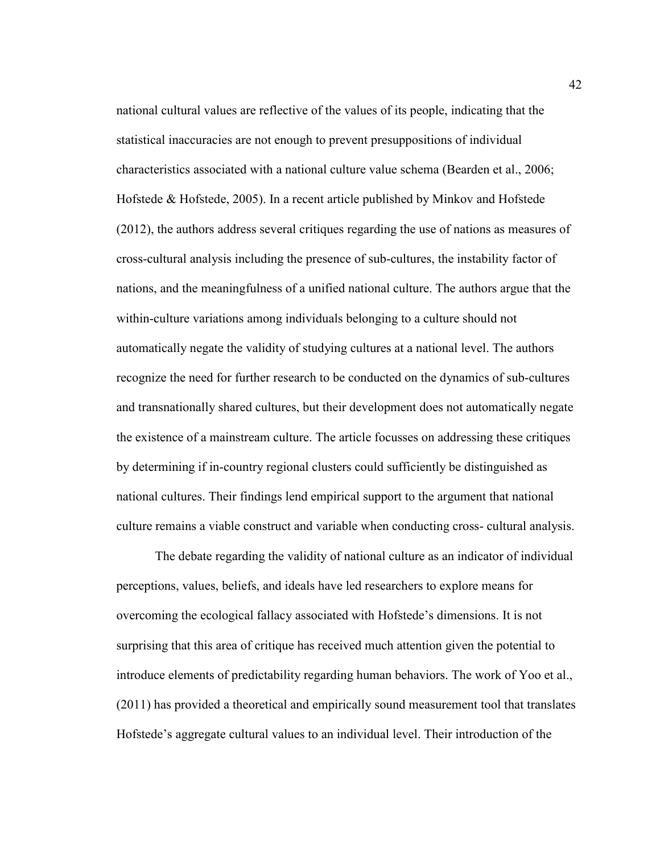national cultural values are reflective of the values of its people, indicating that the statistical inaccuracies are not enough to prevent presuppositions of individual characteristics associated with a national culture value schema (Bearden et al., 2006; Hofstede & Hofstede, 2005). In a recent article published by Minkov and Hofstede (2012), the authors address several critiques regarding the use of nations as measures of cross-cultural analysis including the presence of sub-cultures, the instability factor of nations, and the meaningfulness of a unified national culture. The authors argue that the within-culture variations among individuals belonging to a culture should not automatically negate the validity of studying cultures at a national level. The authors recognize the need for further research to be conducted on the dynamics of sub-cultures and transnationally shared cultures, but their development does not automatically negate the existence of a mainstream culture. The article focusses on addressing these critiques by determining if in-country regional clusters could sufficiently be distinguished as national cultures. Their findings lend empirical support to the argument that national culture remains a viable construct and variable when conducting cross- cultural analysis.

The debate regarding the validity of national culture as an indicator of individual perceptions, values, beliefs, and ideals have led researchers to explore means for overcoming the ecological fallacy associated with Hofstede's dimensions. It is not surprising that this area of critique has received much attention given the potential to introduce elements of predictability regarding human behaviors. The work of Yoo et al., (2011) has provided a theoretical and empirically sound measurement tool that translates Hofstede's aggregate cultural values to an individual level. Their introduction of the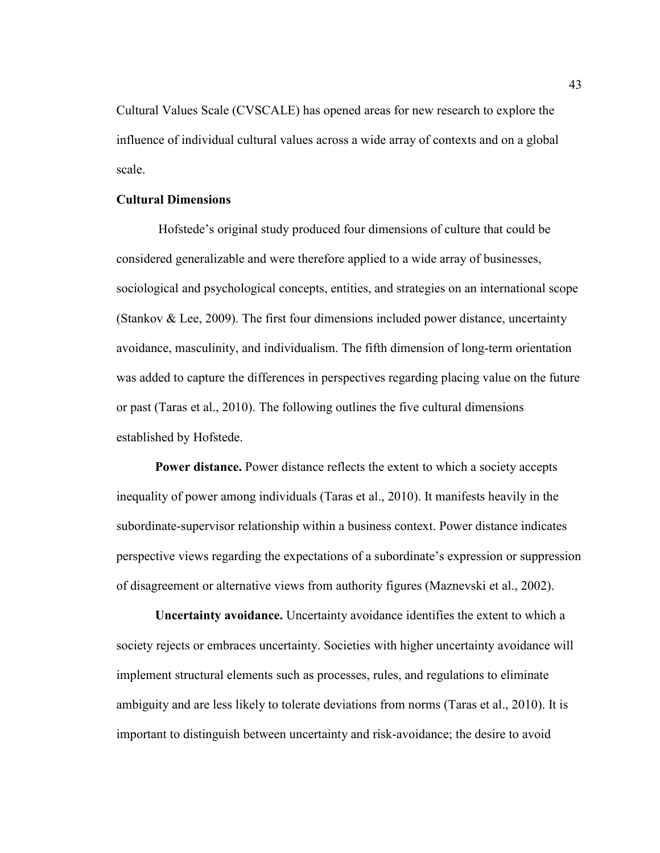Cultural Values Scale (CVSCALE) has opened areas for new research to explore the influence of individual cultural values across a wide array of contexts and on a global scale.

#### **Cultural Dimensions**

 Hofstede's original study produced four dimensions of culture that could be considered generalizable and were therefore applied to a wide array of businesses, sociological and psychological concepts, entities, and strategies on an international scope (Stankov  $\&$  Lee, 2009). The first four dimensions included power distance, uncertainty avoidance, masculinity, and individualism. The fifth dimension of long-term orientation was added to capture the differences in perspectives regarding placing value on the future or past (Taras et al., 2010). The following outlines the five cultural dimensions established by Hofstede.

**Power distance.** Power distance reflects the extent to which a society accepts inequality of power among individuals (Taras et al., 2010). It manifests heavily in the subordinate-supervisor relationship within a business context. Power distance indicates perspective views regarding the expectations of a subordinate's expression or suppression of disagreement or alternative views from authority figures (Maznevski et al., 2002).

**Uncertainty avoidance.** Uncertainty avoidance identifies the extent to which a society rejects or embraces uncertainty. Societies with higher uncertainty avoidance will implement structural elements such as processes, rules, and regulations to eliminate ambiguity and are less likely to tolerate deviations from norms (Taras et al., 2010). It is important to distinguish between uncertainty and risk-avoidance; the desire to avoid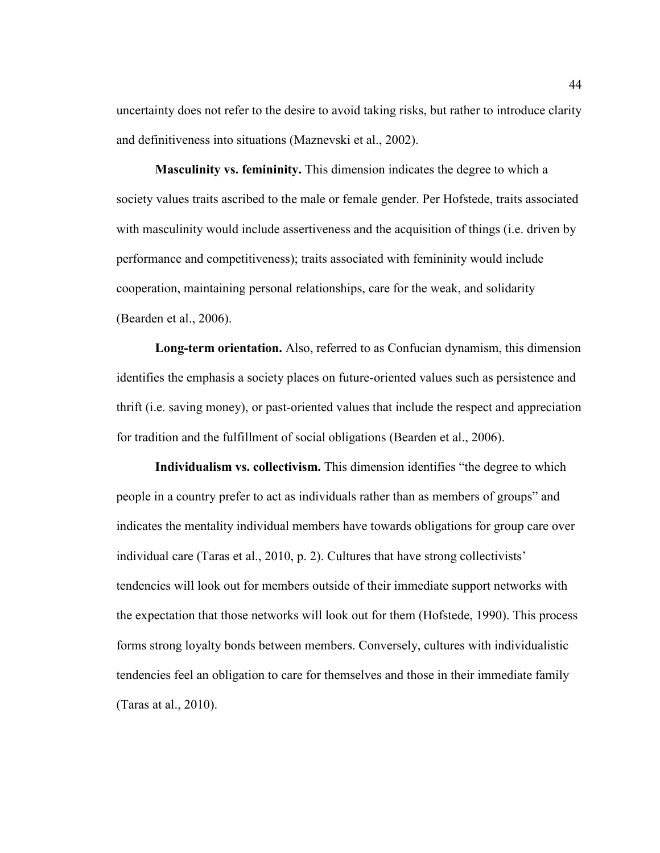uncertainty does not refer to the desire to avoid taking risks, but rather to introduce clarity and definitiveness into situations (Maznevski et al., 2002).

**Masculinity vs. femininity.** This dimension indicates the degree to which a society values traits ascribed to the male or female gender. Per Hofstede, traits associated with masculinity would include assertiveness and the acquisition of things (i.e. driven by performance and competitiveness); traits associated with femininity would include cooperation, maintaining personal relationships, care for the weak, and solidarity (Bearden et al., 2006).

**Long-term orientation.** Also, referred to as Confucian dynamism, this dimension identifies the emphasis a society places on future-oriented values such as persistence and thrift (i.e. saving money), or past-oriented values that include the respect and appreciation for tradition and the fulfillment of social obligations (Bearden et al., 2006).

**Individualism vs. collectivism.** This dimension identifies "the degree to which people in a country prefer to act as individuals rather than as members of groups" and indicates the mentality individual members have towards obligations for group care over individual care (Taras et al., 2010, p. 2). Cultures that have strong collectivists' tendencies will look out for members outside of their immediate support networks with the expectation that those networks will look out for them (Hofstede, 1990). This process forms strong loyalty bonds between members. Conversely, cultures with individualistic tendencies feel an obligation to care for themselves and those in their immediate family (Taras at al., 2010).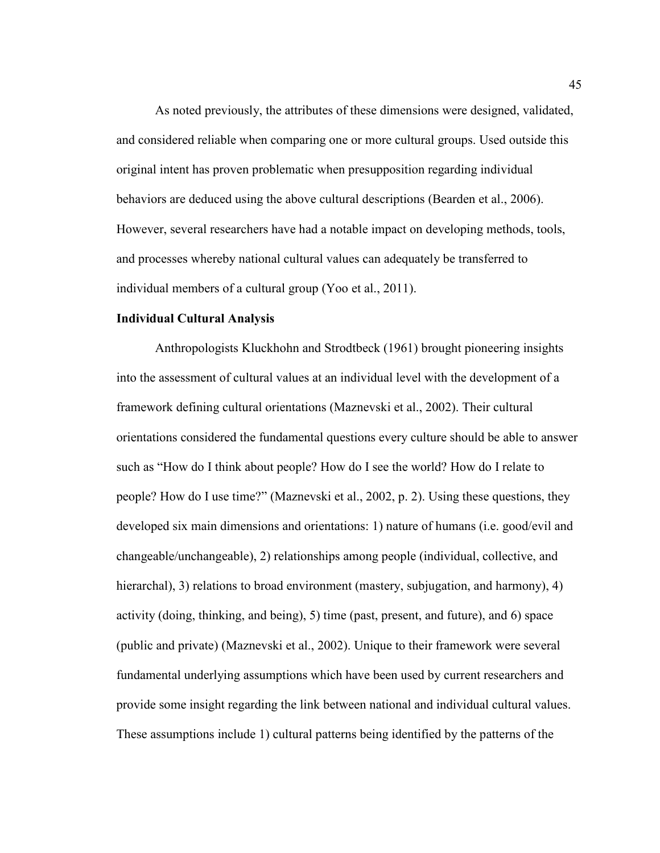As noted previously, the attributes of these dimensions were designed, validated, and considered reliable when comparing one or more cultural groups. Used outside this original intent has proven problematic when presupposition regarding individual behaviors are deduced using the above cultural descriptions (Bearden et al., 2006). However, several researchers have had a notable impact on developing methods, tools, and processes whereby national cultural values can adequately be transferred to individual members of a cultural group (Yoo et al., 2011).

# **Individual Cultural Analysis**

 Anthropologists Kluckhohn and Strodtbeck (1961) brought pioneering insights into the assessment of cultural values at an individual level with the development of a framework defining cultural orientations (Maznevski et al., 2002). Their cultural orientations considered the fundamental questions every culture should be able to answer such as "How do I think about people? How do I see the world? How do I relate to people? How do I use time?" (Maznevski et al., 2002, p. 2). Using these questions, they developed six main dimensions and orientations: 1) nature of humans (i.e. good/evil and changeable/unchangeable), 2) relationships among people (individual, collective, and hierarchal), 3) relations to broad environment (mastery, subjugation, and harmony), 4) activity (doing, thinking, and being), 5) time (past, present, and future), and 6) space (public and private) (Maznevski et al., 2002). Unique to their framework were several fundamental underlying assumptions which have been used by current researchers and provide some insight regarding the link between national and individual cultural values. These assumptions include 1) cultural patterns being identified by the patterns of the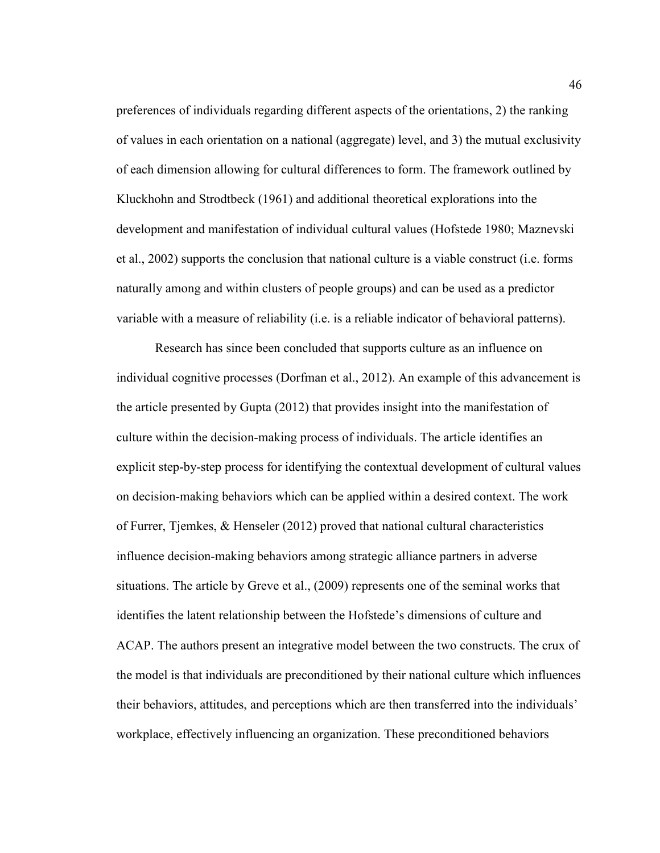preferences of individuals regarding different aspects of the orientations, 2) the ranking of values in each orientation on a national (aggregate) level, and 3) the mutual exclusivity of each dimension allowing for cultural differences to form. The framework outlined by Kluckhohn and Strodtbeck (1961) and additional theoretical explorations into the development and manifestation of individual cultural values (Hofstede 1980; Maznevski et al., 2002) supports the conclusion that national culture is a viable construct (i.e. forms naturally among and within clusters of people groups) and can be used as a predictor variable with a measure of reliability (i.e. is a reliable indicator of behavioral patterns).

Research has since been concluded that supports culture as an influence on individual cognitive processes (Dorfman et al., 2012). An example of this advancement is the article presented by Gupta (2012) that provides insight into the manifestation of culture within the decision-making process of individuals. The article identifies an explicit step-by-step process for identifying the contextual development of cultural values on decision-making behaviors which can be applied within a desired context. The work of Furrer, Tjemkes, & Henseler (2012) proved that national cultural characteristics influence decision-making behaviors among strategic alliance partners in adverse situations. The article by Greve et al., (2009) represents one of the seminal works that identifies the latent relationship between the Hofstede's dimensions of culture and ACAP. The authors present an integrative model between the two constructs. The crux of the model is that individuals are preconditioned by their national culture which influences their behaviors, attitudes, and perceptions which are then transferred into the individuals' workplace, effectively influencing an organization. These preconditioned behaviors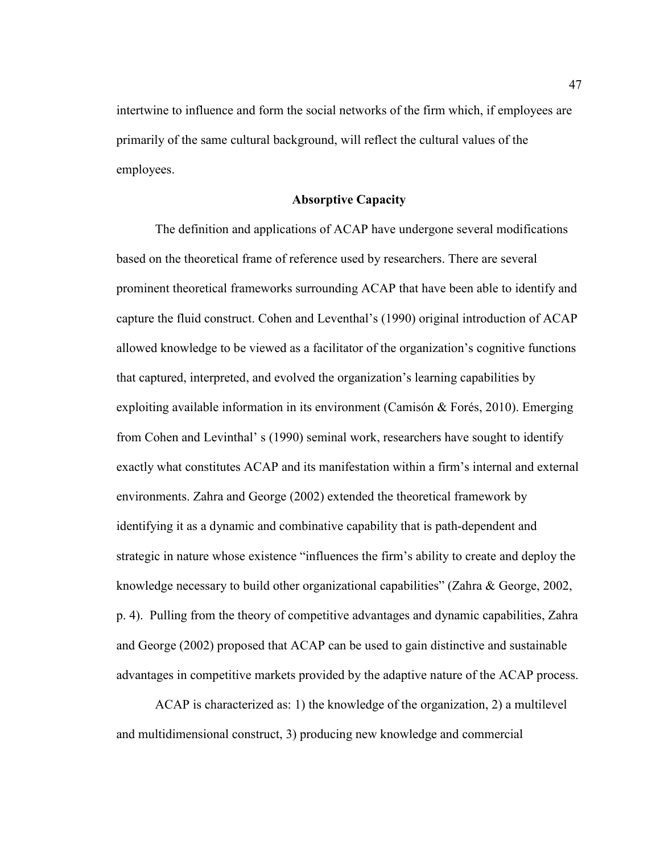intertwine to influence and form the social networks of the firm which, if employees are primarily of the same cultural background, will reflect the cultural values of the employees.

#### **Absorptive Capacity**

The definition and applications of ACAP have undergone several modifications based on the theoretical frame of reference used by researchers. There are several prominent theoretical frameworks surrounding ACAP that have been able to identify and capture the fluid construct. Cohen and Leventhal's (1990) original introduction of ACAP allowed knowledge to be viewed as a facilitator of the organization's cognitive functions that captured, interpreted, and evolved the organization's learning capabilities by exploiting available information in its environment (Camisón & Forés, 2010). Emerging from Cohen and Levinthal' s (1990) seminal work, researchers have sought to identify exactly what constitutes ACAP and its manifestation within a firm's internal and external environments. Zahra and George (2002) extended the theoretical framework by identifying it as a dynamic and combinative capability that is path-dependent and strategic in nature whose existence "influences the firm's ability to create and deploy the knowledge necessary to build other organizational capabilities" (Zahra & George, 2002, p. 4). Pulling from the theory of competitive advantages and dynamic capabilities, Zahra and George (2002) proposed that ACAP can be used to gain distinctive and sustainable advantages in competitive markets provided by the adaptive nature of the ACAP process.

ACAP is characterized as: 1) the knowledge of the organization, 2) a multilevel and multidimensional construct, 3) producing new knowledge and commercial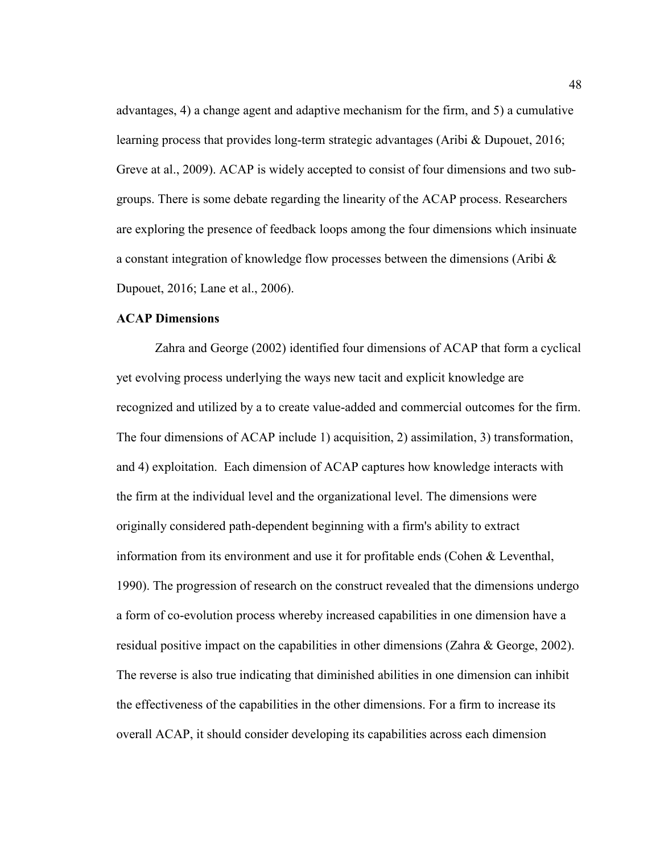advantages, 4) a change agent and adaptive mechanism for the firm, and 5) a cumulative learning process that provides long-term strategic advantages (Aribi & Dupouet, 2016; Greve at al., 2009). ACAP is widely accepted to consist of four dimensions and two subgroups. There is some debate regarding the linearity of the ACAP process. Researchers are exploring the presence of feedback loops among the four dimensions which insinuate a constant integration of knowledge flow processes between the dimensions (Aribi  $\&$ Dupouet, 2016; Lane et al., 2006).

# **ACAP Dimensions**

Zahra and George (2002) identified four dimensions of ACAP that form a cyclical yet evolving process underlying the ways new tacit and explicit knowledge are recognized and utilized by a to create value-added and commercial outcomes for the firm. The four dimensions of ACAP include 1) acquisition, 2) assimilation, 3) transformation, and 4) exploitation. Each dimension of ACAP captures how knowledge interacts with the firm at the individual level and the organizational level. The dimensions were originally considered path-dependent beginning with a firm's ability to extract information from its environment and use it for profitable ends (Cohen & Leventhal, 1990). The progression of research on the construct revealed that the dimensions undergo a form of co-evolution process whereby increased capabilities in one dimension have a residual positive impact on the capabilities in other dimensions (Zahra & George, 2002). The reverse is also true indicating that diminished abilities in one dimension can inhibit the effectiveness of the capabilities in the other dimensions. For a firm to increase its overall ACAP, it should consider developing its capabilities across each dimension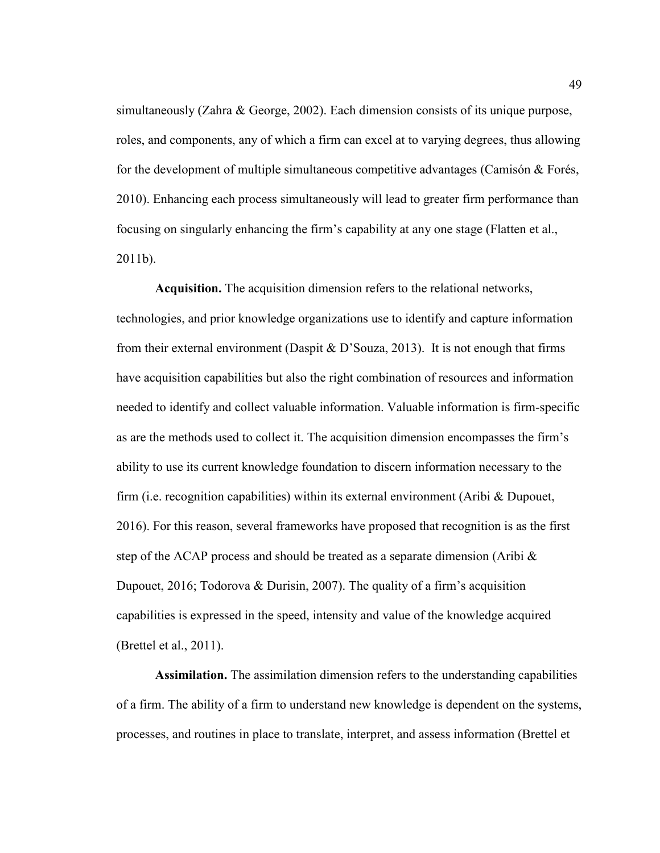simultaneously (Zahra & George, 2002). Each dimension consists of its unique purpose, roles, and components, any of which a firm can excel at to varying degrees, thus allowing for the development of multiple simultaneous competitive advantages (Camisón & Forés, 2010). Enhancing each process simultaneously will lead to greater firm performance than focusing on singularly enhancing the firm's capability at any one stage (Flatten et al., 2011b).

**Acquisition.** The acquisition dimension refers to the relational networks, technologies, and prior knowledge organizations use to identify and capture information from their external environment (Daspit & D'Souza, 2013). It is not enough that firms have acquisition capabilities but also the right combination of resources and information needed to identify and collect valuable information. Valuable information is firm-specific as are the methods used to collect it. The acquisition dimension encompasses the firm's ability to use its current knowledge foundation to discern information necessary to the firm (i.e. recognition capabilities) within its external environment (Aribi & Dupouet, 2016). For this reason, several frameworks have proposed that recognition is as the first step of the ACAP process and should be treated as a separate dimension (Aribi  $\&$ Dupouet, 2016; Todorova & Durisin, 2007). The quality of a firm's acquisition capabilities is expressed in the speed, intensity and value of the knowledge acquired (Brettel et al., 2011).

**Assimilation.** The assimilation dimension refers to the understanding capabilities of a firm. The ability of a firm to understand new knowledge is dependent on the systems, processes, and routines in place to translate, interpret, and assess information (Brettel et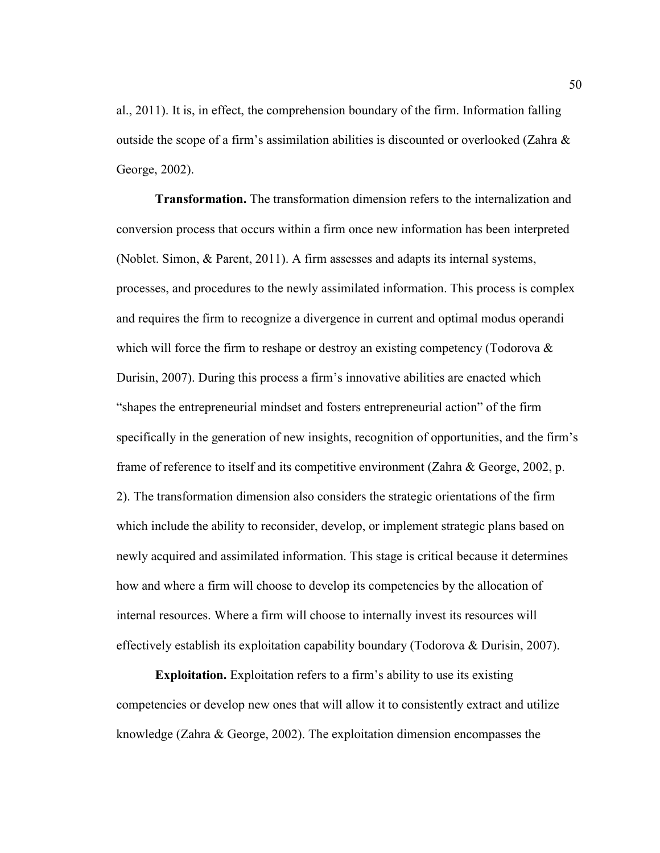al., 2011). It is, in effect, the comprehension boundary of the firm. Information falling outside the scope of a firm's assimilation abilities is discounted or overlooked (Zahra & George, 2002).

**Transformation.** The transformation dimension refers to the internalization and conversion process that occurs within a firm once new information has been interpreted (Noblet. Simon, & Parent, 2011). A firm assesses and adapts its internal systems, processes, and procedures to the newly assimilated information. This process is complex and requires the firm to recognize a divergence in current and optimal modus operandi which will force the firm to reshape or destroy an existing competency (Todorova & Durisin, 2007). During this process a firm's innovative abilities are enacted which "shapes the entrepreneurial mindset and fosters entrepreneurial action" of the firm specifically in the generation of new insights, recognition of opportunities, and the firm's frame of reference to itself and its competitive environment (Zahra & George, 2002, p. 2). The transformation dimension also considers the strategic orientations of the firm which include the ability to reconsider, develop, or implement strategic plans based on newly acquired and assimilated information. This stage is critical because it determines how and where a firm will choose to develop its competencies by the allocation of internal resources. Where a firm will choose to internally invest its resources will effectively establish its exploitation capability boundary (Todorova & Durisin, 2007).

**Exploitation.** Exploitation refers to a firm's ability to use its existing competencies or develop new ones that will allow it to consistently extract and utilize knowledge (Zahra & George, 2002). The exploitation dimension encompasses the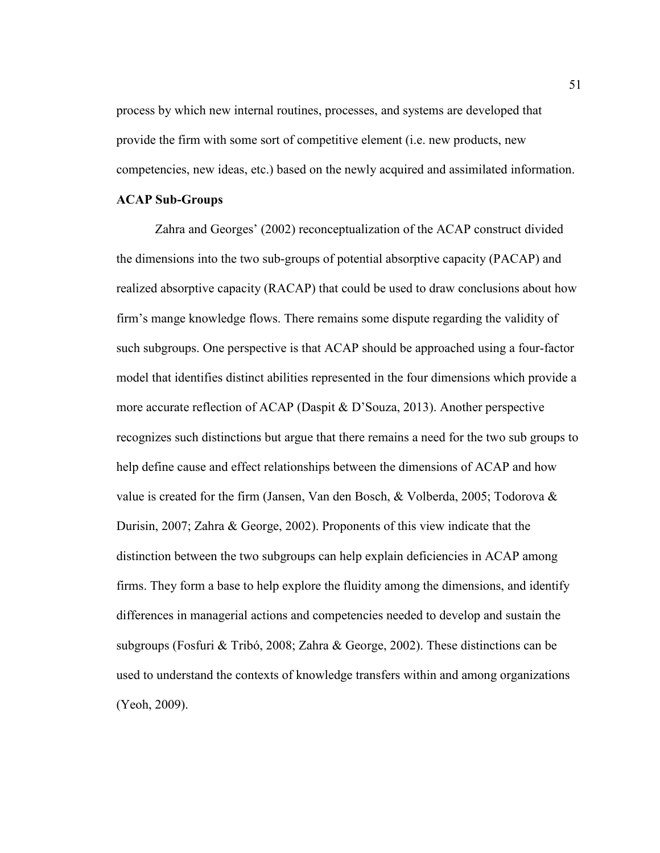process by which new internal routines, processes, and systems are developed that provide the firm with some sort of competitive element (i.e. new products, new competencies, new ideas, etc.) based on the newly acquired and assimilated information.

# **ACAP Sub-Groups**

Zahra and Georges' (2002) reconceptualization of the ACAP construct divided the dimensions into the two sub-groups of potential absorptive capacity (PACAP) and realized absorptive capacity (RACAP) that could be used to draw conclusions about how firm's mange knowledge flows. There remains some dispute regarding the validity of such subgroups. One perspective is that ACAP should be approached using a four-factor model that identifies distinct abilities represented in the four dimensions which provide a more accurate reflection of ACAP (Daspit & D'Souza, 2013). Another perspective recognizes such distinctions but argue that there remains a need for the two sub groups to help define cause and effect relationships between the dimensions of ACAP and how value is created for the firm (Jansen, Van den Bosch, & Volberda, 2005; Todorova & Durisin, 2007; Zahra & George, 2002). Proponents of this view indicate that the distinction between the two subgroups can help explain deficiencies in ACAP among firms. They form a base to help explore the fluidity among the dimensions, and identify differences in managerial actions and competencies needed to develop and sustain the subgroups (Fosfuri & Tribó, 2008; Zahra & George, 2002). These distinctions can be used to understand the contexts of knowledge transfers within and among organizations (Yeoh, 2009).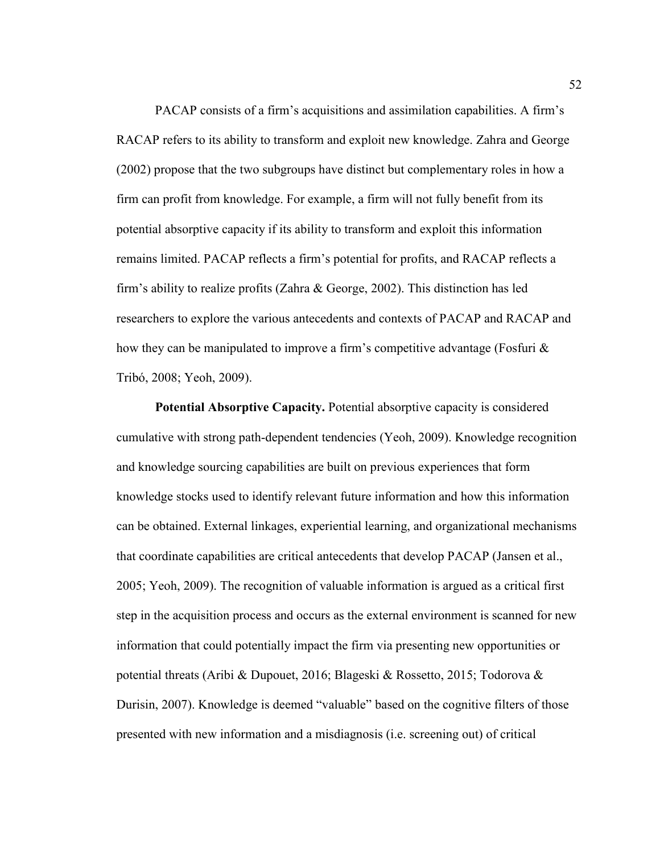PACAP consists of a firm's acquisitions and assimilation capabilities. A firm's RACAP refers to its ability to transform and exploit new knowledge. Zahra and George (2002) propose that the two subgroups have distinct but complementary roles in how a firm can profit from knowledge. For example, a firm will not fully benefit from its potential absorptive capacity if its ability to transform and exploit this information remains limited. PACAP reflects a firm's potential for profits, and RACAP reflects a firm's ability to realize profits (Zahra & George, 2002). This distinction has led researchers to explore the various antecedents and contexts of PACAP and RACAP and how they can be manipulated to improve a firm's competitive advantage (Fosfuri & Tribó, 2008; Yeoh, 2009).

**Potential Absorptive Capacity.** Potential absorptive capacity is considered cumulative with strong path-dependent tendencies (Yeoh, 2009). Knowledge recognition and knowledge sourcing capabilities are built on previous experiences that form knowledge stocks used to identify relevant future information and how this information can be obtained. External linkages, experiential learning, and organizational mechanisms that coordinate capabilities are critical antecedents that develop PACAP (Jansen et al., 2005; Yeoh, 2009). The recognition of valuable information is argued as a critical first step in the acquisition process and occurs as the external environment is scanned for new information that could potentially impact the firm via presenting new opportunities or potential threats (Aribi & Dupouet, 2016; Blageski & Rossetto, 2015; Todorova & Durisin, 2007). Knowledge is deemed "valuable" based on the cognitive filters of those presented with new information and a misdiagnosis (i.e. screening out) of critical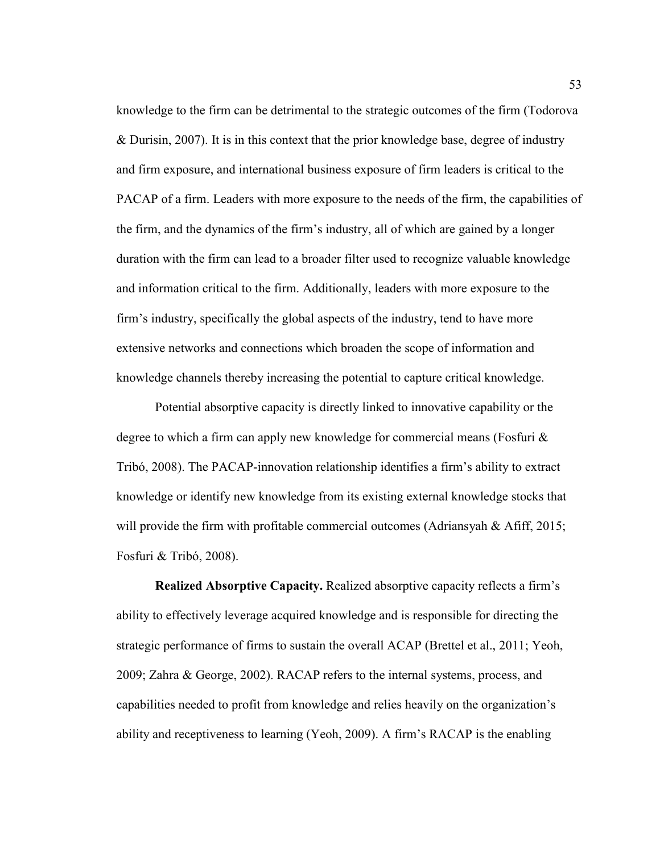knowledge to the firm can be detrimental to the strategic outcomes of the firm (Todorova & Durisin, 2007). It is in this context that the prior knowledge base, degree of industry and firm exposure, and international business exposure of firm leaders is critical to the PACAP of a firm. Leaders with more exposure to the needs of the firm, the capabilities of the firm, and the dynamics of the firm's industry, all of which are gained by a longer duration with the firm can lead to a broader filter used to recognize valuable knowledge and information critical to the firm. Additionally, leaders with more exposure to the firm's industry, specifically the global aspects of the industry, tend to have more extensive networks and connections which broaden the scope of information and knowledge channels thereby increasing the potential to capture critical knowledge.

Potential absorptive capacity is directly linked to innovative capability or the degree to which a firm can apply new knowledge for commercial means (Fosfuri & Tribó, 2008). The PACAP-innovation relationship identifies a firm's ability to extract knowledge or identify new knowledge from its existing external knowledge stocks that will provide the firm with profitable commercial outcomes (Adriansyah & Afiff, 2015; Fosfuri & Tribó, 2008).

**Realized Absorptive Capacity.** Realized absorptive capacity reflects a firm's ability to effectively leverage acquired knowledge and is responsible for directing the strategic performance of firms to sustain the overall ACAP (Brettel et al., 2011; Yeoh, 2009; Zahra & George, 2002). RACAP refers to the internal systems, process, and capabilities needed to profit from knowledge and relies heavily on the organization's ability and receptiveness to learning (Yeoh, 2009). A firm's RACAP is the enabling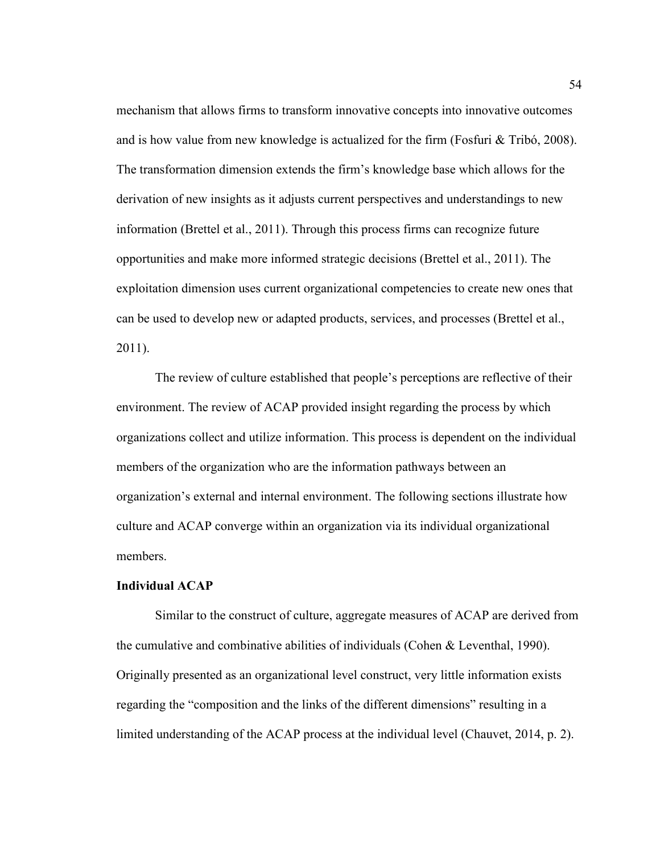mechanism that allows firms to transform innovative concepts into innovative outcomes and is how value from new knowledge is actualized for the firm (Fosfuri  $&$  Tribó, 2008). The transformation dimension extends the firm's knowledge base which allows for the derivation of new insights as it adjusts current perspectives and understandings to new information (Brettel et al., 2011). Through this process firms can recognize future opportunities and make more informed strategic decisions (Brettel et al., 2011). The exploitation dimension uses current organizational competencies to create new ones that can be used to develop new or adapted products, services, and processes (Brettel et al., 2011).

The review of culture established that people's perceptions are reflective of their environment. The review of ACAP provided insight regarding the process by which organizations collect and utilize information. This process is dependent on the individual members of the organization who are the information pathways between an organization's external and internal environment. The following sections illustrate how culture and ACAP converge within an organization via its individual organizational members.

# **Individual ACAP**

Similar to the construct of culture, aggregate measures of ACAP are derived from the cumulative and combinative abilities of individuals (Cohen & Leventhal, 1990). Originally presented as an organizational level construct, very little information exists regarding the "composition and the links of the different dimensions" resulting in a limited understanding of the ACAP process at the individual level (Chauvet, 2014, p. 2).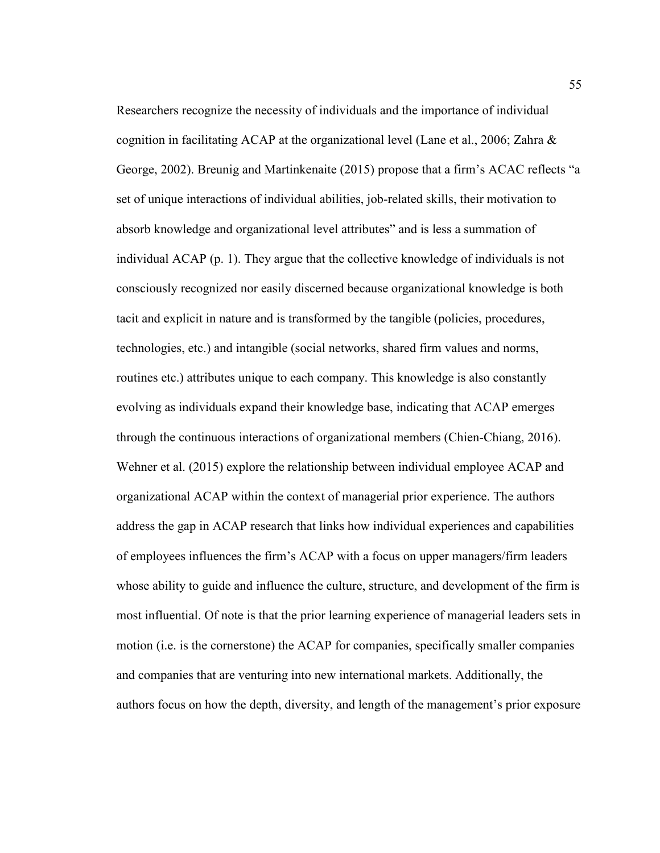Researchers recognize the necessity of individuals and the importance of individual cognition in facilitating ACAP at the organizational level (Lane et al., 2006; Zahra  $\&$ George, 2002). Breunig and Martinkenaite (2015) propose that a firm's ACAC reflects "a set of unique interactions of individual abilities, job-related skills, their motivation to absorb knowledge and organizational level attributes" and is less a summation of individual ACAP (p. 1). They argue that the collective knowledge of individuals is not consciously recognized nor easily discerned because organizational knowledge is both tacit and explicit in nature and is transformed by the tangible (policies, procedures, technologies, etc.) and intangible (social networks, shared firm values and norms, routines etc.) attributes unique to each company. This knowledge is also constantly evolving as individuals expand their knowledge base, indicating that ACAP emerges through the continuous interactions of organizational members (Chien-Chiang, 2016). Wehner et al. (2015) explore the relationship between individual employee ACAP and organizational ACAP within the context of managerial prior experience. The authors address the gap in ACAP research that links how individual experiences and capabilities of employees influences the firm's ACAP with a focus on upper managers/firm leaders whose ability to guide and influence the culture, structure, and development of the firm is most influential. Of note is that the prior learning experience of managerial leaders sets in motion (i.e. is the cornerstone) the ACAP for companies, specifically smaller companies and companies that are venturing into new international markets. Additionally, the authors focus on how the depth, diversity, and length of the management's prior exposure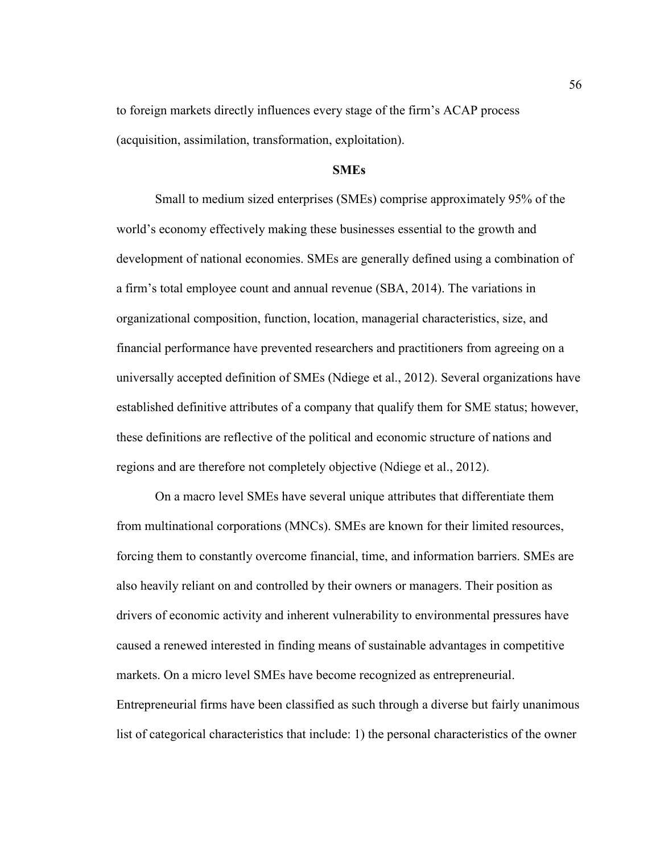to foreign markets directly influences every stage of the firm's ACAP process (acquisition, assimilation, transformation, exploitation).

# **SMEs**

Small to medium sized enterprises (SMEs) comprise approximately 95% of the world's economy effectively making these businesses essential to the growth and development of national economies. SMEs are generally defined using a combination of a firm's total employee count and annual revenue (SBA, 2014). The variations in organizational composition, function, location, managerial characteristics, size, and financial performance have prevented researchers and practitioners from agreeing on a universally accepted definition of SMEs (Ndiege et al., 2012). Several organizations have established definitive attributes of a company that qualify them for SME status; however, these definitions are reflective of the political and economic structure of nations and regions and are therefore not completely objective (Ndiege et al., 2012).

 On a macro level SMEs have several unique attributes that differentiate them from multinational corporations (MNCs). SMEs are known for their limited resources, forcing them to constantly overcome financial, time, and information barriers. SMEs are also heavily reliant on and controlled by their owners or managers. Their position as drivers of economic activity and inherent vulnerability to environmental pressures have caused a renewed interested in finding means of sustainable advantages in competitive markets. On a micro level SMEs have become recognized as entrepreneurial. Entrepreneurial firms have been classified as such through a diverse but fairly unanimous list of categorical characteristics that include: 1) the personal characteristics of the owner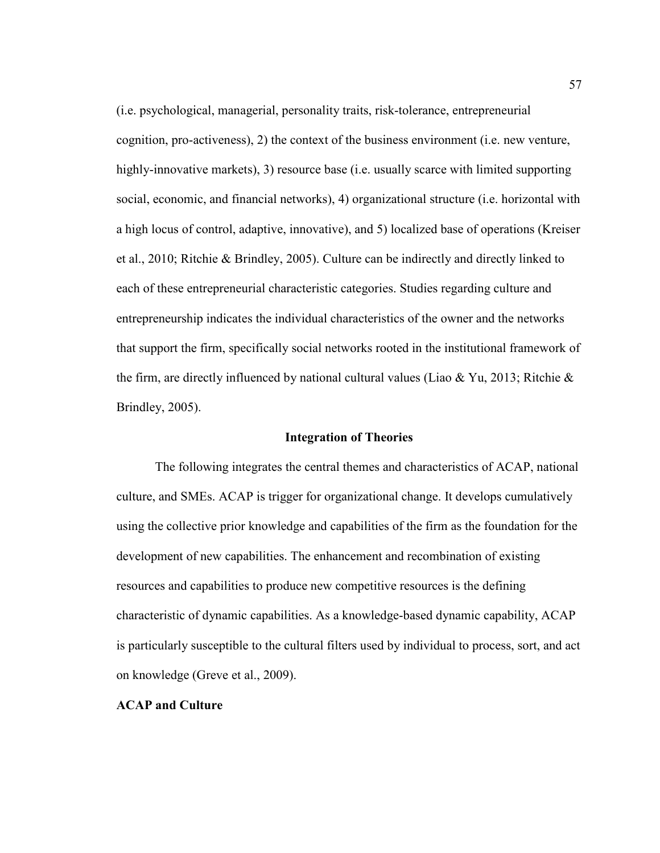(i.e. psychological, managerial, personality traits, risk-tolerance, entrepreneurial cognition, pro-activeness), 2) the context of the business environment (i.e. new venture, highly-innovative markets), 3) resource base (i.e. usually scarce with limited supporting social, economic, and financial networks), 4) organizational structure (i.e. horizontal with a high locus of control, adaptive, innovative), and 5) localized base of operations (Kreiser et al., 2010; Ritchie & Brindley, 2005). Culture can be indirectly and directly linked to each of these entrepreneurial characteristic categories. Studies regarding culture and entrepreneurship indicates the individual characteristics of the owner and the networks that support the firm, specifically social networks rooted in the institutional framework of the firm, are directly influenced by national cultural values (Liao & Yu, 2013; Ritchie & Brindley, 2005).

# **Integration of Theories**

The following integrates the central themes and characteristics of ACAP, national culture, and SMEs. ACAP is trigger for organizational change. It develops cumulatively using the collective prior knowledge and capabilities of the firm as the foundation for the development of new capabilities. The enhancement and recombination of existing resources and capabilities to produce new competitive resources is the defining characteristic of dynamic capabilities. As a knowledge-based dynamic capability, ACAP is particularly susceptible to the cultural filters used by individual to process, sort, and act on knowledge (Greve et al., 2009).

# **ACAP and Culture**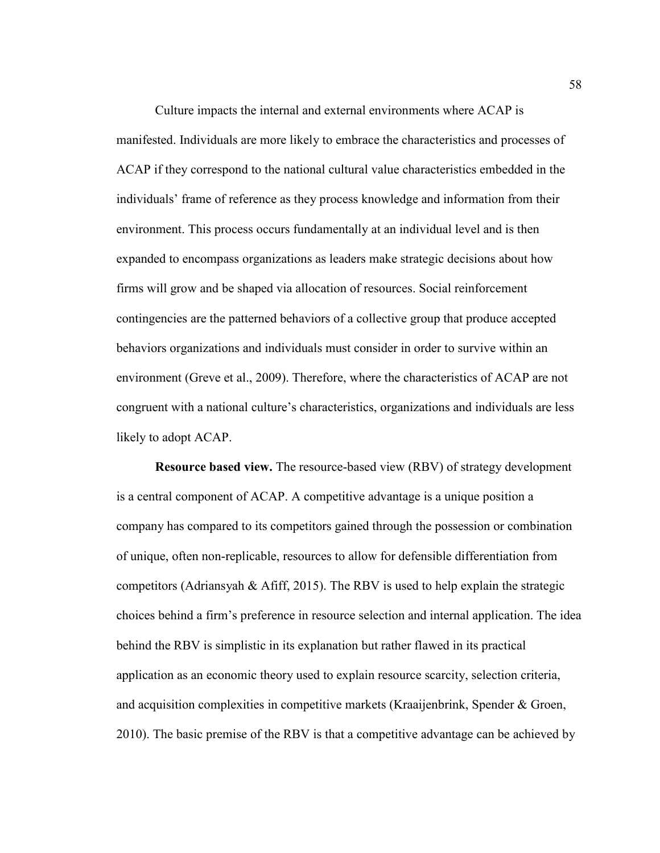Culture impacts the internal and external environments where ACAP is manifested. Individuals are more likely to embrace the characteristics and processes of ACAP if they correspond to the national cultural value characteristics embedded in the individuals' frame of reference as they process knowledge and information from their environment. This process occurs fundamentally at an individual level and is then expanded to encompass organizations as leaders make strategic decisions about how firms will grow and be shaped via allocation of resources. Social reinforcement contingencies are the patterned behaviors of a collective group that produce accepted behaviors organizations and individuals must consider in order to survive within an environment (Greve et al., 2009). Therefore, where the characteristics of ACAP are not congruent with a national culture's characteristics, organizations and individuals are less likely to adopt ACAP.

**Resource based view.** The resource-based view (RBV) of strategy development is a central component of ACAP. A competitive advantage is a unique position a company has compared to its competitors gained through the possession or combination of unique, often non-replicable, resources to allow for defensible differentiation from competitors (Adriansyah & Afiff, 2015). The RBV is used to help explain the strategic choices behind a firm's preference in resource selection and internal application. The idea behind the RBV is simplistic in its explanation but rather flawed in its practical application as an economic theory used to explain resource scarcity, selection criteria, and acquisition complexities in competitive markets (Kraaijenbrink, Spender & Groen, 2010). The basic premise of the RBV is that a competitive advantage can be achieved by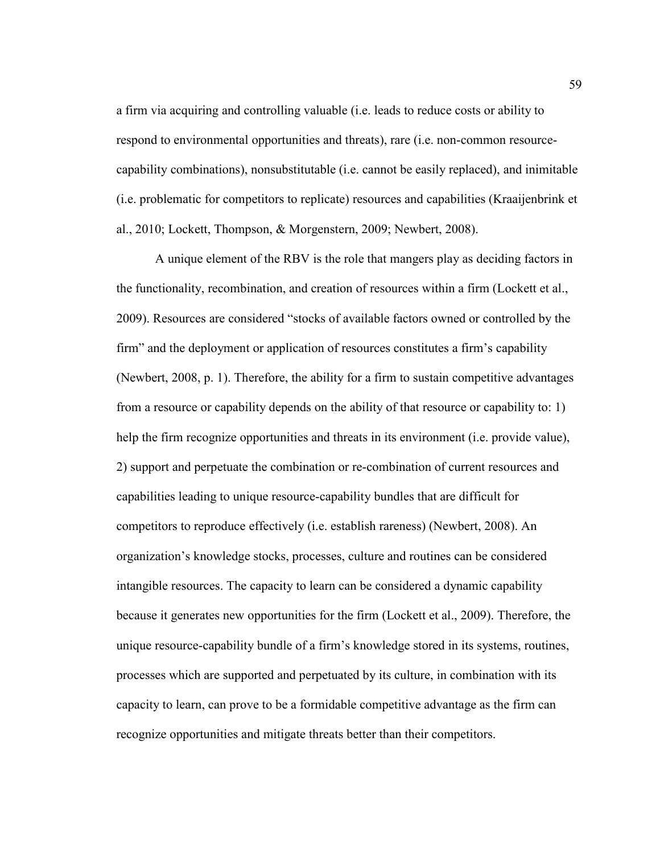a firm via acquiring and controlling valuable (i.e. leads to reduce costs or ability to respond to environmental opportunities and threats), rare (i.e. non-common resourcecapability combinations), nonsubstitutable (i.e. cannot be easily replaced), and inimitable (i.e. problematic for competitors to replicate) resources and capabilities (Kraaijenbrink et al., 2010; Lockett, Thompson, & Morgenstern, 2009; Newbert, 2008).

 A unique element of the RBV is the role that mangers play as deciding factors in the functionality, recombination, and creation of resources within a firm (Lockett et al., 2009). Resources are considered "stocks of available factors owned or controlled by the firm" and the deployment or application of resources constitutes a firm's capability (Newbert, 2008, p. 1). Therefore, the ability for a firm to sustain competitive advantages from a resource or capability depends on the ability of that resource or capability to: 1) help the firm recognize opportunities and threats in its environment (i.e. provide value), 2) support and perpetuate the combination or re-combination of current resources and capabilities leading to unique resource-capability bundles that are difficult for competitors to reproduce effectively (i.e. establish rareness) (Newbert, 2008). An organization's knowledge stocks, processes, culture and routines can be considered intangible resources. The capacity to learn can be considered a dynamic capability because it generates new opportunities for the firm (Lockett et al., 2009). Therefore, the unique resource-capability bundle of a firm's knowledge stored in its systems, routines, processes which are supported and perpetuated by its culture, in combination with its capacity to learn, can prove to be a formidable competitive advantage as the firm can recognize opportunities and mitigate threats better than their competitors.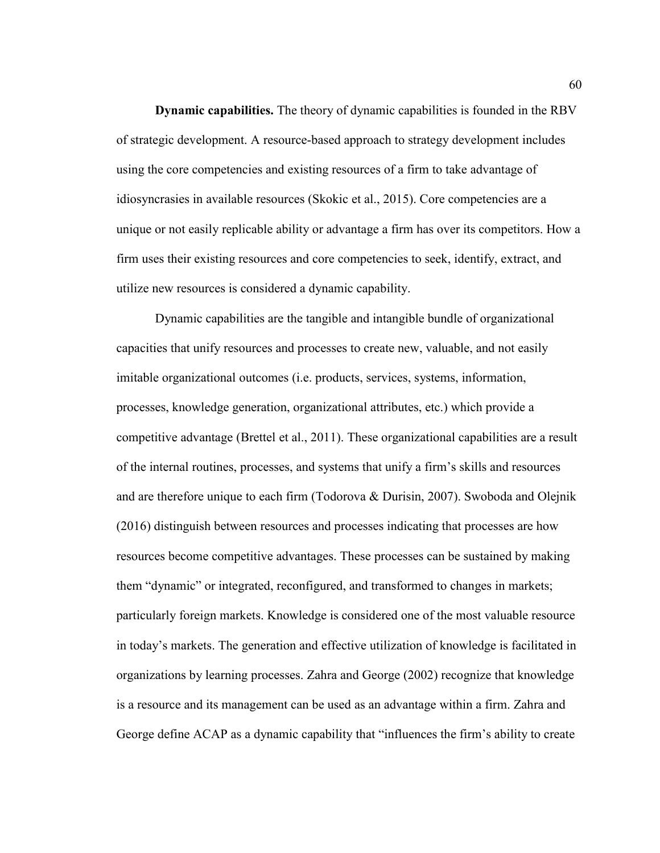**Dynamic capabilities.** The theory of dynamic capabilities is founded in the RBV of strategic development. A resource-based approach to strategy development includes using the core competencies and existing resources of a firm to take advantage of idiosyncrasies in available resources (Skokic et al., 2015). Core competencies are a unique or not easily replicable ability or advantage a firm has over its competitors. How a firm uses their existing resources and core competencies to seek, identify, extract, and utilize new resources is considered a dynamic capability.

Dynamic capabilities are the tangible and intangible bundle of organizational capacities that unify resources and processes to create new, valuable, and not easily imitable organizational outcomes (i.e. products, services, systems, information, processes, knowledge generation, organizational attributes, etc.) which provide a competitive advantage (Brettel et al., 2011). These organizational capabilities are a result of the internal routines, processes, and systems that unify a firm's skills and resources and are therefore unique to each firm (Todorova & Durisin, 2007). Swoboda and Olejnik (2016) distinguish between resources and processes indicating that processes are how resources become competitive advantages. These processes can be sustained by making them "dynamic" or integrated, reconfigured, and transformed to changes in markets; particularly foreign markets. Knowledge is considered one of the most valuable resource in today's markets. The generation and effective utilization of knowledge is facilitated in organizations by learning processes. Zahra and George (2002) recognize that knowledge is a resource and its management can be used as an advantage within a firm. Zahra and George define ACAP as a dynamic capability that "influences the firm's ability to create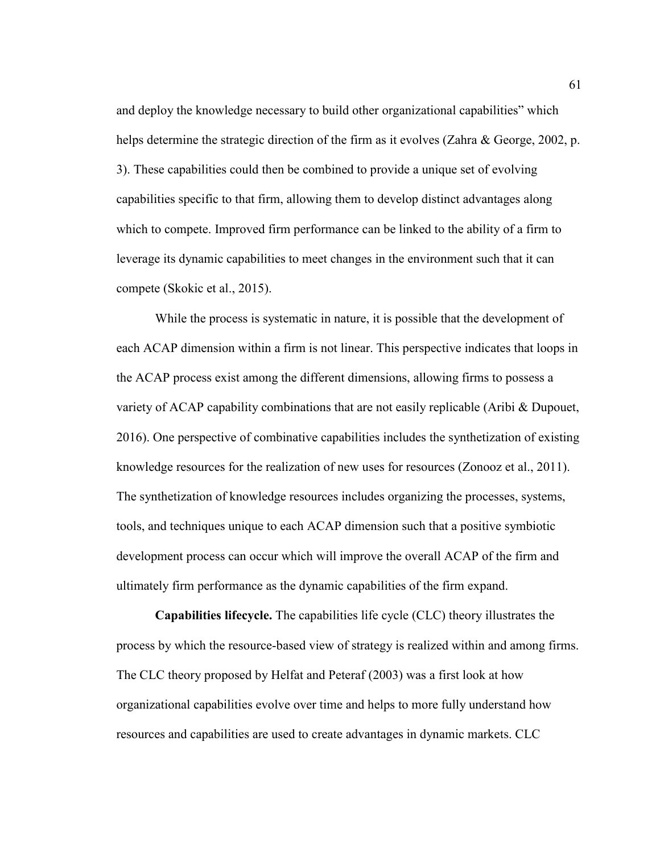and deploy the knowledge necessary to build other organizational capabilities" which helps determine the strategic direction of the firm as it evolves (Zahra & George, 2002, p. 3). These capabilities could then be combined to provide a unique set of evolving capabilities specific to that firm, allowing them to develop distinct advantages along which to compete. Improved firm performance can be linked to the ability of a firm to leverage its dynamic capabilities to meet changes in the environment such that it can compete (Skokic et al., 2015).

While the process is systematic in nature, it is possible that the development of each ACAP dimension within a firm is not linear. This perspective indicates that loops in the ACAP process exist among the different dimensions, allowing firms to possess a variety of ACAP capability combinations that are not easily replicable (Aribi & Dupouet, 2016). One perspective of combinative capabilities includes the synthetization of existing knowledge resources for the realization of new uses for resources (Zonooz et al., 2011). The synthetization of knowledge resources includes organizing the processes, systems, tools, and techniques unique to each ACAP dimension such that a positive symbiotic development process can occur which will improve the overall ACAP of the firm and ultimately firm performance as the dynamic capabilities of the firm expand.

**Capabilities lifecycle.** The capabilities life cycle (CLC) theory illustrates the process by which the resource-based view of strategy is realized within and among firms. The CLC theory proposed by Helfat and Peteraf (2003) was a first look at how organizational capabilities evolve over time and helps to more fully understand how resources and capabilities are used to create advantages in dynamic markets. CLC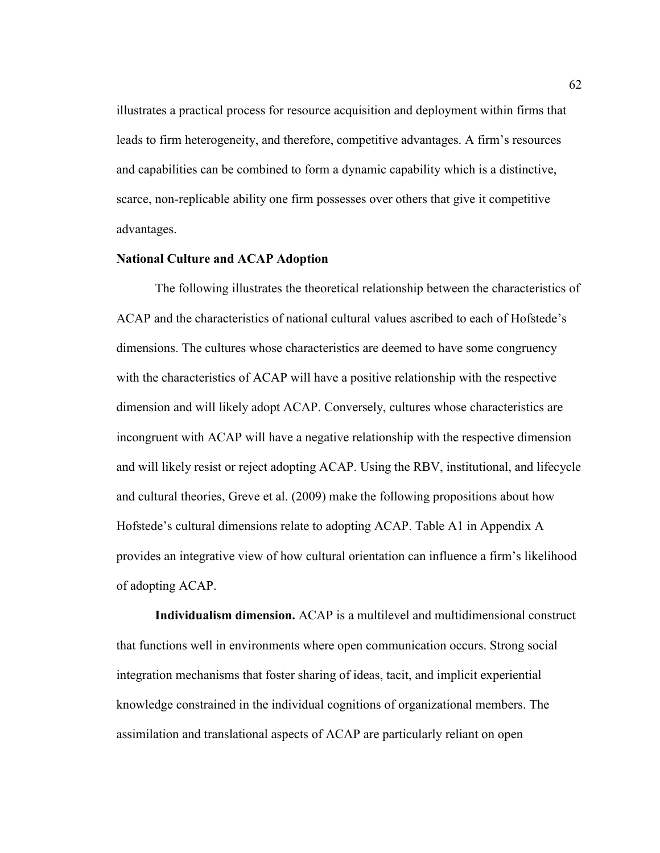illustrates a practical process for resource acquisition and deployment within firms that leads to firm heterogeneity, and therefore, competitive advantages. A firm's resources and capabilities can be combined to form a dynamic capability which is a distinctive, scarce, non-replicable ability one firm possesses over others that give it competitive advantages.

## **National Culture and ACAP Adoption**

The following illustrates the theoretical relationship between the characteristics of ACAP and the characteristics of national cultural values ascribed to each of Hofstede's dimensions. The cultures whose characteristics are deemed to have some congruency with the characteristics of ACAP will have a positive relationship with the respective dimension and will likely adopt ACAP. Conversely, cultures whose characteristics are incongruent with ACAP will have a negative relationship with the respective dimension and will likely resist or reject adopting ACAP. Using the RBV, institutional, and lifecycle and cultural theories, Greve et al. (2009) make the following propositions about how Hofstede's cultural dimensions relate to adopting ACAP. Table A1 in Appendix A provides an integrative view of how cultural orientation can influence a firm's likelihood of adopting ACAP.

**Individualism dimension.** ACAP is a multilevel and multidimensional construct that functions well in environments where open communication occurs. Strong social integration mechanisms that foster sharing of ideas, tacit, and implicit experiential knowledge constrained in the individual cognitions of organizational members. The assimilation and translational aspects of ACAP are particularly reliant on open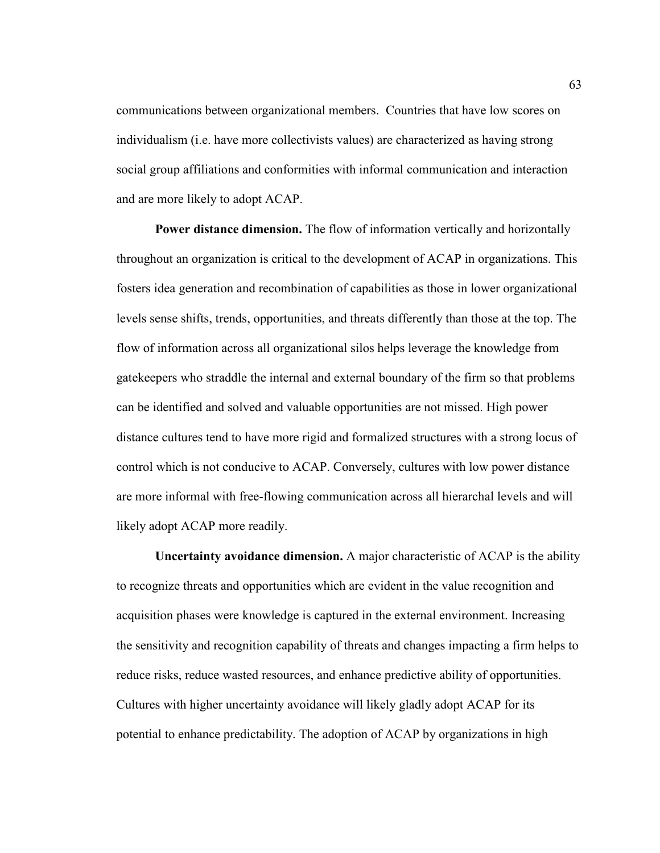communications between organizational members. Countries that have low scores on individualism (i.e. have more collectivists values) are characterized as having strong social group affiliations and conformities with informal communication and interaction and are more likely to adopt ACAP.

**Power distance dimension.** The flow of information vertically and horizontally throughout an organization is critical to the development of ACAP in organizations. This fosters idea generation and recombination of capabilities as those in lower organizational levels sense shifts, trends, opportunities, and threats differently than those at the top. The flow of information across all organizational silos helps leverage the knowledge from gatekeepers who straddle the internal and external boundary of the firm so that problems can be identified and solved and valuable opportunities are not missed. High power distance cultures tend to have more rigid and formalized structures with a strong locus of control which is not conducive to ACAP. Conversely, cultures with low power distance are more informal with free-flowing communication across all hierarchal levels and will likely adopt ACAP more readily.

 **Uncertainty avoidance dimension.** A major characteristic of ACAP is the ability to recognize threats and opportunities which are evident in the value recognition and acquisition phases were knowledge is captured in the external environment. Increasing the sensitivity and recognition capability of threats and changes impacting a firm helps to reduce risks, reduce wasted resources, and enhance predictive ability of opportunities. Cultures with higher uncertainty avoidance will likely gladly adopt ACAP for its potential to enhance predictability. The adoption of ACAP by organizations in high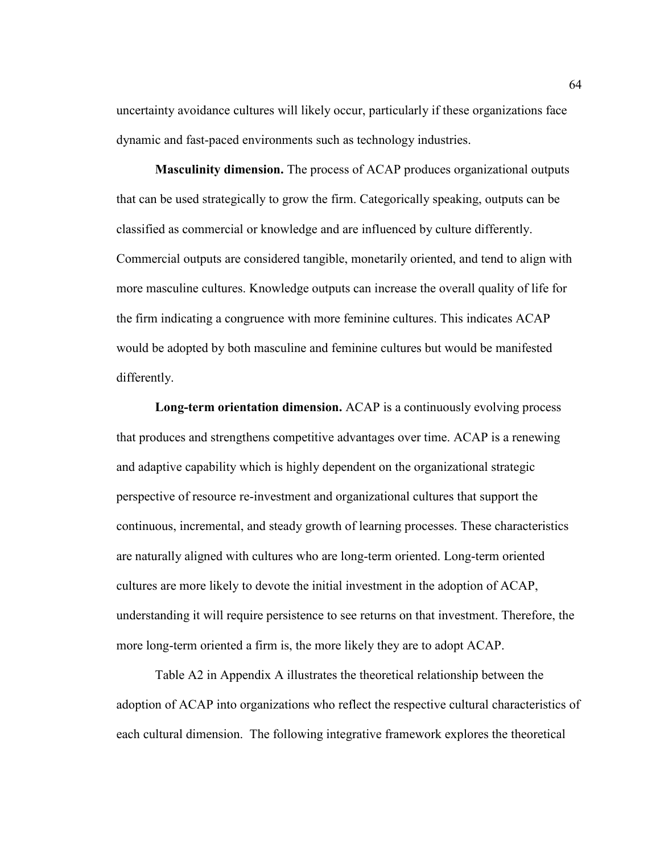uncertainty avoidance cultures will likely occur, particularly if these organizations face dynamic and fast-paced environments such as technology industries.

**Masculinity dimension.** The process of ACAP produces organizational outputs that can be used strategically to grow the firm. Categorically speaking, outputs can be classified as commercial or knowledge and are influenced by culture differently. Commercial outputs are considered tangible, monetarily oriented, and tend to align with more masculine cultures. Knowledge outputs can increase the overall quality of life for the firm indicating a congruence with more feminine cultures. This indicates ACAP would be adopted by both masculine and feminine cultures but would be manifested differently.

**Long-term orientation dimension.** ACAP is a continuously evolving process that produces and strengthens competitive advantages over time. ACAP is a renewing and adaptive capability which is highly dependent on the organizational strategic perspective of resource re-investment and organizational cultures that support the continuous, incremental, and steady growth of learning processes. These characteristics are naturally aligned with cultures who are long-term oriented. Long-term oriented cultures are more likely to devote the initial investment in the adoption of ACAP, understanding it will require persistence to see returns on that investment. Therefore, the more long-term oriented a firm is, the more likely they are to adopt ACAP.

Table A2 in Appendix A illustrates the theoretical relationship between the adoption of ACAP into organizations who reflect the respective cultural characteristics of each cultural dimension. The following integrative framework explores the theoretical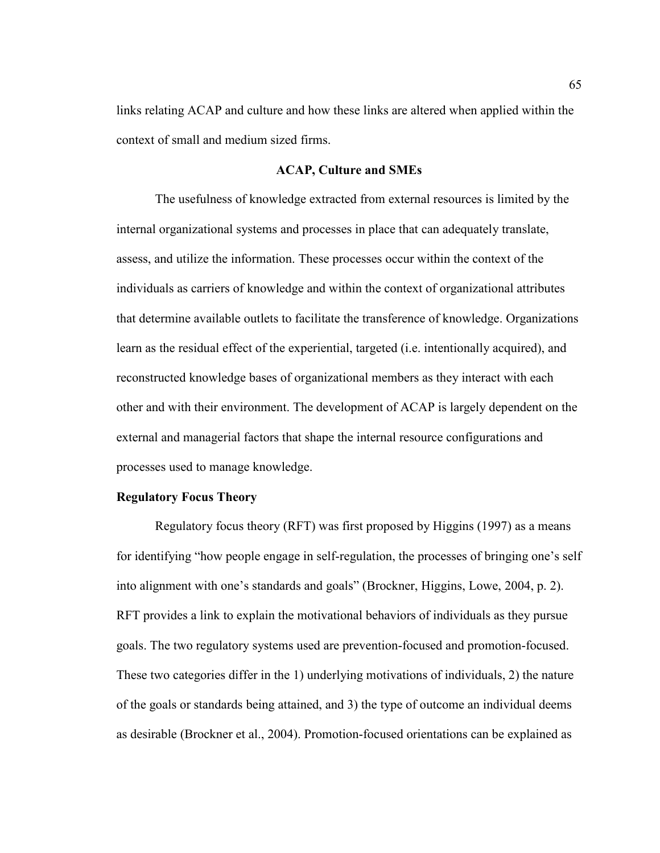links relating ACAP and culture and how these links are altered when applied within the context of small and medium sized firms.

#### **ACAP, Culture and SMEs**

The usefulness of knowledge extracted from external resources is limited by the internal organizational systems and processes in place that can adequately translate, assess, and utilize the information. These processes occur within the context of the individuals as carriers of knowledge and within the context of organizational attributes that determine available outlets to facilitate the transference of knowledge. Organizations learn as the residual effect of the experiential, targeted (i.e. intentionally acquired), and reconstructed knowledge bases of organizational members as they interact with each other and with their environment. The development of ACAP is largely dependent on the external and managerial factors that shape the internal resource configurations and processes used to manage knowledge.

# **Regulatory Focus Theory**

Regulatory focus theory (RFT) was first proposed by Higgins (1997) as a means for identifying "how people engage in self-regulation, the processes of bringing one's self into alignment with one's standards and goals" (Brockner, Higgins, Lowe, 2004, p. 2). RFT provides a link to explain the motivational behaviors of individuals as they pursue goals. The two regulatory systems used are prevention-focused and promotion-focused. These two categories differ in the 1) underlying motivations of individuals, 2) the nature of the goals or standards being attained, and 3) the type of outcome an individual deems as desirable (Brockner et al., 2004). Promotion-focused orientations can be explained as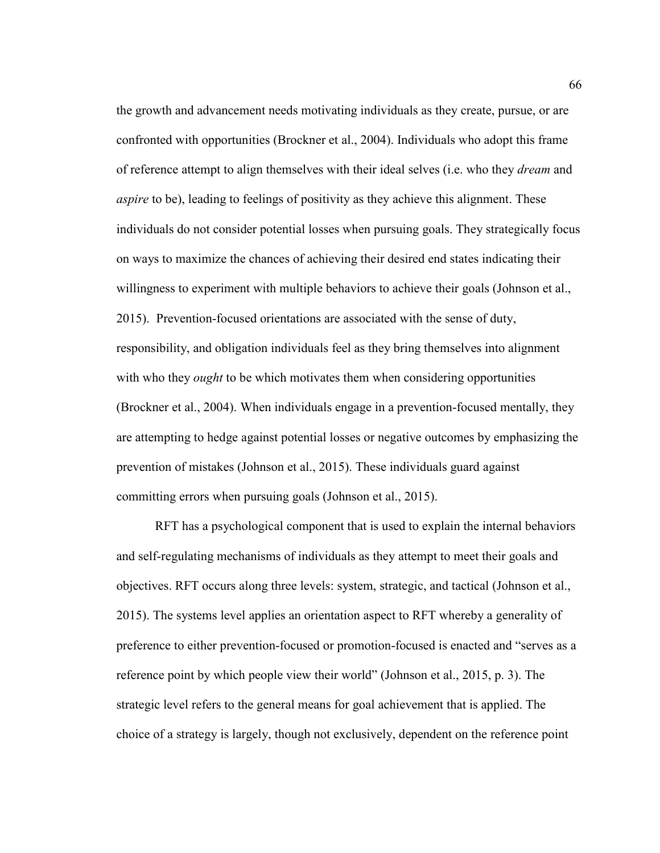the growth and advancement needs motivating individuals as they create, pursue, or are confronted with opportunities (Brockner et al., 2004). Individuals who adopt this frame of reference attempt to align themselves with their ideal selves (i.e. who they *dream* and *aspire* to be), leading to feelings of positivity as they achieve this alignment. These individuals do not consider potential losses when pursuing goals. They strategically focus on ways to maximize the chances of achieving their desired end states indicating their willingness to experiment with multiple behaviors to achieve their goals (Johnson et al., 2015). Prevention-focused orientations are associated with the sense of duty, responsibility, and obligation individuals feel as they bring themselves into alignment with who they *ought* to be which motivates them when considering opportunities (Brockner et al., 2004). When individuals engage in a prevention-focused mentally, they are attempting to hedge against potential losses or negative outcomes by emphasizing the prevention of mistakes (Johnson et al., 2015). These individuals guard against committing errors when pursuing goals (Johnson et al., 2015).

RFT has a psychological component that is used to explain the internal behaviors and self-regulating mechanisms of individuals as they attempt to meet their goals and objectives. RFT occurs along three levels: system, strategic, and tactical (Johnson et al., 2015). The systems level applies an orientation aspect to RFT whereby a generality of preference to either prevention-focused or promotion-focused is enacted and "serves as a reference point by which people view their world" (Johnson et al., 2015, p. 3). The strategic level refers to the general means for goal achievement that is applied. The choice of a strategy is largely, though not exclusively, dependent on the reference point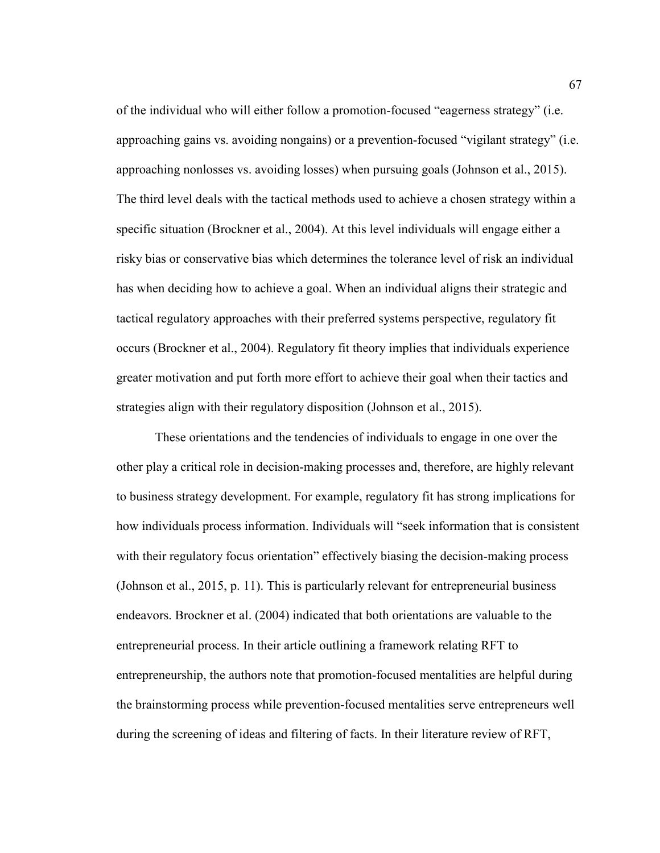of the individual who will either follow a promotion-focused "eagerness strategy" (i.e. approaching gains vs. avoiding nongains) or a prevention-focused "vigilant strategy" (i.e. approaching nonlosses vs. avoiding losses) when pursuing goals (Johnson et al., 2015). The third level deals with the tactical methods used to achieve a chosen strategy within a specific situation (Brockner et al., 2004). At this level individuals will engage either a risky bias or conservative bias which determines the tolerance level of risk an individual has when deciding how to achieve a goal. When an individual aligns their strategic and tactical regulatory approaches with their preferred systems perspective, regulatory fit occurs (Brockner et al., 2004). Regulatory fit theory implies that individuals experience greater motivation and put forth more effort to achieve their goal when their tactics and strategies align with their regulatory disposition (Johnson et al., 2015).

These orientations and the tendencies of individuals to engage in one over the other play a critical role in decision-making processes and, therefore, are highly relevant to business strategy development. For example, regulatory fit has strong implications for how individuals process information. Individuals will "seek information that is consistent with their regulatory focus orientation" effectively biasing the decision-making process (Johnson et al., 2015, p. 11). This is particularly relevant for entrepreneurial business endeavors. Brockner et al. (2004) indicated that both orientations are valuable to the entrepreneurial process. In their article outlining a framework relating RFT to entrepreneurship, the authors note that promotion-focused mentalities are helpful during the brainstorming process while prevention-focused mentalities serve entrepreneurs well during the screening of ideas and filtering of facts. In their literature review of RFT,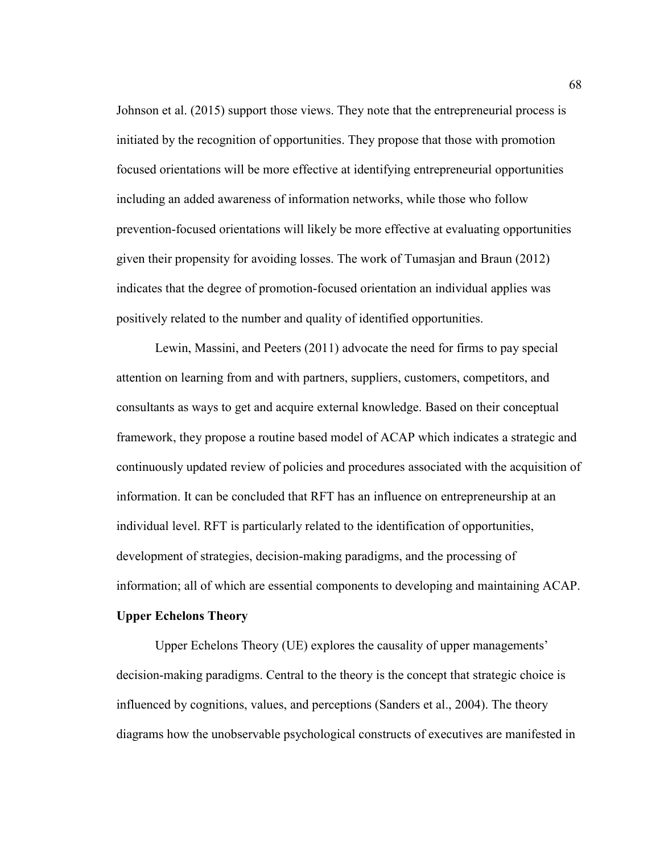Johnson et al. (2015) support those views. They note that the entrepreneurial process is initiated by the recognition of opportunities. They propose that those with promotion focused orientations will be more effective at identifying entrepreneurial opportunities including an added awareness of information networks, while those who follow prevention-focused orientations will likely be more effective at evaluating opportunities given their propensity for avoiding losses. The work of Tumasjan and Braun (2012) indicates that the degree of promotion-focused orientation an individual applies was positively related to the number and quality of identified opportunities.

Lewin, Massini, and Peeters (2011) advocate the need for firms to pay special attention on learning from and with partners, suppliers, customers, competitors, and consultants as ways to get and acquire external knowledge. Based on their conceptual framework, they propose a routine based model of ACAP which indicates a strategic and continuously updated review of policies and procedures associated with the acquisition of information. It can be concluded that RFT has an influence on entrepreneurship at an individual level. RFT is particularly related to the identification of opportunities, development of strategies, decision-making paradigms, and the processing of information; all of which are essential components to developing and maintaining ACAP.

# **Upper Echelons Theory**

Upper Echelons Theory (UE) explores the causality of upper managements' decision-making paradigms. Central to the theory is the concept that strategic choice is influenced by cognitions, values, and perceptions (Sanders et al., 2004). The theory diagrams how the unobservable psychological constructs of executives are manifested in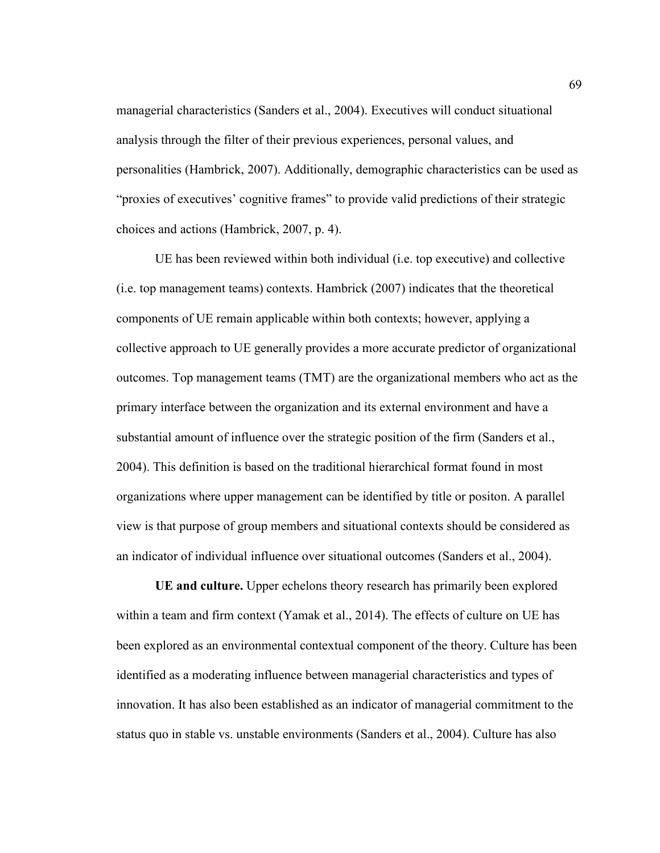managerial characteristics (Sanders et al., 2004). Executives will conduct situational analysis through the filter of their previous experiences, personal values, and personalities (Hambrick, 2007). Additionally, demographic characteristics can be used as "proxies of executives' cognitive frames" to provide valid predictions of their strategic choices and actions (Hambrick, 2007, p. 4).

UE has been reviewed within both individual (i.e. top executive) and collective (i.e. top management teams) contexts. Hambrick (2007) indicates that the theoretical components of UE remain applicable within both contexts; however, applying a collective approach to UE generally provides a more accurate predictor of organizational outcomes. Top management teams (TMT) are the organizational members who act as the primary interface between the organization and its external environment and have a substantial amount of influence over the strategic position of the firm (Sanders et al., 2004). This definition is based on the traditional hierarchical format found in most organizations where upper management can be identified by title or positon. A parallel view is that purpose of group members and situational contexts should be considered as an indicator of individual influence over situational outcomes (Sanders et al., 2004).

**UE and culture.** Upper echelons theory research has primarily been explored within a team and firm context (Yamak et al., 2014). The effects of culture on UE has been explored as an environmental contextual component of the theory. Culture has been identified as a moderating influence between managerial characteristics and types of innovation. It has also been established as an indicator of managerial commitment to the status quo in stable vs. unstable environments (Sanders et al., 2004). Culture has also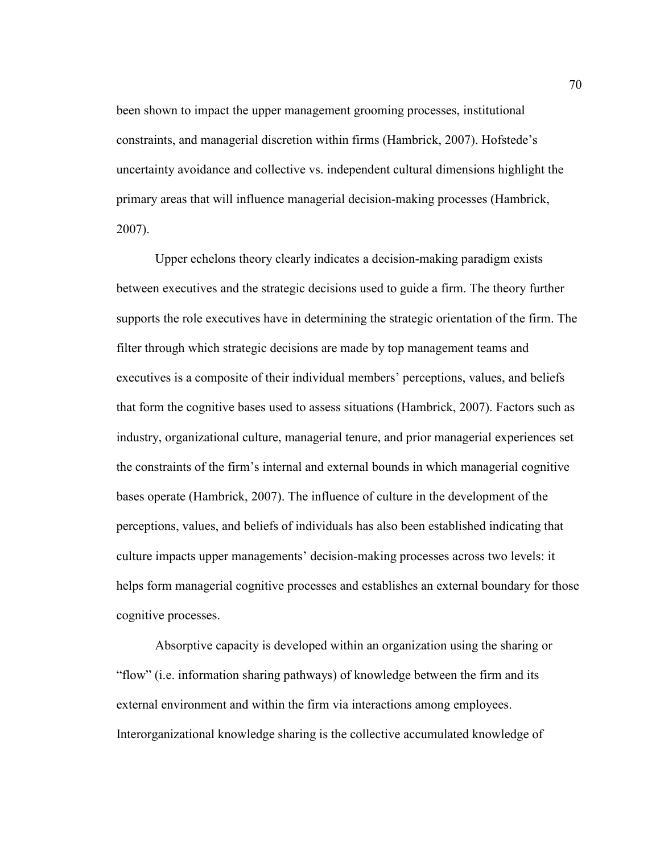been shown to impact the upper management grooming processes, institutional constraints, and managerial discretion within firms (Hambrick, 2007). Hofstede's uncertainty avoidance and collective vs. independent cultural dimensions highlight the primary areas that will influence managerial decision-making processes (Hambrick, 2007).

Upper echelons theory clearly indicates a decision-making paradigm exists between executives and the strategic decisions used to guide a firm. The theory further supports the role executives have in determining the strategic orientation of the firm. The filter through which strategic decisions are made by top management teams and executives is a composite of their individual members' perceptions, values, and beliefs that form the cognitive bases used to assess situations (Hambrick, 2007). Factors such as industry, organizational culture, managerial tenure, and prior managerial experiences set the constraints of the firm's internal and external bounds in which managerial cognitive bases operate (Hambrick, 2007). The influence of culture in the development of the perceptions, values, and beliefs of individuals has also been established indicating that culture impacts upper managements' decision-making processes across two levels: it helps form managerial cognitive processes and establishes an external boundary for those cognitive processes.

Absorptive capacity is developed within an organization using the sharing or "flow" (i.e. information sharing pathways) of knowledge between the firm and its external environment and within the firm via interactions among employees. Interorganizational knowledge sharing is the collective accumulated knowledge of

70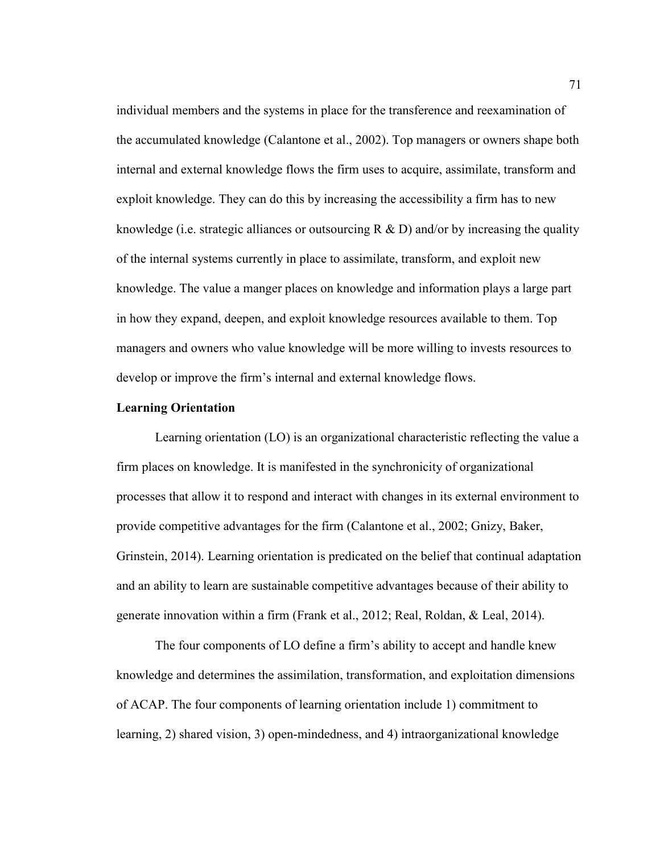individual members and the systems in place for the transference and reexamination of the accumulated knowledge (Calantone et al., 2002). Top managers or owners shape both internal and external knowledge flows the firm uses to acquire, assimilate, transform and exploit knowledge. They can do this by increasing the accessibility a firm has to new knowledge (i.e. strategic alliances or outsourcing R  $\&$  D) and/or by increasing the quality of the internal systems currently in place to assimilate, transform, and exploit new knowledge. The value a manger places on knowledge and information plays a large part in how they expand, deepen, and exploit knowledge resources available to them. Top managers and owners who value knowledge will be more willing to invests resources to develop or improve the firm's internal and external knowledge flows.

# **Learning Orientation**

Learning orientation (LO) is an organizational characteristic reflecting the value a firm places on knowledge. It is manifested in the synchronicity of organizational processes that allow it to respond and interact with changes in its external environment to provide competitive advantages for the firm (Calantone et al., 2002; Gnizy, Baker, Grinstein, 2014). Learning orientation is predicated on the belief that continual adaptation and an ability to learn are sustainable competitive advantages because of their ability to generate innovation within a firm (Frank et al., 2012; Real, Roldan, & Leal, 2014).

The four components of LO define a firm's ability to accept and handle knew knowledge and determines the assimilation, transformation, and exploitation dimensions of ACAP. The four components of learning orientation include 1) commitment to learning, 2) shared vision, 3) open-mindedness, and 4) intraorganizational knowledge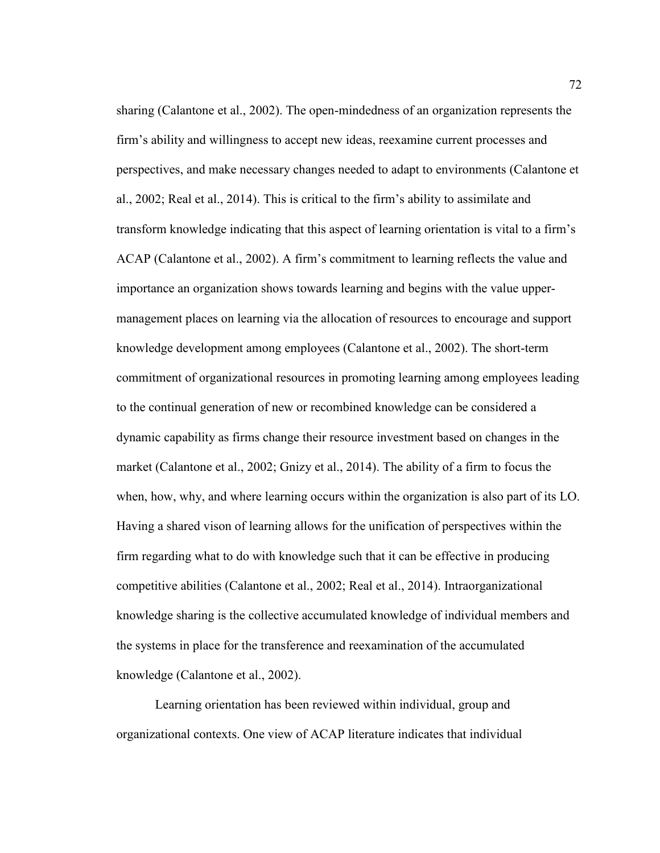sharing (Calantone et al., 2002). The open-mindedness of an organization represents the firm's ability and willingness to accept new ideas, reexamine current processes and perspectives, and make necessary changes needed to adapt to environments (Calantone et al., 2002; Real et al., 2014). This is critical to the firm's ability to assimilate and transform knowledge indicating that this aspect of learning orientation is vital to a firm's ACAP (Calantone et al., 2002). A firm's commitment to learning reflects the value and importance an organization shows towards learning and begins with the value uppermanagement places on learning via the allocation of resources to encourage and support knowledge development among employees (Calantone et al., 2002). The short-term commitment of organizational resources in promoting learning among employees leading to the continual generation of new or recombined knowledge can be considered a dynamic capability as firms change their resource investment based on changes in the market (Calantone et al., 2002; Gnizy et al., 2014). The ability of a firm to focus the when, how, why, and where learning occurs within the organization is also part of its LO. Having a shared vison of learning allows for the unification of perspectives within the firm regarding what to do with knowledge such that it can be effective in producing competitive abilities (Calantone et al., 2002; Real et al., 2014). Intraorganizational knowledge sharing is the collective accumulated knowledge of individual members and the systems in place for the transference and reexamination of the accumulated knowledge (Calantone et al., 2002).

Learning orientation has been reviewed within individual, group and organizational contexts. One view of ACAP literature indicates that individual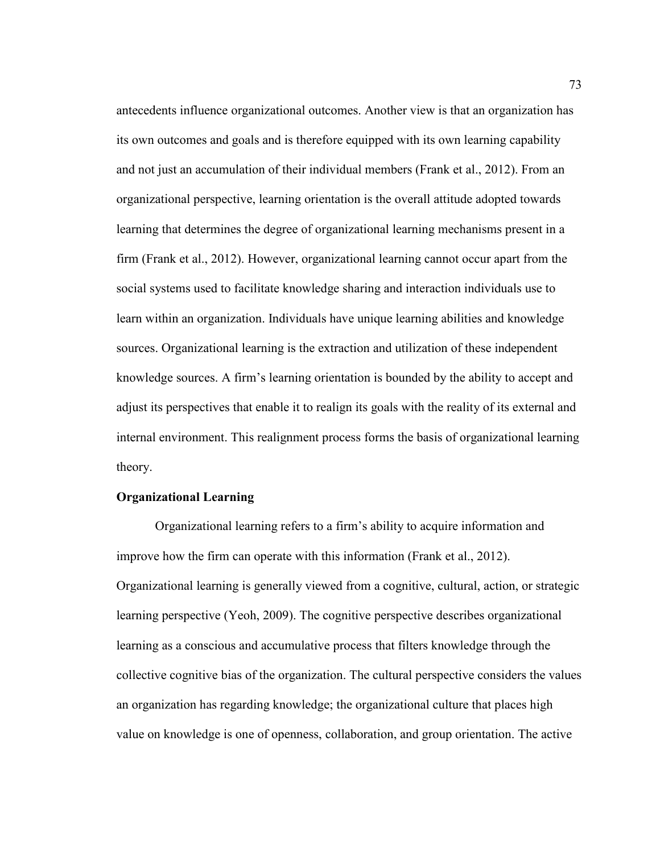antecedents influence organizational outcomes. Another view is that an organization has its own outcomes and goals and is therefore equipped with its own learning capability and not just an accumulation of their individual members (Frank et al., 2012). From an organizational perspective, learning orientation is the overall attitude adopted towards learning that determines the degree of organizational learning mechanisms present in a firm (Frank et al., 2012). However, organizational learning cannot occur apart from the social systems used to facilitate knowledge sharing and interaction individuals use to learn within an organization. Individuals have unique learning abilities and knowledge sources. Organizational learning is the extraction and utilization of these independent knowledge sources. A firm's learning orientation is bounded by the ability to accept and adjust its perspectives that enable it to realign its goals with the reality of its external and internal environment. This realignment process forms the basis of organizational learning theory.

# **Organizational Learning**

 Organizational learning refers to a firm's ability to acquire information and improve how the firm can operate with this information (Frank et al., 2012). Organizational learning is generally viewed from a cognitive, cultural, action, or strategic learning perspective (Yeoh, 2009). The cognitive perspective describes organizational learning as a conscious and accumulative process that filters knowledge through the collective cognitive bias of the organization. The cultural perspective considers the values an organization has regarding knowledge; the organizational culture that places high value on knowledge is one of openness, collaboration, and group orientation. The active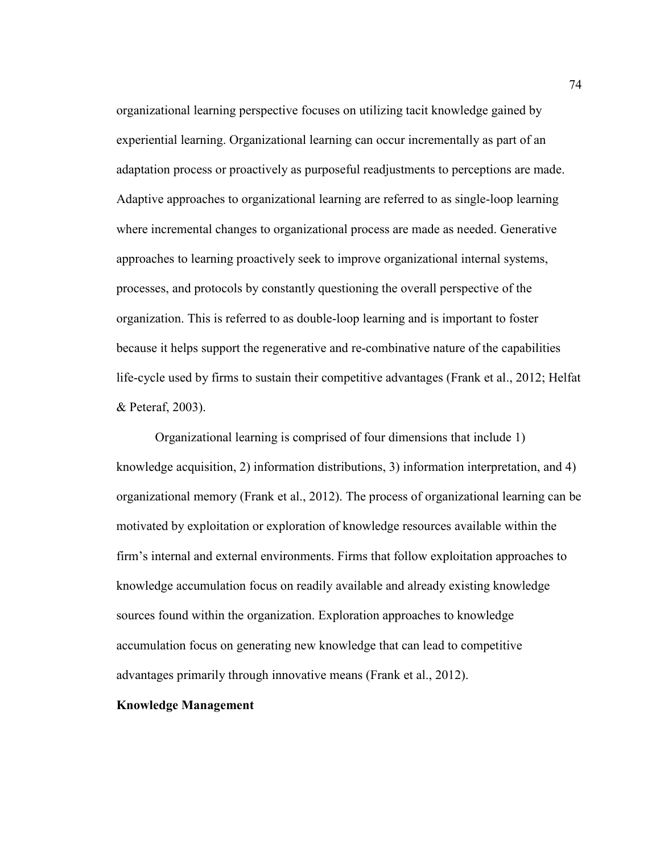organizational learning perspective focuses on utilizing tacit knowledge gained by experiential learning. Organizational learning can occur incrementally as part of an adaptation process or proactively as purposeful readjustments to perceptions are made. Adaptive approaches to organizational learning are referred to as single-loop learning where incremental changes to organizational process are made as needed. Generative approaches to learning proactively seek to improve organizational internal systems, processes, and protocols by constantly questioning the overall perspective of the organization. This is referred to as double-loop learning and is important to foster because it helps support the regenerative and re-combinative nature of the capabilities life-cycle used by firms to sustain their competitive advantages (Frank et al., 2012; Helfat & Peteraf, 2003).

Organizational learning is comprised of four dimensions that include 1) knowledge acquisition, 2) information distributions, 3) information interpretation, and 4) organizational memory (Frank et al., 2012). The process of organizational learning can be motivated by exploitation or exploration of knowledge resources available within the firm's internal and external environments. Firms that follow exploitation approaches to knowledge accumulation focus on readily available and already existing knowledge sources found within the organization. Exploration approaches to knowledge accumulation focus on generating new knowledge that can lead to competitive advantages primarily through innovative means (Frank et al., 2012).

## **Knowledge Management**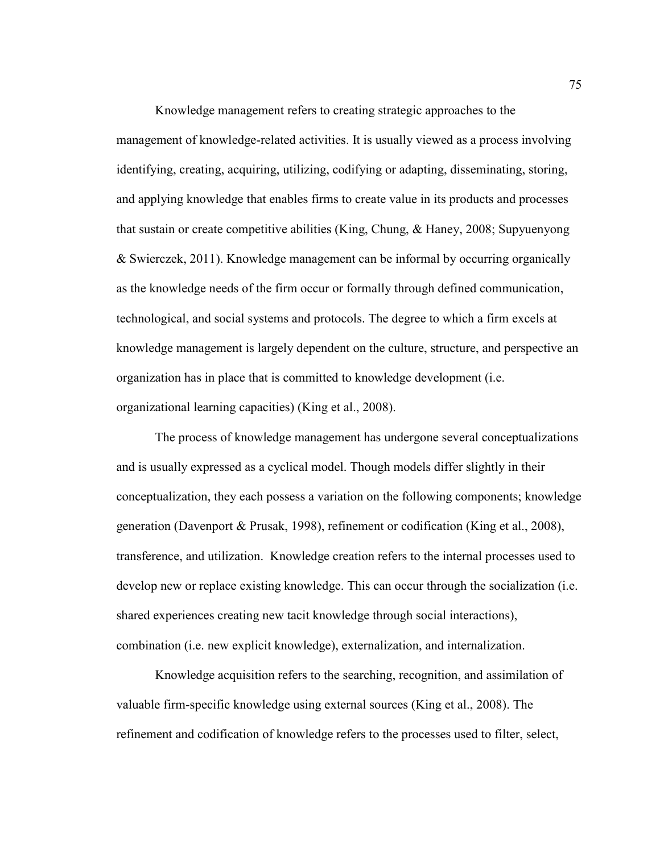Knowledge management refers to creating strategic approaches to the management of knowledge-related activities. It is usually viewed as a process involving identifying, creating, acquiring, utilizing, codifying or adapting, disseminating, storing, and applying knowledge that enables firms to create value in its products and processes that sustain or create competitive abilities (King, Chung, & Haney, 2008; Supyuenyong & Swierczek, 2011). Knowledge management can be informal by occurring organically as the knowledge needs of the firm occur or formally through defined communication, technological, and social systems and protocols. The degree to which a firm excels at knowledge management is largely dependent on the culture, structure, and perspective an organization has in place that is committed to knowledge development (i.e. organizational learning capacities) (King et al., 2008).

The process of knowledge management has undergone several conceptualizations and is usually expressed as a cyclical model. Though models differ slightly in their conceptualization, they each possess a variation on the following components; knowledge generation (Davenport & Prusak, 1998), refinement or codification (King et al., 2008), transference, and utilization. Knowledge creation refers to the internal processes used to develop new or replace existing knowledge. This can occur through the socialization (i.e. shared experiences creating new tacit knowledge through social interactions), combination (i.e. new explicit knowledge), externalization, and internalization.

Knowledge acquisition refers to the searching, recognition, and assimilation of valuable firm-specific knowledge using external sources (King et al., 2008). The refinement and codification of knowledge refers to the processes used to filter, select,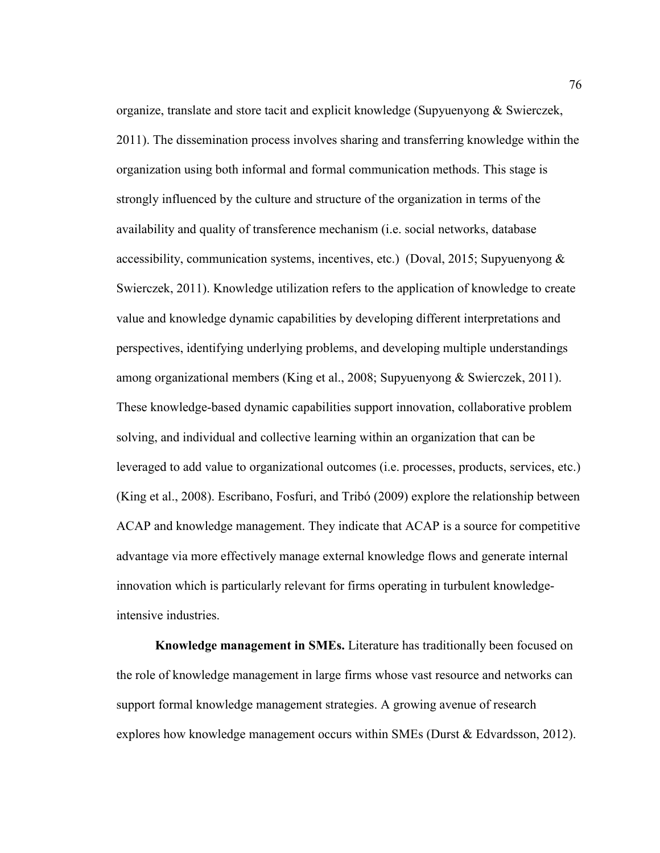organize, translate and store tacit and explicit knowledge (Supyuenyong & Swierczek, 2011). The dissemination process involves sharing and transferring knowledge within the organization using both informal and formal communication methods. This stage is strongly influenced by the culture and structure of the organization in terms of the availability and quality of transference mechanism (i.e. social networks, database accessibility, communication systems, incentives, etc.) (Doval, 2015; Supyuenyong  $\&$ Swierczek, 2011). Knowledge utilization refers to the application of knowledge to create value and knowledge dynamic capabilities by developing different interpretations and perspectives, identifying underlying problems, and developing multiple understandings among organizational members (King et al., 2008; Supyuenyong & Swierczek, 2011). These knowledge-based dynamic capabilities support innovation, collaborative problem solving, and individual and collective learning within an organization that can be leveraged to add value to organizational outcomes (i.e. processes, products, services, etc.) (King et al., 2008). Escribano, Fosfuri, and Tribó (2009) explore the relationship between ACAP and knowledge management. They indicate that ACAP is a source for competitive advantage via more effectively manage external knowledge flows and generate internal innovation which is particularly relevant for firms operating in turbulent knowledgeintensive industries.

**Knowledge management in SMEs.** Literature has traditionally been focused on the role of knowledge management in large firms whose vast resource and networks can support formal knowledge management strategies. A growing avenue of research explores how knowledge management occurs within SMEs (Durst & Edvardsson, 2012).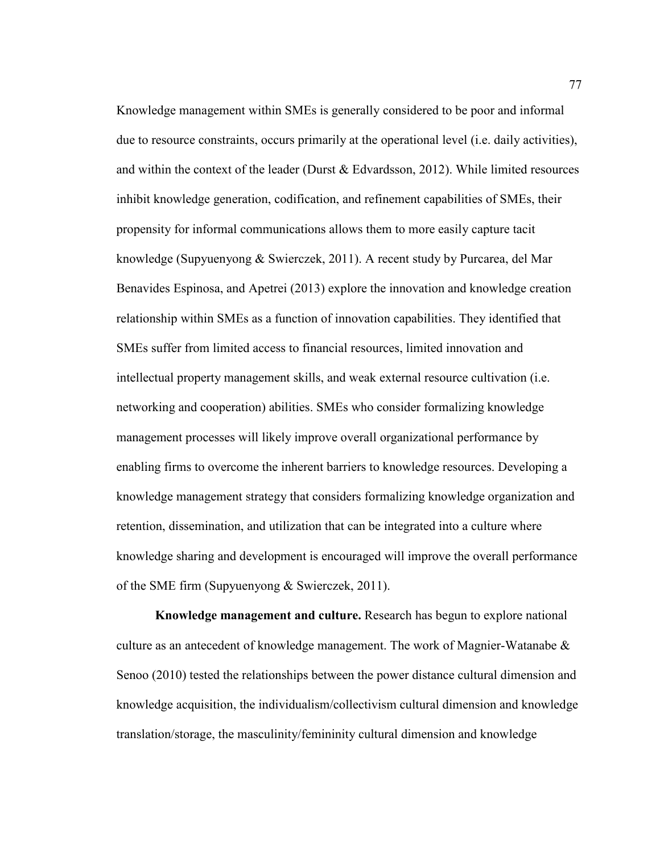Knowledge management within SMEs is generally considered to be poor and informal due to resource constraints, occurs primarily at the operational level (i.e. daily activities), and within the context of the leader (Durst  $& Edvardsson, 2012$ ). While limited resources inhibit knowledge generation, codification, and refinement capabilities of SMEs, their propensity for informal communications allows them to more easily capture tacit knowledge (Supyuenyong & Swierczek, 2011). A recent study by Purcarea, del Mar Benavides Espinosa, and Apetrei (2013) explore the innovation and knowledge creation relationship within SMEs as a function of innovation capabilities. They identified that SMEs suffer from limited access to financial resources, limited innovation and intellectual property management skills, and weak external resource cultivation (i.e. networking and cooperation) abilities. SMEs who consider formalizing knowledge management processes will likely improve overall organizational performance by enabling firms to overcome the inherent barriers to knowledge resources. Developing a knowledge management strategy that considers formalizing knowledge organization and retention, dissemination, and utilization that can be integrated into a culture where knowledge sharing and development is encouraged will improve the overall performance of the SME firm (Supyuenyong & Swierczek, 2011).

**Knowledge management and culture.** Research has begun to explore national culture as an antecedent of knowledge management. The work of Magnier-Watanabe & Senoo (2010) tested the relationships between the power distance cultural dimension and knowledge acquisition, the individualism/collectivism cultural dimension and knowledge translation/storage, the masculinity/femininity cultural dimension and knowledge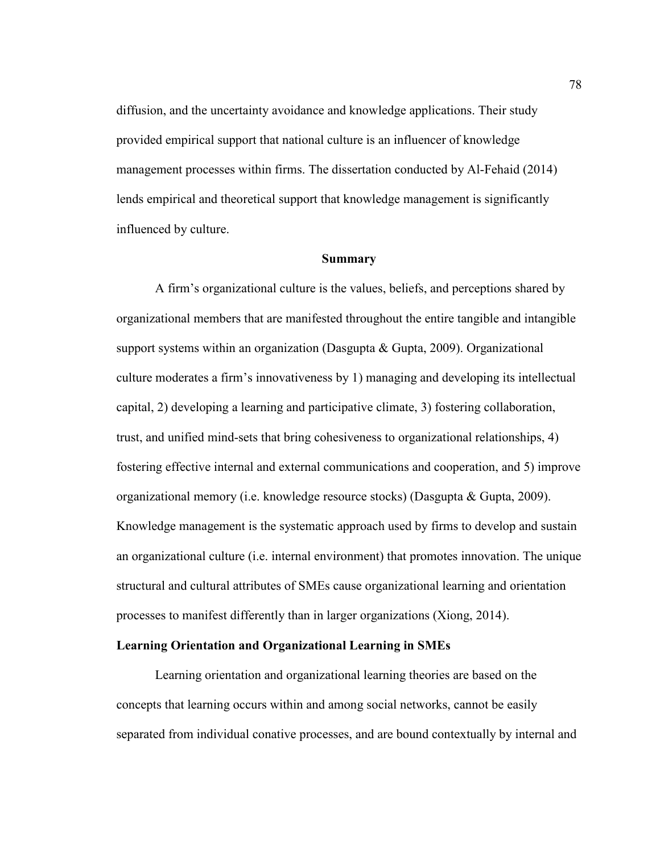diffusion, and the uncertainty avoidance and knowledge applications. Their study provided empirical support that national culture is an influencer of knowledge management processes within firms. The dissertation conducted by Al-Fehaid (2014) lends empirical and theoretical support that knowledge management is significantly influenced by culture.

#### **Summary**

A firm's organizational culture is the values, beliefs, and perceptions shared by organizational members that are manifested throughout the entire tangible and intangible support systems within an organization (Dasgupta & Gupta, 2009). Organizational culture moderates a firm's innovativeness by 1) managing and developing its intellectual capital, 2) developing a learning and participative climate, 3) fostering collaboration, trust, and unified mind-sets that bring cohesiveness to organizational relationships, 4) fostering effective internal and external communications and cooperation, and 5) improve organizational memory (i.e. knowledge resource stocks) (Dasgupta & Gupta, 2009). Knowledge management is the systematic approach used by firms to develop and sustain an organizational culture (i.e. internal environment) that promotes innovation. The unique structural and cultural attributes of SMEs cause organizational learning and orientation processes to manifest differently than in larger organizations (Xiong, 2014).

# **Learning Orientation and Organizational Learning in SMEs**

Learning orientation and organizational learning theories are based on the concepts that learning occurs within and among social networks, cannot be easily separated from individual conative processes, and are bound contextually by internal and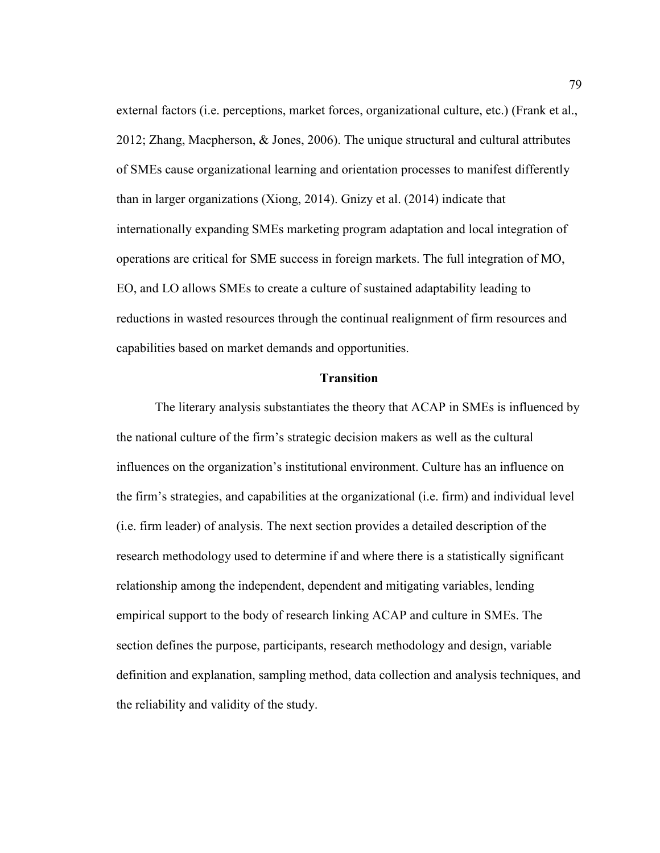external factors (i.e. perceptions, market forces, organizational culture, etc.) (Frank et al., 2012; Zhang, Macpherson, & Jones, 2006). The unique structural and cultural attributes of SMEs cause organizational learning and orientation processes to manifest differently than in larger organizations (Xiong, 2014). Gnizy et al. (2014) indicate that internationally expanding SMEs marketing program adaptation and local integration of operations are critical for SME success in foreign markets. The full integration of MO, EO, and LO allows SMEs to create a culture of sustained adaptability leading to reductions in wasted resources through the continual realignment of firm resources and capabilities based on market demands and opportunities.

### **Transition**

The literary analysis substantiates the theory that ACAP in SMEs is influenced by the national culture of the firm's strategic decision makers as well as the cultural influences on the organization's institutional environment. Culture has an influence on the firm's strategies, and capabilities at the organizational (i.e. firm) and individual level (i.e. firm leader) of analysis. The next section provides a detailed description of the research methodology used to determine if and where there is a statistically significant relationship among the independent, dependent and mitigating variables, lending empirical support to the body of research linking ACAP and culture in SMEs. The section defines the purpose, participants, research methodology and design, variable definition and explanation, sampling method, data collection and analysis techniques, and the reliability and validity of the study.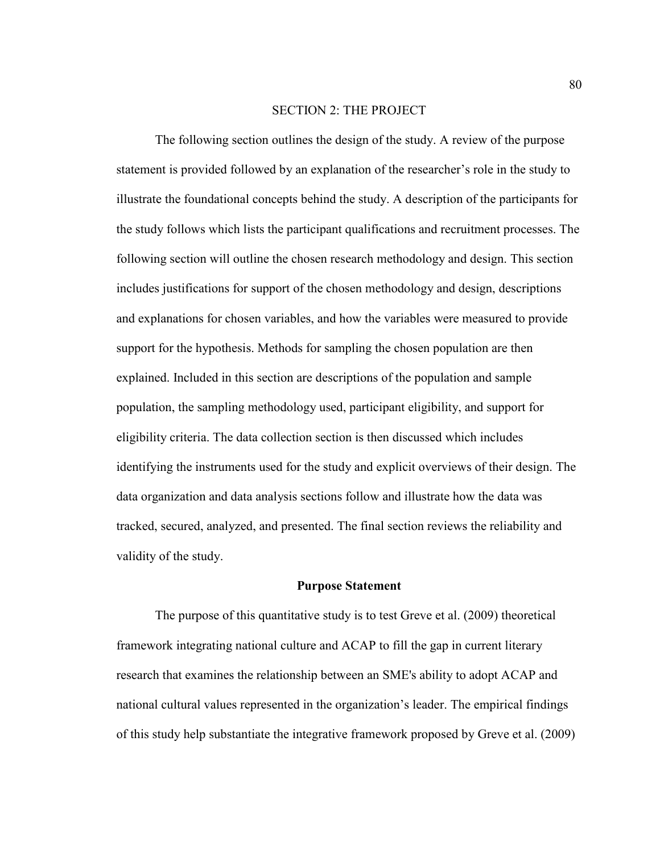#### SECTION 2: THE PROJECT

The following section outlines the design of the study. A review of the purpose statement is provided followed by an explanation of the researcher's role in the study to illustrate the foundational concepts behind the study. A description of the participants for the study follows which lists the participant qualifications and recruitment processes. The following section will outline the chosen research methodology and design. This section includes justifications for support of the chosen methodology and design, descriptions and explanations for chosen variables, and how the variables were measured to provide support for the hypothesis. Methods for sampling the chosen population are then explained. Included in this section are descriptions of the population and sample population, the sampling methodology used, participant eligibility, and support for eligibility criteria. The data collection section is then discussed which includes identifying the instruments used for the study and explicit overviews of their design. The data organization and data analysis sections follow and illustrate how the data was tracked, secured, analyzed, and presented. The final section reviews the reliability and validity of the study.

## **Purpose Statement**

The purpose of this quantitative study is to test Greve et al. (2009) theoretical framework integrating national culture and ACAP to fill the gap in current literary research that examines the relationship between an SME's ability to adopt ACAP and national cultural values represented in the organization's leader. The empirical findings of this study help substantiate the integrative framework proposed by Greve et al. (2009)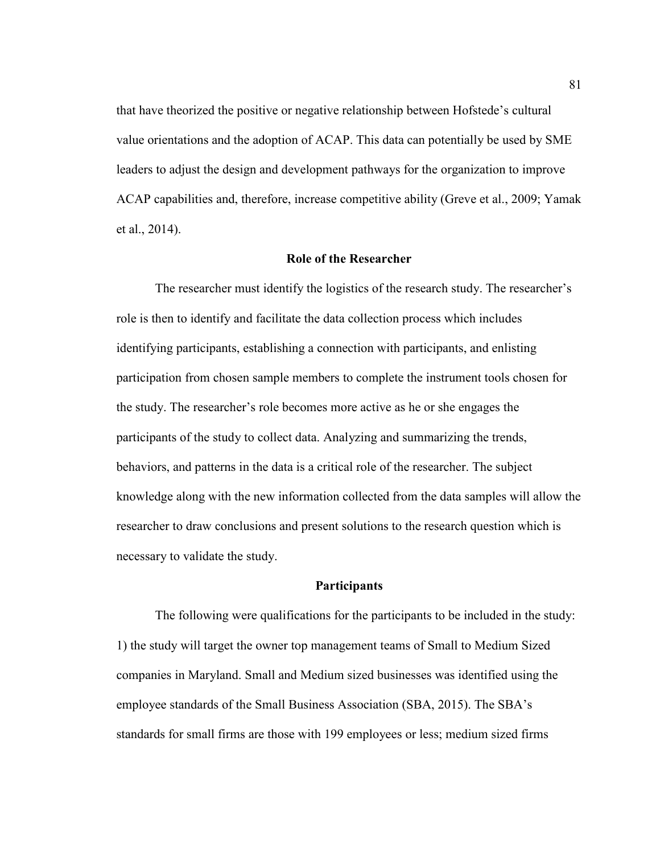that have theorized the positive or negative relationship between Hofstede's cultural value orientations and the adoption of ACAP. This data can potentially be used by SME leaders to adjust the design and development pathways for the organization to improve ACAP capabilities and, therefore, increase competitive ability (Greve et al., 2009; Yamak et al., 2014).

#### **Role of the Researcher**

The researcher must identify the logistics of the research study. The researcher's role is then to identify and facilitate the data collection process which includes identifying participants, establishing a connection with participants, and enlisting participation from chosen sample members to complete the instrument tools chosen for the study. The researcher's role becomes more active as he or she engages the participants of the study to collect data. Analyzing and summarizing the trends, behaviors, and patterns in the data is a critical role of the researcher. The subject knowledge along with the new information collected from the data samples will allow the researcher to draw conclusions and present solutions to the research question which is necessary to validate the study.

## **Participants**

The following were qualifications for the participants to be included in the study: 1) the study will target the owner top management teams of Small to Medium Sized companies in Maryland. Small and Medium sized businesses was identified using the employee standards of the Small Business Association (SBA, 2015). The SBA's standards for small firms are those with 199 employees or less; medium sized firms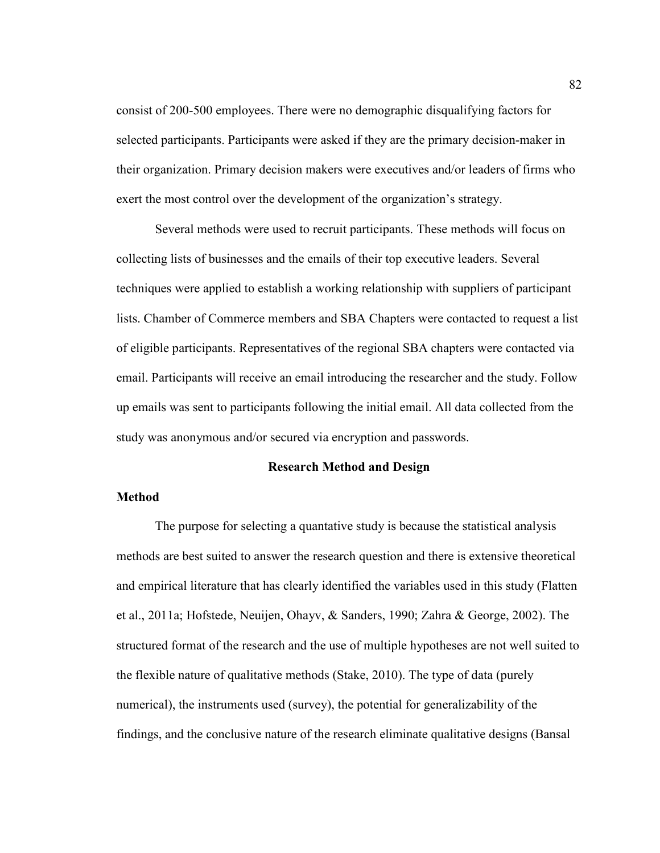consist of 200-500 employees. There were no demographic disqualifying factors for selected participants. Participants were asked if they are the primary decision-maker in their organization. Primary decision makers were executives and/or leaders of firms who exert the most control over the development of the organization's strategy.

Several methods were used to recruit participants. These methods will focus on collecting lists of businesses and the emails of their top executive leaders. Several techniques were applied to establish a working relationship with suppliers of participant lists. Chamber of Commerce members and SBA Chapters were contacted to request a list of eligible participants. Representatives of the regional SBA chapters were contacted via email. Participants will receive an email introducing the researcher and the study. Follow up emails was sent to participants following the initial email. All data collected from the study was anonymous and/or secured via encryption and passwords.

### **Research Method and Design**

# **Method**

The purpose for selecting a quantative study is because the statistical analysis methods are best suited to answer the research question and there is extensive theoretical and empirical literature that has clearly identified the variables used in this study (Flatten et al., 2011a; Hofstede, Neuijen, Ohayv, & Sanders, 1990; Zahra & George, 2002). The structured format of the research and the use of multiple hypotheses are not well suited to the flexible nature of qualitative methods (Stake, 2010). The type of data (purely numerical), the instruments used (survey), the potential for generalizability of the findings, and the conclusive nature of the research eliminate qualitative designs (Bansal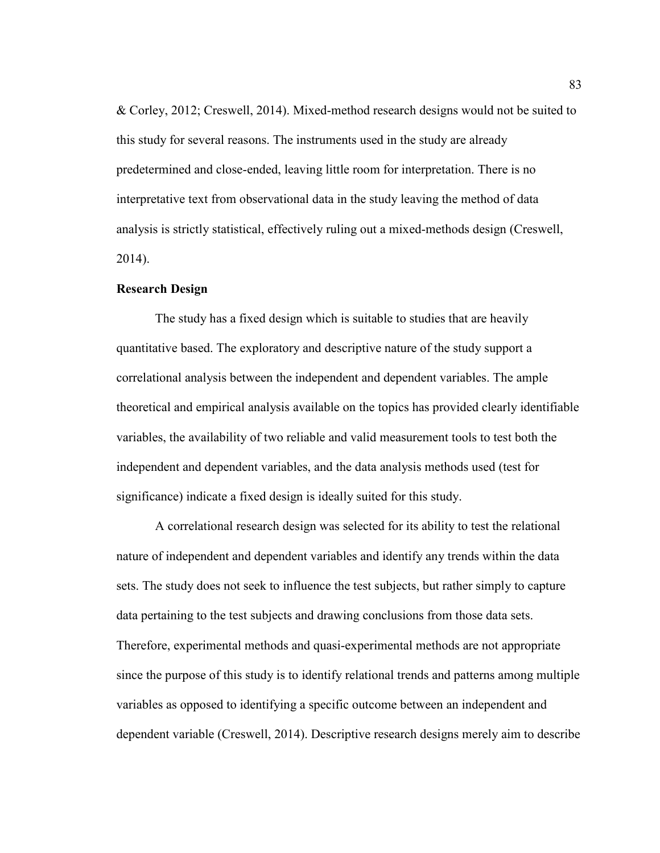& Corley, 2012; Creswell, 2014). Mixed-method research designs would not be suited to this study for several reasons. The instruments used in the study are already predetermined and close-ended, leaving little room for interpretation. There is no interpretative text from observational data in the study leaving the method of data analysis is strictly statistical, effectively ruling out a mixed-methods design (Creswell, 2014).

### **Research Design**

The study has a fixed design which is suitable to studies that are heavily quantitative based. The exploratory and descriptive nature of the study support a correlational analysis between the independent and dependent variables. The ample theoretical and empirical analysis available on the topics has provided clearly identifiable variables, the availability of two reliable and valid measurement tools to test both the independent and dependent variables, and the data analysis methods used (test for significance) indicate a fixed design is ideally suited for this study.

A correlational research design was selected for its ability to test the relational nature of independent and dependent variables and identify any trends within the data sets. The study does not seek to influence the test subjects, but rather simply to capture data pertaining to the test subjects and drawing conclusions from those data sets. Therefore, experimental methods and quasi-experimental methods are not appropriate since the purpose of this study is to identify relational trends and patterns among multiple variables as opposed to identifying a specific outcome between an independent and dependent variable (Creswell, 2014). Descriptive research designs merely aim to describe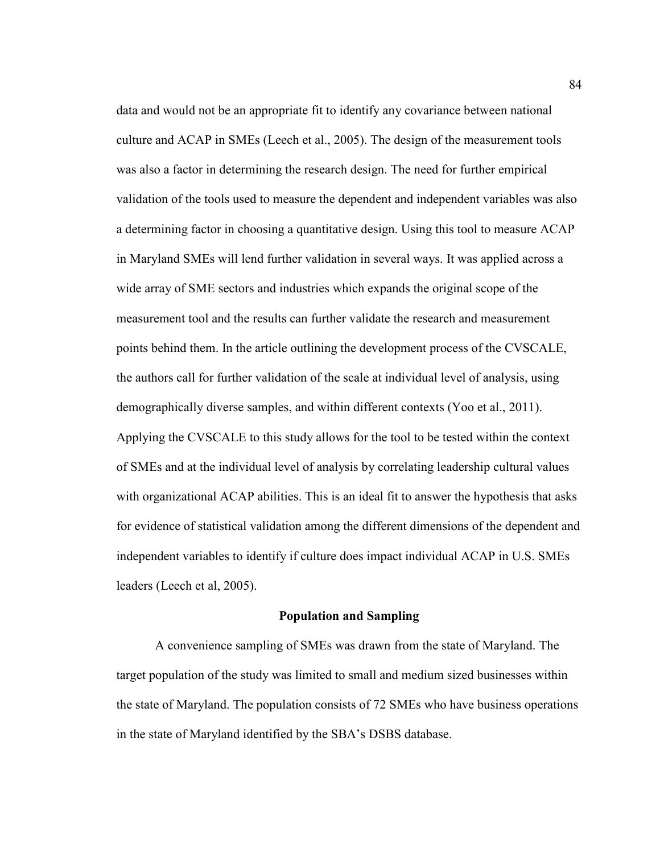data and would not be an appropriate fit to identify any covariance between national culture and ACAP in SMEs (Leech et al., 2005). The design of the measurement tools was also a factor in determining the research design. The need for further empirical validation of the tools used to measure the dependent and independent variables was also a determining factor in choosing a quantitative design. Using this tool to measure ACAP in Maryland SMEs will lend further validation in several ways. It was applied across a wide array of SME sectors and industries which expands the original scope of the measurement tool and the results can further validate the research and measurement points behind them. In the article outlining the development process of the CVSCALE, the authors call for further validation of the scale at individual level of analysis, using demographically diverse samples, and within different contexts (Yoo et al., 2011). Applying the CVSCALE to this study allows for the tool to be tested within the context of SMEs and at the individual level of analysis by correlating leadership cultural values with organizational ACAP abilities. This is an ideal fit to answer the hypothesis that asks for evidence of statistical validation among the different dimensions of the dependent and independent variables to identify if culture does impact individual ACAP in U.S. SMEs leaders (Leech et al, 2005).

# **Population and Sampling**

A convenience sampling of SMEs was drawn from the state of Maryland. The target population of the study was limited to small and medium sized businesses within the state of Maryland. The population consists of 72 SMEs who have business operations in the state of Maryland identified by the SBA's DSBS database.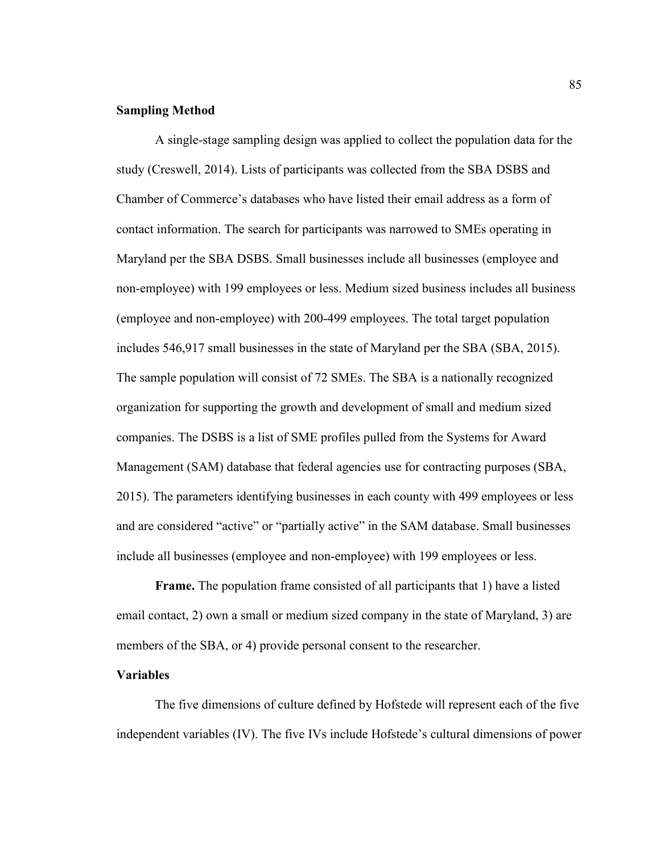## **Sampling Method**

A single-stage sampling design was applied to collect the population data for the study (Creswell, 2014). Lists of participants was collected from the SBA DSBS and Chamber of Commerce's databases who have listed their email address as a form of contact information. The search for participants was narrowed to SMEs operating in Maryland per the SBA DSBS. Small businesses include all businesses (employee and non-employee) with 199 employees or less. Medium sized business includes all business (employee and non-employee) with 200-499 employees. The total target population includes 546,917 small businesses in the state of Maryland per the SBA (SBA, 2015). The sample population will consist of 72 SMEs. The SBA is a nationally recognized organization for supporting the growth and development of small and medium sized companies. The DSBS is a list of SME profiles pulled from the Systems for Award Management (SAM) database that federal agencies use for contracting purposes (SBA, 2015). The parameters identifying businesses in each county with 499 employees or less and are considered "active" or "partially active" in the SAM database. Small businesses include all businesses (employee and non-employee) with 199 employees or less.

**Frame.** The population frame consisted of all participants that 1) have a listed email contact, 2) own a small or medium sized company in the state of Maryland, 3) are members of the SBA, or 4) provide personal consent to the researcher.

# **Variables**

The five dimensions of culture defined by Hofstede will represent each of the five independent variables (IV). The five IVs include Hofstede's cultural dimensions of power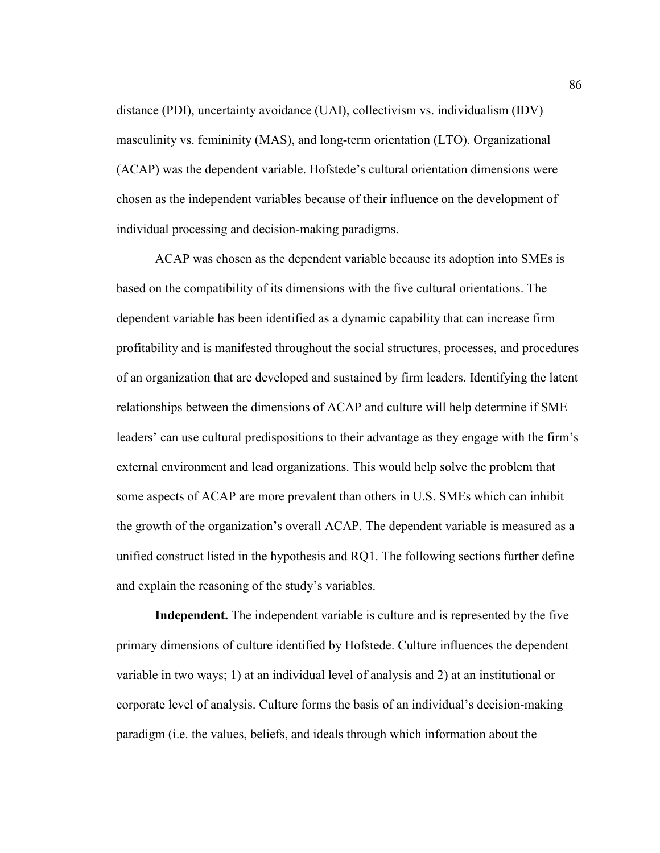distance (PDI), uncertainty avoidance (UAI), collectivism vs. individualism (IDV) masculinity vs. femininity (MAS), and long-term orientation (LTO). Organizational (ACAP) was the dependent variable. Hofstede's cultural orientation dimensions were chosen as the independent variables because of their influence on the development of individual processing and decision-making paradigms.

ACAP was chosen as the dependent variable because its adoption into SMEs is based on the compatibility of its dimensions with the five cultural orientations. The dependent variable has been identified as a dynamic capability that can increase firm profitability and is manifested throughout the social structures, processes, and procedures of an organization that are developed and sustained by firm leaders. Identifying the latent relationships between the dimensions of ACAP and culture will help determine if SME leaders' can use cultural predispositions to their advantage as they engage with the firm's external environment and lead organizations. This would help solve the problem that some aspects of ACAP are more prevalent than others in U.S. SMEs which can inhibit the growth of the organization's overall ACAP. The dependent variable is measured as a unified construct listed in the hypothesis and RQ1. The following sections further define and explain the reasoning of the study's variables.

**Independent.** The independent variable is culture and is represented by the five primary dimensions of culture identified by Hofstede. Culture influences the dependent variable in two ways; 1) at an individual level of analysis and 2) at an institutional or corporate level of analysis. Culture forms the basis of an individual's decision-making paradigm (i.e. the values, beliefs, and ideals through which information about the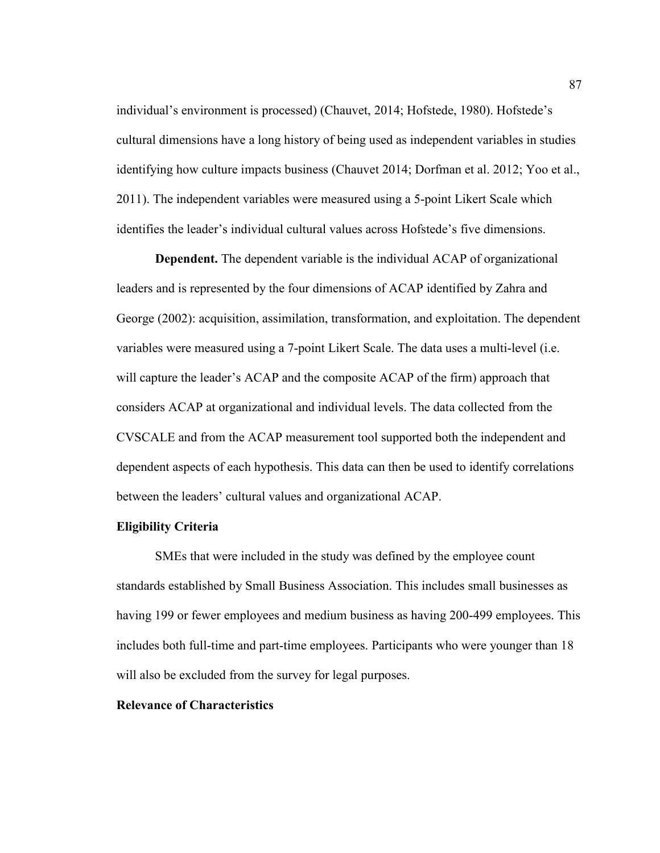individual's environment is processed) (Chauvet, 2014; Hofstede, 1980). Hofstede's cultural dimensions have a long history of being used as independent variables in studies identifying how culture impacts business (Chauvet 2014; Dorfman et al. 2012; Yoo et al., 2011). The independent variables were measured using a 5-point Likert Scale which identifies the leader's individual cultural values across Hofstede's five dimensions.

**Dependent.** The dependent variable is the individual ACAP of organizational leaders and is represented by the four dimensions of ACAP identified by Zahra and George (2002): acquisition, assimilation, transformation, and exploitation. The dependent variables were measured using a 7-point Likert Scale. The data uses a multi-level (i.e. will capture the leader's ACAP and the composite ACAP of the firm) approach that considers ACAP at organizational and individual levels. The data collected from the CVSCALE and from the ACAP measurement tool supported both the independent and dependent aspects of each hypothesis. This data can then be used to identify correlations between the leaders' cultural values and organizational ACAP.

### **Eligibility Criteria**

SMEs that were included in the study was defined by the employee count standards established by Small Business Association. This includes small businesses as having 199 or fewer employees and medium business as having 200-499 employees. This includes both full-time and part-time employees. Participants who were younger than 18 will also be excluded from the survey for legal purposes.

# **Relevance of Characteristics**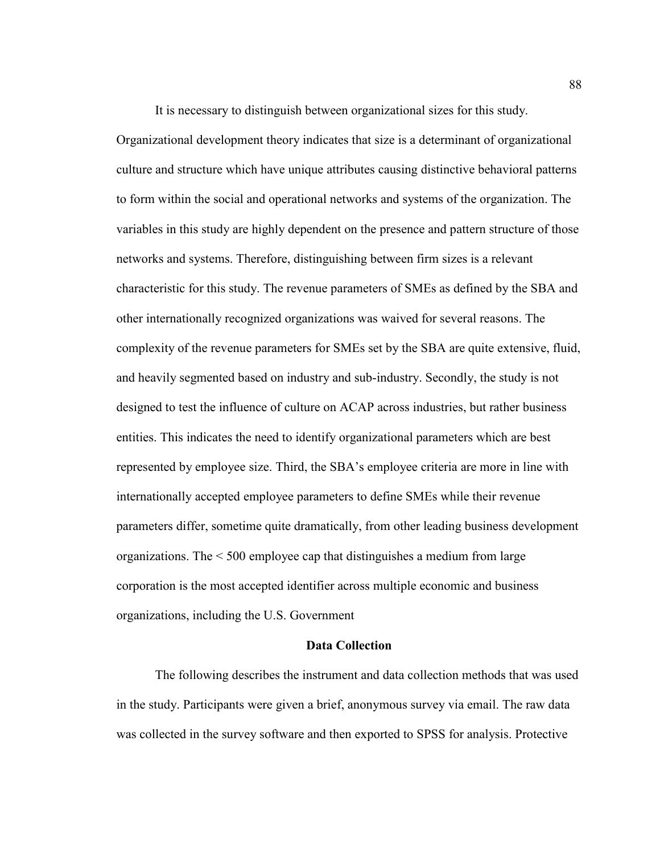It is necessary to distinguish between organizational sizes for this study.

Organizational development theory indicates that size is a determinant of organizational culture and structure which have unique attributes causing distinctive behavioral patterns to form within the social and operational networks and systems of the organization. The variables in this study are highly dependent on the presence and pattern structure of those networks and systems. Therefore, distinguishing between firm sizes is a relevant characteristic for this study. The revenue parameters of SMEs as defined by the SBA and other internationally recognized organizations was waived for several reasons. The complexity of the revenue parameters for SMEs set by the SBA are quite extensive, fluid, and heavily segmented based on industry and sub-industry. Secondly, the study is not designed to test the influence of culture on ACAP across industries, but rather business entities. This indicates the need to identify organizational parameters which are best represented by employee size. Third, the SBA's employee criteria are more in line with internationally accepted employee parameters to define SMEs while their revenue parameters differ, sometime quite dramatically, from other leading business development organizations. The < 500 employee cap that distinguishes a medium from large corporation is the most accepted identifier across multiple economic and business organizations, including the U.S. Government

### **Data Collection**

The following describes the instrument and data collection methods that was used in the study. Participants were given a brief, anonymous survey via email. The raw data was collected in the survey software and then exported to SPSS for analysis. Protective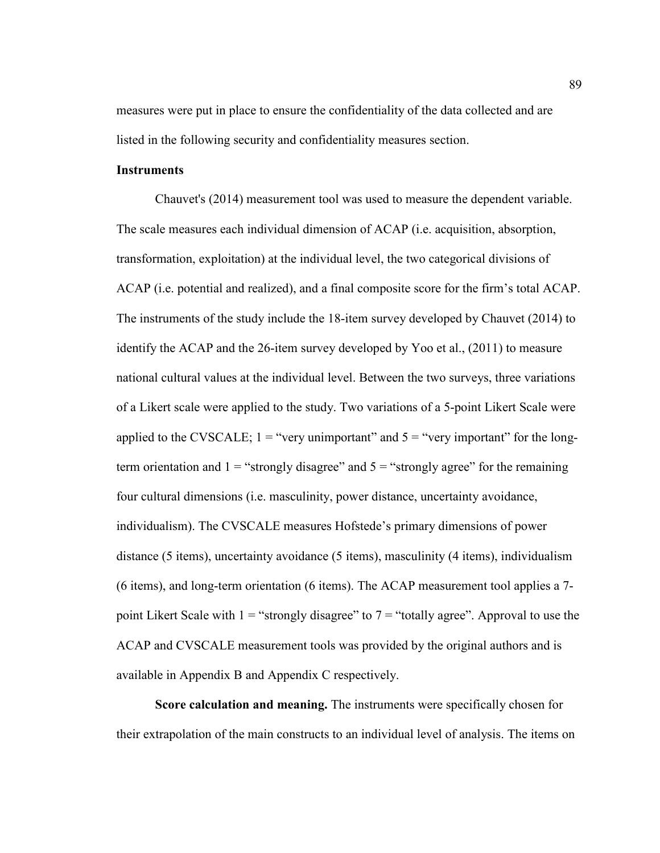measures were put in place to ensure the confidentiality of the data collected and are listed in the following security and confidentiality measures section.

### **Instruments**

Chauvet's (2014) measurement tool was used to measure the dependent variable. The scale measures each individual dimension of ACAP (i.e. acquisition, absorption, transformation, exploitation) at the individual level, the two categorical divisions of ACAP (i.e. potential and realized), and a final composite score for the firm's total ACAP. The instruments of the study include the 18-item survey developed by Chauvet (2014) to identify the ACAP and the 26-item survey developed by Yoo et al., (2011) to measure national cultural values at the individual level. Between the two surveys, three variations of a Likert scale were applied to the study. Two variations of a 5-point Likert Scale were applied to the CVSCALE;  $1 =$  "very unimportant" and  $5 =$  "very important" for the longterm orientation and  $1 =$  "strongly disagree" and  $5 =$  "strongly agree" for the remaining four cultural dimensions (i.e. masculinity, power distance, uncertainty avoidance, individualism). The CVSCALE measures Hofstede's primary dimensions of power distance (5 items), uncertainty avoidance (5 items), masculinity (4 items), individualism (6 items), and long-term orientation (6 items). The ACAP measurement tool applies a 7 point Likert Scale with  $1 =$  "strongly disagree" to  $7 =$  "totally agree". Approval to use the ACAP and CVSCALE measurement tools was provided by the original authors and is available in Appendix B and Appendix C respectively.

**Score calculation and meaning.** The instruments were specifically chosen for their extrapolation of the main constructs to an individual level of analysis. The items on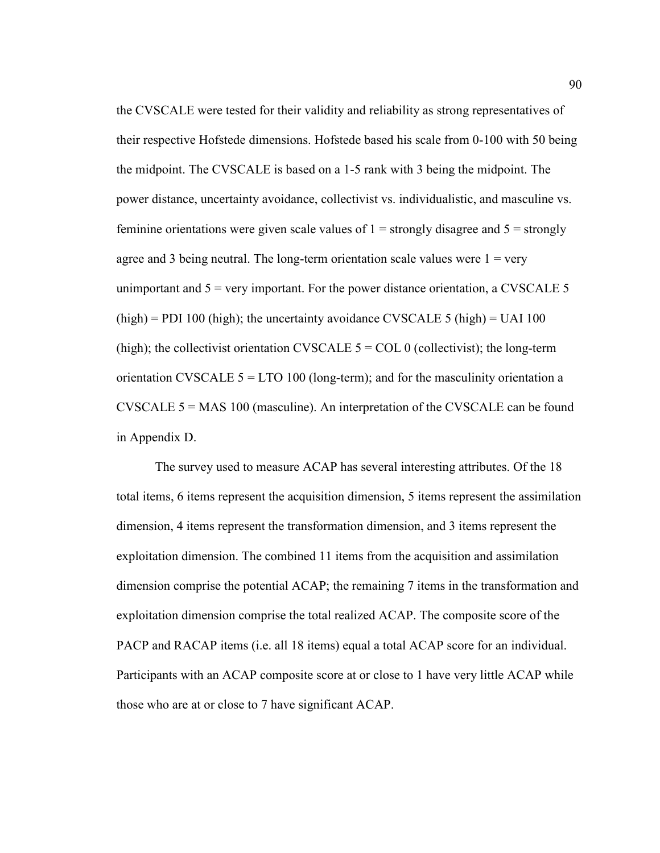the CVSCALE were tested for their validity and reliability as strong representatives of their respective Hofstede dimensions. Hofstede based his scale from 0-100 with 50 being the midpoint. The CVSCALE is based on a 1-5 rank with 3 being the midpoint. The power distance, uncertainty avoidance, collectivist vs. individualistic, and masculine vs. feminine orientations were given scale values of  $1 =$  strongly disagree and  $5 =$  strongly agree and 3 being neutral. The long-term orientation scale values were  $1 = \text{very}$ unimportant and  $5 = \text{very important}$ . For the power distance orientation, a CVSCALE 5  $(high) = PDI 100 (high)$ ; the uncertainty avoidance CVSCALE 5 (high) = UAI 100 (high); the collectivist orientation CVSCALE  $5 = \text{COL}$  0 (collectivist); the long-term orientation CVSCALE  $5 = LTO 100$  (long-term); and for the masculinity orientation a CVSCALE 5 = MAS 100 (masculine). An interpretation of the CVSCALE can be found in Appendix D.

 The survey used to measure ACAP has several interesting attributes. Of the 18 total items, 6 items represent the acquisition dimension, 5 items represent the assimilation dimension, 4 items represent the transformation dimension, and 3 items represent the exploitation dimension. The combined 11 items from the acquisition and assimilation dimension comprise the potential ACAP; the remaining 7 items in the transformation and exploitation dimension comprise the total realized ACAP. The composite score of the PACP and RACAP items (i.e. all 18 items) equal a total ACAP score for an individual. Participants with an ACAP composite score at or close to 1 have very little ACAP while those who are at or close to 7 have significant ACAP.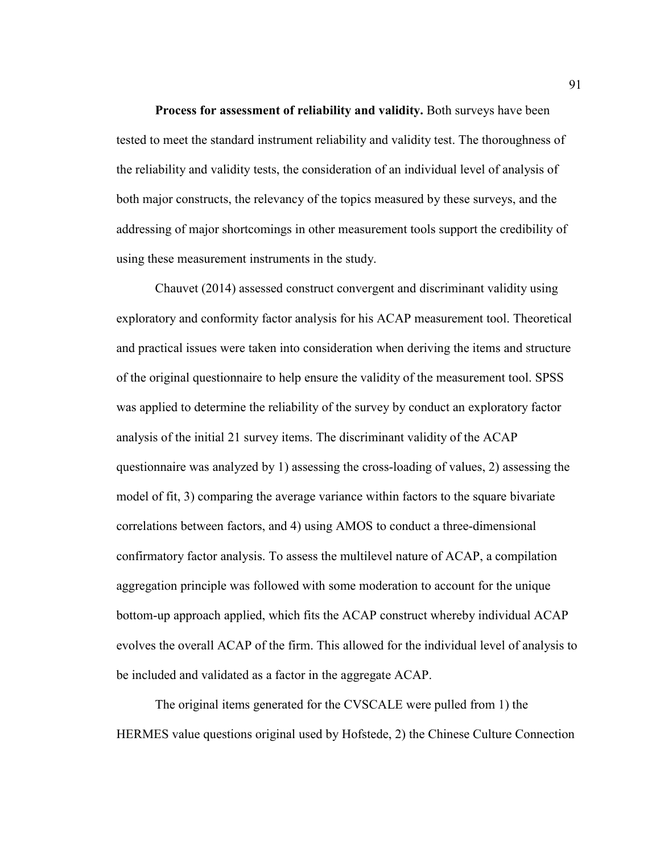**Process for assessment of reliability and validity.** Both surveys have been tested to meet the standard instrument reliability and validity test. The thoroughness of the reliability and validity tests, the consideration of an individual level of analysis of both major constructs, the relevancy of the topics measured by these surveys, and the addressing of major shortcomings in other measurement tools support the credibility of using these measurement instruments in the study.

Chauvet (2014) assessed construct convergent and discriminant validity using exploratory and conformity factor analysis for his ACAP measurement tool. Theoretical and practical issues were taken into consideration when deriving the items and structure of the original questionnaire to help ensure the validity of the measurement tool. SPSS was applied to determine the reliability of the survey by conduct an exploratory factor analysis of the initial 21 survey items. The discriminant validity of the ACAP questionnaire was analyzed by 1) assessing the cross-loading of values, 2) assessing the model of fit, 3) comparing the average variance within factors to the square bivariate correlations between factors, and 4) using AMOS to conduct a three-dimensional confirmatory factor analysis. To assess the multilevel nature of ACAP, a compilation aggregation principle was followed with some moderation to account for the unique bottom-up approach applied, which fits the ACAP construct whereby individual ACAP evolves the overall ACAP of the firm. This allowed for the individual level of analysis to be included and validated as a factor in the aggregate ACAP.

The original items generated for the CVSCALE were pulled from 1) the HERMES value questions original used by Hofstede, 2) the Chinese Culture Connection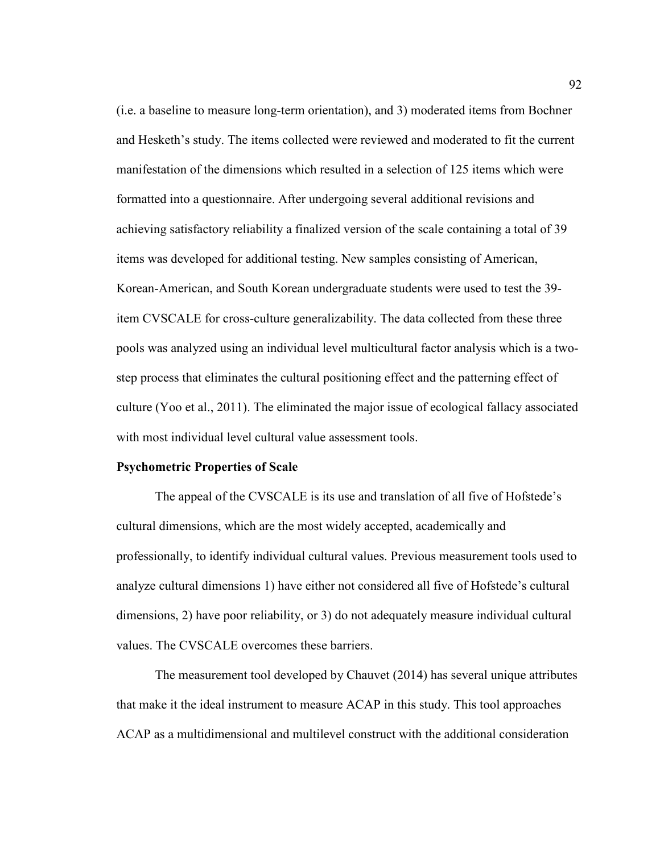(i.e. a baseline to measure long-term orientation), and 3) moderated items from Bochner and Hesketh's study. The items collected were reviewed and moderated to fit the current manifestation of the dimensions which resulted in a selection of 125 items which were formatted into a questionnaire. After undergoing several additional revisions and achieving satisfactory reliability a finalized version of the scale containing a total of 39 items was developed for additional testing. New samples consisting of American, Korean-American, and South Korean undergraduate students were used to test the 39 item CVSCALE for cross-culture generalizability. The data collected from these three pools was analyzed using an individual level multicultural factor analysis which is a twostep process that eliminates the cultural positioning effect and the patterning effect of culture (Yoo et al., 2011). The eliminated the major issue of ecological fallacy associated with most individual level cultural value assessment tools.

## **Psychometric Properties of Scale**

The appeal of the CVSCALE is its use and translation of all five of Hofstede's cultural dimensions, which are the most widely accepted, academically and professionally, to identify individual cultural values. Previous measurement tools used to analyze cultural dimensions 1) have either not considered all five of Hofstede's cultural dimensions, 2) have poor reliability, or 3) do not adequately measure individual cultural values. The CVSCALE overcomes these barriers.

The measurement tool developed by Chauvet (2014) has several unique attributes that make it the ideal instrument to measure ACAP in this study. This tool approaches ACAP as a multidimensional and multilevel construct with the additional consideration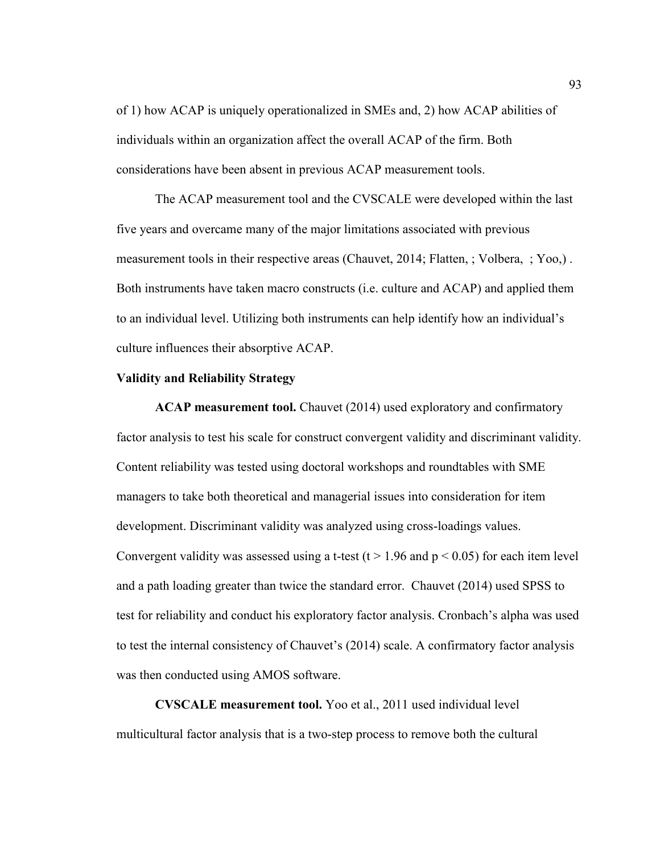of 1) how ACAP is uniquely operationalized in SMEs and, 2) how ACAP abilities of individuals within an organization affect the overall ACAP of the firm. Both considerations have been absent in previous ACAP measurement tools.

The ACAP measurement tool and the CVSCALE were developed within the last five years and overcame many of the major limitations associated with previous measurement tools in their respective areas (Chauvet, 2014; Flatten, ; Volbera, ; Yoo,) . Both instruments have taken macro constructs (i.e. culture and ACAP) and applied them to an individual level. Utilizing both instruments can help identify how an individual's culture influences their absorptive ACAP.

#### **Validity and Reliability Strategy**

**ACAP measurement tool.** Chauvet (2014) used exploratory and confirmatory factor analysis to test his scale for construct convergent validity and discriminant validity. Content reliability was tested using doctoral workshops and roundtables with SME managers to take both theoretical and managerial issues into consideration for item development. Discriminant validity was analyzed using cross-loadings values. Convergent validity was assessed using a t-test (t > 1.96 and  $p < 0.05$ ) for each item level and a path loading greater than twice the standard error. Chauvet (2014) used SPSS to test for reliability and conduct his exploratory factor analysis. Cronbach's alpha was used to test the internal consistency of Chauvet's (2014) scale. A confirmatory factor analysis was then conducted using AMOS software.

**CVSCALE measurement tool.** Yoo et al., 2011 used individual level multicultural factor analysis that is a two-step process to remove both the cultural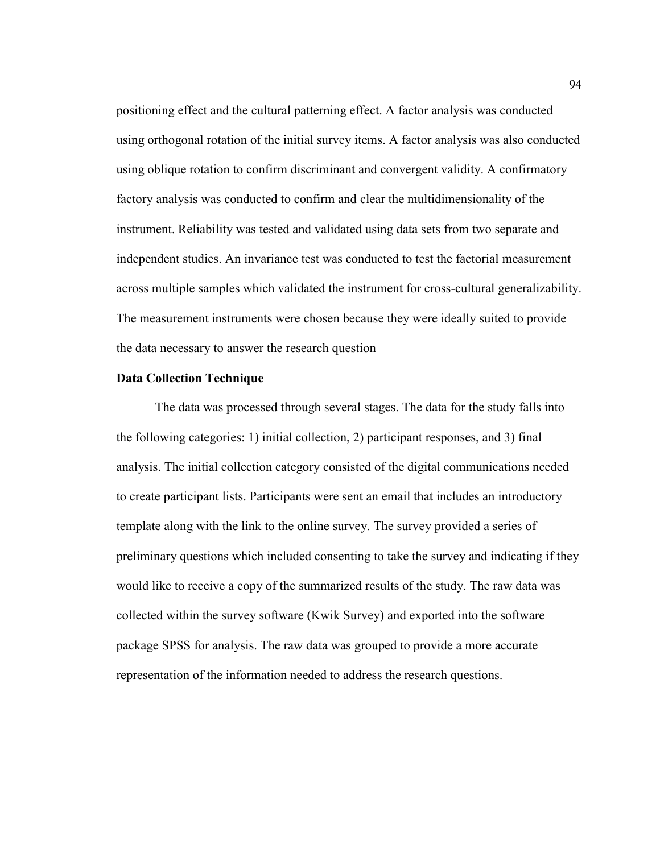positioning effect and the cultural patterning effect. A factor analysis was conducted using orthogonal rotation of the initial survey items. A factor analysis was also conducted using oblique rotation to confirm discriminant and convergent validity. A confirmatory factory analysis was conducted to confirm and clear the multidimensionality of the instrument. Reliability was tested and validated using data sets from two separate and independent studies. An invariance test was conducted to test the factorial measurement across multiple samples which validated the instrument for cross-cultural generalizability. The measurement instruments were chosen because they were ideally suited to provide the data necessary to answer the research question

#### **Data Collection Technique**

The data was processed through several stages. The data for the study falls into the following categories: 1) initial collection, 2) participant responses, and 3) final analysis. The initial collection category consisted of the digital communications needed to create participant lists. Participants were sent an email that includes an introductory template along with the link to the online survey. The survey provided a series of preliminary questions which included consenting to take the survey and indicating if they would like to receive a copy of the summarized results of the study. The raw data was collected within the survey software (Kwik Survey) and exported into the software package SPSS for analysis. The raw data was grouped to provide a more accurate representation of the information needed to address the research questions.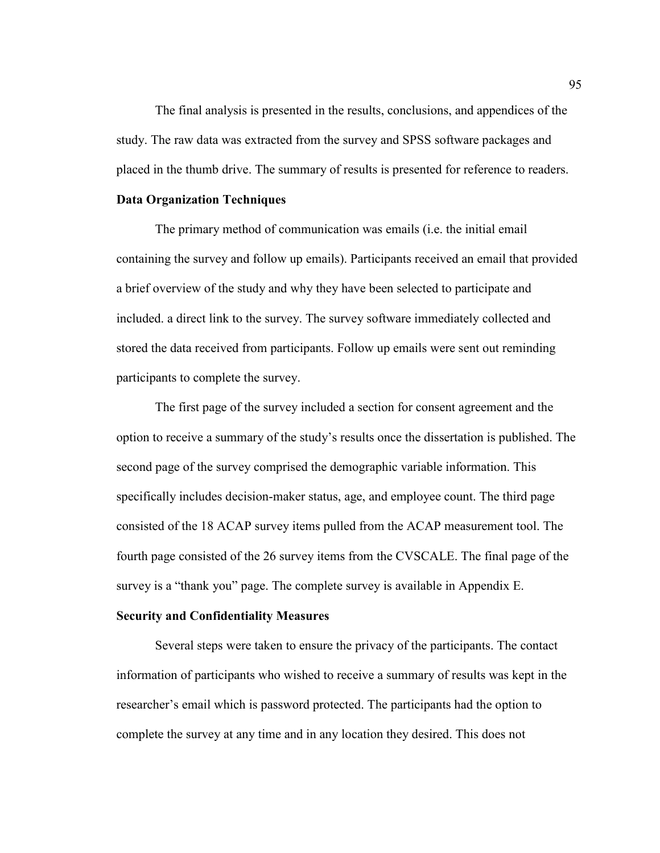The final analysis is presented in the results, conclusions, and appendices of the study. The raw data was extracted from the survey and SPSS software packages and placed in the thumb drive. The summary of results is presented for reference to readers.

## **Data Organization Techniques**

The primary method of communication was emails (i.e. the initial email containing the survey and follow up emails). Participants received an email that provided a brief overview of the study and why they have been selected to participate and included. a direct link to the survey. The survey software immediately collected and stored the data received from participants. Follow up emails were sent out reminding participants to complete the survey.

The first page of the survey included a section for consent agreement and the option to receive a summary of the study's results once the dissertation is published. The second page of the survey comprised the demographic variable information. This specifically includes decision-maker status, age, and employee count. The third page consisted of the 18 ACAP survey items pulled from the ACAP measurement tool. The fourth page consisted of the 26 survey items from the CVSCALE. The final page of the survey is a "thank you" page. The complete survey is available in Appendix E.

# **Security and Confidentiality Measures**

Several steps were taken to ensure the privacy of the participants. The contact information of participants who wished to receive a summary of results was kept in the researcher's email which is password protected. The participants had the option to complete the survey at any time and in any location they desired. This does not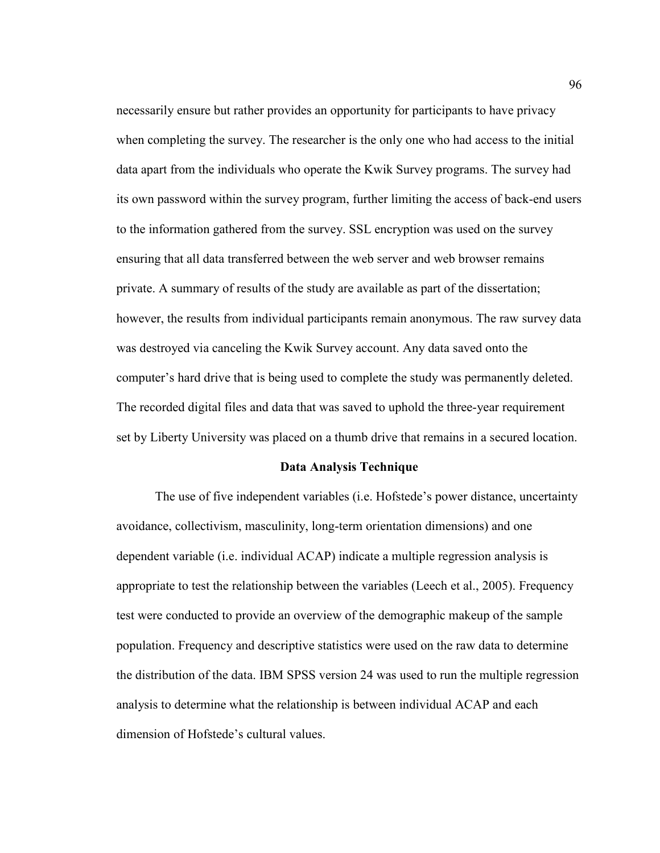necessarily ensure but rather provides an opportunity for participants to have privacy when completing the survey. The researcher is the only one who had access to the initial data apart from the individuals who operate the Kwik Survey programs. The survey had its own password within the survey program, further limiting the access of back-end users to the information gathered from the survey. SSL encryption was used on the survey ensuring that all data transferred between the web server and web browser remains private. A summary of results of the study are available as part of the dissertation; however, the results from individual participants remain anonymous. The raw survey data was destroyed via canceling the Kwik Survey account. Any data saved onto the computer's hard drive that is being used to complete the study was permanently deleted. The recorded digital files and data that was saved to uphold the three-year requirement set by Liberty University was placed on a thumb drive that remains in a secured location.

## **Data Analysis Technique**

The use of five independent variables (i.e. Hofstede's power distance, uncertainty avoidance, collectivism, masculinity, long-term orientation dimensions) and one dependent variable (i.e. individual ACAP) indicate a multiple regression analysis is appropriate to test the relationship between the variables (Leech et al., 2005). Frequency test were conducted to provide an overview of the demographic makeup of the sample population. Frequency and descriptive statistics were used on the raw data to determine the distribution of the data. IBM SPSS version 24 was used to run the multiple regression analysis to determine what the relationship is between individual ACAP and each dimension of Hofstede's cultural values.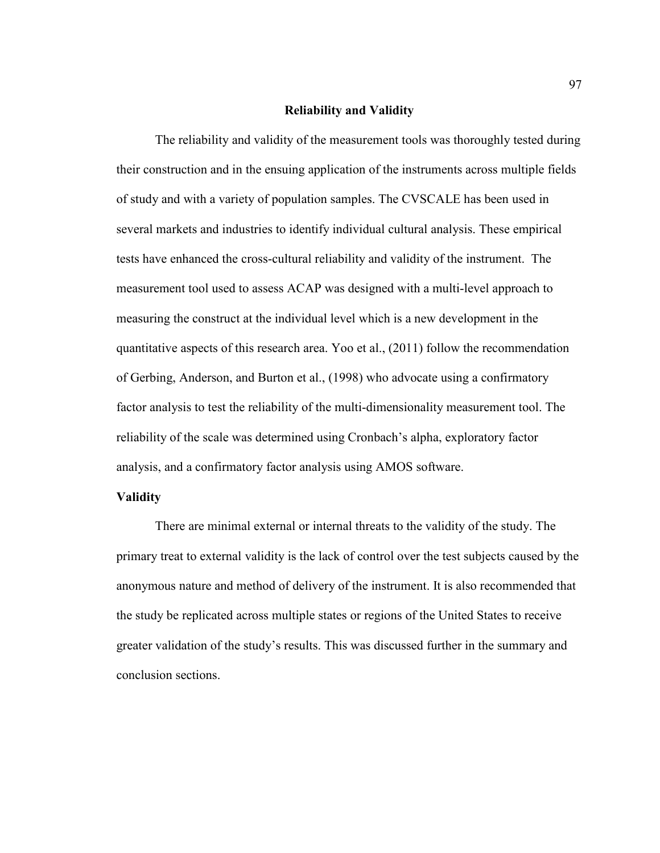## **Reliability and Validity**

The reliability and validity of the measurement tools was thoroughly tested during their construction and in the ensuing application of the instruments across multiple fields of study and with a variety of population samples. The CVSCALE has been used in several markets and industries to identify individual cultural analysis. These empirical tests have enhanced the cross-cultural reliability and validity of the instrument. The measurement tool used to assess ACAP was designed with a multi-level approach to measuring the construct at the individual level which is a new development in the quantitative aspects of this research area. Yoo et al., (2011) follow the recommendation of Gerbing, Anderson, and Burton et al., (1998) who advocate using a confirmatory factor analysis to test the reliability of the multi-dimensionality measurement tool. The reliability of the scale was determined using Cronbach's alpha, exploratory factor analysis, and a confirmatory factor analysis using AMOS software.

## **Validity**

There are minimal external or internal threats to the validity of the study. The primary treat to external validity is the lack of control over the test subjects caused by the anonymous nature and method of delivery of the instrument. It is also recommended that the study be replicated across multiple states or regions of the United States to receive greater validation of the study's results. This was discussed further in the summary and conclusion sections.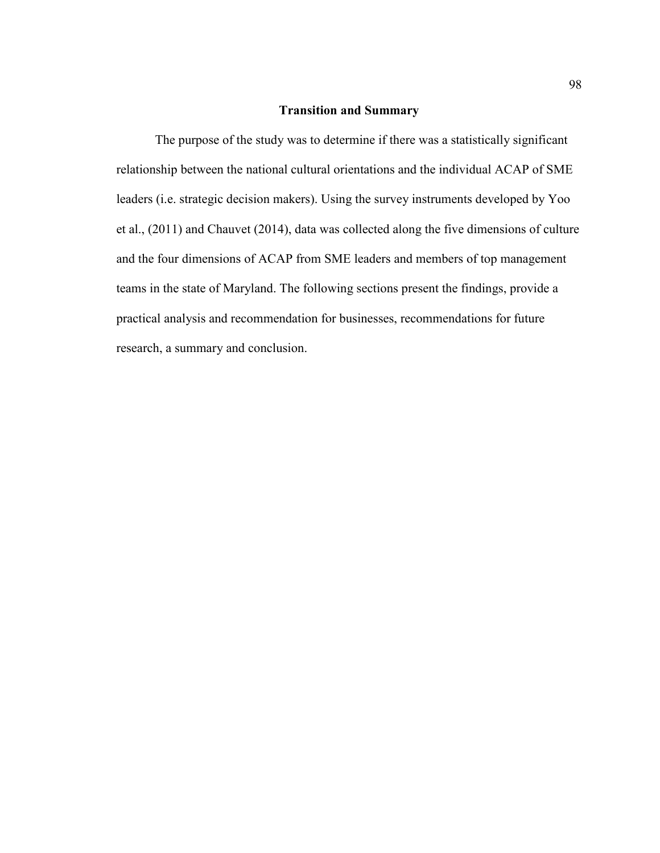# **Transition and Summary**

The purpose of the study was to determine if there was a statistically significant relationship between the national cultural orientations and the individual ACAP of SME leaders (i.e. strategic decision makers). Using the survey instruments developed by Yoo et al., (2011) and Chauvet (2014), data was collected along the five dimensions of culture and the four dimensions of ACAP from SME leaders and members of top management teams in the state of Maryland. The following sections present the findings, provide a practical analysis and recommendation for businesses, recommendations for future research, a summary and conclusion.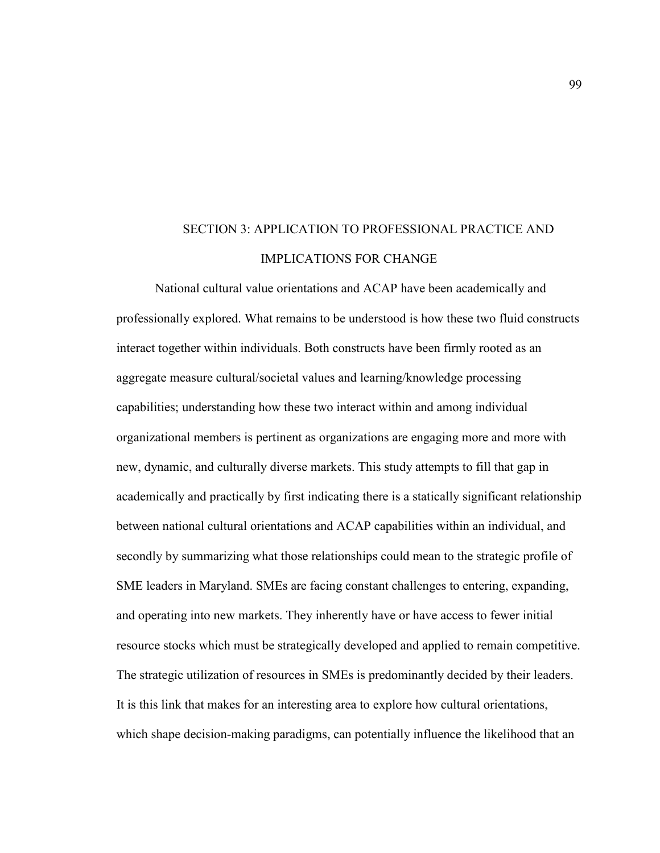# SECTION 3: APPLICATION TO PROFESSIONAL PRACTICE AND IMPLICATIONS FOR CHANGE

National cultural value orientations and ACAP have been academically and professionally explored. What remains to be understood is how these two fluid constructs interact together within individuals. Both constructs have been firmly rooted as an aggregate measure cultural/societal values and learning/knowledge processing capabilities; understanding how these two interact within and among individual organizational members is pertinent as organizations are engaging more and more with new, dynamic, and culturally diverse markets. This study attempts to fill that gap in academically and practically by first indicating there is a statically significant relationship between national cultural orientations and ACAP capabilities within an individual, and secondly by summarizing what those relationships could mean to the strategic profile of SME leaders in Maryland. SMEs are facing constant challenges to entering, expanding, and operating into new markets. They inherently have or have access to fewer initial resource stocks which must be strategically developed and applied to remain competitive. The strategic utilization of resources in SMEs is predominantly decided by their leaders. It is this link that makes for an interesting area to explore how cultural orientations, which shape decision-making paradigms, can potentially influence the likelihood that an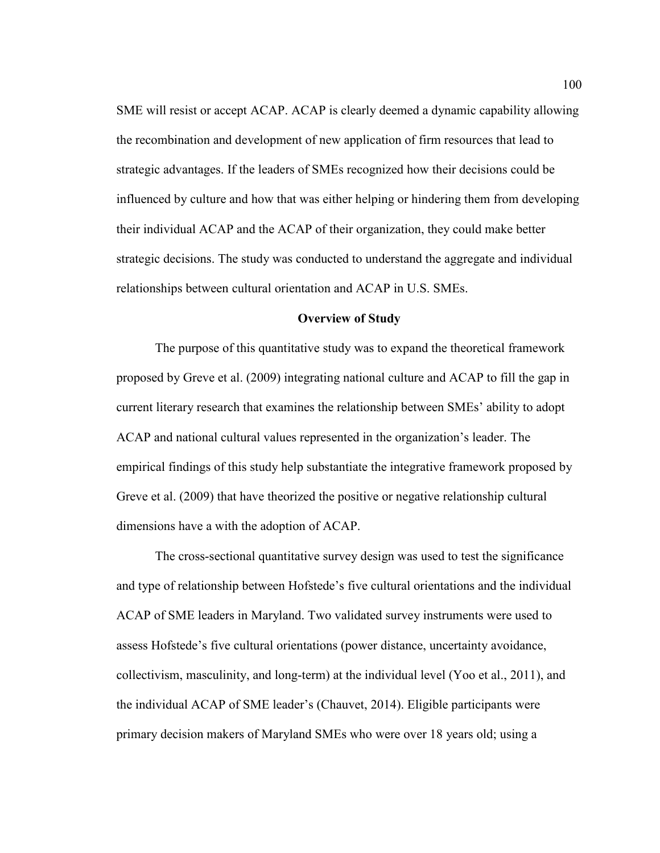SME will resist or accept ACAP. ACAP is clearly deemed a dynamic capability allowing the recombination and development of new application of firm resources that lead to strategic advantages. If the leaders of SMEs recognized how their decisions could be influenced by culture and how that was either helping or hindering them from developing their individual ACAP and the ACAP of their organization, they could make better strategic decisions. The study was conducted to understand the aggregate and individual relationships between cultural orientation and ACAP in U.S. SMEs.

## **Overview of Study**

The purpose of this quantitative study was to expand the theoretical framework proposed by Greve et al. (2009) integrating national culture and ACAP to fill the gap in current literary research that examines the relationship between SMEs' ability to adopt ACAP and national cultural values represented in the organization's leader. The empirical findings of this study help substantiate the integrative framework proposed by Greve et al. (2009) that have theorized the positive or negative relationship cultural dimensions have a with the adoption of ACAP.

The cross-sectional quantitative survey design was used to test the significance and type of relationship between Hofstede's five cultural orientations and the individual ACAP of SME leaders in Maryland. Two validated survey instruments were used to assess Hofstede's five cultural orientations (power distance, uncertainty avoidance, collectivism, masculinity, and long-term) at the individual level (Yoo et al., 2011), and the individual ACAP of SME leader's (Chauvet, 2014). Eligible participants were primary decision makers of Maryland SMEs who were over 18 years old; using a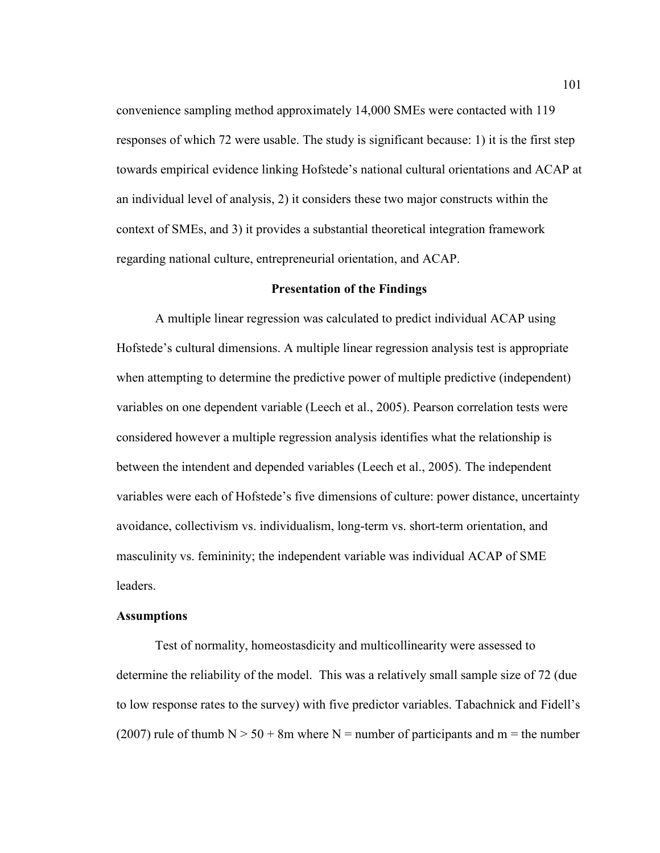convenience sampling method approximately 14,000 SMEs were contacted with 119 responses of which 72 were usable. The study is significant because: 1) it is the first step towards empirical evidence linking Hofstede's national cultural orientations and ACAP at an individual level of analysis, 2) it considers these two major constructs within the context of SMEs, and 3) it provides a substantial theoretical integration framework regarding national culture, entrepreneurial orientation, and ACAP.

## **Presentation of the Findings**

A multiple linear regression was calculated to predict individual ACAP using Hofstede's cultural dimensions. A multiple linear regression analysis test is appropriate when attempting to determine the predictive power of multiple predictive (independent) variables on one dependent variable (Leech et al., 2005). Pearson correlation tests were considered however a multiple regression analysis identifies what the relationship is between the intendent and depended variables (Leech et al., 2005). The independent variables were each of Hofstede's five dimensions of culture: power distance, uncertainty avoidance, collectivism vs. individualism, long-term vs. short-term orientation, and masculinity vs. femininity; the independent variable was individual ACAP of SME leaders.

## **Assumptions**

Test of normality, homeostasdicity and multicollinearity were assessed to determine the reliability of the model. This was a relatively small sample size of 72 (due to low response rates to the survey) with five predictor variables. Tabachnick and Fidell's (2007) rule of thumb  $N > 50 + 8m$  where N = number of participants and m = the number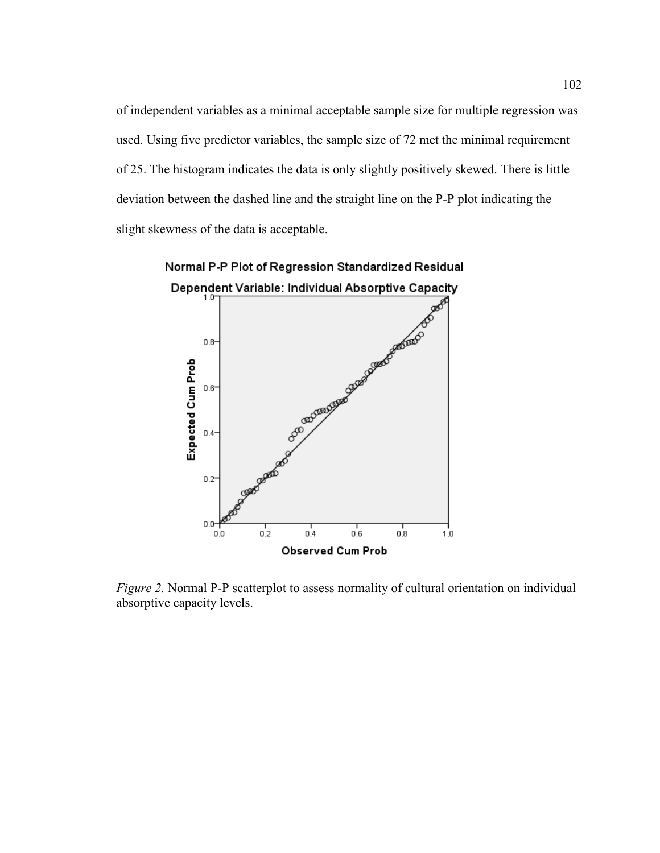of independent variables as a minimal acceptable sample size for multiple regression was used. Using five predictor variables, the sample size of 72 met the minimal requirement of 25. The histogram indicates the data is only slightly positively skewed. There is little deviation between the dashed line and the straight line on the P-P plot indicating the slight skewness of the data is acceptable.



*Figure 2.* Normal P-P scatterplot to assess normality of cultural orientation on individual absorptive capacity levels.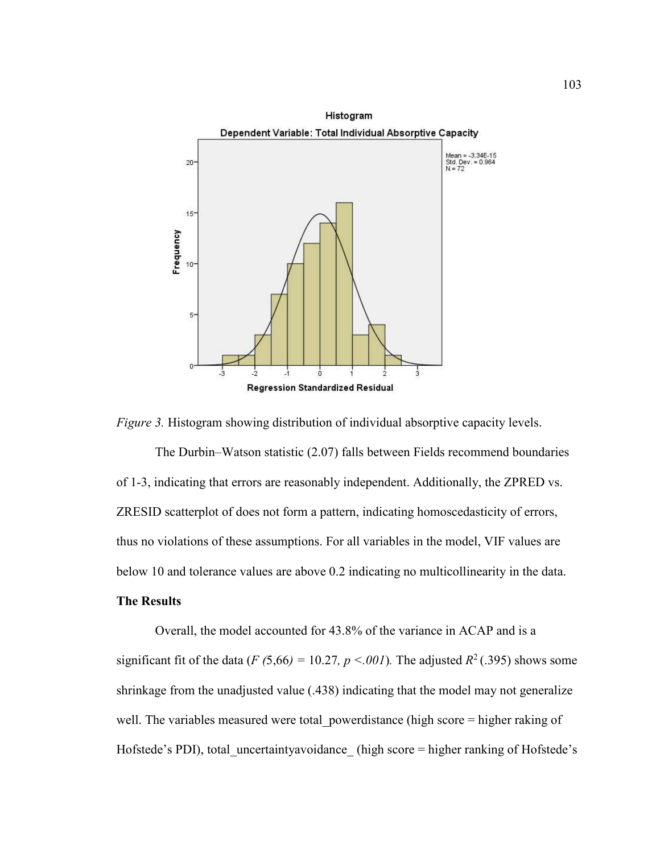



The Durbin–Watson statistic (2.07) falls between Fields recommend boundaries of 1-3, indicating that errors are reasonably independent. Additionally, the ZPRED vs. ZRESID scatterplot of does not form a pattern, indicating homoscedasticity of errors, thus no violations of these assumptions. For all variables in the model, VIF values are below 10 and tolerance values are above 0.2 indicating no multicollinearity in the data.

# **The Results**

Overall, the model accounted for 43.8% of the variance in ACAP and is a significant fit of the data (*F* (5,66) = 10.27*, p* <*.001*). The adjusted  $R^2$  (.395) shows some shrinkage from the unadjusted value (.438) indicating that the model may not generalize well. The variables measured were total powerdistance (high score = higher raking of Hofstede's PDI), total\_uncertaintyavoidance (high score = higher ranking of Hofstede's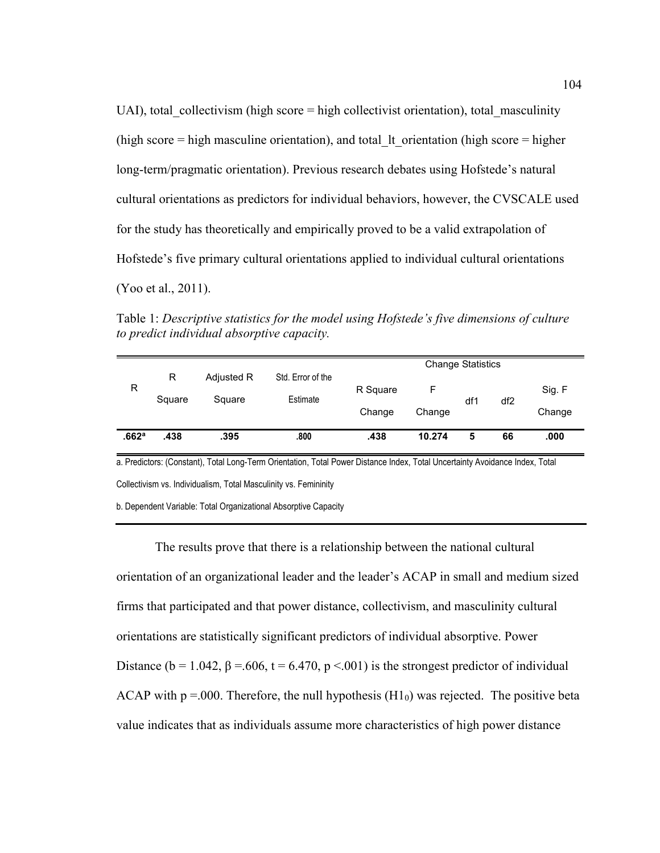UAI), total collectivism (high score  $=$  high collectivist orientation), total masculinity (high score  $=$  high masculine orientation), and total It orientation (high score  $=$  higher long-term/pragmatic orientation). Previous research debates using Hofstede's natural cultural orientations as predictors for individual behaviors, however, the CVSCALE used for the study has theoretically and empirically proved to be a valid extrapolation of Hofstede's five primary cultural orientations applied to individual cultural orientations (Yoo et al., 2011).

Table 1: *Descriptive statistics for the model using Hofstede's five dimensions of culture to predict individual absorptive capacity.*

|       |             |                      |                               | <b>Change Statistics</b> |             |     |                 |                  |  |
|-------|-------------|----------------------|-------------------------------|--------------------------|-------------|-----|-----------------|------------------|--|
| R     | R<br>Square | Adjusted R<br>Square | Std. Error of the<br>Estimate | R Square<br>Change       | F<br>Change | df1 | df <sub>2</sub> | Sig. F<br>Change |  |
| .662a | .438        | .395                 | .800                          | .438                     | 10.274      | 5   | 66              | .000             |  |

a. Predictors: (Constant), Total Long-Term Orientation, Total Power Distance Index, Total Uncertainty Avoidance Index, Total Collectivism vs. Individualism, Total Masculinity vs. Femininity

b. Dependent Variable: Total Organizational Absorptive Capacity

The results prove that there is a relationship between the national cultural orientation of an organizational leader and the leader's ACAP in small and medium sized firms that participated and that power distance, collectivism, and masculinity cultural orientations are statistically significant predictors of individual absorptive. Power Distance ( $b = 1.042$ ,  $\beta = .606$ ,  $t = 6.470$ ,  $p < .001$ ) is the strongest predictor of individual ACAP with  $p = 000$ . Therefore, the null hypothesis (H<sub>10</sub>) was rejected. The positive beta value indicates that as individuals assume more characteristics of high power distance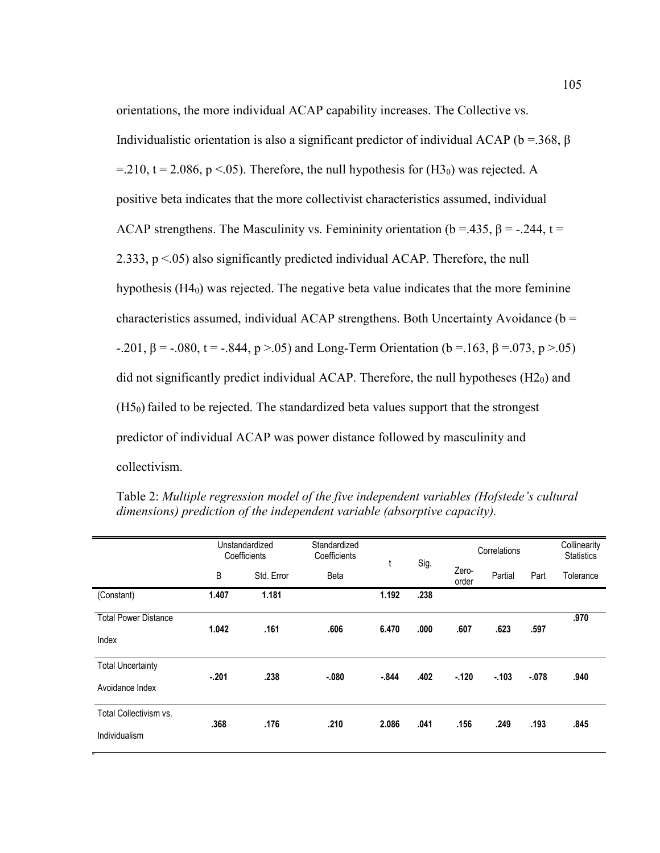orientations, the more individual ACAP capability increases. The Collective vs. Individualistic orientation is also a significant predictor of individual ACAP (b = .368, β =.210, t = 2.086, p <.05). Therefore, the null hypothesis for  $(H3<sub>0</sub>)$  was rejected. A positive beta indicates that the more collectivist characteristics assumed, individual ACAP strengthens. The Masculinity vs. Femininity orientation ( $b = 435$ ,  $\beta = -.244$ ,  $t =$ 2.333,  $p < 0.05$ ) also significantly predicted individual ACAP. Therefore, the null hypothesis (H4<sub>0</sub>) was rejected. The negative beta value indicates that the more feminine characteristics assumed, individual ACAP strengthens. Both Uncertainty Avoidance ( $b =$ -.201, β = -.080, t = -.844, p >.05) and Long-Term Orientation (b = 163, β = 073, p > 05) did not significantly predict individual ACAP. Therefore, the null hypotheses (H20) and  $(H5<sub>0</sub>)$  failed to be rejected. The standardized beta values support that the strongest predictor of individual ACAP was power distance followed by masculinity and collectivism.

|                             | Unstandardized<br>Coefficients |            | Standardized<br>Coefficients | t        | Sig. | Correlations   |         |         | Collinearity<br><b>Statistics</b> |
|-----------------------------|--------------------------------|------------|------------------------------|----------|------|----------------|---------|---------|-----------------------------------|
|                             | B                              | Std. Error | <b>Beta</b>                  |          |      | Zero-<br>order | Partial | Part    | Tolerance                         |
| (Constant)                  | 1.407                          | 1.181      |                              | 1.192    | .238 |                |         |         |                                   |
| <b>Total Power Distance</b> | 1.042                          | .161       | .606                         | 6.470    | .000 | .607           | .623    | .597    | .970                              |
| Index                       |                                |            |                              |          |      |                |         |         |                                   |
| <b>Total Uncertainty</b>    | $-.201$                        | .238       | $-080$                       | $-0.844$ | .402 | $-.120$        | $-103$  | $-.078$ | .940                              |
| Avoidance Index             |                                |            |                              |          |      |                |         |         |                                   |
| Total Collectivism vs.      | .368                           | .176       | .210                         | 2.086    | .041 | .156           | .249    | .193    | .845                              |
| Individualism               |                                |            |                              |          |      |                |         |         |                                   |

Table 2: *Multiple regression model of the five independent variables (Hofstede's cultural dimensions) prediction of the independent variable (absorptive capacity).*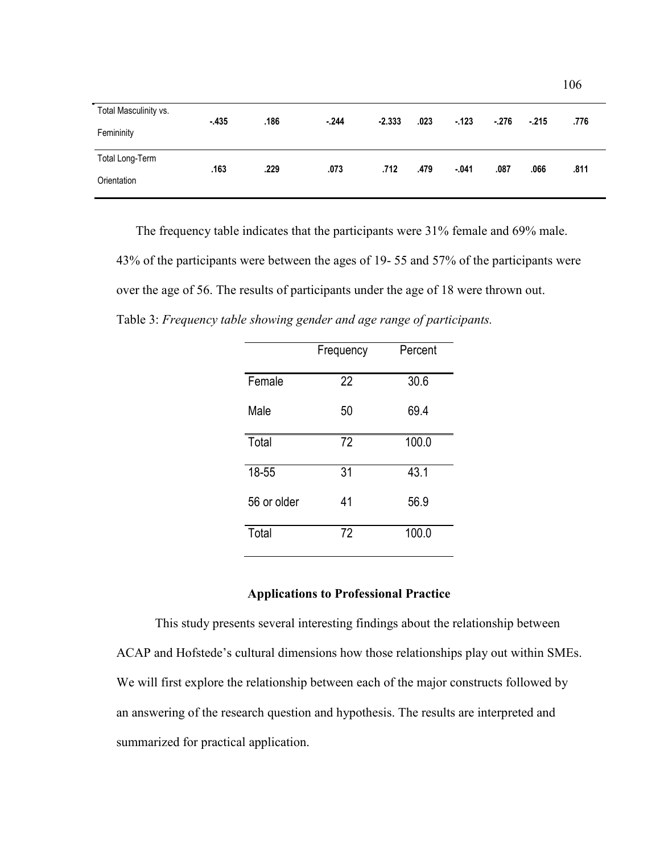| Total Masculinity vs.<br>Femininity | $-435$ | .186 | $-244$ | $-2.333$ | .023 | $-123$  | $-.276$ | $-215$ | .776 |
|-------------------------------------|--------|------|--------|----------|------|---------|---------|--------|------|
| Total Long-Term                     |        |      |        |          |      |         |         |        |      |
| Orientation                         | .163   | .229 | .073   | .712     | .479 | $-.041$ | .087    | .066   | .811 |

106

 The frequency table indicates that the participants were 31% female and 69% male. 43% of the participants were between the ages of 19- 55 and 57% of the participants were over the age of 56. The results of participants under the age of 18 were thrown out. Table 3: *Frequency table showing gender and age range of participants.*

|             | Frequency | Percent |
|-------------|-----------|---------|
| Female      | 22        | 30.6    |
| Male        | 50        | 69.4    |
| Total       | 72        | 100.0   |
| 18-55       | 31        | 43.1    |
| 56 or older | 41        | 56.9    |
| Total       | 72        | 100.0   |

# **Applications to Professional Practice**

This study presents several interesting findings about the relationship between ACAP and Hofstede's cultural dimensions how those relationships play out within SMEs. We will first explore the relationship between each of the major constructs followed by an answering of the research question and hypothesis. The results are interpreted and summarized for practical application.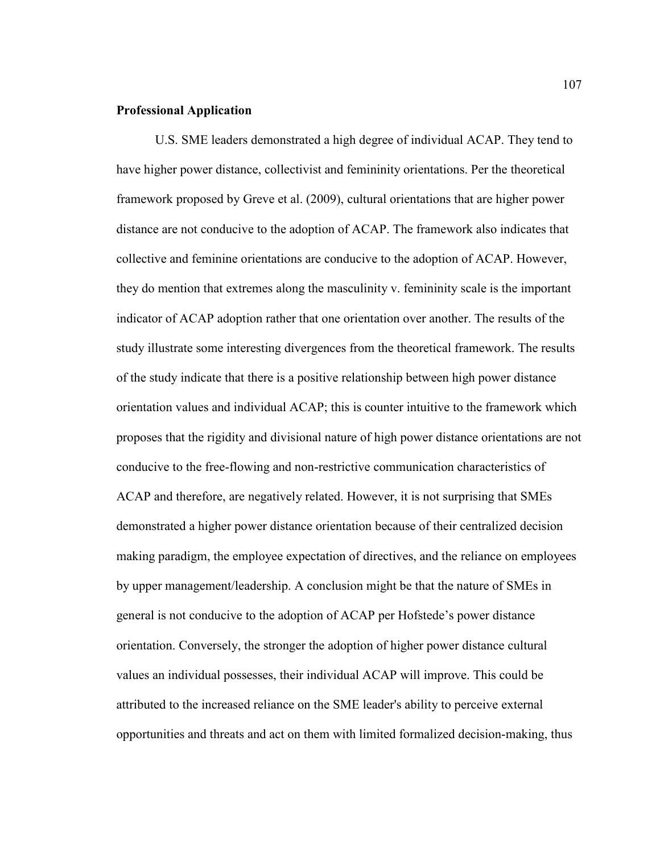#### **Professional Application**

U.S. SME leaders demonstrated a high degree of individual ACAP. They tend to have higher power distance, collectivist and femininity orientations. Per the theoretical framework proposed by Greve et al. (2009), cultural orientations that are higher power distance are not conducive to the adoption of ACAP. The framework also indicates that collective and feminine orientations are conducive to the adoption of ACAP. However, they do mention that extremes along the masculinity v. femininity scale is the important indicator of ACAP adoption rather that one orientation over another. The results of the study illustrate some interesting divergences from the theoretical framework. The results of the study indicate that there is a positive relationship between high power distance orientation values and individual ACAP; this is counter intuitive to the framework which proposes that the rigidity and divisional nature of high power distance orientations are not conducive to the free-flowing and non-restrictive communication characteristics of ACAP and therefore, are negatively related. However, it is not surprising that SMEs demonstrated a higher power distance orientation because of their centralized decision making paradigm, the employee expectation of directives, and the reliance on employees by upper management/leadership. A conclusion might be that the nature of SMEs in general is not conducive to the adoption of ACAP per Hofstede's power distance orientation. Conversely, the stronger the adoption of higher power distance cultural values an individual possesses, their individual ACAP will improve. This could be attributed to the increased reliance on the SME leader's ability to perceive external opportunities and threats and act on them with limited formalized decision-making, thus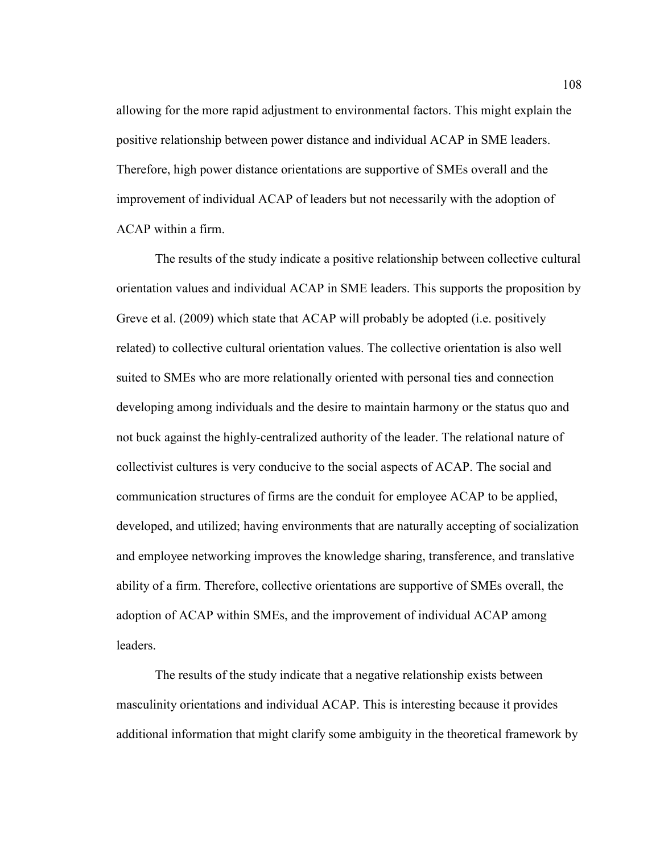allowing for the more rapid adjustment to environmental factors. This might explain the positive relationship between power distance and individual ACAP in SME leaders. Therefore, high power distance orientations are supportive of SMEs overall and the improvement of individual ACAP of leaders but not necessarily with the adoption of ACAP within a firm.

The results of the study indicate a positive relationship between collective cultural orientation values and individual ACAP in SME leaders. This supports the proposition by Greve et al. (2009) which state that ACAP will probably be adopted (i.e. positively related) to collective cultural orientation values. The collective orientation is also well suited to SMEs who are more relationally oriented with personal ties and connection developing among individuals and the desire to maintain harmony or the status quo and not buck against the highly-centralized authority of the leader. The relational nature of collectivist cultures is very conducive to the social aspects of ACAP. The social and communication structures of firms are the conduit for employee ACAP to be applied, developed, and utilized; having environments that are naturally accepting of socialization and employee networking improves the knowledge sharing, transference, and translative ability of a firm. Therefore, collective orientations are supportive of SMEs overall, the adoption of ACAP within SMEs, and the improvement of individual ACAP among leaders.

The results of the study indicate that a negative relationship exists between masculinity orientations and individual ACAP. This is interesting because it provides additional information that might clarify some ambiguity in the theoretical framework by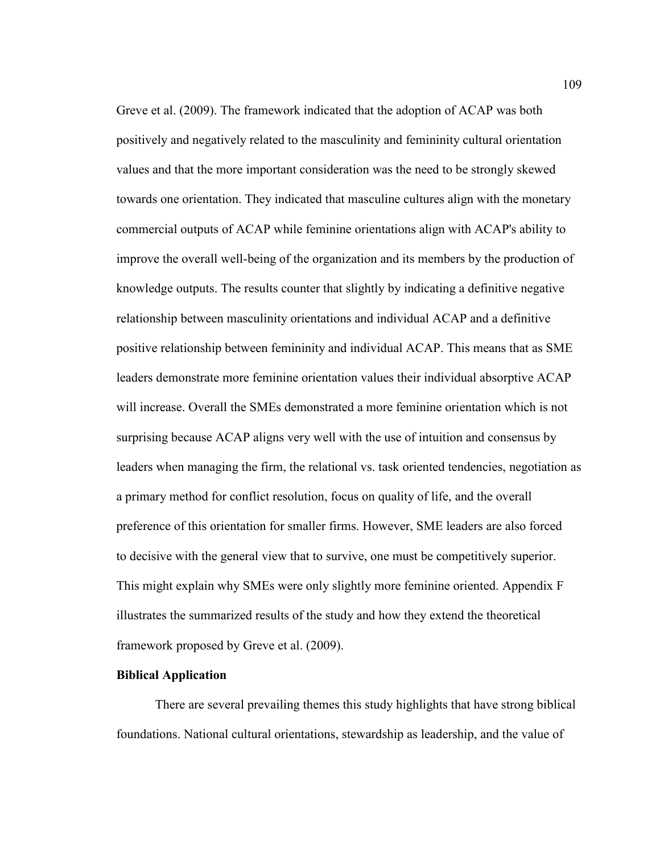Greve et al. (2009). The framework indicated that the adoption of ACAP was both positively and negatively related to the masculinity and femininity cultural orientation values and that the more important consideration was the need to be strongly skewed towards one orientation. They indicated that masculine cultures align with the monetary commercial outputs of ACAP while feminine orientations align with ACAP's ability to improve the overall well-being of the organization and its members by the production of knowledge outputs. The results counter that slightly by indicating a definitive negative relationship between masculinity orientations and individual ACAP and a definitive positive relationship between femininity and individual ACAP. This means that as SME leaders demonstrate more feminine orientation values their individual absorptive ACAP will increase. Overall the SMEs demonstrated a more feminine orientation which is not surprising because ACAP aligns very well with the use of intuition and consensus by leaders when managing the firm, the relational vs. task oriented tendencies, negotiation as a primary method for conflict resolution, focus on quality of life, and the overall preference of this orientation for smaller firms. However, SME leaders are also forced to decisive with the general view that to survive, one must be competitively superior. This might explain why SMEs were only slightly more feminine oriented. Appendix F illustrates the summarized results of the study and how they extend the theoretical framework proposed by Greve et al. (2009).

# **Biblical Application**

 There are several prevailing themes this study highlights that have strong biblical foundations. National cultural orientations, stewardship as leadership, and the value of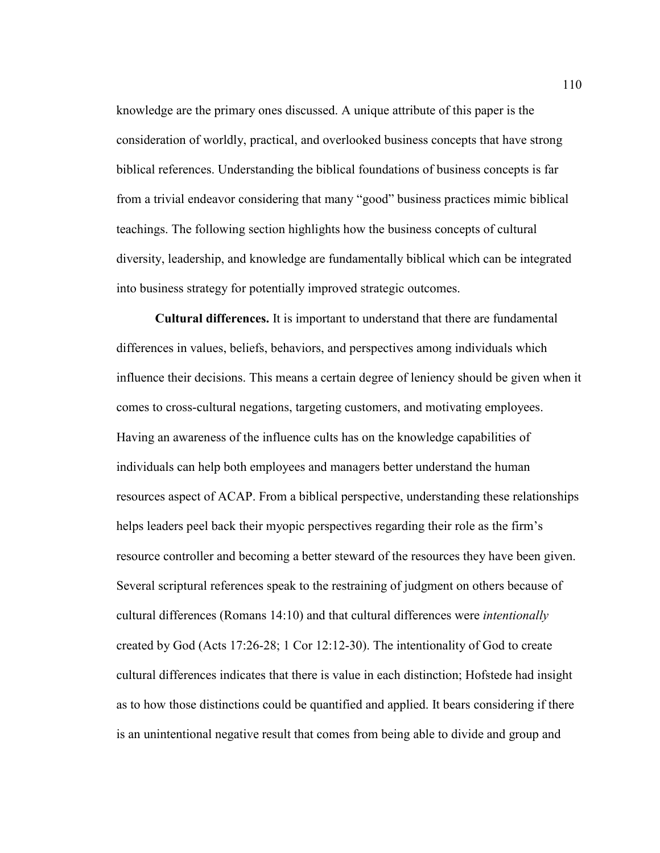knowledge are the primary ones discussed. A unique attribute of this paper is the consideration of worldly, practical, and overlooked business concepts that have strong biblical references. Understanding the biblical foundations of business concepts is far from a trivial endeavor considering that many "good" business practices mimic biblical teachings. The following section highlights how the business concepts of cultural diversity, leadership, and knowledge are fundamentally biblical which can be integrated into business strategy for potentially improved strategic outcomes.

**Cultural differences.** It is important to understand that there are fundamental differences in values, beliefs, behaviors, and perspectives among individuals which influence their decisions. This means a certain degree of leniency should be given when it comes to cross-cultural negations, targeting customers, and motivating employees. Having an awareness of the influence cults has on the knowledge capabilities of individuals can help both employees and managers better understand the human resources aspect of ACAP. From a biblical perspective, understanding these relationships helps leaders peel back their myopic perspectives regarding their role as the firm's resource controller and becoming a better steward of the resources they have been given. Several scriptural references speak to the restraining of judgment on others because of cultural differences (Romans 14:10) and that cultural differences were *intentionally*  created by God (Acts 17:26-28; 1 Cor 12:12-30). The intentionality of God to create cultural differences indicates that there is value in each distinction; Hofstede had insight as to how those distinctions could be quantified and applied. It bears considering if there is an unintentional negative result that comes from being able to divide and group and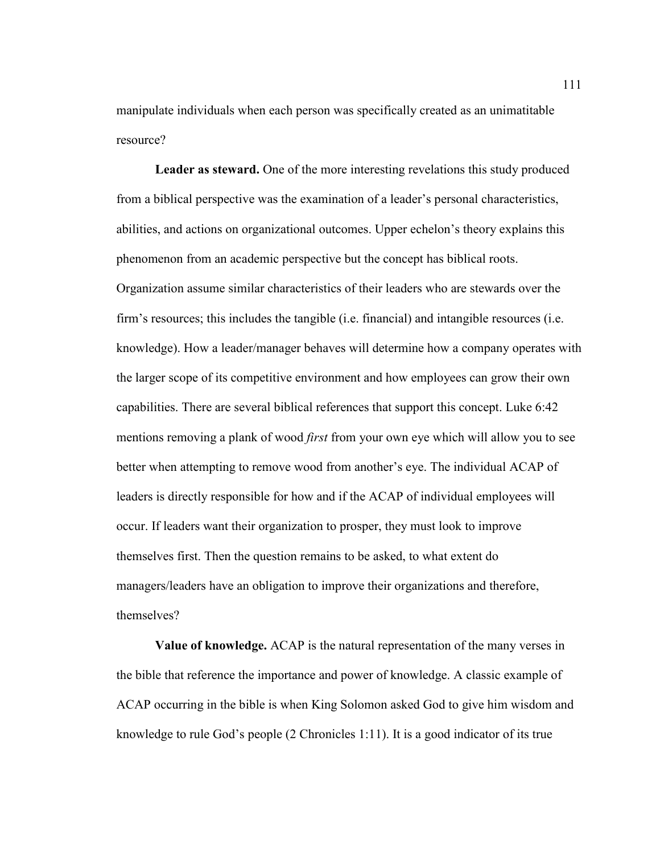manipulate individuals when each person was specifically created as an unimatitable resource?

**Leader as steward.** One of the more interesting revelations this study produced from a biblical perspective was the examination of a leader's personal characteristics, abilities, and actions on organizational outcomes. Upper echelon's theory explains this phenomenon from an academic perspective but the concept has biblical roots. Organization assume similar characteristics of their leaders who are stewards over the firm's resources; this includes the tangible (i.e. financial) and intangible resources (i.e. knowledge). How a leader/manager behaves will determine how a company operates with the larger scope of its competitive environment and how employees can grow their own capabilities. There are several biblical references that support this concept. Luke 6:42 mentions removing a plank of wood *first* from your own eye which will allow you to see better when attempting to remove wood from another's eye. The individual ACAP of leaders is directly responsible for how and if the ACAP of individual employees will occur. If leaders want their organization to prosper, they must look to improve themselves first. Then the question remains to be asked, to what extent do managers/leaders have an obligation to improve their organizations and therefore, themselves?

**Value of knowledge.** ACAP is the natural representation of the many verses in the bible that reference the importance and power of knowledge. A classic example of ACAP occurring in the bible is when King Solomon asked God to give him wisdom and knowledge to rule God's people (2 Chronicles 1:11). It is a good indicator of its true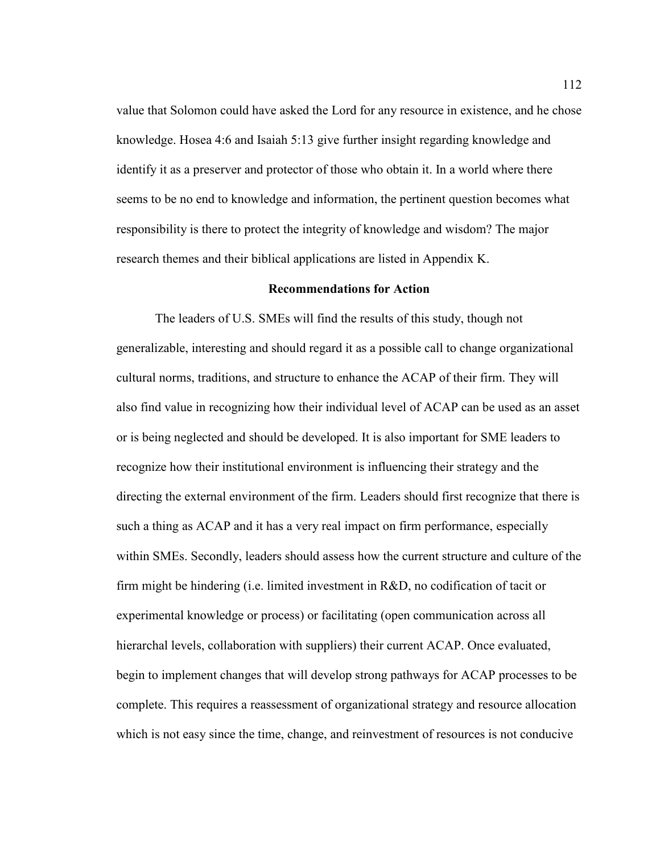value that Solomon could have asked the Lord for any resource in existence, and he chose knowledge. Hosea 4:6 and Isaiah 5:13 give further insight regarding knowledge and identify it as a preserver and protector of those who obtain it. In a world where there seems to be no end to knowledge and information, the pertinent question becomes what responsibility is there to protect the integrity of knowledge and wisdom? The major research themes and their biblical applications are listed in Appendix K.

#### **Recommendations for Action**

The leaders of U.S. SMEs will find the results of this study, though not generalizable, interesting and should regard it as a possible call to change organizational cultural norms, traditions, and structure to enhance the ACAP of their firm. They will also find value in recognizing how their individual level of ACAP can be used as an asset or is being neglected and should be developed. It is also important for SME leaders to recognize how their institutional environment is influencing their strategy and the directing the external environment of the firm. Leaders should first recognize that there is such a thing as ACAP and it has a very real impact on firm performance, especially within SMEs. Secondly, leaders should assess how the current structure and culture of the firm might be hindering (i.e. limited investment in R&D, no codification of tacit or experimental knowledge or process) or facilitating (open communication across all hierarchal levels, collaboration with suppliers) their current ACAP. Once evaluated, begin to implement changes that will develop strong pathways for ACAP processes to be complete. This requires a reassessment of organizational strategy and resource allocation which is not easy since the time, change, and reinvestment of resources is not conducive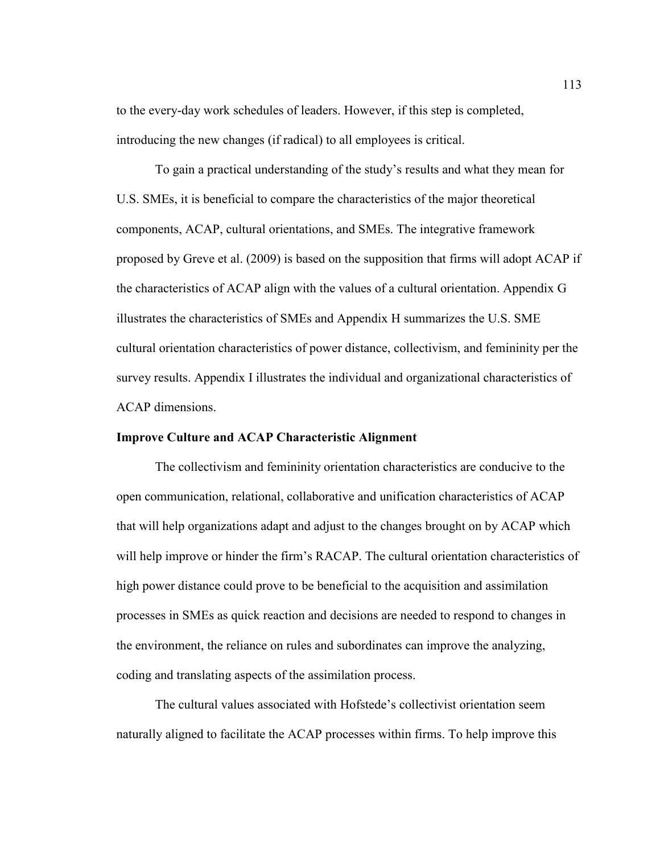to the every-day work schedules of leaders. However, if this step is completed, introducing the new changes (if radical) to all employees is critical.

To gain a practical understanding of the study's results and what they mean for U.S. SMEs, it is beneficial to compare the characteristics of the major theoretical components, ACAP, cultural orientations, and SMEs. The integrative framework proposed by Greve et al. (2009) is based on the supposition that firms will adopt ACAP if the characteristics of ACAP align with the values of a cultural orientation. Appendix G illustrates the characteristics of SMEs and Appendix H summarizes the U.S. SME cultural orientation characteristics of power distance, collectivism, and femininity per the survey results. Appendix I illustrates the individual and organizational characteristics of ACAP dimensions.

# **Improve Culture and ACAP Characteristic Alignment**

The collectivism and femininity orientation characteristics are conducive to the open communication, relational, collaborative and unification characteristics of ACAP that will help organizations adapt and adjust to the changes brought on by ACAP which will help improve or hinder the firm's RACAP. The cultural orientation characteristics of high power distance could prove to be beneficial to the acquisition and assimilation processes in SMEs as quick reaction and decisions are needed to respond to changes in the environment, the reliance on rules and subordinates can improve the analyzing, coding and translating aspects of the assimilation process.

The cultural values associated with Hofstede's collectivist orientation seem naturally aligned to facilitate the ACAP processes within firms. To help improve this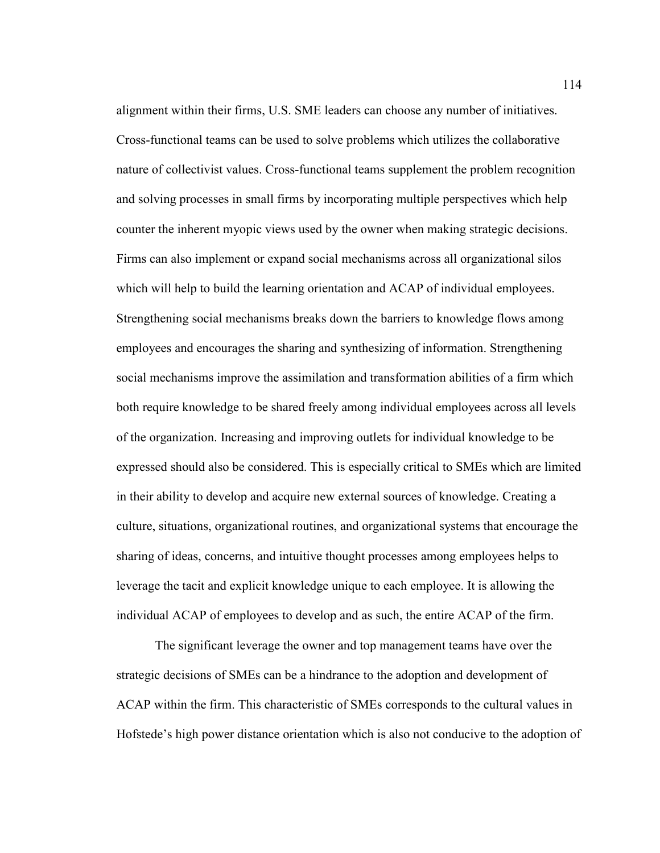alignment within their firms, U.S. SME leaders can choose any number of initiatives. Cross-functional teams can be used to solve problems which utilizes the collaborative nature of collectivist values. Cross-functional teams supplement the problem recognition and solving processes in small firms by incorporating multiple perspectives which help counter the inherent myopic views used by the owner when making strategic decisions. Firms can also implement or expand social mechanisms across all organizational silos which will help to build the learning orientation and ACAP of individual employees. Strengthening social mechanisms breaks down the barriers to knowledge flows among employees and encourages the sharing and synthesizing of information. Strengthening social mechanisms improve the assimilation and transformation abilities of a firm which both require knowledge to be shared freely among individual employees across all levels of the organization. Increasing and improving outlets for individual knowledge to be expressed should also be considered. This is especially critical to SMEs which are limited in their ability to develop and acquire new external sources of knowledge. Creating a culture, situations, organizational routines, and organizational systems that encourage the sharing of ideas, concerns, and intuitive thought processes among employees helps to leverage the tacit and explicit knowledge unique to each employee. It is allowing the individual ACAP of employees to develop and as such, the entire ACAP of the firm.

The significant leverage the owner and top management teams have over the strategic decisions of SMEs can be a hindrance to the adoption and development of ACAP within the firm. This characteristic of SMEs corresponds to the cultural values in Hofstede's high power distance orientation which is also not conducive to the adoption of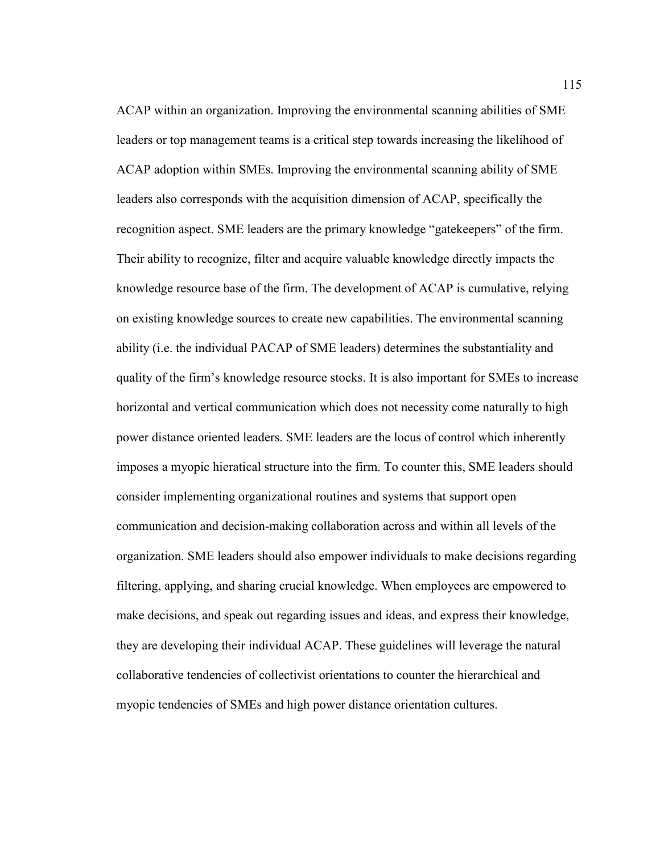ACAP within an organization. Improving the environmental scanning abilities of SME leaders or top management teams is a critical step towards increasing the likelihood of ACAP adoption within SMEs. Improving the environmental scanning ability of SME leaders also corresponds with the acquisition dimension of ACAP, specifically the recognition aspect. SME leaders are the primary knowledge "gatekeepers" of the firm. Their ability to recognize, filter and acquire valuable knowledge directly impacts the knowledge resource base of the firm. The development of ACAP is cumulative, relying on existing knowledge sources to create new capabilities. The environmental scanning ability (i.e. the individual PACAP of SME leaders) determines the substantiality and quality of the firm's knowledge resource stocks. It is also important for SMEs to increase horizontal and vertical communication which does not necessity come naturally to high power distance oriented leaders. SME leaders are the locus of control which inherently imposes a myopic hieratical structure into the firm. To counter this, SME leaders should consider implementing organizational routines and systems that support open communication and decision-making collaboration across and within all levels of the organization. SME leaders should also empower individuals to make decisions regarding filtering, applying, and sharing crucial knowledge. When employees are empowered to make decisions, and speak out regarding issues and ideas, and express their knowledge, they are developing their individual ACAP. These guidelines will leverage the natural collaborative tendencies of collectivist orientations to counter the hierarchical and myopic tendencies of SMEs and high power distance orientation cultures.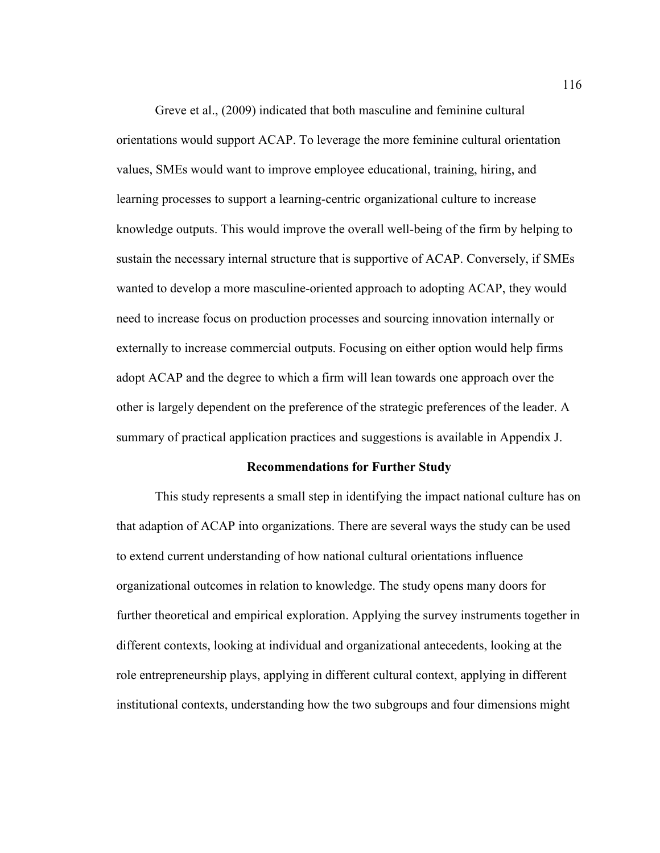Greve et al., (2009) indicated that both masculine and feminine cultural orientations would support ACAP. To leverage the more feminine cultural orientation values, SMEs would want to improve employee educational, training, hiring, and learning processes to support a learning-centric organizational culture to increase knowledge outputs. This would improve the overall well-being of the firm by helping to sustain the necessary internal structure that is supportive of ACAP. Conversely, if SMEs wanted to develop a more masculine-oriented approach to adopting ACAP, they would need to increase focus on production processes and sourcing innovation internally or externally to increase commercial outputs. Focusing on either option would help firms adopt ACAP and the degree to which a firm will lean towards one approach over the other is largely dependent on the preference of the strategic preferences of the leader. A summary of practical application practices and suggestions is available in Appendix J.

## **Recommendations for Further Study**

This study represents a small step in identifying the impact national culture has on that adaption of ACAP into organizations. There are several ways the study can be used to extend current understanding of how national cultural orientations influence organizational outcomes in relation to knowledge. The study opens many doors for further theoretical and empirical exploration. Applying the survey instruments together in different contexts, looking at individual and organizational antecedents, looking at the role entrepreneurship plays, applying in different cultural context, applying in different institutional contexts, understanding how the two subgroups and four dimensions might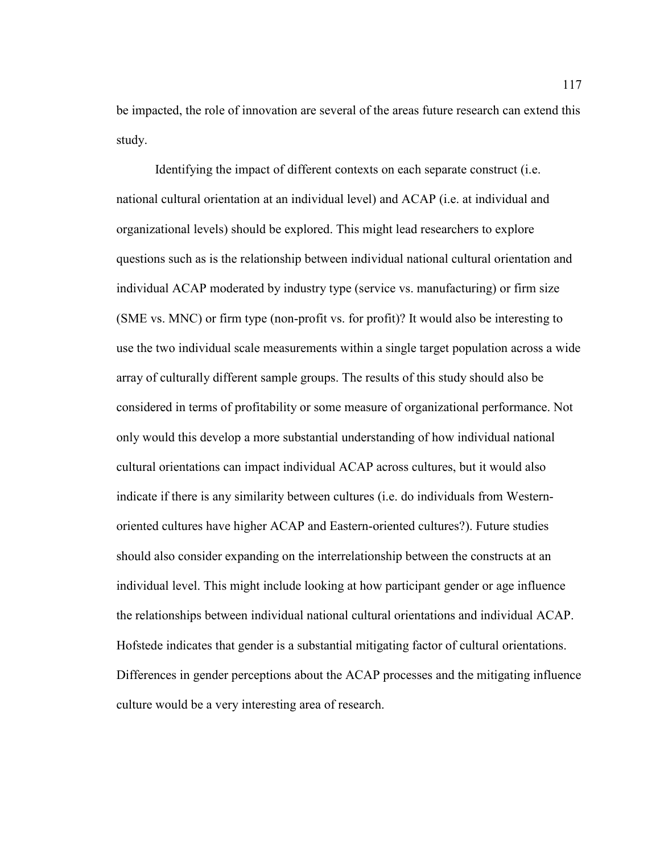be impacted, the role of innovation are several of the areas future research can extend this study.

Identifying the impact of different contexts on each separate construct (i.e. national cultural orientation at an individual level) and ACAP (i.e. at individual and organizational levels) should be explored. This might lead researchers to explore questions such as is the relationship between individual national cultural orientation and individual ACAP moderated by industry type (service vs. manufacturing) or firm size (SME vs. MNC) or firm type (non-profit vs. for profit)? It would also be interesting to use the two individual scale measurements within a single target population across a wide array of culturally different sample groups. The results of this study should also be considered in terms of profitability or some measure of organizational performance. Not only would this develop a more substantial understanding of how individual national cultural orientations can impact individual ACAP across cultures, but it would also indicate if there is any similarity between cultures (i.e. do individuals from Westernoriented cultures have higher ACAP and Eastern-oriented cultures?). Future studies should also consider expanding on the interrelationship between the constructs at an individual level. This might include looking at how participant gender or age influence the relationships between individual national cultural orientations and individual ACAP. Hofstede indicates that gender is a substantial mitigating factor of cultural orientations. Differences in gender perceptions about the ACAP processes and the mitigating influence culture would be a very interesting area of research.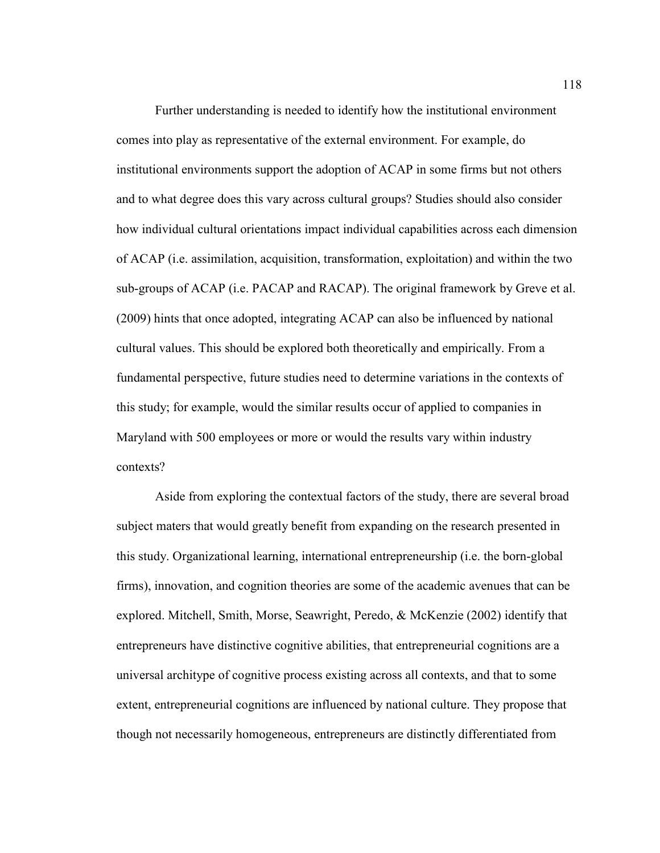Further understanding is needed to identify how the institutional environment comes into play as representative of the external environment. For example, do institutional environments support the adoption of ACAP in some firms but not others and to what degree does this vary across cultural groups? Studies should also consider how individual cultural orientations impact individual capabilities across each dimension of ACAP (i.e. assimilation, acquisition, transformation, exploitation) and within the two sub-groups of ACAP (i.e. PACAP and RACAP). The original framework by Greve et al. (2009) hints that once adopted, integrating ACAP can also be influenced by national cultural values. This should be explored both theoretically and empirically. From a fundamental perspective, future studies need to determine variations in the contexts of this study; for example, would the similar results occur of applied to companies in Maryland with 500 employees or more or would the results vary within industry contexts?

Aside from exploring the contextual factors of the study, there are several broad subject maters that would greatly benefit from expanding on the research presented in this study. Organizational learning, international entrepreneurship (i.e. the born-global firms), innovation, and cognition theories are some of the academic avenues that can be explored. Mitchell, Smith, Morse, Seawright, Peredo, & McKenzie (2002) identify that entrepreneurs have distinctive cognitive abilities, that entrepreneurial cognitions are a universal architype of cognitive process existing across all contexts, and that to some extent, entrepreneurial cognitions are influenced by national culture. They propose that though not necessarily homogeneous, entrepreneurs are distinctly differentiated from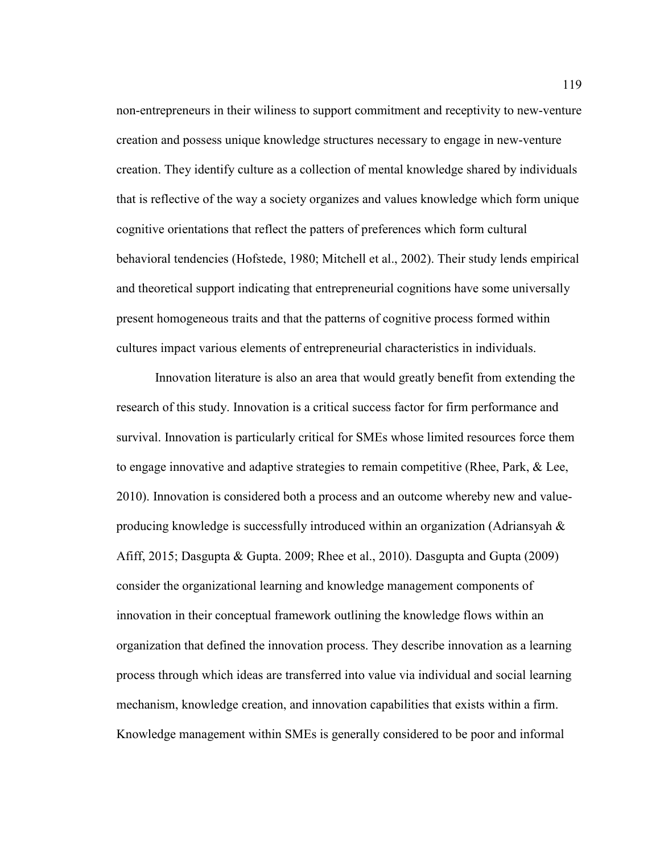non-entrepreneurs in their wiliness to support commitment and receptivity to new-venture creation and possess unique knowledge structures necessary to engage in new-venture creation. They identify culture as a collection of mental knowledge shared by individuals that is reflective of the way a society organizes and values knowledge which form unique cognitive orientations that reflect the patters of preferences which form cultural behavioral tendencies (Hofstede, 1980; Mitchell et al., 2002). Their study lends empirical and theoretical support indicating that entrepreneurial cognitions have some universally present homogeneous traits and that the patterns of cognitive process formed within cultures impact various elements of entrepreneurial characteristics in individuals.

Innovation literature is also an area that would greatly benefit from extending the research of this study. Innovation is a critical success factor for firm performance and survival. Innovation is particularly critical for SMEs whose limited resources force them to engage innovative and adaptive strategies to remain competitive (Rhee, Park, & Lee, 2010). Innovation is considered both a process and an outcome whereby new and valueproducing knowledge is successfully introduced within an organization (Adriansyah & Afiff, 2015; Dasgupta & Gupta. 2009; Rhee et al., 2010). Dasgupta and Gupta (2009) consider the organizational learning and knowledge management components of innovation in their conceptual framework outlining the knowledge flows within an organization that defined the innovation process. They describe innovation as a learning process through which ideas are transferred into value via individual and social learning mechanism, knowledge creation, and innovation capabilities that exists within a firm. Knowledge management within SMEs is generally considered to be poor and informal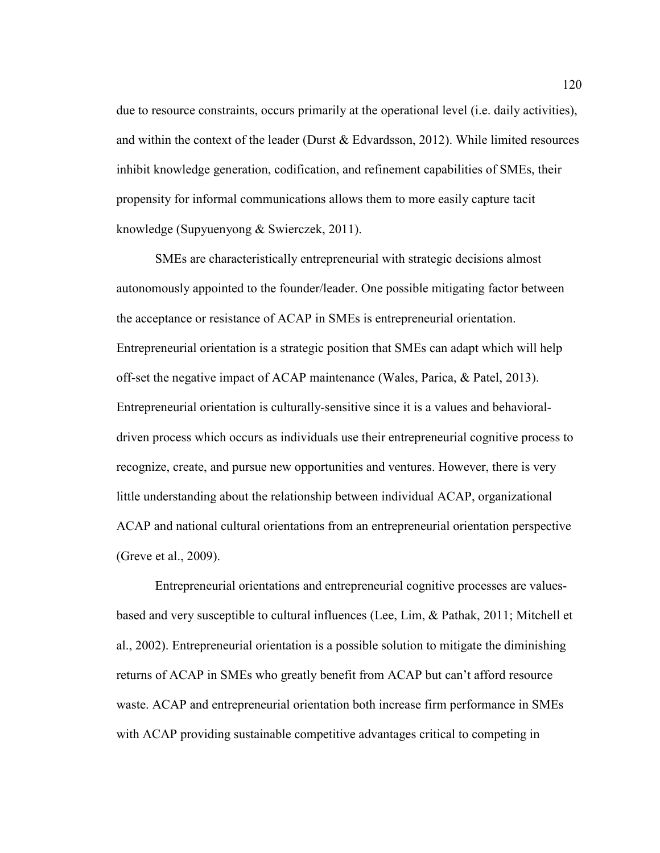due to resource constraints, occurs primarily at the operational level (i.e. daily activities), and within the context of the leader (Durst & Edvardsson, 2012). While limited resources inhibit knowledge generation, codification, and refinement capabilities of SMEs, their propensity for informal communications allows them to more easily capture tacit knowledge (Supyuenyong & Swierczek, 2011).

SMEs are characteristically entrepreneurial with strategic decisions almost autonomously appointed to the founder/leader. One possible mitigating factor between the acceptance or resistance of ACAP in SMEs is entrepreneurial orientation. Entrepreneurial orientation is a strategic position that SMEs can adapt which will help off-set the negative impact of ACAP maintenance (Wales, Parica, & Patel, 2013). Entrepreneurial orientation is culturally-sensitive since it is a values and behavioraldriven process which occurs as individuals use their entrepreneurial cognitive process to recognize, create, and pursue new opportunities and ventures. However, there is very little understanding about the relationship between individual ACAP, organizational ACAP and national cultural orientations from an entrepreneurial orientation perspective (Greve et al., 2009).

Entrepreneurial orientations and entrepreneurial cognitive processes are valuesbased and very susceptible to cultural influences (Lee, Lim, & Pathak, 2011; Mitchell et al., 2002). Entrepreneurial orientation is a possible solution to mitigate the diminishing returns of ACAP in SMEs who greatly benefit from ACAP but can't afford resource waste. ACAP and entrepreneurial orientation both increase firm performance in SMEs with ACAP providing sustainable competitive advantages critical to competing in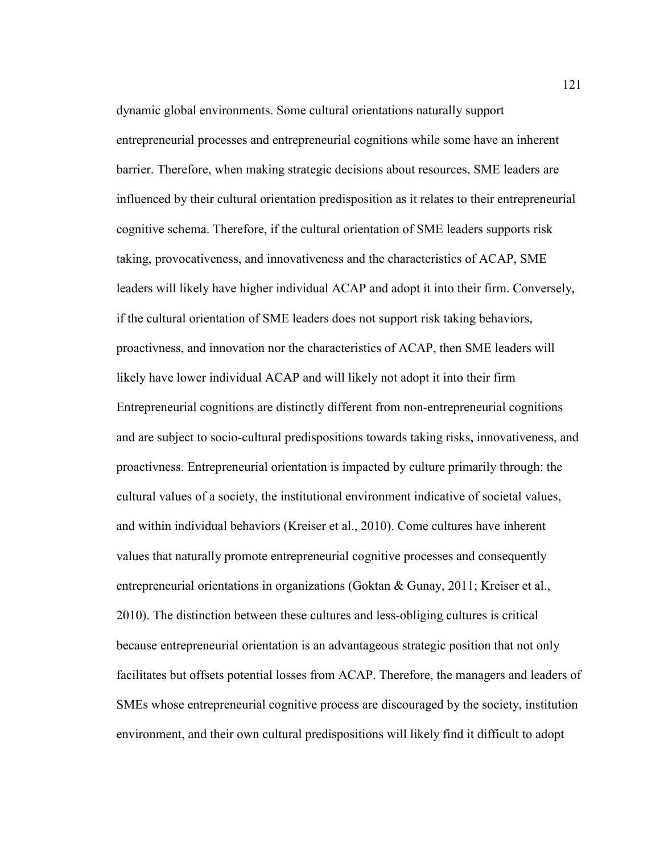dynamic global environments. Some cultural orientations naturally support entrepreneurial processes and entrepreneurial cognitions while some have an inherent barrier. Therefore, when making strategic decisions about resources, SME leaders are influenced by their cultural orientation predisposition as it relates to their entrepreneurial cognitive schema. Therefore, if the cultural orientation of SME leaders supports risk taking, provocativeness, and innovativeness and the characteristics of ACAP, SME leaders will likely have higher individual ACAP and adopt it into their firm. Conversely, if the cultural orientation of SME leaders does not support risk taking behaviors, proactivness, and innovation nor the characteristics of ACAP, then SME leaders will likely have lower individual ACAP and will likely not adopt it into their firm Entrepreneurial cognitions are distinctly different from non-entrepreneurial cognitions and are subject to socio-cultural predispositions towards taking risks, innovativeness, and proactivness. Entrepreneurial orientation is impacted by culture primarily through: the cultural values of a society, the institutional environment indicative of societal values, and within individual behaviors (Kreiser et al., 2010). Come cultures have inherent values that naturally promote entrepreneurial cognitive processes and consequently entrepreneurial orientations in organizations (Goktan & Gunay, 2011; Kreiser et al., 2010). The distinction between these cultures and less-obliging cultures is critical because entrepreneurial orientation is an advantageous strategic position that not only facilitates but offsets potential losses from ACAP. Therefore, the managers and leaders of SMEs whose entrepreneurial cognitive process are discouraged by the society, institution environment, and their own cultural predispositions will likely find it difficult to adopt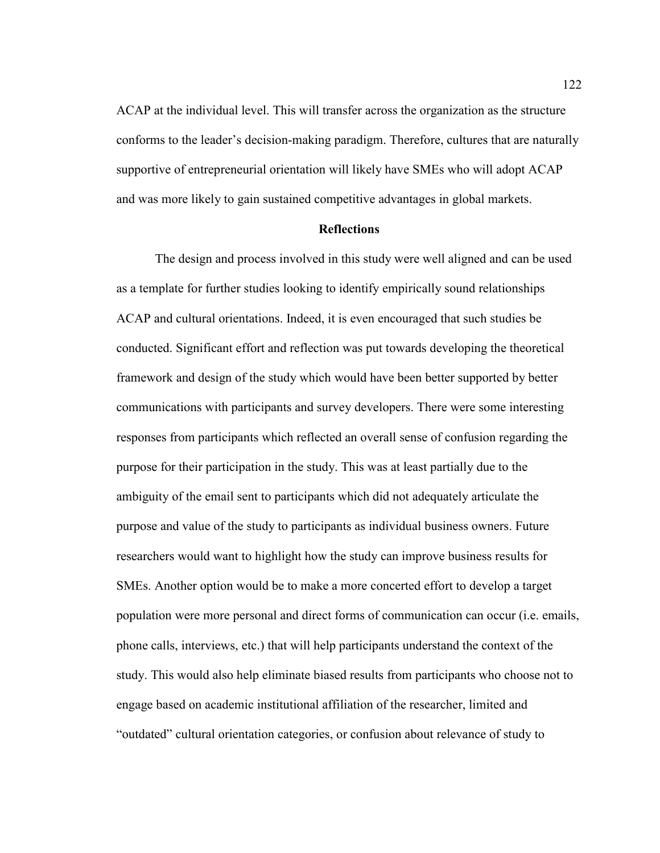ACAP at the individual level. This will transfer across the organization as the structure conforms to the leader's decision-making paradigm. Therefore, cultures that are naturally supportive of entrepreneurial orientation will likely have SMEs who will adopt ACAP and was more likely to gain sustained competitive advantages in global markets.

### **Reflections**

The design and process involved in this study were well aligned and can be used as a template for further studies looking to identify empirically sound relationships ACAP and cultural orientations. Indeed, it is even encouraged that such studies be conducted. Significant effort and reflection was put towards developing the theoretical framework and design of the study which would have been better supported by better communications with participants and survey developers. There were some interesting responses from participants which reflected an overall sense of confusion regarding the purpose for their participation in the study. This was at least partially due to the ambiguity of the email sent to participants which did not adequately articulate the purpose and value of the study to participants as individual business owners. Future researchers would want to highlight how the study can improve business results for SMEs. Another option would be to make a more concerted effort to develop a target population were more personal and direct forms of communication can occur (i.e. emails, phone calls, interviews, etc.) that will help participants understand the context of the study. This would also help eliminate biased results from participants who choose not to engage based on academic institutional affiliation of the researcher, limited and "outdated" cultural orientation categories, or confusion about relevance of study to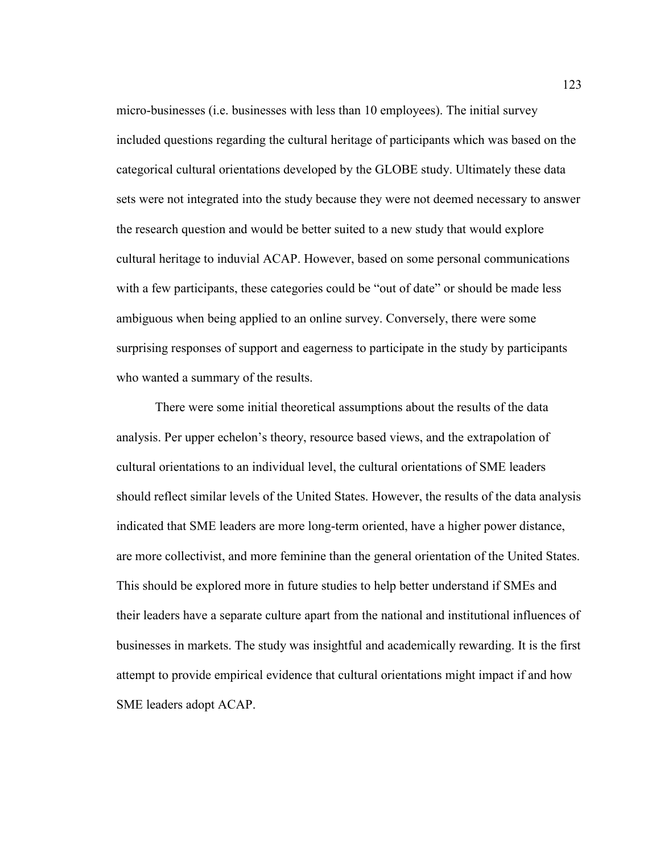micro-businesses (i.e. businesses with less than 10 employees). The initial survey included questions regarding the cultural heritage of participants which was based on the categorical cultural orientations developed by the GLOBE study. Ultimately these data sets were not integrated into the study because they were not deemed necessary to answer the research question and would be better suited to a new study that would explore cultural heritage to induvial ACAP. However, based on some personal communications with a few participants, these categories could be "out of date" or should be made less ambiguous when being applied to an online survey. Conversely, there were some surprising responses of support and eagerness to participate in the study by participants who wanted a summary of the results.

There were some initial theoretical assumptions about the results of the data analysis. Per upper echelon's theory, resource based views, and the extrapolation of cultural orientations to an individual level, the cultural orientations of SME leaders should reflect similar levels of the United States. However, the results of the data analysis indicated that SME leaders are more long-term oriented, have a higher power distance, are more collectivist, and more feminine than the general orientation of the United States. This should be explored more in future studies to help better understand if SMEs and their leaders have a separate culture apart from the national and institutional influences of businesses in markets. The study was insightful and academically rewarding. It is the first attempt to provide empirical evidence that cultural orientations might impact if and how SME leaders adopt ACAP.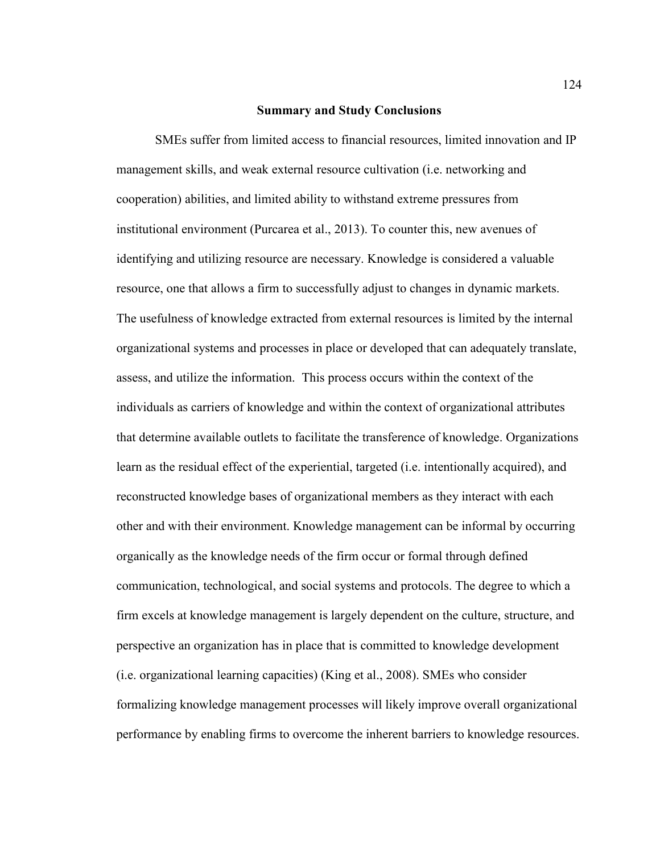#### **Summary and Study Conclusions**

SMEs suffer from limited access to financial resources, limited innovation and IP management skills, and weak external resource cultivation (i.e. networking and cooperation) abilities, and limited ability to withstand extreme pressures from institutional environment (Purcarea et al., 2013). To counter this, new avenues of identifying and utilizing resource are necessary. Knowledge is considered a valuable resource, one that allows a firm to successfully adjust to changes in dynamic markets. The usefulness of knowledge extracted from external resources is limited by the internal organizational systems and processes in place or developed that can adequately translate, assess, and utilize the information. This process occurs within the context of the individuals as carriers of knowledge and within the context of organizational attributes that determine available outlets to facilitate the transference of knowledge. Organizations learn as the residual effect of the experiential, targeted (i.e. intentionally acquired), and reconstructed knowledge bases of organizational members as they interact with each other and with their environment. Knowledge management can be informal by occurring organically as the knowledge needs of the firm occur or formal through defined communication, technological, and social systems and protocols. The degree to which a firm excels at knowledge management is largely dependent on the culture, structure, and perspective an organization has in place that is committed to knowledge development (i.e. organizational learning capacities) (King et al., 2008). SMEs who consider formalizing knowledge management processes will likely improve overall organizational performance by enabling firms to overcome the inherent barriers to knowledge resources.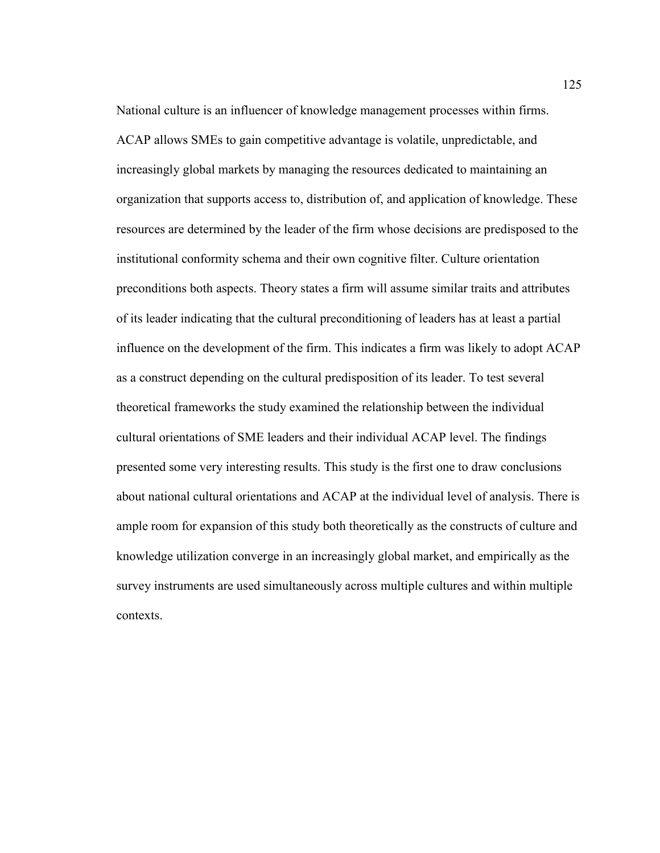National culture is an influencer of knowledge management processes within firms. ACAP allows SMEs to gain competitive advantage is volatile, unpredictable, and increasingly global markets by managing the resources dedicated to maintaining an organization that supports access to, distribution of, and application of knowledge. These resources are determined by the leader of the firm whose decisions are predisposed to the institutional conformity schema and their own cognitive filter. Culture orientation preconditions both aspects. Theory states a firm will assume similar traits and attributes of its leader indicating that the cultural preconditioning of leaders has at least a partial influence on the development of the firm. This indicates a firm was likely to adopt ACAP as a construct depending on the cultural predisposition of its leader. To test several theoretical frameworks the study examined the relationship between the individual cultural orientations of SME leaders and their individual ACAP level. The findings presented some very interesting results. This study is the first one to draw conclusions about national cultural orientations and ACAP at the individual level of analysis. There is ample room for expansion of this study both theoretically as the constructs of culture and knowledge utilization converge in an increasingly global market, and empirically as the survey instruments are used simultaneously across multiple cultures and within multiple contexts.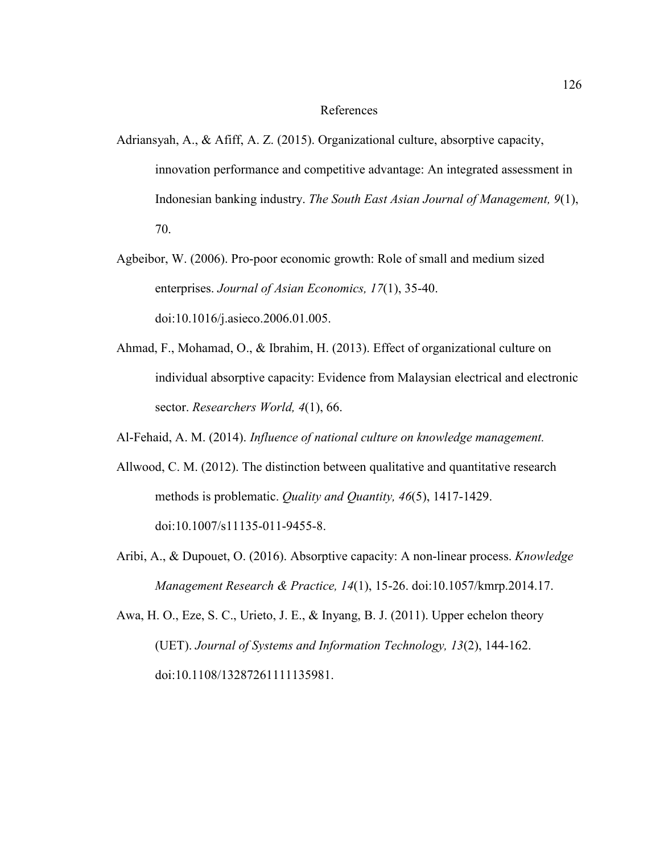### References

- Adriansyah, A., & Afiff, A. Z. (2015). Organizational culture, absorptive capacity, innovation performance and competitive advantage: An integrated assessment in Indonesian banking industry. *The South East Asian Journal of Management, 9*(1), 70.
- Agbeibor, W. (2006). Pro-poor economic growth: Role of small and medium sized enterprises. *Journal of Asian Economics, 17*(1), 35-40. doi:10.1016/j.asieco.2006.01.005.
- Ahmad, F., Mohamad, O., & Ibrahim, H. (2013). Effect of organizational culture on individual absorptive capacity: Evidence from Malaysian electrical and electronic sector. *Researchers World, 4*(1), 66.
- Al-Fehaid, A. M. (2014). *Influence of national culture on knowledge management.*
- Allwood, C. M. (2012). The distinction between qualitative and quantitative research methods is problematic. *Quality and Quantity, 46*(5), 1417-1429. doi:10.1007/s11135-011-9455-8.
- Aribi, A., & Dupouet, O. (2016). Absorptive capacity: A non-linear process. *Knowledge Management Research & Practice, 14*(1), 15-26. doi:10.1057/kmrp.2014.17.
- Awa, H. O., Eze, S. C., Urieto, J. E., & Inyang, B. J. (2011). Upper echelon theory (UET). *Journal of Systems and Information Technology, 13*(2), 144-162. doi:10.1108/13287261111135981.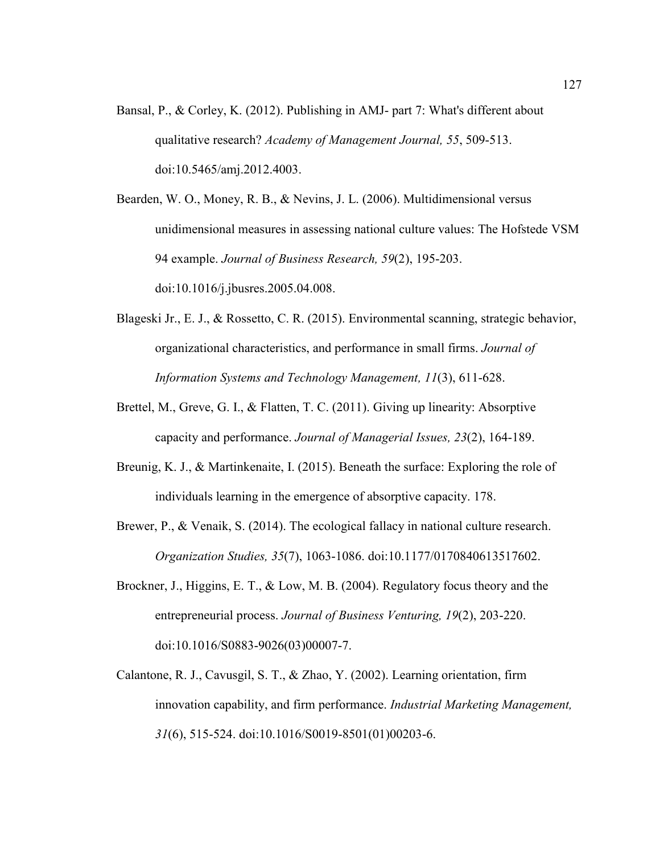Bansal, P., & Corley, K. (2012). Publishing in AMJ- part 7: What's different about qualitative research? *Academy of Management Journal, 55*, 509-513. doi:10.5465/amj.2012.4003.

Bearden, W. O., Money, R. B., & Nevins, J. L. (2006). Multidimensional versus unidimensional measures in assessing national culture values: The Hofstede VSM 94 example. *Journal of Business Research, 59*(2), 195-203. doi:10.1016/j.jbusres.2005.04.008.

- Blageski Jr., E. J., & Rossetto, C. R. (2015). Environmental scanning, strategic behavior, organizational characteristics, and performance in small firms. *Journal of Information Systems and Technology Management, 11*(3), 611-628.
- Brettel, M., Greve, G. I., & Flatten, T. C. (2011). Giving up linearity: Absorptive capacity and performance. *Journal of Managerial Issues, 23*(2), 164-189.
- Breunig, K. J., & Martinkenaite, I. (2015). Beneath the surface: Exploring the role of individuals learning in the emergence of absorptive capacity. 178.
- Brewer, P., & Venaik, S. (2014). The ecological fallacy in national culture research. *Organization Studies, 35*(7), 1063-1086. doi:10.1177/0170840613517602.
- Brockner, J., Higgins, E. T., & Low, M. B. (2004). Regulatory focus theory and the entrepreneurial process. *Journal of Business Venturing, 19*(2), 203-220. doi:10.1016/S0883-9026(03)00007-7.
- Calantone, R. J., Cavusgil, S. T., & Zhao, Y. (2002). Learning orientation, firm innovation capability, and firm performance. *Industrial Marketing Management, 31*(6), 515-524. doi:10.1016/S0019-8501(01)00203-6.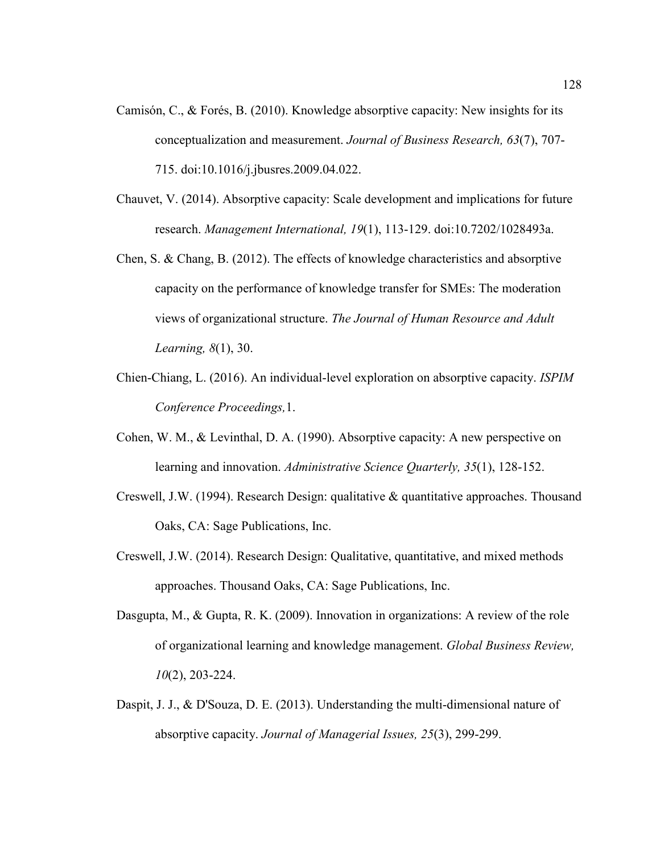- Camisón, C., & Forés, B. (2010). Knowledge absorptive capacity: New insights for its conceptualization and measurement. *Journal of Business Research, 63*(7), 707- 715. doi:10.1016/j.jbusres.2009.04.022.
- Chauvet, V. (2014). Absorptive capacity: Scale development and implications for future research. *Management International, 19*(1), 113-129. doi:10.7202/1028493a.
- Chen, S. & Chang, B. (2012). The effects of knowledge characteristics and absorptive capacity on the performance of knowledge transfer for SMEs: The moderation views of organizational structure. *The Journal of Human Resource and Adult Learning, 8*(1), 30.
- Chien-Chiang, L. (2016). An individual-level exploration on absorptive capacity. *ISPIM Conference Proceedings,*1.
- Cohen, W. M., & Levinthal, D. A. (1990). Absorptive capacity: A new perspective on learning and innovation. *Administrative Science Quarterly, 35*(1), 128-152.
- Creswell, J.W. (1994). Research Design: qualitative & quantitative approaches. Thousand Oaks, CA: Sage Publications, Inc.
- Creswell, J.W. (2014). Research Design: Qualitative, quantitative, and mixed methods approaches. Thousand Oaks, CA: Sage Publications, Inc.
- Dasgupta, M., & Gupta, R. K. (2009). Innovation in organizations: A review of the role of organizational learning and knowledge management. *Global Business Review, 10*(2), 203-224.
- Daspit, J. J., & D'Souza, D. E. (2013). Understanding the multi-dimensional nature of absorptive capacity. *Journal of Managerial Issues, 25*(3), 299-299.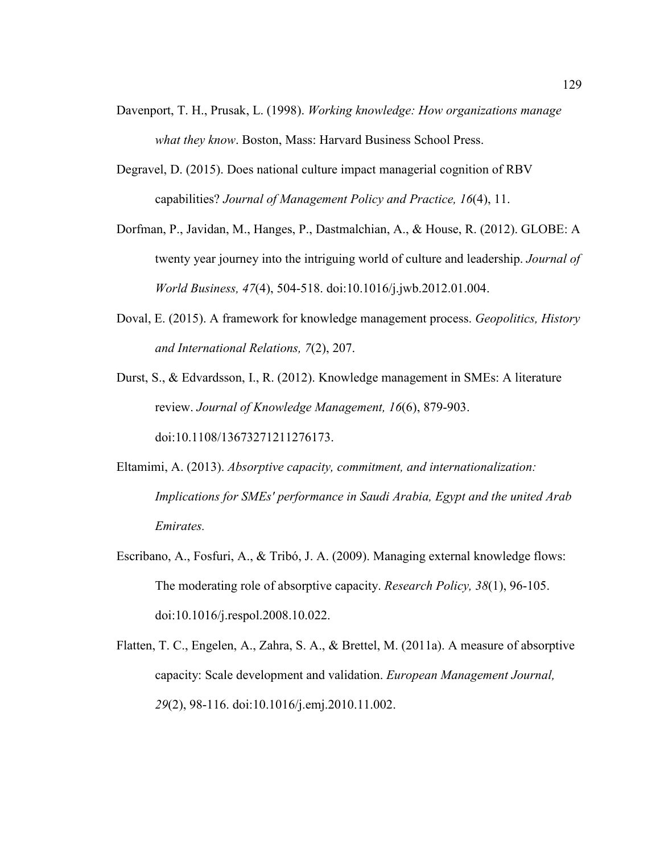- Davenport, T. H., Prusak, L. (1998). *Working knowledge: How organizations manage what they know*. Boston, Mass: Harvard Business School Press.
- Degravel, D. (2015). Does national culture impact managerial cognition of RBV capabilities? *Journal of Management Policy and Practice, 16*(4), 11.
- Dorfman, P., Javidan, M., Hanges, P., Dastmalchian, A., & House, R. (2012). GLOBE: A twenty year journey into the intriguing world of culture and leadership. *Journal of World Business, 47*(4), 504-518. doi:10.1016/j.jwb.2012.01.004.
- Doval, E. (2015). A framework for knowledge management process. *Geopolitics, History and International Relations, 7*(2), 207.

Durst, S., & Edvardsson, I., R. (2012). Knowledge management in SMEs: A literature review. *Journal of Knowledge Management, 16*(6), 879-903. doi:10.1108/13673271211276173.

- Eltamimi, A. (2013). *Absorptive capacity, commitment, and internationalization: Implications for SMEs' performance in Saudi Arabia, Egypt and the united Arab Emirates.*
- Escribano, A., Fosfuri, A., & Tribó, J. A. (2009). Managing external knowledge flows: The moderating role of absorptive capacity. *Research Policy, 38*(1), 96-105. doi:10.1016/j.respol.2008.10.022.
- Flatten, T. C., Engelen, A., Zahra, S. A., & Brettel, M. (2011a). A measure of absorptive capacity: Scale development and validation. *European Management Journal, 29*(2), 98-116. doi:10.1016/j.emj.2010.11.002.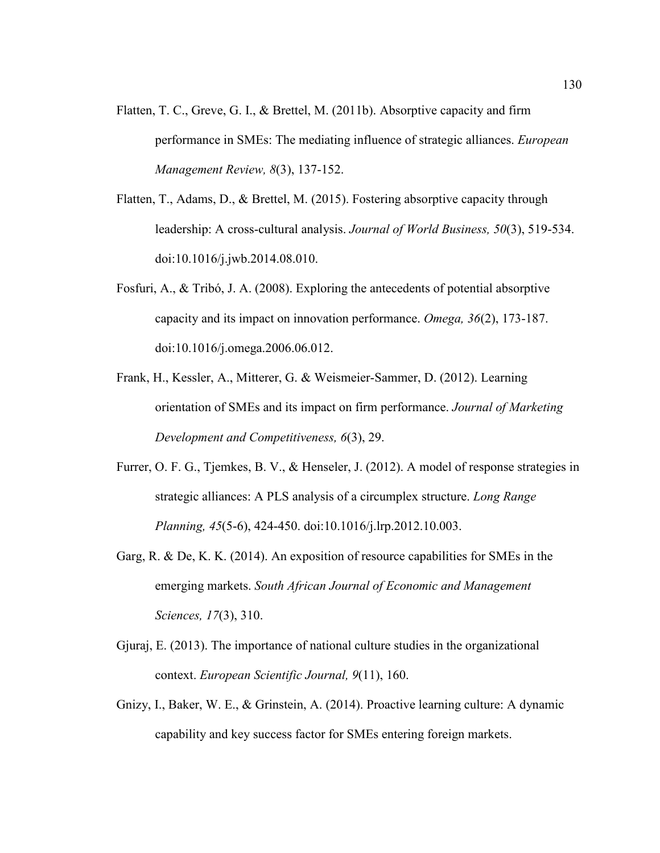- Flatten, T. C., Greve, G. I., & Brettel, M. (2011b). Absorptive capacity and firm performance in SMEs: The mediating influence of strategic alliances. *European Management Review, 8*(3), 137-152.
- Flatten, T., Adams, D., & Brettel, M. (2015). Fostering absorptive capacity through leadership: A cross-cultural analysis. *Journal of World Business, 50*(3), 519-534. doi:10.1016/j.jwb.2014.08.010.
- Fosfuri, A., & Tribó, J. A. (2008). Exploring the antecedents of potential absorptive capacity and its impact on innovation performance. *Omega, 36*(2), 173-187. doi:10.1016/j.omega.2006.06.012.
- Frank, H., Kessler, A., Mitterer, G. & Weismeier-Sammer, D. (2012). Learning orientation of SMEs and its impact on firm performance. *Journal of Marketing Development and Competitiveness, 6*(3), 29.
- Furrer, O. F. G., Tjemkes, B. V., & Henseler, J. (2012). A model of response strategies in strategic alliances: A PLS analysis of a circumplex structure. *Long Range Planning, 45*(5-6), 424-450. doi:10.1016/j.lrp.2012.10.003.
- Garg, R. & De, K. K. (2014). An exposition of resource capabilities for SMEs in the emerging markets. *South African Journal of Economic and Management Sciences, 17*(3), 310.
- Gjuraj, E. (2013). The importance of national culture studies in the organizational context. *European Scientific Journal, 9*(11), 160.
- Gnizy, I., Baker, W. E., & Grinstein, A. (2014). Proactive learning culture: A dynamic capability and key success factor for SMEs entering foreign markets.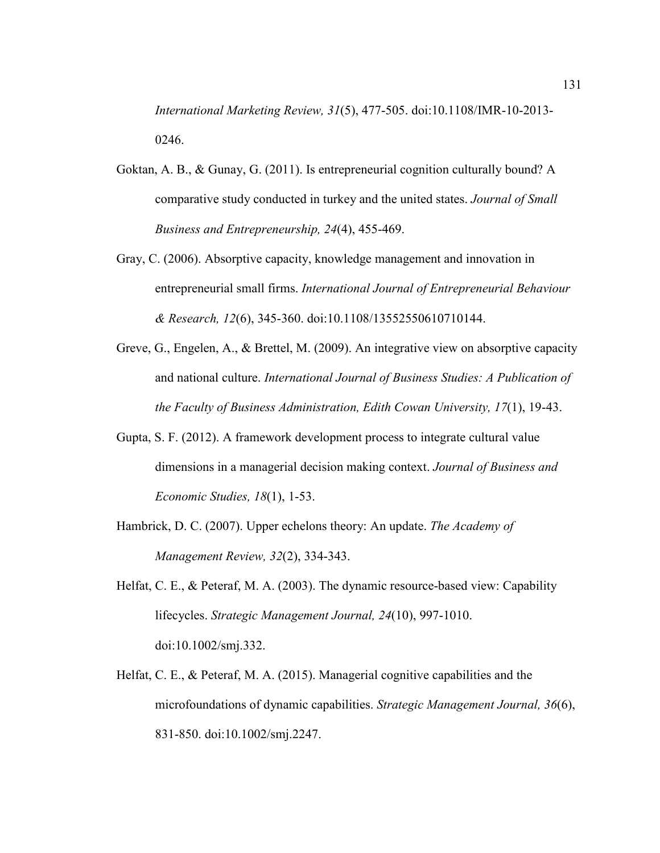*International Marketing Review, 31*(5), 477-505. doi:10.1108/IMR-10-2013- 0246.

- Goktan, A. B., & Gunay, G. (2011). Is entrepreneurial cognition culturally bound? A comparative study conducted in turkey and the united states. *Journal of Small Business and Entrepreneurship, 24*(4), 455-469.
- Gray, C. (2006). Absorptive capacity, knowledge management and innovation in entrepreneurial small firms. *International Journal of Entrepreneurial Behaviour & Research, 12*(6), 345-360. doi:10.1108/13552550610710144.
- Greve, G., Engelen, A., & Brettel, M. (2009). An integrative view on absorptive capacity and national culture. *International Journal of Business Studies: A Publication of the Faculty of Business Administration, Edith Cowan University, 17*(1), 19-43.
- Gupta, S. F. (2012). A framework development process to integrate cultural value dimensions in a managerial decision making context. *Journal of Business and Economic Studies, 18*(1), 1-53.
- Hambrick, D. C. (2007). Upper echelons theory: An update. *The Academy of Management Review, 32*(2), 334-343.
- Helfat, C. E., & Peteraf, M. A. (2003). The dynamic resource-based view: Capability lifecycles. *Strategic Management Journal, 24*(10), 997-1010. doi:10.1002/smj.332.
- Helfat, C. E., & Peteraf, M. A. (2015). Managerial cognitive capabilities and the microfoundations of dynamic capabilities. *Strategic Management Journal, 36*(6), 831-850. doi:10.1002/smj.2247.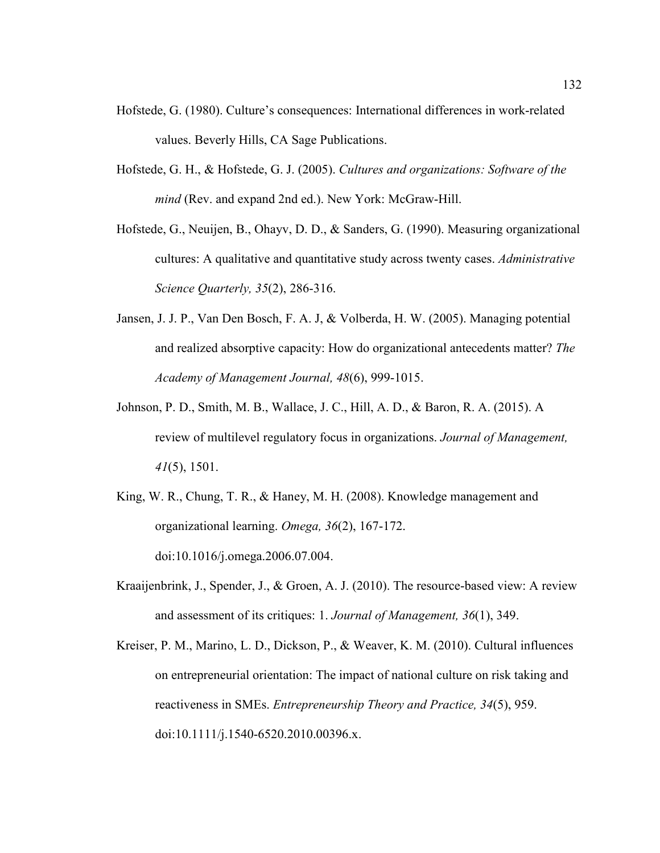- Hofstede, G. (1980). Culture's consequences: International differences in work-related values. Beverly Hills, CA Sage Publications.
- Hofstede, G. H., & Hofstede, G. J. (2005). *Cultures and organizations: Software of the mind* (Rev. and expand 2nd ed.). New York: McGraw-Hill.
- Hofstede, G., Neuijen, B., Ohayv, D. D., & Sanders, G. (1990). Measuring organizational cultures: A qualitative and quantitative study across twenty cases. *Administrative Science Quarterly, 35*(2), 286-316.
- Jansen, J. J. P., Van Den Bosch, F. A. J, & Volberda, H. W. (2005). Managing potential and realized absorptive capacity: How do organizational antecedents matter? *The Academy of Management Journal, 48*(6), 999-1015.
- Johnson, P. D., Smith, M. B., Wallace, J. C., Hill, A. D., & Baron, R. A. (2015). A review of multilevel regulatory focus in organizations. *Journal of Management, 41*(5), 1501.
- King, W. R., Chung, T. R., & Haney, M. H. (2008). Knowledge management and organizational learning. *Omega, 36*(2), 167-172. doi:10.1016/j.omega.2006.07.004.
- Kraaijenbrink, J., Spender, J., & Groen, A. J. (2010). The resource-based view: A review and assessment of its critiques: 1. *Journal of Management, 36*(1), 349.
- Kreiser, P. M., Marino, L. D., Dickson, P., & Weaver, K. M. (2010). Cultural influences on entrepreneurial orientation: The impact of national culture on risk taking and reactiveness in SMEs. *Entrepreneurship Theory and Practice, 34*(5), 959. doi:10.1111/j.1540-6520.2010.00396.x.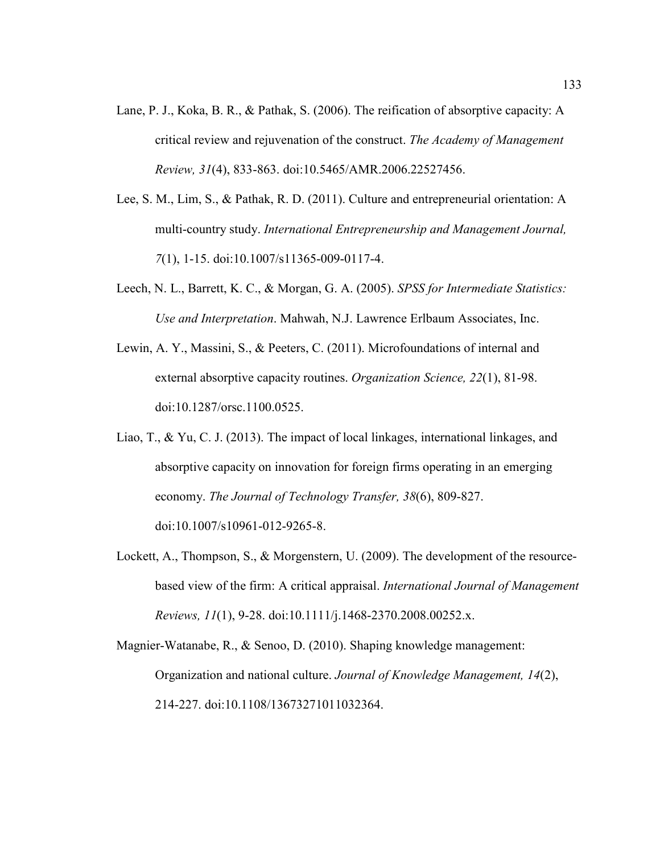- Lane, P. J., Koka, B. R., & Pathak, S. (2006). The reification of absorptive capacity: A critical review and rejuvenation of the construct. *The Academy of Management Review, 31*(4), 833-863. doi:10.5465/AMR.2006.22527456.
- Lee, S. M., Lim, S., & Pathak, R. D. (2011). Culture and entrepreneurial orientation: A multi-country study. *International Entrepreneurship and Management Journal, 7*(1), 1-15. doi:10.1007/s11365-009-0117-4.
- Leech, N. L., Barrett, K. C., & Morgan, G. A. (2005). *SPSS for Intermediate Statistics: Use and Interpretation*. Mahwah, N.J. Lawrence Erlbaum Associates, Inc.
- Lewin, A. Y., Massini, S., & Peeters, C. (2011). Microfoundations of internal and external absorptive capacity routines. *Organization Science, 22*(1), 81-98. doi:10.1287/orsc.1100.0525.
- Liao, T., & Yu, C. J. (2013). The impact of local linkages, international linkages, and absorptive capacity on innovation for foreign firms operating in an emerging economy. *The Journal of Technology Transfer, 38*(6), 809-827. doi:10.1007/s10961-012-9265-8.
- Lockett, A., Thompson, S., & Morgenstern, U. (2009). The development of the resourcebased view of the firm: A critical appraisal. *International Journal of Management Reviews, 11*(1), 9-28. doi:10.1111/j.1468-2370.2008.00252.x.

Magnier-Watanabe, R., & Senoo, D. (2010). Shaping knowledge management: Organization and national culture. *Journal of Knowledge Management, 14*(2), 214-227. doi:10.1108/13673271011032364.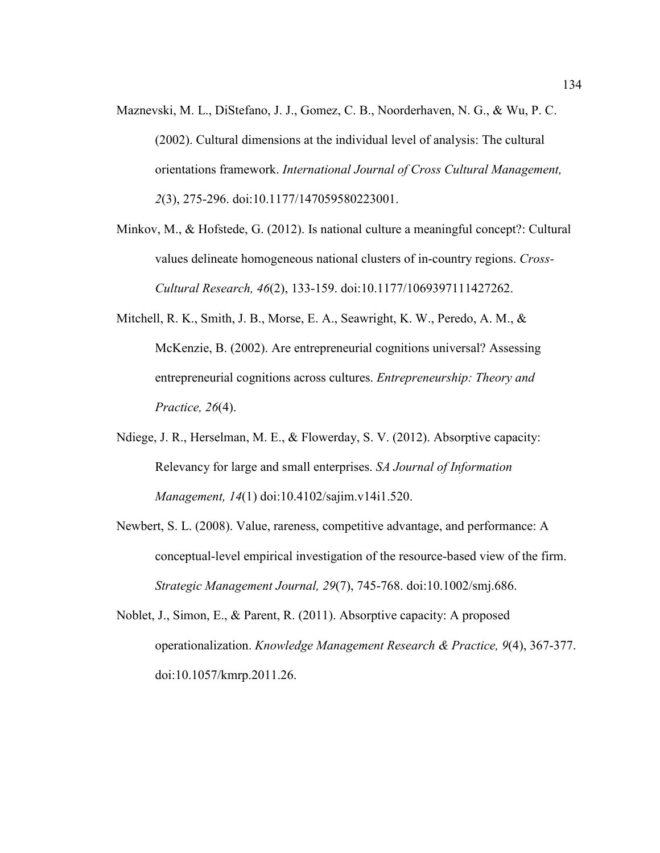- Maznevski, M. L., DiStefano, J. J., Gomez, C. B., Noorderhaven, N. G., & Wu, P. C. (2002). Cultural dimensions at the individual level of analysis: The cultural orientations framework. *International Journal of Cross Cultural Management, 2*(3), 275-296. doi:10.1177/147059580223001.
- Minkov, M., & Hofstede, G. (2012). Is national culture a meaningful concept?: Cultural values delineate homogeneous national clusters of in-country regions. *Cross-Cultural Research, 46*(2), 133-159. doi:10.1177/1069397111427262.
- Mitchell, R. K., Smith, J. B., Morse, E. A., Seawright, K. W., Peredo, A. M.,  $\&$ McKenzie, B. (2002). Are entrepreneurial cognitions universal? Assessing entrepreneurial cognitions across cultures. *Entrepreneurship: Theory and Practice, 26*(4).
- Ndiege, J. R., Herselman, M. E., & Flowerday, S. V. (2012). Absorptive capacity: Relevancy for large and small enterprises. *SA Journal of Information Management, 14*(1) doi:10.4102/sajim.v14i1.520.
- Newbert, S. L. (2008). Value, rareness, competitive advantage, and performance: A conceptual-level empirical investigation of the resource-based view of the firm. *Strategic Management Journal, 29*(7), 745-768. doi:10.1002/smj.686.
- Noblet, J., Simon, E., & Parent, R. (2011). Absorptive capacity: A proposed operationalization. *Knowledge Management Research & Practice, 9*(4), 367-377. doi:10.1057/kmrp.2011.26.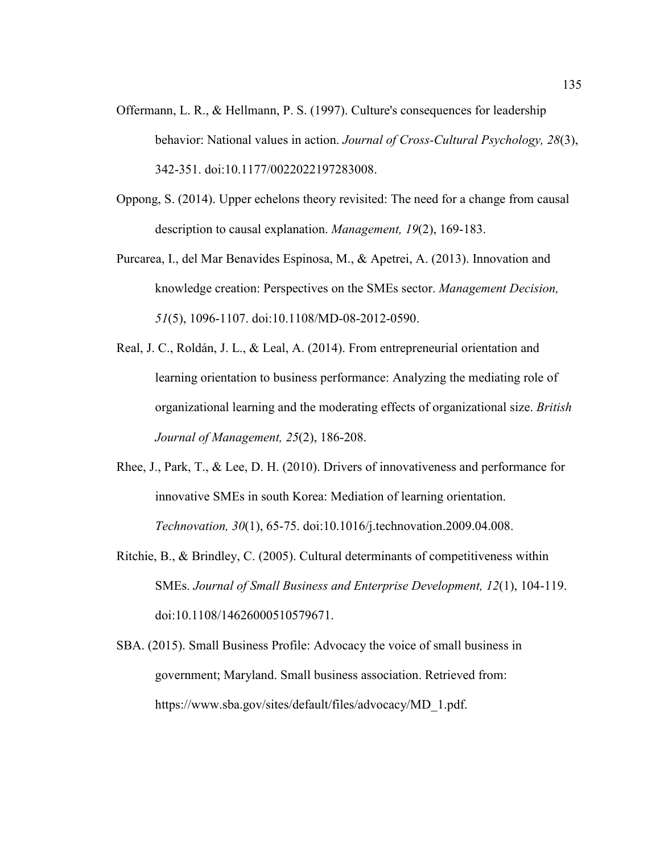- Offermann, L. R., & Hellmann, P. S. (1997). Culture's consequences for leadership behavior: National values in action. *Journal of Cross-Cultural Psychology, 28*(3), 342-351. doi:10.1177/0022022197283008.
- Oppong, S. (2014). Upper echelons theory revisited: The need for a change from causal description to causal explanation. *Management, 19*(2), 169-183.
- Purcarea, I., del Mar Benavides Espinosa, M., & Apetrei, A. (2013). Innovation and knowledge creation: Perspectives on the SMEs sector. *Management Decision, 51*(5), 1096-1107. doi:10.1108/MD-08-2012-0590.
- Real, J. C., Roldán, J. L., & Leal, A. (2014). From entrepreneurial orientation and learning orientation to business performance: Analyzing the mediating role of organizational learning and the moderating effects of organizational size. *British Journal of Management, 25*(2), 186-208.
- Rhee, J., Park, T., & Lee, D. H. (2010). Drivers of innovativeness and performance for innovative SMEs in south Korea: Mediation of learning orientation. *Technovation, 30*(1), 65-75. doi:10.1016/j.technovation.2009.04.008.
- Ritchie, B., & Brindley, C. (2005). Cultural determinants of competitiveness within SMEs. *Journal of Small Business and Enterprise Development, 12*(1), 104-119. doi:10.1108/14626000510579671.
- SBA. (2015). Small Business Profile: Advocacy the voice of small business in government; Maryland. Small business association. Retrieved from: https://www.sba.gov/sites/default/files/advocacy/MD\_1.pdf.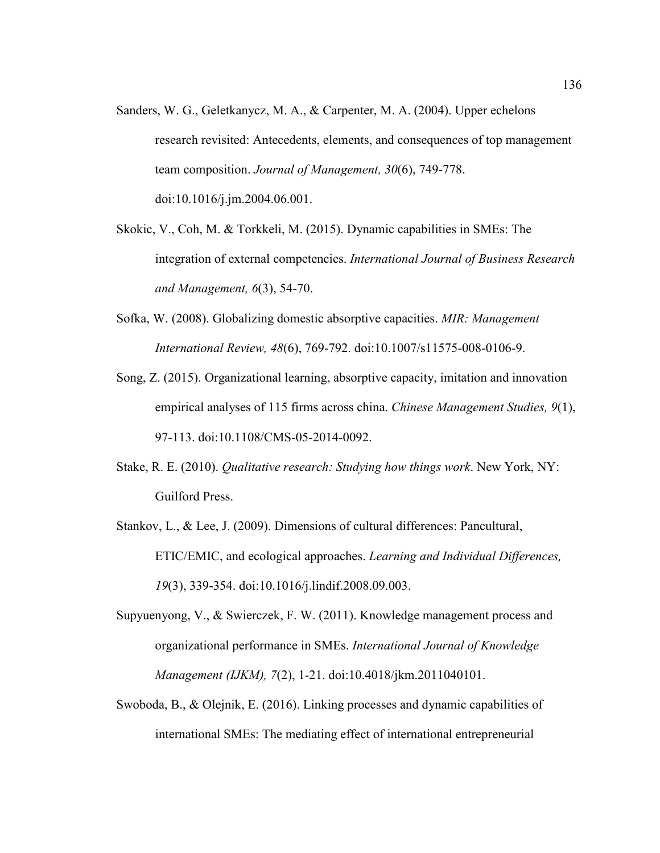- Sanders, W. G., Geletkanycz, M. A., & Carpenter, M. A. (2004). Upper echelons research revisited: Antecedents, elements, and consequences of top management team composition. *Journal of Management, 30*(6), 749-778. doi:10.1016/j.jm.2004.06.001.
- Skokic, V., Coh, M. & Torkkeli, M. (2015). Dynamic capabilities in SMEs: The integration of external competencies. *International Journal of Business Research and Management, 6*(3), 54-70.
- Sofka, W. (2008). Globalizing domestic absorptive capacities. *MIR: Management International Review, 48*(6), 769-792. doi:10.1007/s11575-008-0106-9.
- Song, Z. (2015). Organizational learning, absorptive capacity, imitation and innovation empirical analyses of 115 firms across china. *Chinese Management Studies, 9*(1), 97-113. doi:10.1108/CMS-05-2014-0092.
- Stake, R. E. (2010). *Qualitative research: Studying how things work*. New York, NY: Guilford Press.
- Stankov, L., & Lee, J. (2009). Dimensions of cultural differences: Pancultural, ETIC/EMIC, and ecological approaches. *Learning and Individual Differences, 19*(3), 339-354. doi:10.1016/j.lindif.2008.09.003.
- Supyuenyong, V., & Swierczek, F. W. (2011). Knowledge management process and organizational performance in SMEs. *International Journal of Knowledge Management (IJKM), 7*(2), 1-21. doi:10.4018/jkm.2011040101.
- Swoboda, B., & Olejnik, E. (2016). Linking processes and dynamic capabilities of international SMEs: The mediating effect of international entrepreneurial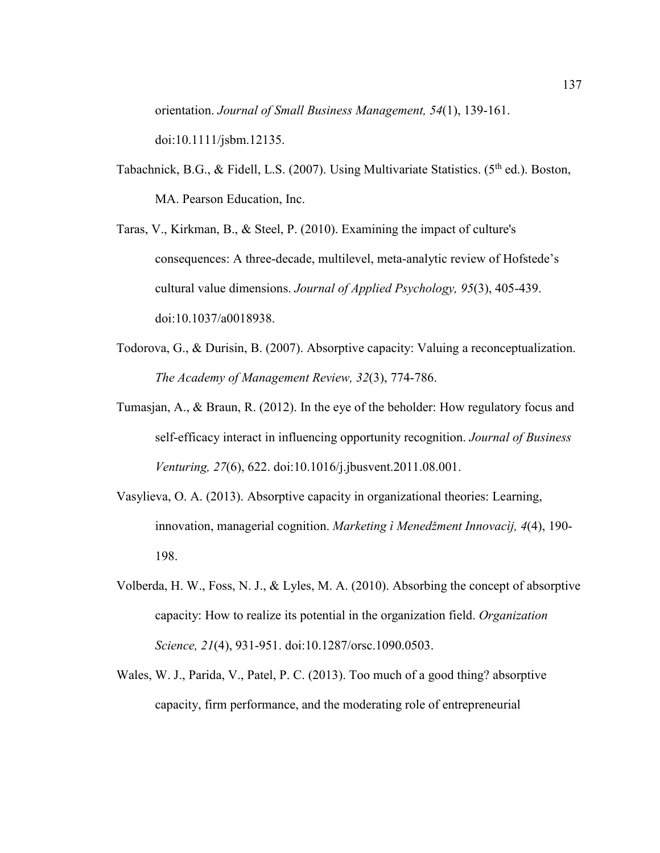orientation. *Journal of Small Business Management, 54*(1), 139-161. doi:10.1111/jsbm.12135.

- Tabachnick, B.G., & Fidell, L.S. (2007). Using Multivariate Statistics. ( $5<sup>th</sup>$  ed.). Boston, MA. Pearson Education, Inc.
- Taras, V., Kirkman, B., & Steel, P. (2010). Examining the impact of culture's consequences: A three-decade, multilevel, meta-analytic review of Hofstede's cultural value dimensions. *Journal of Applied Psychology, 95*(3), 405-439. doi:10.1037/a0018938.
- Todorova, G., & Durisin, B. (2007). Absorptive capacity: Valuing a reconceptualization. *The Academy of Management Review, 32*(3), 774-786.
- Tumasjan, A., & Braun, R. (2012). In the eye of the beholder: How regulatory focus and self-efficacy interact in influencing opportunity recognition. *Journal of Business Venturing, 27*(6), 622. doi:10.1016/j.jbusvent.2011.08.001.
- Vasylieva, O. A. (2013). Absorptive capacity in organizational theories: Learning, innovation, managerial cognition. *Marketing ì Menedžment Innovacìj, 4*(4), 190- 198.
- Volberda, H. W., Foss, N. J., & Lyles, M. A. (2010). Absorbing the concept of absorptive capacity: How to realize its potential in the organization field. *Organization Science, 21*(4), 931-951. doi:10.1287/orsc.1090.0503.
- Wales, W. J., Parida, V., Patel, P. C. (2013). Too much of a good thing? absorptive capacity, firm performance, and the moderating role of entrepreneurial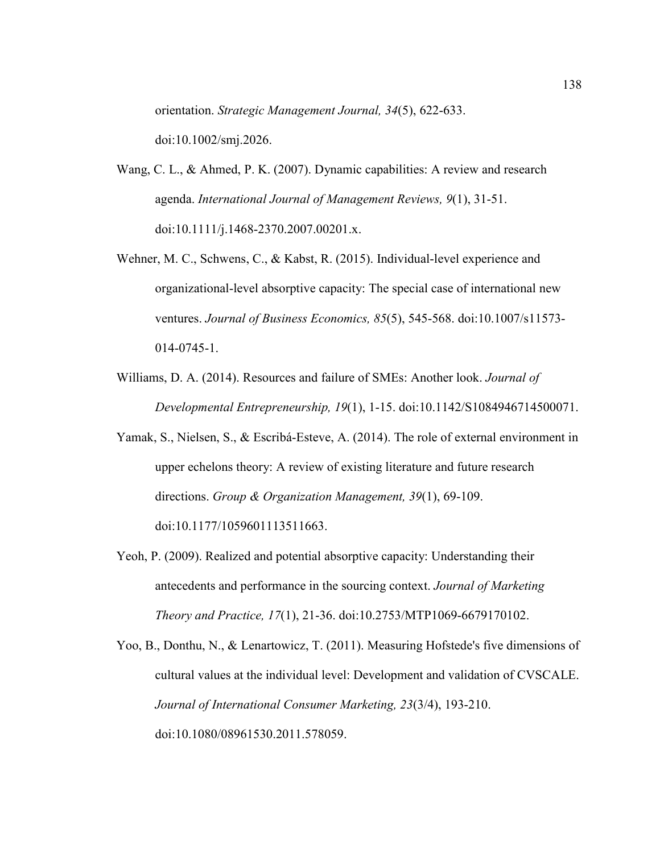orientation. *Strategic Management Journal, 34*(5), 622-633. doi:10.1002/smj.2026.

- Wang, C. L., & Ahmed, P. K. (2007). Dynamic capabilities: A review and research agenda. *International Journal of Management Reviews, 9*(1), 31-51. doi:10.1111/j.1468-2370.2007.00201.x.
- Wehner, M. C., Schwens, C., & Kabst, R. (2015). Individual-level experience and organizational-level absorptive capacity: The special case of international new ventures. *Journal of Business Economics, 85*(5), 545-568. doi:10.1007/s11573- 014-0745-1.
- Williams, D. A. (2014). Resources and failure of SMEs: Another look. *Journal of Developmental Entrepreneurship, 19*(1), 1-15. doi:10.1142/S1084946714500071.
- Yamak, S., Nielsen, S., & Escribá-Esteve, A. (2014). The role of external environment in upper echelons theory: A review of existing literature and future research directions. *Group & Organization Management, 39*(1), 69-109. doi:10.1177/1059601113511663.
- Yeoh, P. (2009). Realized and potential absorptive capacity: Understanding their antecedents and performance in the sourcing context. *Journal of Marketing Theory and Practice, 17*(1), 21-36. doi:10.2753/MTP1069-6679170102.
- Yoo, B., Donthu, N., & Lenartowicz, T. (2011). Measuring Hofstede's five dimensions of cultural values at the individual level: Development and validation of CVSCALE. *Journal of International Consumer Marketing, 23*(3/4), 193-210. doi:10.1080/08961530.2011.578059.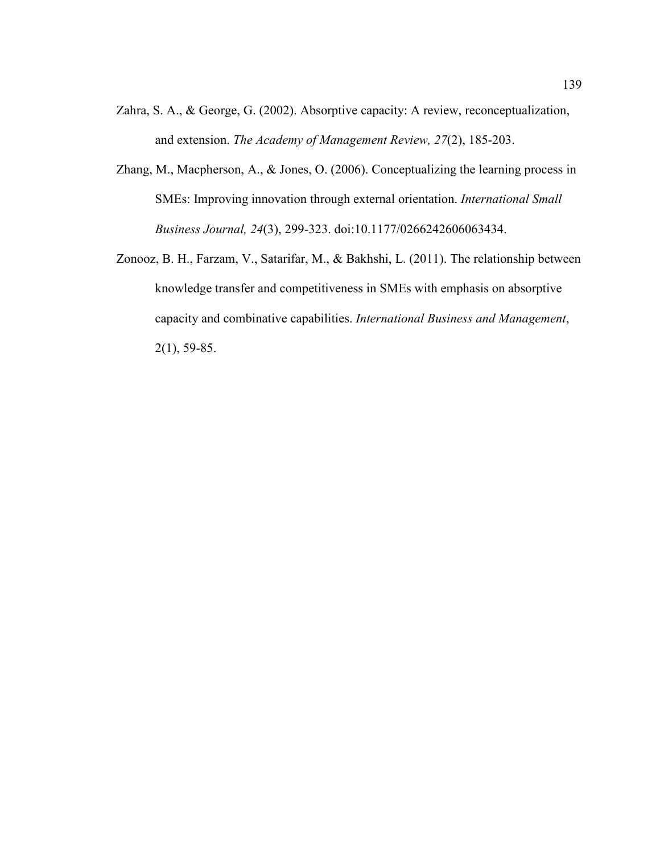- Zahra, S. A., & George, G. (2002). Absorptive capacity: A review, reconceptualization, and extension. *The Academy of Management Review, 27*(2), 185-203.
- Zhang, M., Macpherson, A., & Jones, O. (2006). Conceptualizing the learning process in SMEs: Improving innovation through external orientation. *International Small Business Journal, 24*(3), 299-323. doi:10.1177/0266242606063434.
- Zonooz, B. H., Farzam, V., Satarifar, M., & Bakhshi, L. (2011). The relationship between knowledge transfer and competitiveness in SMEs with emphasis on absorptive capacity and combinative capabilities. *International Business and Management*, 2(1), 59-85.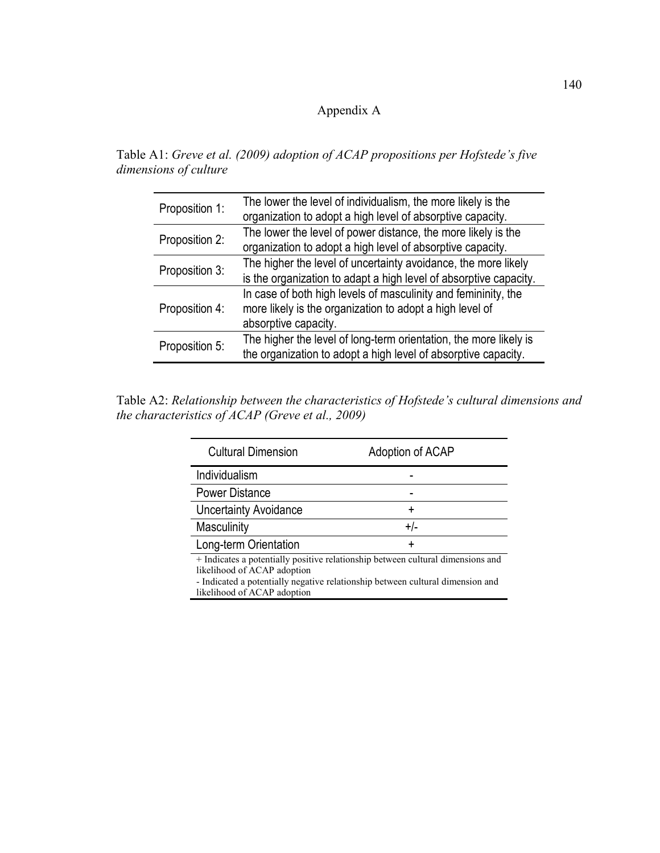### Appendix A

| Table A1: Greve et al. (2009) adoption of ACAP propositions per Hofstede's five |  |  |
|---------------------------------------------------------------------------------|--|--|
| dimensions of culture                                                           |  |  |

| Proposition 1: | The lower the level of individualism, the more likely is the<br>organization to adopt a high level of absorptive capacity.                         |
|----------------|----------------------------------------------------------------------------------------------------------------------------------------------------|
| Proposition 2: | The lower the level of power distance, the more likely is the<br>organization to adopt a high level of absorptive capacity.                        |
| Proposition 3: | The higher the level of uncertainty avoidance, the more likely<br>is the organization to adapt a high level of absorptive capacity.                |
| Proposition 4: | In case of both high levels of masculinity and femininity, the<br>more likely is the organization to adopt a high level of<br>absorptive capacity. |
| Proposition 5: | The higher the level of long-term orientation, the more likely is<br>the organization to adopt a high level of absorptive capacity.                |

Table A2: *Relationship between the characteristics of Hofstede's cultural dimensions and the characteristics of ACAP (Greve et al., 2009)* 

| <b>Cultural Dimension</b>                                                                                                                                                                                                       | Adoption of ACAP |
|---------------------------------------------------------------------------------------------------------------------------------------------------------------------------------------------------------------------------------|------------------|
| Individualism                                                                                                                                                                                                                   |                  |
| <b>Power Distance</b>                                                                                                                                                                                                           |                  |
| <b>Uncertainty Avoidance</b>                                                                                                                                                                                                    |                  |
| Masculinity                                                                                                                                                                                                                     | +/-              |
| Long-term Orientation                                                                                                                                                                                                           | +                |
| + Indicates a potentially positive relationship between cultural dimensions and<br>likelihood of ACAP adoption<br>- Indicated a potentially negative relationship between cultural dimension and<br>likelihood of ACAP adoption |                  |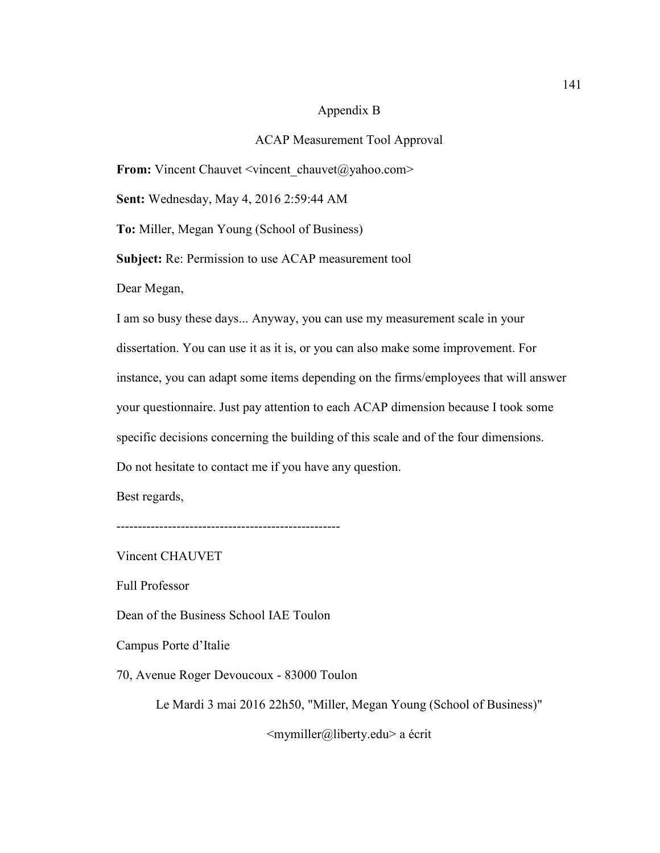#### Appendix B

#### ACAP Measurement Tool Approval

**From:** Vincent Chauvet <vincent\_chauvet@yahoo.com>

**Sent:** Wednesday, May 4, 2016 2:59:44 AM

**To:** Miller, Megan Young (School of Business)

**Subject:** Re: Permission to use ACAP measurement tool

Dear Megan,

I am so busy these days... Anyway, you can use my measurement scale in your dissertation. You can use it as it is, or you can also make some improvement. For instance, you can adapt some items depending on the firms/employees that will answer your questionnaire. Just pay attention to each ACAP dimension because I took some specific decisions concerning the building of this scale and of the four dimensions. Do not hesitate to contact me if you have any question.

Best regards,

----------------------------------------------------

Vincent CHAUVET

Full Professor

Dean of the Business School IAE Toulon

Campus Porte d'Italie

70, Avenue Roger Devoucoux - 83000 Toulon

Le Mardi 3 mai 2016 22h50, "Miller, Megan Young (School of Business)"

<mymiller@liberty.edu> a écrit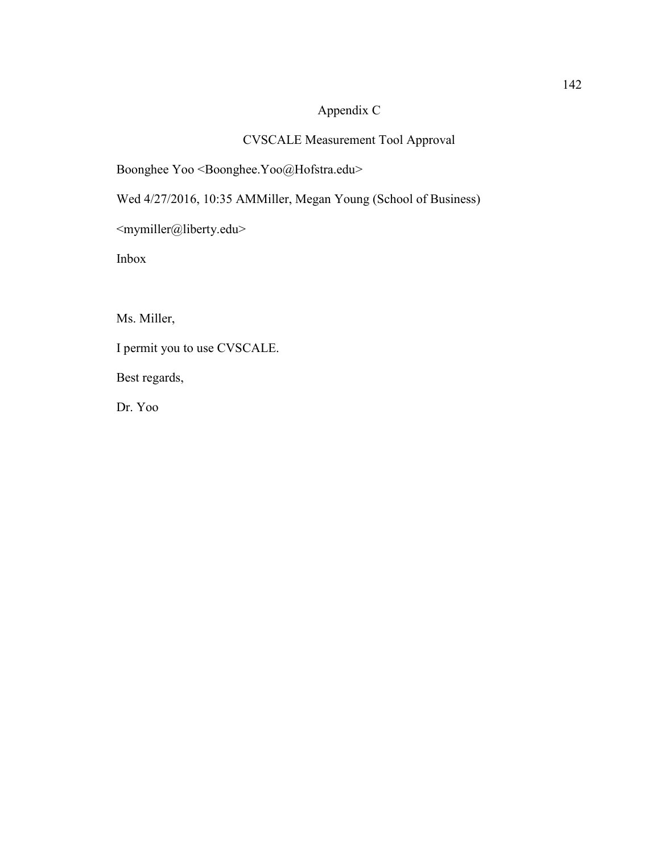#### Appendix C

#### CVSCALE Measurement Tool Approval

Boonghee Yoo <Boonghee.Yoo@Hofstra.edu>

Wed 4/27/2016, 10:35 AMMiller, Megan Young (School of Business)

<mymiller@liberty.edu>

Inbox

Ms. Miller,

I permit you to use CVSCALE.

Best regards,

Dr. Yoo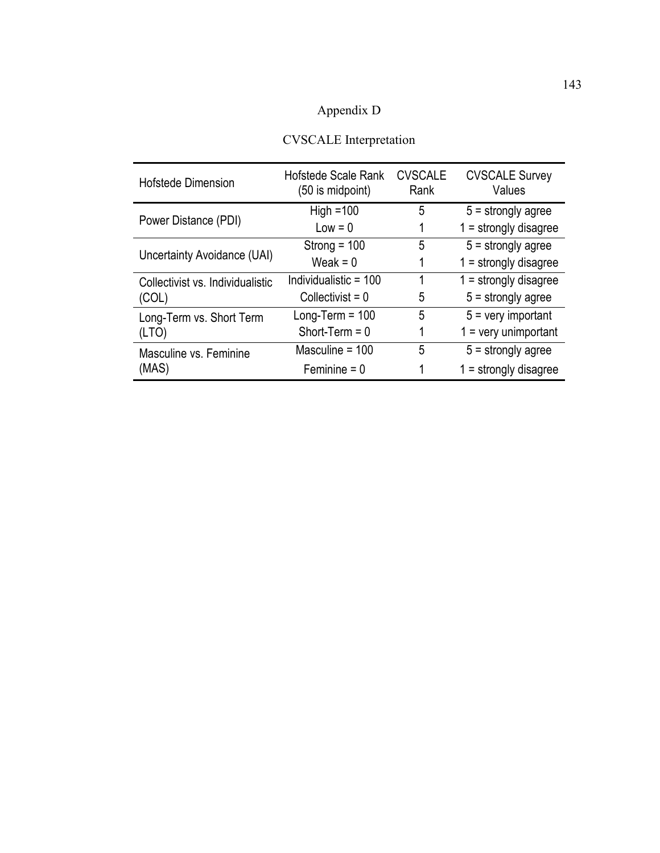# Appendix D

| <b>CVSCALE</b> Interpretation |
|-------------------------------|
|                               |

| <b>Hofstede Dimension</b>        | <b>Hofstede Scale Rank</b><br>(50 is midpoint) | <b>CVSCALE</b><br>Rank | <b>CVSCALE Survey</b><br>Values |
|----------------------------------|------------------------------------------------|------------------------|---------------------------------|
|                                  | High $=100$                                    | 5                      | $5 =$ strongly agree            |
| Power Distance (PDI)             | $Low = 0$                                      |                        | $1 =$ strongly disagree         |
|                                  | Strong = $100$                                 | 5                      | $5 =$ strongly agree            |
| Uncertainty Avoidance (UAI)      | Weak = $0$                                     |                        | $1 =$ strongly disagree         |
| Collectivist vs. Individualistic | Individualistic $= 100$                        | 1                      | $1 =$ strongly disagree         |
| (COL)                            | Collectivist = $0$                             | 5                      | $5 =$ strongly agree            |
| Long-Term vs. Short Term         | Long-Term = $100$                              | 5                      | $5 =$ very important            |
| (LTO)                            | Short-Term $= 0$                               |                        | $1 =$ very unimportant          |
| Masculine vs. Feminine           | Masculine = $100$                              | 5                      | $5 =$ strongly agree            |
| (MAS)                            | Feminine $= 0$                                 |                        | $1 =$ strongly disagree         |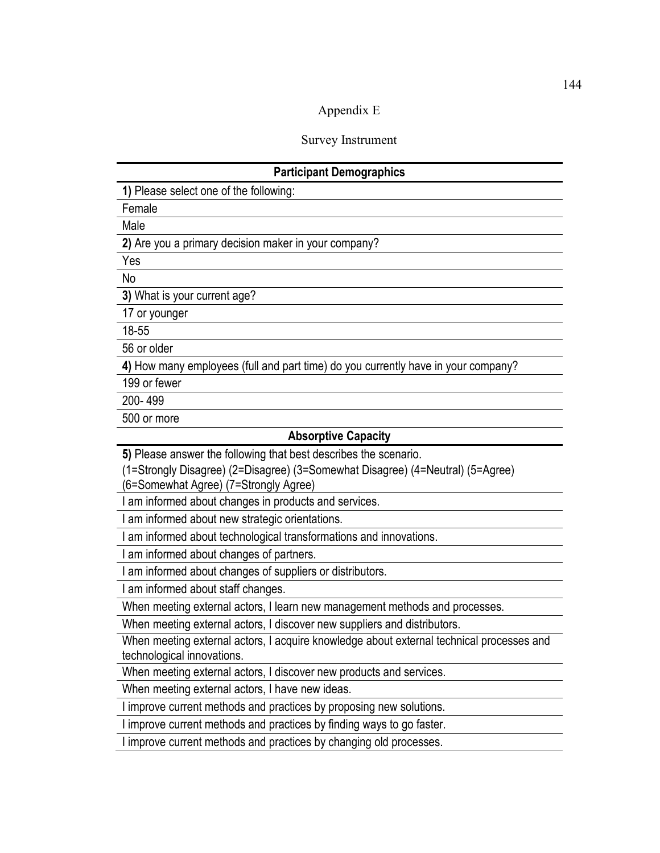#### Appendix E

Survey Instrument

#### **Participant Demographics**

**1)** Please select one of the following:

Female

Male

**2)** Are you a primary decision maker in your company?

Yes

No

**3)** What is your current age?

17 or younger

18-55

56 or older

**4)** How many employees (full and part time) do you currently have in your company?

199 or fewer

200- 499

500 or more

#### **Absorptive Capacity**

**5)** Please answer the following that best describes the scenario.

(1=Strongly Disagree) (2=Disagree) (3=Somewhat Disagree) (4=Neutral) (5=Agree)

(6=Somewhat Agree) (7=Strongly Agree)

I am informed about changes in products and services.

I am informed about new strategic orientations.

I am informed about technological transformations and innovations.

I am informed about changes of partners.

I am informed about changes of suppliers or distributors.

I am informed about staff changes.

When meeting external actors, I learn new management methods and processes.

When meeting external actors, I discover new suppliers and distributors.

When meeting external actors, I acquire knowledge about external technical processes and technological innovations.

When meeting external actors, I discover new products and services.

When meeting external actors, I have new ideas.

I improve current methods and practices by proposing new solutions.

I improve current methods and practices by finding ways to go faster.

I improve current methods and practices by changing old processes.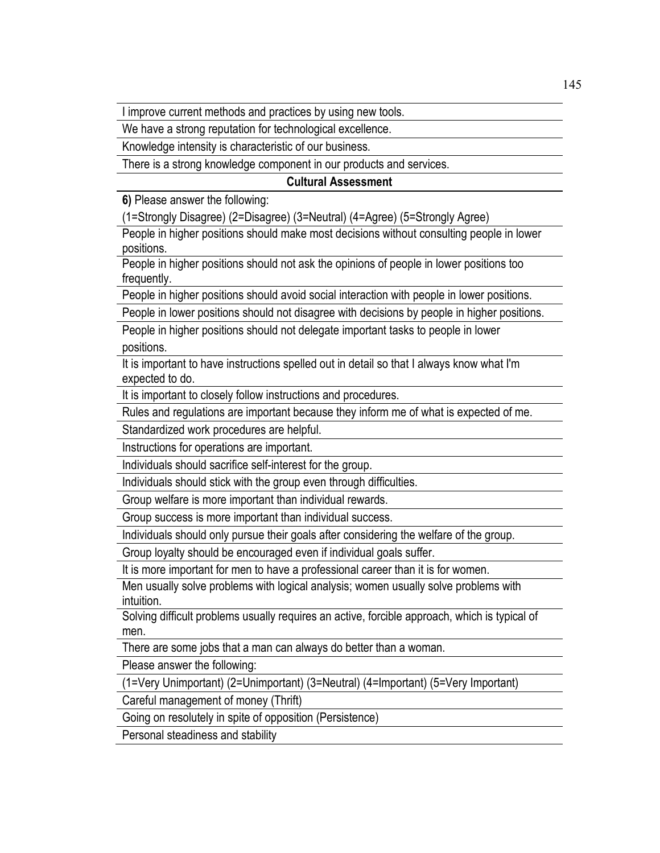I improve current methods and practices by using new tools.

We have a strong reputation for technological excellence.

Knowledge intensity is characteristic of our business.

There is a strong knowledge component in our products and services.

#### **Cultural Assessment**

**6)** Please answer the following:

(1=Strongly Disagree) (2=Disagree) (3=Neutral) (4=Agree) (5=Strongly Agree)

People in higher positions should make most decisions without consulting people in lower positions.

People in higher positions should not ask the opinions of people in lower positions too frequently.

People in higher positions should avoid social interaction with people in lower positions.

People in lower positions should not disagree with decisions by people in higher positions.

People in higher positions should not delegate important tasks to people in lower positions.

It is important to have instructions spelled out in detail so that I always know what I'm expected to do.

It is important to closely follow instructions and procedures.

Rules and regulations are important because they inform me of what is expected of me.

Standardized work procedures are helpful.

Instructions for operations are important.

Individuals should sacrifice self-interest for the group.

Individuals should stick with the group even through difficulties.

Group welfare is more important than individual rewards.

Group success is more important than individual success.

Individuals should only pursue their goals after considering the welfare of the group.

Group loyalty should be encouraged even if individual goals suffer.

It is more important for men to have a professional career than it is for women.

Men usually solve problems with logical analysis; women usually solve problems with intuition.

Solving difficult problems usually requires an active, forcible approach, which is typical of men.

There are some jobs that a man can always do better than a woman.

Please answer the following:

(1=Very Unimportant) (2=Unimportant) (3=Neutral) (4=Important) (5=Very Important)

Careful management of money (Thrift)

Going on resolutely in spite of opposition (Persistence)

Personal steadiness and stability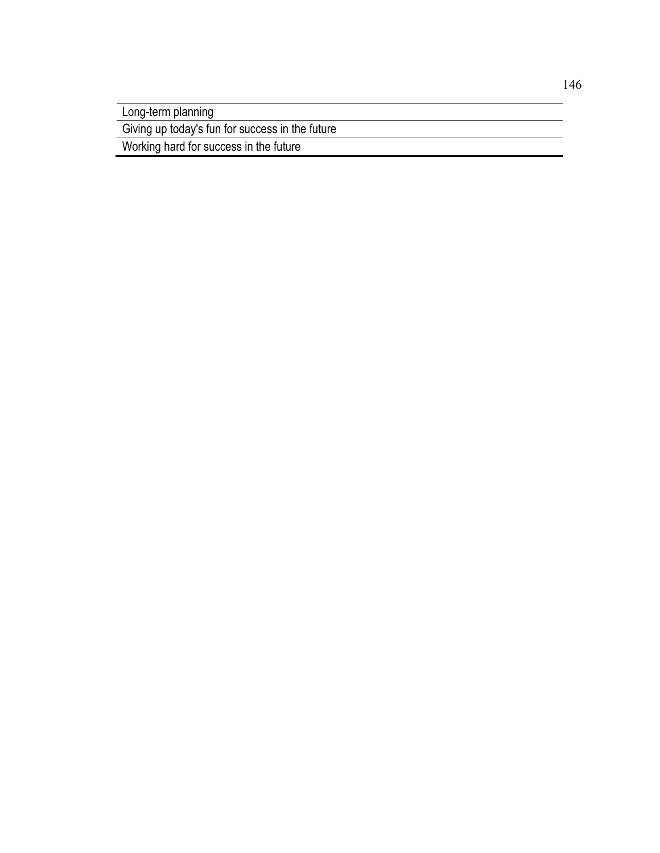Long-term planning

Giving up today's fun for success in the future

Working hard for success in the future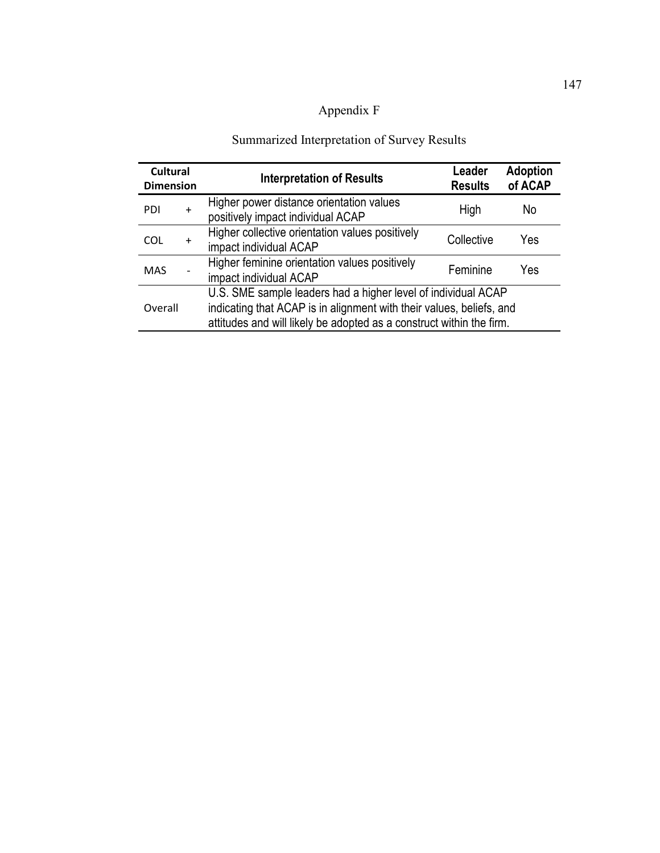# Appendix F

# Summarized Interpretation of Survey Results

| <b>Cultural</b><br><b>Dimension</b> |     | <b>Interpretation of Results</b>                                                                                                                                                                              | Leader<br><b>Results</b> | <b>Adoption</b><br>of ACAP |
|-------------------------------------|-----|---------------------------------------------------------------------------------------------------------------------------------------------------------------------------------------------------------------|--------------------------|----------------------------|
| PDI                                 | $+$ | Higher power distance orientation values<br>positively impact individual ACAP                                                                                                                                 | High                     | No                         |
| COL                                 | $+$ | Higher collective orientation values positively<br>impact individual ACAP                                                                                                                                     | Collective               | Yes                        |
| <b>MAS</b>                          |     | Higher feminine orientation values positively<br>impact individual ACAP                                                                                                                                       | Feminine                 | Yes                        |
| Overall                             |     | U.S. SME sample leaders had a higher level of individual ACAP<br>indicating that ACAP is in alignment with their values, beliefs, and<br>attitudes and will likely be adopted as a construct within the firm. |                          |                            |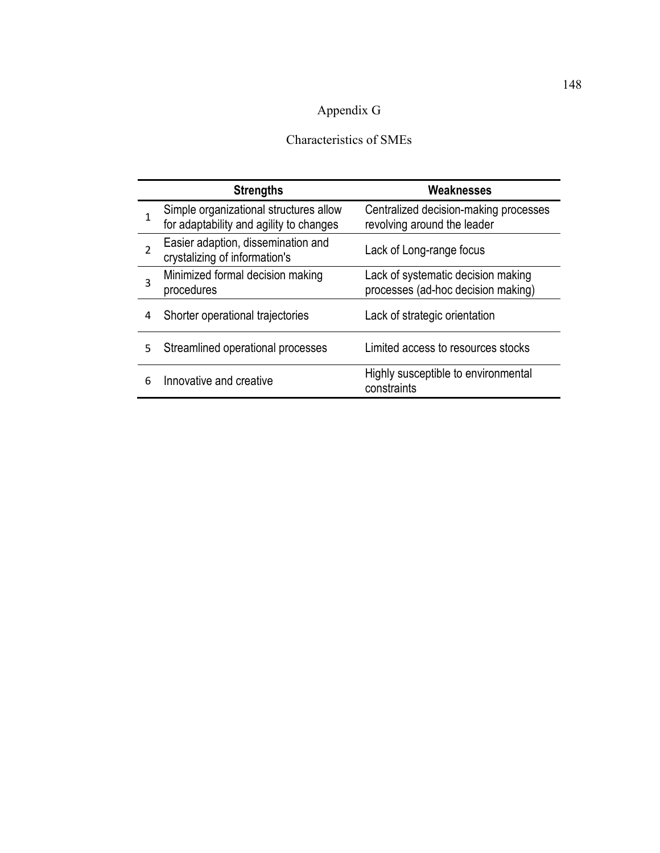### Appendix G

#### Characteristics of SMEs

|                | <b>Strengths</b>                                                                  | Weaknesses                                                               |
|----------------|-----------------------------------------------------------------------------------|--------------------------------------------------------------------------|
| 1              | Simple organizational structures allow<br>for adaptability and agility to changes | Centralized decision-making processes<br>revolving around the leader     |
| $\overline{2}$ | Easier adaption, dissemination and<br>crystalizing of information's               | Lack of Long-range focus                                                 |
| 3              | Minimized formal decision making<br>procedures                                    | Lack of systematic decision making<br>processes (ad-hoc decision making) |
| 4              | Shorter operational trajectories                                                  | Lack of strategic orientation                                            |
| 5              | Streamlined operational processes                                                 | Limited access to resources stocks                                       |
| 6              | Innovative and creative                                                           | Highly susceptible to environmental<br>constraints                       |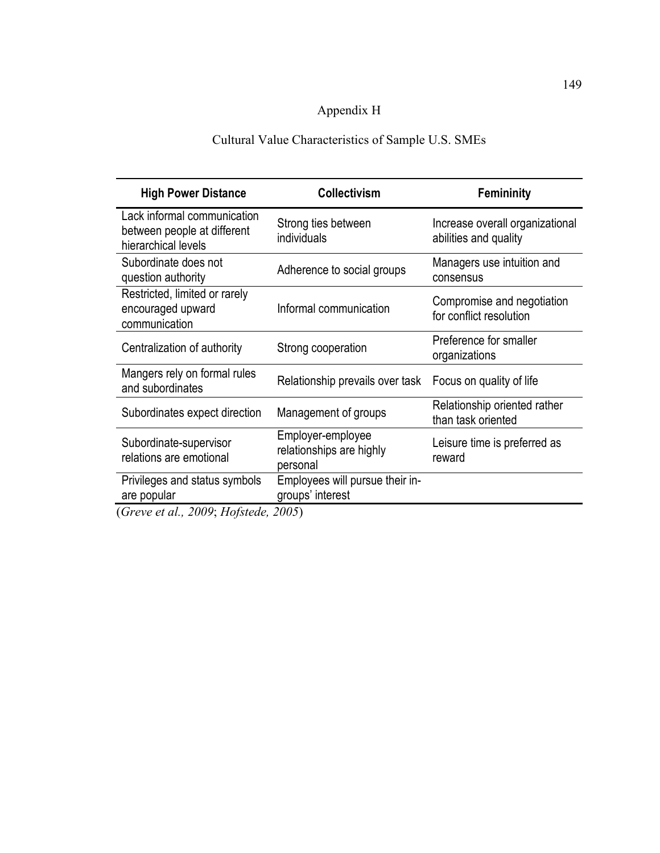### Appendix H

### Cultural Value Characteristics of Sample U.S. SMEs

| <b>High Power Distance</b>                                                        | <b>Collectivism</b>                                            | <b>Femininity</b>                                        |
|-----------------------------------------------------------------------------------|----------------------------------------------------------------|----------------------------------------------------------|
| Lack informal communication<br>between people at different<br>hierarchical levels | Strong ties between<br>individuals                             | Increase overall organizational<br>abilities and quality |
| Subordinate does not<br>question authority                                        | Adherence to social groups                                     | Managers use intuition and<br>consensus                  |
| Restricted, limited or rarely<br>encouraged upward<br>communication               | Informal communication                                         | Compromise and negotiation<br>for conflict resolution    |
| Centralization of authority                                                       | Strong cooperation                                             | Preference for smaller<br>organizations                  |
| Mangers rely on formal rules<br>and subordinates                                  | Relationship prevails over task Focus on quality of life       |                                                          |
| Subordinates expect direction                                                     | Management of groups                                           | Relationship oriented rather<br>than task oriented       |
| Subordinate-supervisor<br>relations are emotional                                 | Employer-employee<br>relationships are highly<br>personal      | Leisure time is preferred as<br>reward                   |
| Privileges and status symbols<br>are popular<br>$1.3000 \text{ H}$ $\ldots$       | Employees will pursue their in-<br>groups' interest<br>300 F V |                                                          |

(*Greve et al., 2009*; *Hofstede, 2005*)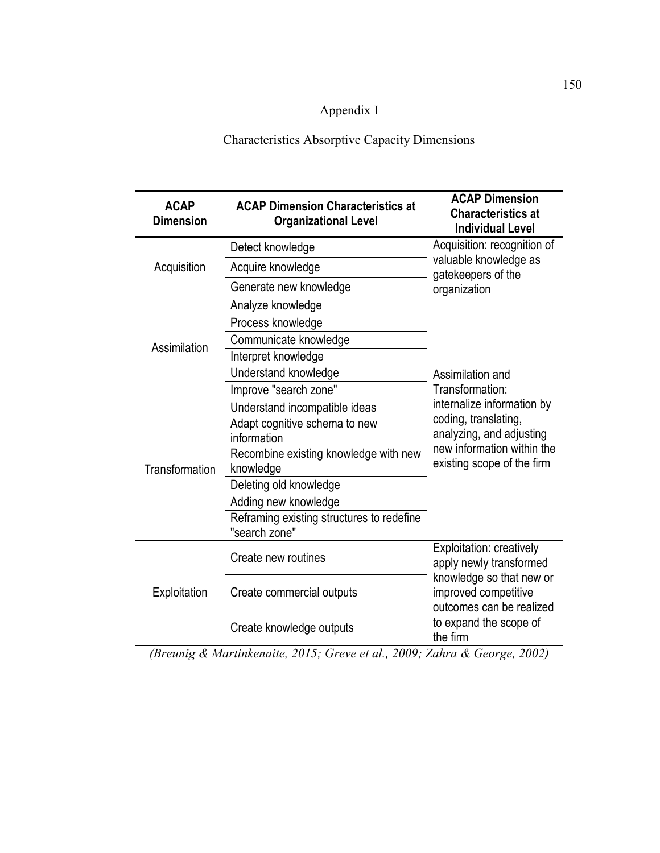### Appendix I

Characteristics Absorptive Capacity Dimensions

| <b>ACAP</b><br><b>Dimension</b> | <b>ACAP Dimension Characteristics at</b><br><b>Organizational Level</b> | <b>ACAP Dimension</b><br><b>Characteristics at</b><br><b>Individual Level</b>                                                                                             |  |
|---------------------------------|-------------------------------------------------------------------------|---------------------------------------------------------------------------------------------------------------------------------------------------------------------------|--|
|                                 | Detect knowledge                                                        | Acquisition: recognition of                                                                                                                                               |  |
| Acquisition                     | Acquire knowledge                                                       | valuable knowledge as<br>gatekeepers of the                                                                                                                               |  |
|                                 | Generate new knowledge                                                  | organization                                                                                                                                                              |  |
|                                 | Analyze knowledge                                                       |                                                                                                                                                                           |  |
|                                 | Process knowledge                                                       |                                                                                                                                                                           |  |
| Assimilation                    | Communicate knowledge                                                   |                                                                                                                                                                           |  |
|                                 | Interpret knowledge                                                     |                                                                                                                                                                           |  |
|                                 | Understand knowledge                                                    | Assimilation and                                                                                                                                                          |  |
|                                 | Improve "search zone"                                                   | Transformation:                                                                                                                                                           |  |
|                                 | Understand incompatible ideas                                           | internalize information by                                                                                                                                                |  |
|                                 | Adapt cognitive schema to new                                           | coding, translating,<br>analyzing, and adjusting<br>new information within the<br>existing scope of the firm                                                              |  |
|                                 | information                                                             |                                                                                                                                                                           |  |
| Transformation                  | Recombine existing knowledge with new<br>knowledge                      |                                                                                                                                                                           |  |
|                                 | Deleting old knowledge                                                  |                                                                                                                                                                           |  |
|                                 | Adding new knowledge                                                    |                                                                                                                                                                           |  |
|                                 | Reframing existing structures to redefine<br>"search zone"              |                                                                                                                                                                           |  |
| Exploitation                    | Create new routines                                                     | Exploitation: creatively<br>apply newly transformed<br>knowledge so that new or<br>improved competitive<br>outcomes can be realized<br>to expand the scope of<br>the firm |  |
|                                 | Create commercial outputs                                               |                                                                                                                                                                           |  |
|                                 | Create knowledge outputs                                                |                                                                                                                                                                           |  |

*(Breunig & Martinkenaite, 2015; Greve et al., 2009; Zahra & George, 2002)*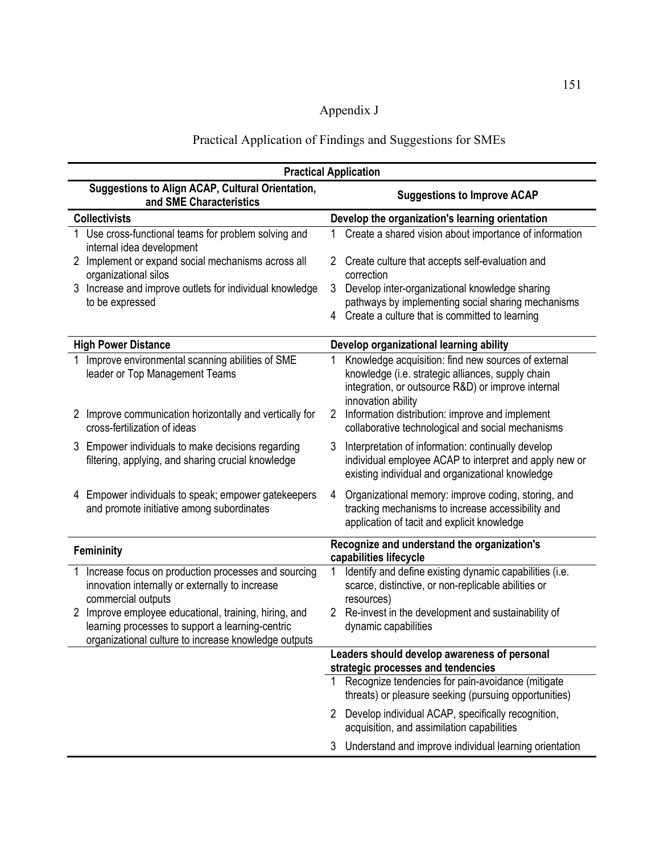# Appendix J

### Practical Application of Findings and Suggestions for SMEs

| <b>Practical Application</b>                                                                                                                                                                                                                                                                      |                                                                                                                                                                                                              |  |
|---------------------------------------------------------------------------------------------------------------------------------------------------------------------------------------------------------------------------------------------------------------------------------------------------|--------------------------------------------------------------------------------------------------------------------------------------------------------------------------------------------------------------|--|
| Suggestions to Align ACAP, Cultural Orientation,<br>and SME Characteristics                                                                                                                                                                                                                       | <b>Suggestions to Improve ACAP</b>                                                                                                                                                                           |  |
| <b>Collectivists</b>                                                                                                                                                                                                                                                                              | Develop the organization's learning orientation                                                                                                                                                              |  |
| Use cross-functional teams for problem solving and<br>internal idea development                                                                                                                                                                                                                   | Create a shared vision about importance of information<br>1                                                                                                                                                  |  |
| 2 Implement or expand social mechanisms across all<br>organizational silos                                                                                                                                                                                                                        | 2 Create culture that accepts self-evaluation and<br>correction                                                                                                                                              |  |
| Increase and improve outlets for individual knowledge<br>3<br>to be expressed                                                                                                                                                                                                                     | 3<br>Develop inter-organizational knowledge sharing<br>pathways by implementing social sharing mechanisms                                                                                                    |  |
|                                                                                                                                                                                                                                                                                                   | 4 Create a culture that is committed to learning                                                                                                                                                             |  |
| <b>High Power Distance</b>                                                                                                                                                                                                                                                                        | Develop organizational learning ability                                                                                                                                                                      |  |
| Improve environmental scanning abilities of SME<br>leader or Top Management Teams                                                                                                                                                                                                                 | Knowledge acquisition: find new sources of external<br>knowledge (i.e. strategic alliances, supply chain<br>integration, or outsource R&D) or improve internal<br>innovation ability                         |  |
| 2 Improve communication horizontally and vertically for<br>cross-fertilization of ideas                                                                                                                                                                                                           | Information distribution: improve and implement<br>$\overline{2}$<br>collaborative technological and social mechanisms                                                                                       |  |
| 3 Empower individuals to make decisions regarding<br>filtering, applying, and sharing crucial knowledge                                                                                                                                                                                           | Interpretation of information: continually develop<br>3<br>individual employee ACAP to interpret and apply new or<br>existing individual and organizational knowledge                                        |  |
| 4 Empower individuals to speak; empower gatekeepers<br>and promote initiative among subordinates                                                                                                                                                                                                  | Organizational memory: improve coding, storing, and<br>4<br>tracking mechanisms to increase accessibility and<br>application of tacit and explicit knowledge                                                 |  |
| Femininity                                                                                                                                                                                                                                                                                        | Recognize and understand the organization's<br>capabilities lifecycle                                                                                                                                        |  |
| Increase focus on production processes and sourcing<br>innovation internally or externally to increase<br>commercial outputs<br>2 Improve employee educational, training, hiring, and<br>learning processes to support a learning-centric<br>organizational culture to increase knowledge outputs | Identify and define existing dynamic capabilities (i.e.<br>scarce, distinctive, or non-replicable abilities or<br>resources)<br>2 Re-invest in the development and sustainability of<br>dynamic capabilities |  |
|                                                                                                                                                                                                                                                                                                   | Leaders should develop awareness of personal                                                                                                                                                                 |  |
|                                                                                                                                                                                                                                                                                                   | strategic processes and tendencies                                                                                                                                                                           |  |
|                                                                                                                                                                                                                                                                                                   | 1 Recognize tendencies for pain-avoidance (mitigate<br>threats) or pleasure seeking (pursuing opportunities)                                                                                                 |  |
|                                                                                                                                                                                                                                                                                                   | 2 Develop individual ACAP, specifically recognition,<br>acquisition, and assimilation capabilities                                                                                                           |  |
|                                                                                                                                                                                                                                                                                                   | 3 Understand and improve individual learning orientation                                                                                                                                                     |  |